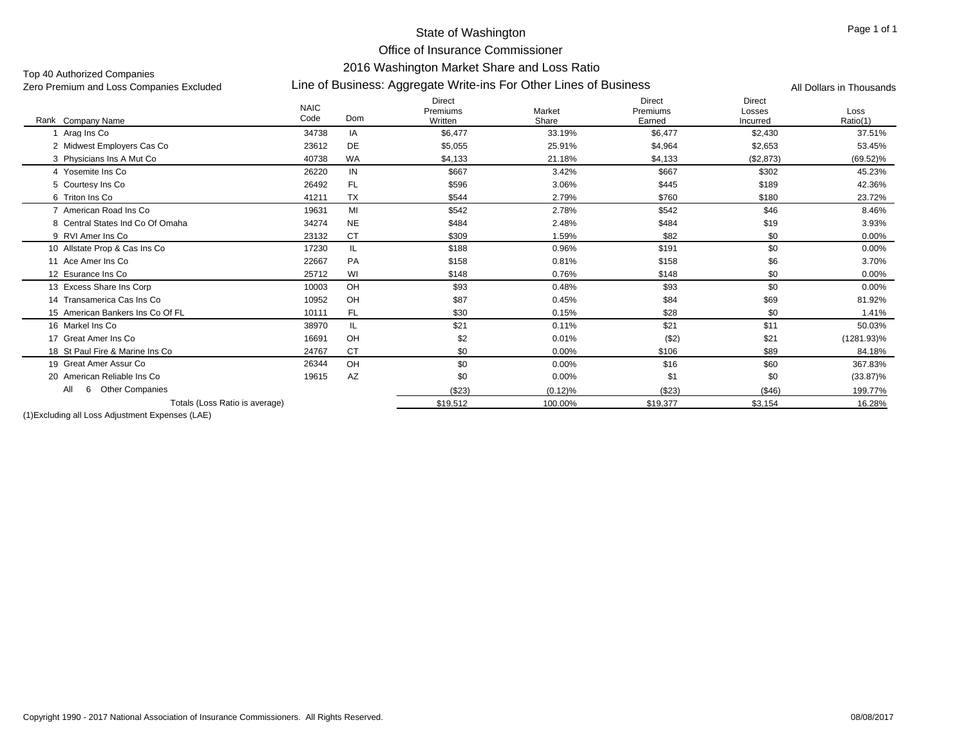Office of Insurance Commissioner

### 2016 Washington Market Share and Loss Ratio

Top 40 Authorized Companies<br>Zero Premium and Loss Companies Excluded

# Line of Business: Aggregate Write-ins For Other Lines of Business Zero Premium and Loss Companies Excluded All Dollars in Thousands

|                                  | <b>NAIC</b> |           | <b>Direct</b><br>Premiums | Market  | <b>Direct</b><br>Premiums | <b>Direct</b><br>Losses | Loss          |
|----------------------------------|-------------|-----------|---------------------------|---------|---------------------------|-------------------------|---------------|
| Rank Company Name                | Code        | Dom       | Written                   | Share   | Earned                    | Incurred                | Ratio(1)      |
| Arag Ins Co                      | 34738       | IA        | \$6,477                   | 33.19%  | \$6,477                   | \$2,430                 | 37.51%        |
| 2 Midwest Employers Cas Co       | 23612       | DE        | \$5,055                   | 25.91%  | \$4,964                   | \$2,653                 | 53.45%        |
| 3 Physicians Ins A Mut Co        | 40738       | <b>WA</b> | \$4,133                   | 21.18%  | \$4,133                   | (\$2,873)               | $(69.52)\%$   |
| 4 Yosemite Ins Co                | 26220       | IN        | \$667                     | 3.42%   | \$667                     | \$302                   | 45.23%        |
| 5 Courtesy Ins Co                | 26492       | FL.       | \$596                     | 3.06%   | \$445                     | \$189                   | 42.36%        |
| 6 Triton Ins Co                  | 41211       | <b>TX</b> | \$544                     | 2.79%   | \$760                     | \$180                   | 23.72%        |
| 7 American Road Ins Co           | 19631       | MI        | \$542                     | 2.78%   | \$542                     | \$46                    | 8.46%         |
| 8 Central States Ind Co Of Omaha | 34274       | <b>NE</b> | \$484                     | 2.48%   | \$484                     | \$19                    | 3.93%         |
| 9 RVI Amer Ins Co                | 23132       | <b>CT</b> | \$309                     | 1.59%   | \$82                      | \$0                     | 0.00%         |
| 10 Allstate Prop & Cas Ins Co    | 17230       | IL.       | \$188                     | 0.96%   | \$191                     | \$0                     | $0.00\%$      |
| 11 Ace Amer Ins Co               | 22667       | PA        | \$158                     | 0.81%   | \$158                     | \$6                     | 3.70%         |
| 12 Esurance Ins Co               | 25712       | WI        | \$148                     | 0.76%   | \$148                     | \$0                     | 0.00%         |
| 13 Excess Share Ins Corp         | 10003       | OH        | \$93                      | 0.48%   | \$93                      | \$0                     | 0.00%         |
| 14 Transamerica Cas Ins Co       | 10952       | OH        | \$87                      | 0.45%   | \$84                      | \$69                    | 81.92%        |
| 15 American Bankers Ins Co Of FL | 10111       | FL.       | \$30                      | 0.15%   | \$28                      | \$0                     | 1.41%         |
| 16 Markel Ins Co                 | 38970       | IL        | \$21                      | 0.11%   | \$21                      | \$11                    | 50.03%        |
| 17 Great Amer Ins Co             | 16691       | OH        | \$2                       | 0.01%   | ( \$2)                    | \$21                    | $(1281.93)\%$ |
| 18 St Paul Fire & Marine Ins Co  | 24767       | <b>CT</b> | \$0                       | 0.00%   | \$106                     | \$89                    | 84.18%        |
| 19 Great Amer Assur Co           | 26344       | OH        | \$0                       | 0.00%   | \$16                      | \$60                    | 367.83%       |
| 20 American Reliable Ins Co      | 19615       | AZ        | \$0                       | 0.00%   | \$1                       | \$0                     | $(33.87)\%$   |
| 6 Other Companies<br>All         |             |           | (\$23)                    | (0.12)% | (\$23)                    | (\$46)                  | 199.77%       |
| Totals (Loss Ratio is average)   |             |           | \$19,512                  | 100.00% | \$19.377                  | \$3,154                 | 16.28%        |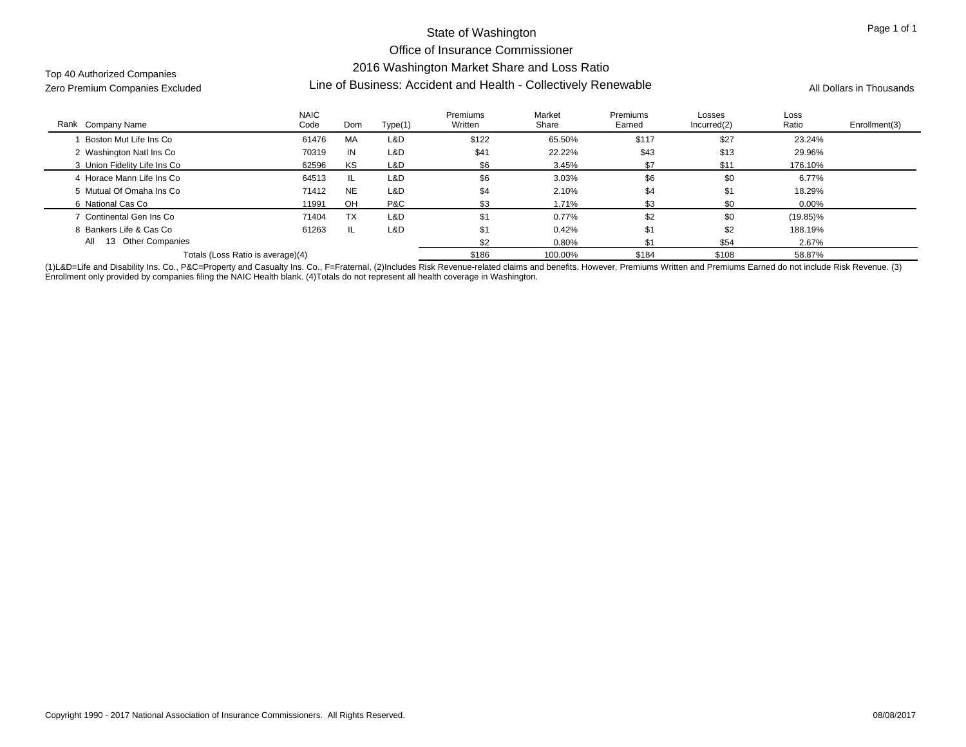# State of Washington Office of Insurance Commissioner 2016 Washington Market Share and Loss Ratio Line of Business: Accident and Health - Collectively Renewable Zero Premium Companies Excluded All Dollars in Thousands

Top 40 Authorized Companies

| Rank Company Name                 | <b>NAIC</b><br>Code | Dom       | Type(1) | Premiums<br>Written | Market<br>Share | Premiums<br>Earned | Losses<br>Incurred(2) | Loss<br>Ratio | Enrollment(3) |
|-----------------------------------|---------------------|-----------|---------|---------------------|-----------------|--------------------|-----------------------|---------------|---------------|
| Boston Mut Life Ins Co            | 61476               | MA        | L&D     | \$122               | 65.50%          | \$117              | \$27                  | 23.24%        |               |
| 2 Washington Natl Ins Co          | 70319               | IN        | L&D     | \$41                | 22.22%          | \$43               | \$13                  | 29.96%        |               |
| 3 Union Fidelity Life Ins Co      | 62596               | KS        | L&D     | \$6                 | 3.45%           | \$7                | \$11                  | 176.10%       |               |
| 4 Horace Mann Life Ins Co         | 64513               | -IL.      | L&D     | \$6                 | 3.03%           | \$6                | \$0                   | 6.77%         |               |
| 5 Mutual Of Omaha Ins Co          | 71412               | <b>NE</b> | L&D     | \$4                 | 2.10%           | \$4                | \$1                   | 18.29%        |               |
| 6 National Cas Co                 | 11991               | OH        | P&C     | \$3                 | 1.71%           | \$3                | \$0                   | 0.00%         |               |
| 7 Continental Gen Ins Co          | 71404               | <b>TX</b> | L&D     | \$1                 | $0.77\%$        | \$2                | \$0                   | $(19.85)\%$   |               |
| 8 Bankers Life & Cas Co           | 61263               | IL        | L&D     | \$1                 | 0.42%           | \$1                | \$2                   | 188.19%       |               |
| 13 Other Companies<br>All         |                     |           |         | \$2                 | $0.80\%$        | \$1                | \$54                  | 2.67%         |               |
| Totals (Loss Ratio is average)(4) |                     |           |         | \$186               | 100.00%         | \$184              | \$108                 | 58.87%        |               |

(1)L&D=Life and Disability Ins. Co., P&C=Property and Casualty Ins. Co., F=Fraternal, (2)Includes Risk Revenue-related claims and benefits. However, Premiums Written and Premiums Earned do not include Risk Revenue. (3) Enrollment only provided by companies filing the NAIC Health blank. (4)Totals do not represent all health coverage in Washington.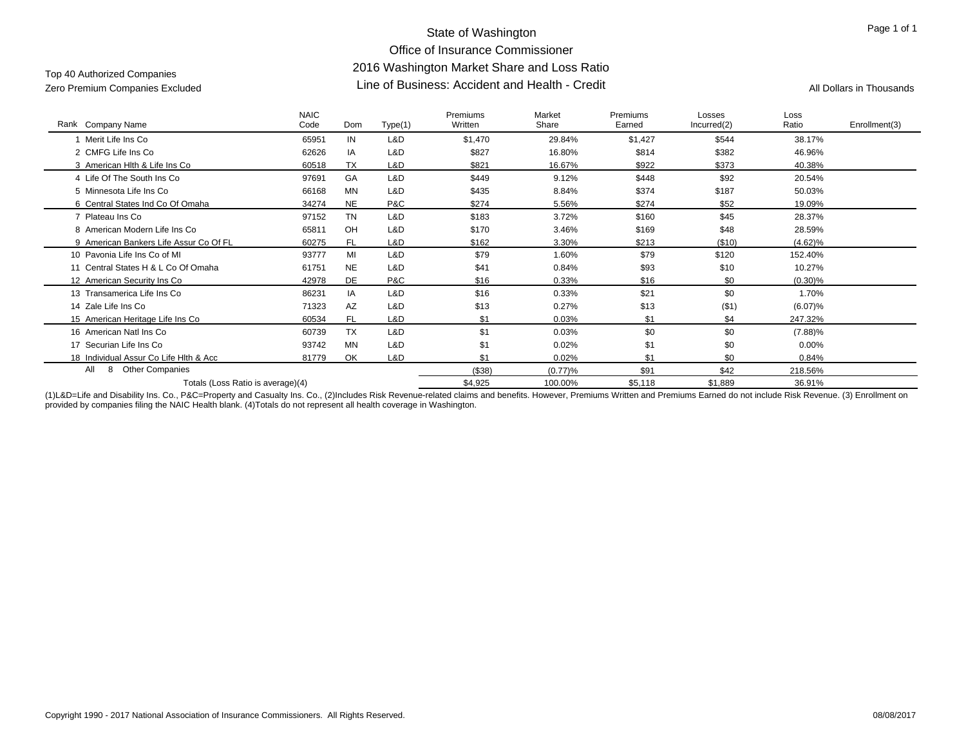# State of Washington Office of Insurance Commissioner 2016 Washington Market Share and Loss Ratio Line of Business: Accident and Health - Credit Zero Premium Companies Excluded All Dollars in Thousands

# Top 40 Authorized Companies

| Rank Company Name                      | <b>NAIC</b><br>Code | Dom       | Type(1) | Premiums<br>Written | Market<br>Share | Premiums<br>Earned | Losses<br>Incurred(2) | Loss<br>Ratio | Enrollment(3) |
|----------------------------------------|---------------------|-----------|---------|---------------------|-----------------|--------------------|-----------------------|---------------|---------------|
| Merit Life Ins Co                      | 65951               | IN        | L&D     | \$1,470             | 29.84%          | \$1,427            | \$544                 | 38.17%        |               |
| 2 CMFG Life Ins Co                     | 62626               | IA        | L&D     | \$827               | 16.80%          | \$814              | \$382                 | 46.96%        |               |
| 3 American Hith & Life Ins Co          | 60518               | <b>TX</b> | L&D     | \$821               | 16.67%          | \$922              | \$373                 | 40.38%        |               |
| 4 Life Of The South Ins Co             | 97691               | GA        | L&D     | \$449               | 9.12%           | \$448              | \$92                  | 20.54%        |               |
| 5 Minnesota Life Ins Co                | 66168               | MN        | L&D     | \$435               | 8.84%           | \$374              | \$187                 | 50.03%        |               |
| 6 Central States Ind Co Of Omaha       | 34274               | <b>NE</b> | P&C     | \$274               | 5.56%           | \$274              | \$52                  | 19.09%        |               |
| 7 Plateau Ins Co                       | 97152               | <b>TN</b> | L&D     | \$183               | 3.72%           | \$160              | \$45                  | 28.37%        |               |
| 8 American Modern Life Ins Co          | 65811               | OH        | L&D     | \$170               | 3.46%           | \$169              | \$48                  | 28.59%        |               |
| 9 American Bankers Life Assur Co Of FL | 60275               | <b>FL</b> | L&D     | \$162               | 3.30%           | \$213              | (\$10)                | $(4.62)\%$    |               |
| 10 Pavonia Life Ins Co of MI           | 93777               | MI        | L&D     | \$79                | 1.60%           | \$79               | \$120                 | 152.40%       |               |
| 11 Central States H & L Co Of Omaha    | 61751               | <b>NE</b> | L&D     | \$41                | 0.84%           | \$93               | \$10                  | 10.27%        |               |
| 12 American Security Ins Co            | 42978               | DE        | P&C     | \$16                | 0.33%           | \$16               | \$0                   | $(0.30)\%$    |               |
| 13 Transamerica Life Ins Co            | 86231               | IA        | L&D     | \$16                | 0.33%           | \$21               | \$0                   | 1.70%         |               |
| 14 Zale Life Ins Co                    | 71323               | AZ        | L&D     | \$13                | 0.27%           | \$13               | $($ \$1)              | $(6.07)\%$    |               |
| 15 American Heritage Life Ins Co       | 60534               | FL.       | L&D     | \$1                 | 0.03%           | \$1                | \$4                   | 247.32%       |               |
| 16 American Natl Ins Co                | 60739               | <b>TX</b> | L&D     | \$1                 | 0.03%           | \$0                | \$0                   | $(7.88)\%$    |               |
| 17 Securian Life Ins Co                | 93742               | <b>MN</b> | L&D     | \$1                 | 0.02%           | \$1                | \$0                   | 0.00%         |               |
| 18 Individual Assur Co Life Hith & Acc | 81779               | OK        | L&D     | \$1                 | 0.02%           | \$1                | \$0                   | 0.84%         |               |
| All<br><b>Other Companies</b><br>8     |                     |           |         | (\$38)              | (0.77)%         | \$91               | \$42                  | 218.56%       |               |
| Totals (Loss Ratio is average)(4)      |                     |           |         | \$4,925             | 100.00%         | \$5,118            | \$1,889               | 36.91%        |               |

(1)L&D=Life and Disability Ins. Co., P&C=Property and Casualty Ins. Co., (2)Includes Risk Revenue-related claims and benefits. However, Premiums Written and Premiums Earned do not include Risk Revenue. (3) Enrollment on provided by companies filing the NAIC Health blank. (4)Totals do not represent all health coverage in Washington.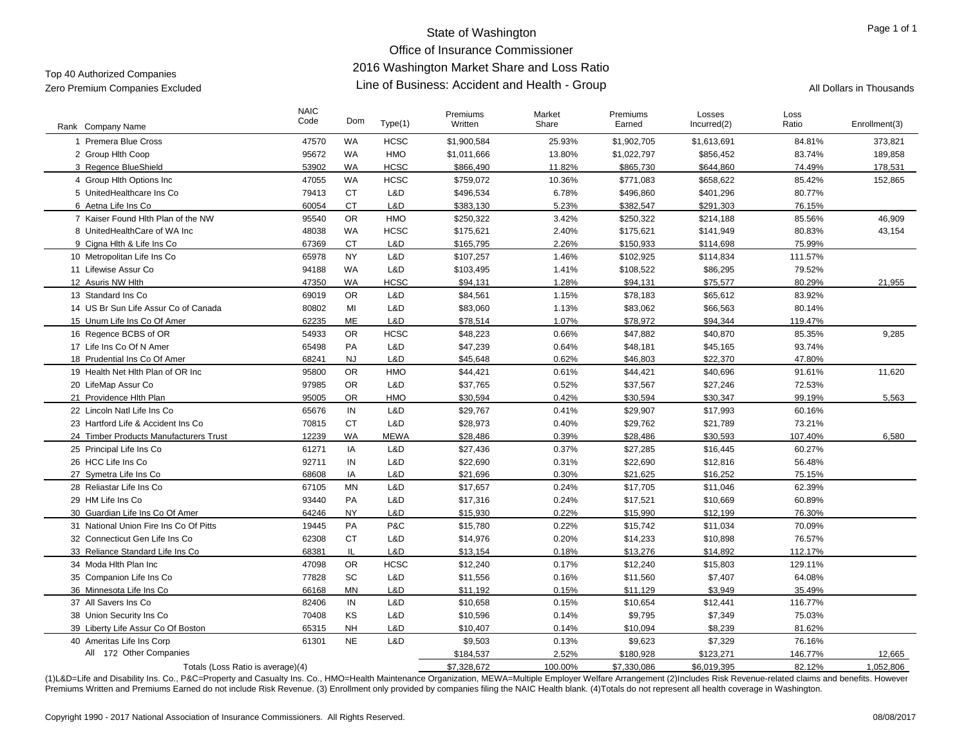# State of Washington Office of Insurance Commissioner 2016 Washington Market Share and Loss Ratio Line of Business: Accident and Health - Group Zero Premium Companies Excluded All Dollars in Thousands

| Rank Company Name                      | <b>NAIC</b><br>Code | Dom       | Type(1)     | Premiums<br>Written | Market<br>Share | Premiums<br>Earned | Losses<br>Incurred(2) | Loss<br>Ratio | Enrollment(3) |
|----------------------------------------|---------------------|-----------|-------------|---------------------|-----------------|--------------------|-----------------------|---------------|---------------|
| 1 Premera Blue Cross                   | 47570               | WA        | <b>HCSC</b> | \$1,900,584         | 25.93%          | \$1,902,705        | \$1,613,691           | 84.81%        | 373,821       |
| 2 Group Hith Coop                      | 95672               | WA        | <b>HMO</b>  | \$1,011,666         | 13.80%          | \$1,022,797        | \$856,452             | 83.74%        | 189,858       |
| 3 Regence BlueShield                   | 53902               | <b>WA</b> | <b>HCSC</b> | \$866,490           | 11.82%          | \$865,730          | \$644,860             | 74.49%        | 178,531       |
| 4 Group Hith Options Inc               | 47055               | <b>WA</b> | <b>HCSC</b> | \$759,072           | 10.36%          | \$771,083          | \$658,622             | 85.42%        | 152,865       |
| 5 UnitedHealthcare Ins Co              | 79413               | СT        | L&D         | \$496,534           | 6.78%           | \$496,860          | \$401,296             | 80.77%        |               |
| 6 Aetna Life Ins Co                    | 60054               | <b>CT</b> | L&D         | \$383,130           | 5.23%           | \$382,547          | \$291,303             | 76.15%        |               |
| 7 Kaiser Found Hlth Plan of the NW     | 95540               | <b>OR</b> | HMO         | \$250,322           | 3.42%           | \$250,322          | \$214,188             | 85.56%        | 46,909        |
| 8 UnitedHealthCare of WA Inc           | 48038               | WA        | <b>HCSC</b> | \$175,621           | 2.40%           | \$175,621          | \$141,949             | 80.83%        | 43,154        |
| 9 Cigna Hith & Life Ins Co             | 67369               | <b>CT</b> | L&D         | \$165,795           | 2.26%           | \$150,933          | \$114,698             | 75.99%        |               |
| 10 Metropolitan Life Ins Co            | 65978               | <b>NY</b> | L&D         | \$107,257           | 1.46%           | \$102,925          | \$114,834             | 111.57%       |               |
| 11 Lifewise Assur Co                   | 94188               | WA        | L&D         | \$103,495           | 1.41%           | \$108,522          | \$86,295              | 79.52%        |               |
| 12 Asuris NW Hlth                      | 47350               | <b>WA</b> | HCSC        | \$94,131            | 1.28%           | \$94,131           | \$75,577              | 80.29%        | 21,955        |
| 13 Standard Ins Co.                    | 69019               | <b>OR</b> | L&D         | \$84,561            | 1.15%           | \$78,183           | \$65,612              | 83.92%        |               |
| 14 US Br Sun Life Assur Co of Canada   | 80802               | MI        | L&D         | \$83,060            | 1.13%           | \$83,062           | \$66,563              | 80.14%        |               |
| 15 Unum Life Ins Co Of Amer            | 62235               | ME        | L&D         | \$78,514            | 1.07%           | \$78,972           | \$94,344              | 119.47%       |               |
| 16 Regence BCBS of OR                  | 54933               | <b>OR</b> | HCSC        | \$48,223            | 0.66%           | \$47,882           | \$40,870              | 85.35%        | 9,285         |
| 17 Life Ins Co Of N Amer               | 65498               | PA        | L&D         | \$47,239            | 0.64%           | \$48,181           | \$45,165              | 93.74%        |               |
| 18 Prudential Ins Co Of Amer           | 68241               | <b>NJ</b> | L&D         | \$45,648            | 0.62%           | \$46,803           | \$22,370              | 47.80%        |               |
| 19 Health Net Hith Plan of OR Inc      | 95800               | <b>OR</b> | HMO         | \$44,421            | 0.61%           | \$44,421           | \$40,696              | 91.61%        | 11.620        |
| 20 LifeMap Assur Co                    | 97985               | <b>OR</b> | L&D         | \$37,765            | 0.52%           | \$37,567           | \$27,246              | 72.53%        |               |
| 21 Providence Hlth Plan                | 95005               | <b>OR</b> | HMO         | \$30,594            | 0.42%           | \$30,594           | \$30,347              | 99.19%        | 5,563         |
| 22 Lincoln Natl Life Ins Co            | 65676               | IN        | L&D         | \$29,767            | 0.41%           | \$29,907           | \$17,993              | 60.16%        |               |
| 23 Hartford Life & Accident Ins Co     | 70815               | <b>CT</b> | L&D         | \$28,973            | 0.40%           | \$29,762           | \$21,789              | 73.21%        |               |
| 24 Timber Products Manufacturers Trust | 12239               | <b>WA</b> | <b>MEWA</b> | \$28.486            | 0.39%           | \$28,486           | \$30,593              | 107.40%       | 6,580         |
| 25 Principal Life Ins Co               | 61271               | IA        | L&D         | \$27,436            | 0.37%           | \$27,285           | \$16,445              | 60.27%        |               |
| 26 HCC Life Ins Co                     | 92711               | IN        | L&D         | \$22,690            | 0.31%           | \$22,690           | \$12,816              | 56.48%        |               |
| 27 Symetra Life Ins Co                 | 68608               | IA        | L&D         | \$21,696            | 0.30%           | \$21,625           | \$16,252              | 75.15%        |               |
| 28 Reliastar Life Ins Co               | 67105               | MN        | L&D         | \$17,657            | 0.24%           | \$17,705           | \$11,046              | 62.39%        |               |
| 29 HM Life Ins Co                      | 93440               | PA        | L&D         | \$17,316            | 0.24%           | \$17,521           | \$10,669              | 60.89%        |               |
| 30 Guardian Life Ins Co Of Amer        | 64246               | <b>NY</b> | L&D         | \$15,930            | 0.22%           | \$15,990           | \$12,199              | 76.30%        |               |
| 31 National Union Fire Ins Co Of Pitts | 19445               | PA        | P&C         | \$15,780            | 0.22%           | \$15,742           | \$11,034              | 70.09%        |               |
| 32 Connecticut Gen Life Ins Co         | 62308               | <b>CT</b> | L&D         | \$14,976            | 0.20%           | \$14,233           | \$10,898              | 76.57%        |               |
| 33 Reliance Standard Life Ins Co       | 68381               | IL.       | L&D         | \$13,154            | 0.18%           | \$13,276           | \$14,892              | 112.17%       |               |
| 34 Moda Hith Plan Inc                  | 47098               | <b>OR</b> | <b>HCSC</b> | \$12,240            | 0.17%           | \$12,240           | \$15,803              | 129.11%       |               |
| 35 Companion Life Ins Co               | 77828               | SC        | L&D         | \$11,556            | 0.16%           | \$11,560           | \$7,407               | 64.08%        |               |
| 36 Minnesota Life Ins Co               | 66168               | <b>MN</b> | L&D         | \$11,192            | 0.15%           | \$11,129           | \$3,949               | 35.49%        |               |
| 37 All Savers Ins Co                   | 82406               | IN        | L&D         | \$10,658            | 0.15%           | \$10,654           | \$12,441              | 116.77%       |               |
| 38 Union Security Ins Co               | 70408               | KS        | L&D         | \$10,596            | 0.14%           | \$9,795            | \$7,349               | 75.03%        |               |
| 39 Liberty Life Assur Co Of Boston     | 65315               | <b>NH</b> | L&D         | \$10,407            | 0.14%           | \$10,094           | \$8.239               | 81.62%        |               |
| 40 Ameritas Life Ins Corp              | 61301               | <b>NE</b> | L&D         | \$9,503             | 0.13%           | \$9,623            | \$7,329               | 76.16%        |               |
| All 172 Other Companies                |                     |           |             | \$184,537           | 2.52%           | \$180,928          | \$123,271             | 146.77%       | 12,665        |
| Totals (Loss Ratio is average)(4)      |                     |           |             | \$7,328,672         | 100.00%         | \$7.330.086        | \$6.019.395           | 82.12%        | 1.052.806     |

(1)L&D=Life and Disability Ins. Co., P&C=Property and Casualty Ins. Co., HMO=Health Maintenance Organization, MEWA=Multiple Employer Welfare Arrangement (2)Includes Risk Revenue-related claims and benefits. However Premiums Written and Premiums Earned do not include Risk Revenue. (3) Enrollment only provided by companies filing the NAIC Health blank. (4) Totals do not represent all health coverage in Washington.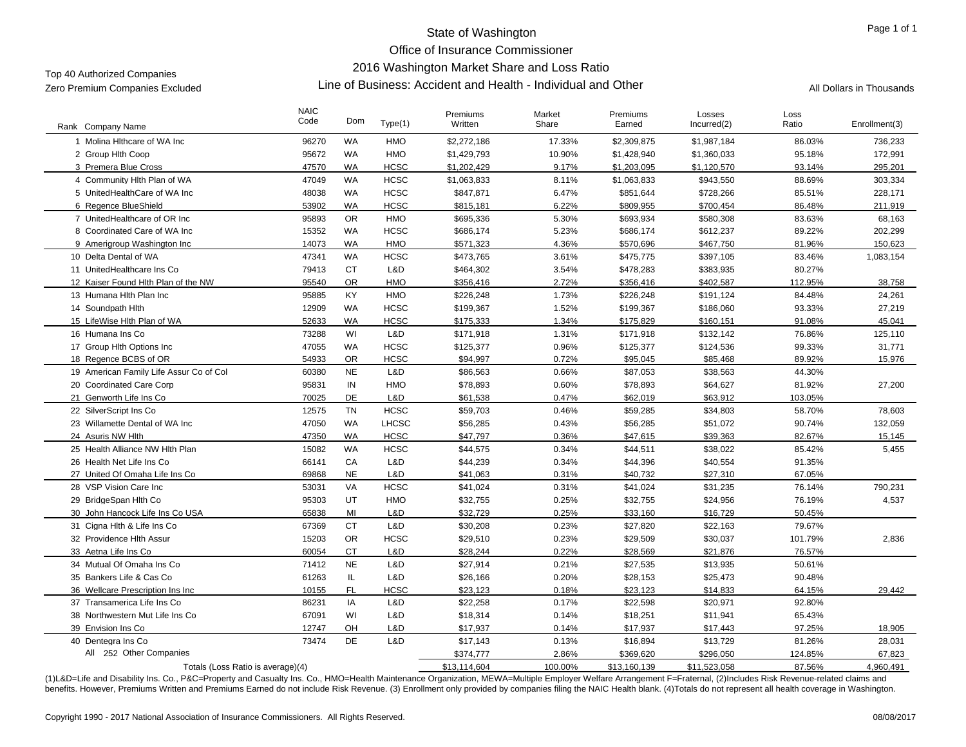# State of Washington Office of Insurance Commissioner 2016 Washington Market Share and Loss Ratio Line of Business: Accident and Health - Individual and Other Zero Premium Companies Excluded All Dollars in Thousands

| Rank Company Name                       | <b>NAIC</b><br>Code | Dom       | Type(1)      | Premiums<br>Written | Market<br>Share | Premiums<br>Earned | Losses<br>Incurred(2) | Loss<br>Ratio | Enrollment(3) |
|-----------------------------------------|---------------------|-----------|--------------|---------------------|-----------------|--------------------|-----------------------|---------------|---------------|
| 1 Molina Hithcare of WA Inc.            | 96270               | <b>WA</b> | <b>HMO</b>   | \$2,272,186         | 17.33%          | \$2,309,875        | \$1,987,184           | 86.03%        | 736,233       |
| 2 Group Hith Coop                       | 95672               | <b>WA</b> | <b>HMO</b>   | \$1,429,793         | 10.90%          | \$1,428,940        | \$1,360,033           | 95.18%        | 172,991       |
| 3 Premera Blue Cross                    | 47570               | <b>WA</b> | <b>HCSC</b>  | \$1,202,429         | 9.17%           | \$1,203,095        | \$1,120,570           | 93.14%        | 295,201       |
| 4 Community Hlth Plan of WA             | 47049               | WA        | <b>HCSC</b>  | \$1,063,833         | 8.11%           | \$1,063,833        | \$943,550             | 88.69%        | 303,334       |
| 5 UnitedHealthCare of WA Inc            | 48038               | WA        | <b>HCSC</b>  | \$847,871           | 6.47%           | \$851,644          | \$728,266             | 85.51%        | 228,171       |
| 6 Regence BlueShield                    | 53902               | <b>WA</b> | <b>HCSC</b>  | \$815,181           | 6.22%           | \$809,955          | \$700,454             | 86.48%        | 211,919       |
| 7 UnitedHealthcare of OR Inc            | 95893               | <b>OR</b> | HMO          | \$695,336           | 5.30%           | \$693,934          | \$580,308             | 83.63%        | 68,163        |
| 8 Coordinated Care of WA Inc            | 15352               | <b>WA</b> | <b>HCSC</b>  | \$686,174           | 5.23%           | \$686,174          | \$612,237             | 89.22%        | 202,299       |
| 9 Amerigroup Washington Inc.            | 14073               | <b>WA</b> | <b>HMO</b>   | \$571,323           | 4.36%           | \$570,696          | \$467,750             | 81.96%        | 150,623       |
| 10 Delta Dental of WA                   | 47341               | <b>WA</b> | <b>HCSC</b>  | \$473,765           | 3.61%           | \$475,775          | \$397,105             | 83.46%        | 1,083,154     |
| 11 UnitedHealthcare Ins Co              | 79413               | <b>CT</b> | L&D          | \$464,302           | 3.54%           | \$478,283          | \$383,935             | 80.27%        |               |
| 12 Kaiser Found Hith Plan of the NW     | 95540               | <b>OR</b> | HMO          | \$356,416           | 2.72%           | \$356,416          | \$402,587             | 112.95%       | 38,758        |
| 13 Humana Hith Plan Inc                 | 95885               | KY        | HMO          | \$226,248           | 1.73%           | \$226,248          | \$191,124             | 84.48%        | 24,261        |
| 14 Soundpath Hith                       | 12909               | <b>WA</b> | <b>HCSC</b>  | \$199,367           | 1.52%           | \$199,367          | \$186,060             | 93.33%        | 27,219        |
| 15 LifeWise Hlth Plan of WA             | 52633               | <b>WA</b> | <b>HCSC</b>  | \$175,333           | 1.34%           | \$175,829          | \$160,151             | 91.08%        | 45,041        |
| 16 Humana Ins Co                        | 73288               | WI        | L&D          | \$171,918           | 1.31%           | \$171,918          | \$132,142             | 76.86%        | 125,110       |
| 17 Group Hith Options Inc               | 47055               | <b>WA</b> | <b>HCSC</b>  | \$125,377           | 0.96%           | \$125,377          | \$124,536             | 99.33%        | 31,771        |
| 18 Regence BCBS of OR                   | 54933               | <b>OR</b> | <b>HCSC</b>  | \$94.997            | 0.72%           | \$95.045           | \$85.468              | 89.92%        | 15.976        |
| 19 American Family Life Assur Co of Col | 60380               | <b>NE</b> | L&D          | \$86,563            | 0.66%           | \$87,053           | \$38,563              | 44.30%        |               |
| 20 Coordinated Care Corp                | 95831               | IN        | <b>HMO</b>   | \$78,893            | 0.60%           | \$78,893           | \$64,627              | 81.92%        | 27,200        |
| 21 Genworth Life Ins Co                 | 70025               | DE        | L&D          | \$61,538            | 0.47%           | \$62,019           | \$63,912              | 103.05%       |               |
| 22 SilverScript Ins Co                  | 12575               | <b>TN</b> | <b>HCSC</b>  | \$59,703            | 0.46%           | \$59,285           | \$34,803              | 58.70%        | 78,603        |
| 23 Willamette Dental of WA Inc          | 47050               | WA        | <b>LHCSC</b> | \$56,285            | 0.43%           | \$56,285           | \$51,072              | 90.74%        | 132,059       |
| 24 Asuris NW Hlth                       | 47350               | <b>WA</b> | <b>HCSC</b>  | \$47,797            | 0.36%           | \$47,615           | \$39,363              | 82.67%        | 15,145        |
| 25 Health Alliance NW Hlth Plan         | 15082               | <b>WA</b> | <b>HCSC</b>  | \$44,575            | 0.34%           | \$44,511           | \$38,022              | 85.42%        | 5,455         |
| 26 Health Net Life Ins Co               | 66141               | CA        | L&D          | \$44,239            | 0.34%           | \$44,396           | \$40,554              | 91.35%        |               |
| 27 United Of Omaha Life Ins Co          | 69868               | <b>NE</b> | L&D          | \$41,063            | 0.31%           | \$40,732           | \$27,310              | 67.05%        |               |
| 28 VSP Vision Care Inc                  | 53031               | VA        | <b>HCSC</b>  | \$41,024            | 0.31%           | \$41,024           | \$31,235              | 76.14%        | 790,231       |
| 29 BridgeSpan Hlth Co                   | 95303               | UT        | HMO          | \$32,755            | 0.25%           | \$32,755           | \$24,956              | 76.19%        | 4,537         |
| 30 John Hancock Life Ins Co USA         | 65838               | MI        | L&D          | \$32,729            | 0.25%           | \$33,160           | \$16,729              | 50.45%        |               |
| 31 Cigna Hlth & Life Ins Co             | 67369               | <b>CT</b> | L&D          | \$30,208            | 0.23%           | \$27,820           | \$22,163              | 79.67%        |               |
| 32 Providence Hlth Assur                | 15203               | <b>OR</b> | <b>HCSC</b>  | \$29,510            | 0.23%           | \$29,509           | \$30,037              | 101.79%       | 2,836         |
| 33 Aetna Life Ins Co                    | 60054               | <b>CT</b> | L&D          | \$28.244            | 0.22%           | \$28,569           | \$21,876              | 76.57%        |               |
| 34 Mutual Of Omaha Ins Co               | 71412               | <b>NE</b> | L&D          | \$27,914            | 0.21%           | \$27,535           | \$13,935              | 50.61%        |               |
| 35 Bankers Life & Cas Co                | 61263               | IL.       | L&D          | \$26,166            | 0.20%           | \$28,153           | \$25,473              | 90.48%        |               |
| 36 Wellcare Prescription Ins Inc        | 10155               | FL.       | <b>HCSC</b>  | \$23.123            | 0.18%           | \$23,123           | \$14,833              | 64.15%        | 29.442        |
| 37 Transamerica Life Ins Co             | 86231               | IA        | L&D          | \$22,258            | 0.17%           | \$22,598           | \$20,971              | 92.80%        |               |
| 38 Northwestern Mut Life Ins Co         | 67091               | WI        | L&D          | \$18,314            | 0.14%           | \$18,251           | \$11,941              | 65.43%        |               |
| 39 Envision Ins Co                      | 12747               | OH        | L&D          | \$17,937            | 0.14%           | \$17,937           | \$17,443              | 97.25%        | 18,905        |
| 40 Dentegra Ins Co                      | 73474               | DE        | L&D          | \$17,143            | 0.13%           | \$16,894           | \$13,729              | 81.26%        | 28,031        |
| All 252 Other Companies                 |                     |           |              | \$374,777           | 2.86%           | \$369,620          | \$296,050             | 124.85%       | 67,823        |
| Totals (Loss Ratio is average)(4)       |                     |           |              | \$13,114,604        | 100.00%         | \$13,160,139       | \$11.523.058          | 87.56%        | 4.960.491     |

(1)L&D=Life and Disability Ins. Co., P&C=Property and Casualty Ins. Co., HMO=Health Maintenance Organization, MEWA=Multiple Employer Welfare Arrangement F=Fraternal, (2)Includes Risk Revenue-related claims and benefits. However, Premiums Written and Premiums Earned do not include Risk Revenue. (3) Enrollment only provided by companies filing the NAIC Health blank. (4) Totals do not represent all health coverage in Washington.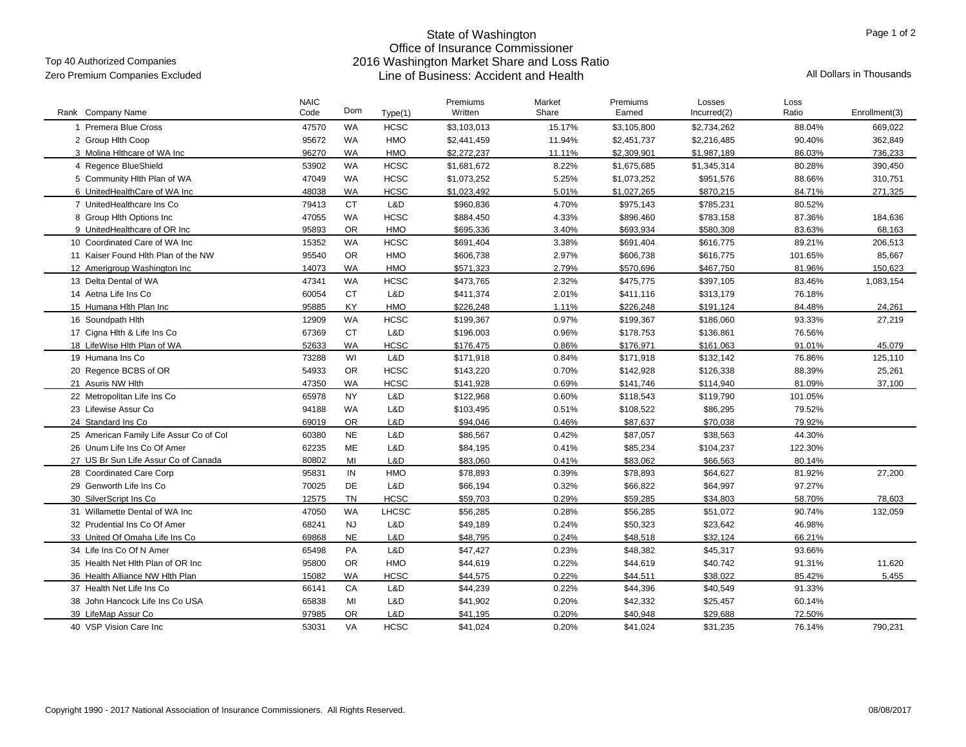#### Top 40 Authorized Companies

# State of Washington Office of Insurance Commissioner 2016 Washington Market Share and Loss Ratio Line of Business: Accident and Health Zero Premium Companies Excluded All Dollars in Thousands

| Rank Company Name                       | <b>NAIC</b><br>Code | Dom       | Type(1)      | Premiums<br>Written | Market<br>Share | Premiums<br>Earned | Losses<br>Incurred(2) | Loss<br>Ratio | Enrollment(3) |
|-----------------------------------------|---------------------|-----------|--------------|---------------------|-----------------|--------------------|-----------------------|---------------|---------------|
| 1 Premera Blue Cross                    | 47570               | <b>WA</b> | <b>HCSC</b>  | \$3,103,013         | 15.17%          | \$3,105,800        | \$2,734,262           | 88.04%        | 669,022       |
| 2 Group Hith Coop                       | 95672               | <b>WA</b> | <b>HMO</b>   | \$2,441,459         | 11.94%          | \$2,451,737        | \$2,216,485           | 90.40%        | 362,849       |
| 3 Molina Hithcare of WA Inc             | 96270               | <b>WA</b> | <b>HMO</b>   | \$2,272,237         | 11.11%          | \$2,309,901        | \$1,987,189           | 86.03%        | 736,233       |
| 4 Regence BlueShield                    | 53902               | <b>WA</b> | <b>HCSC</b>  | \$1,681,672         | 8.22%           | \$1,675,685        | \$1,345,314           | 80.28%        | 390,450       |
| 5 Community Hith Plan of WA             | 47049               | <b>WA</b> | <b>HCSC</b>  | \$1,073,252         | 5.25%           | \$1,073,252        | \$951,576             | 88.66%        | 310,751       |
| 6 UnitedHealthCare of WA Inc            | 48038               | <b>WA</b> | <b>HCSC</b>  | \$1,023,492         | 5.01%           | \$1,027,265        | \$870,215             | 84.71%        | 271,325       |
| 7 UnitedHealthcare Ins Co               | 79413               | <b>CT</b> | L&D          | \$960,836           | 4.70%           | \$975,143          | \$785,231             | 80.52%        |               |
| 8 Group Hith Options Inc                | 47055               | <b>WA</b> | <b>HCSC</b>  | \$884,450           | 4.33%           | \$896,460          | \$783,158             | 87.36%        | 184,636       |
| 9 UnitedHealthcare of OR Inc            | 95893               | OR        | <b>HMO</b>   | \$695,336           | 3.40%           | \$693,934          | \$580,308             | 83.63%        | 68,163        |
| 10 Coordinated Care of WA Inc           | 15352               | <b>WA</b> | <b>HCSC</b>  | \$691,404           | 3.38%           | \$691,404          | \$616,775             | 89.21%        | 206,513       |
| 11 Kaiser Found Hith Plan of the NW     | 95540               | OR        | <b>HMO</b>   | \$606,738           | 2.97%           | \$606,738          | \$616,775             | 101.65%       | 85,667        |
| 12 Amerigroup Washington Inc            | 14073               | <b>WA</b> | <b>HMO</b>   | \$571,323           | 2.79%           | \$570,696          | \$467,750             | 81.96%        | 150,623       |
| 13 Delta Dental of WA                   | 47341               | <b>WA</b> | <b>HCSC</b>  | \$473,765           | 2.32%           | \$475,775          | \$397,105             | 83.46%        | 1,083,154     |
| 14 Aetna Life Ins Co                    | 60054               | <b>CT</b> | L&D          | \$411,374           | 2.01%           | \$411,116          | \$313,179             | 76.18%        |               |
| 15 Humana Hith Plan Inc                 | 95885               | KY        | <b>HMO</b>   | \$226,248           | 1.11%           | \$226,248          | \$191,124             | 84.48%        | 24,261        |
| 16 Soundpath Hith                       | 12909               | <b>WA</b> | <b>HCSC</b>  | \$199,367           | 0.97%           | \$199,367          | \$186,060             | 93.33%        | 27,219        |
| 17 Cigna Hith & Life Ins Co             | 67369               | <b>CT</b> | L&D          | \$196,003           | 0.96%           | \$178,753          | \$136,861             | 76.56%        |               |
| 18 LifeWise Hlth Plan of WA             | 52633               | <b>WA</b> | <b>HCSC</b>  | \$176,475           | 0.86%           | \$176,971          | \$161,063             | 91.01%        | 45,079        |
| 19 Humana Ins Co                        | 73288               | WI        | L&D          | \$171,918           | 0.84%           | \$171,918          | \$132.142             | 76.86%        | 125.110       |
| 20 Regence BCBS of OR                   | 54933               | OR        | <b>HCSC</b>  | \$143,220           | 0.70%           | \$142,928          | \$126,338             | 88.39%        | 25,261        |
| 21 Asuris NW Hlth                       | 47350               | <b>WA</b> | <b>HCSC</b>  | \$141,928           | 0.69%           | \$141,746          | \$114,940             | 81.09%        | 37,100        |
| 22 Metropolitan Life Ins Co             | 65978               | <b>NY</b> | L&D          | \$122,968           | 0.60%           | \$118,543          | \$119,790             | 101.05%       |               |
| 23 Lifewise Assur Co                    | 94188               | WA        | L&D          | \$103,495           | 0.51%           | \$108,522          | \$86,295              | 79.52%        |               |
| 24 Standard Ins Co                      | 69019               | <b>OR</b> | L&D          | \$94.046            | 0.46%           | \$87,637           | \$70.038              | 79.92%        |               |
| 25 American Family Life Assur Co of Col | 60380               | <b>NE</b> | L&D          | \$86,567            | 0.42%           | \$87,057           | \$38,563              | 44.30%        |               |
| 26 Unum Life Ins Co Of Amer             | 62235               | ME        | L&D          | \$84,195            | 0.41%           | \$85,234           | \$104,237             | 122.30%       |               |
| 27 US Br Sun Life Assur Co of Canada    | 80802               | MI        | L&D          | \$83,060            | 0.41%           | \$83,062           | \$66,563              | 80.14%        |               |
| 28 Coordinated Care Corp                | 95831               | IN        | <b>HMO</b>   | \$78,893            | 0.39%           | \$78,893           | \$64,627              | 81.92%        | 27,200        |
| 29 Genworth Life Ins Co                 | 70025               | DE        | L&D          | \$66,194            | 0.32%           | \$66,822           | \$64,997              | 97.27%        |               |
| 30 SilverScript Ins Co                  | 12575               | <b>TN</b> | <b>HCSC</b>  | \$59,703            | 0.29%           | \$59,285           | \$34,803              | 58.70%        | 78,603        |
| 31 Willamette Dental of WA Inc          | 47050               | <b>WA</b> | <b>LHCSC</b> | \$56,285            | 0.28%           | \$56,285           | \$51,072              | 90.74%        | 132,059       |
| 32 Prudential Ins Co Of Amer            | 68241               | <b>NJ</b> | L&D          | \$49,189            | 0.24%           | \$50,323           | \$23,642              | 46.98%        |               |
| 33 United Of Omaha Life Ins Co          | 69868               | <b>NE</b> | L&D          | \$48.795            | 0.24%           | \$48,518           | \$32.124              | 66.21%        |               |
| 34 Life Ins Co Of N Amer                | 65498               | PA        | L&D          | \$47,427            | 0.23%           | \$48,382           | \$45,317              | 93.66%        |               |
| 35 Health Net Hith Plan of OR Inc       | 95800               | OR        | <b>HMO</b>   | \$44,619            | 0.22%           | \$44,619           | \$40,742              | 91.31%        | 11,620        |
| 36 Health Alliance NW Hith Plan         | 15082               | <b>WA</b> | <b>HCSC</b>  | \$44,575            | 0.22%           | \$44,511           | \$38,022              | 85.42%        | 5.455         |
| 37 Health Net Life Ins Co               | 66141               | CA        | L&D          | \$44,239            | 0.22%           | \$44,396           | \$40,549              | 91.33%        |               |
| 38 John Hancock Life Ins Co USA         | 65838               | MI        | L&D          | \$41,902            | 0.20%           | \$42,332           | \$25,457              | 60.14%        |               |
| 39 LifeMap Assur Co                     | 97985               | <b>OR</b> | L&D          | \$41,195            | 0.20%           | \$40,948           | \$29,688              | 72.50%        |               |
| 40 VSP Vision Care Inc                  | 53031               | VA        | <b>HCSC</b>  | \$41,024            | 0.20%           | \$41,024           | \$31,235              | 76.14%        | 790,231       |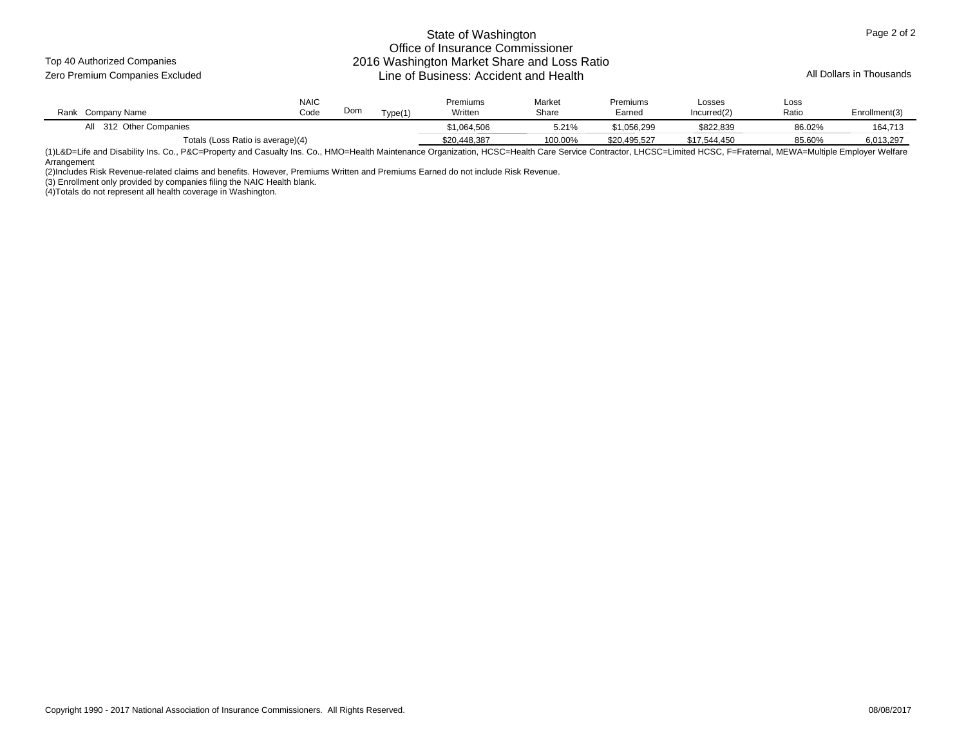Top 40 Authorized Companies

#### State of Washington Office of Insurance Commissioner 2016 Washington Market Share and Loss Ratio Zero Premium Companies Excluded **All Dollars in Thousands** Line of Business: Accident and Health

| Company Name<br>Rank              | <b>NAIC</b><br>Code | Dom | Nma(1) | Premiums<br>Written | Market<br>Share | Premiums<br>Earned | Losses<br>Incurred(2) | Loss<br>Ratio | Enrollment(3) |
|-----------------------------------|---------------------|-----|--------|---------------------|-----------------|--------------------|-----------------------|---------------|---------------|
| 312 Other Companies<br>ail        |                     |     |        | \$1,064,506         | 5.21%           | \$1,056,299        | \$822,839             | 86.02%        | 164,713       |
| Totals (Loss Ratio is average)(4) |                     |     |        | \$20.448.387        | 100.00%         | \$20.495.527       | \$17.544.450          | 85.60%        | 6,013,297     |

(1)L&D=Life and Disability Ins. Co., P&C=Property and Casualty Ins. Co., HMO=Health Maintenance Organization, HCSC=Health Care Service Contractor, LHCSC=Limited HCSC, F=Fraternal, MEWA=Multiple Employer Welfare Arrangement

(2)Includes Risk Revenue-related claims and benefits. However, Premiums Written and Premiums Earned do not include Risk Revenue.

(3) Enrollment only provided by companies filing the NAIC Health blank.

(4)Totals do not represent all health coverage in Washington.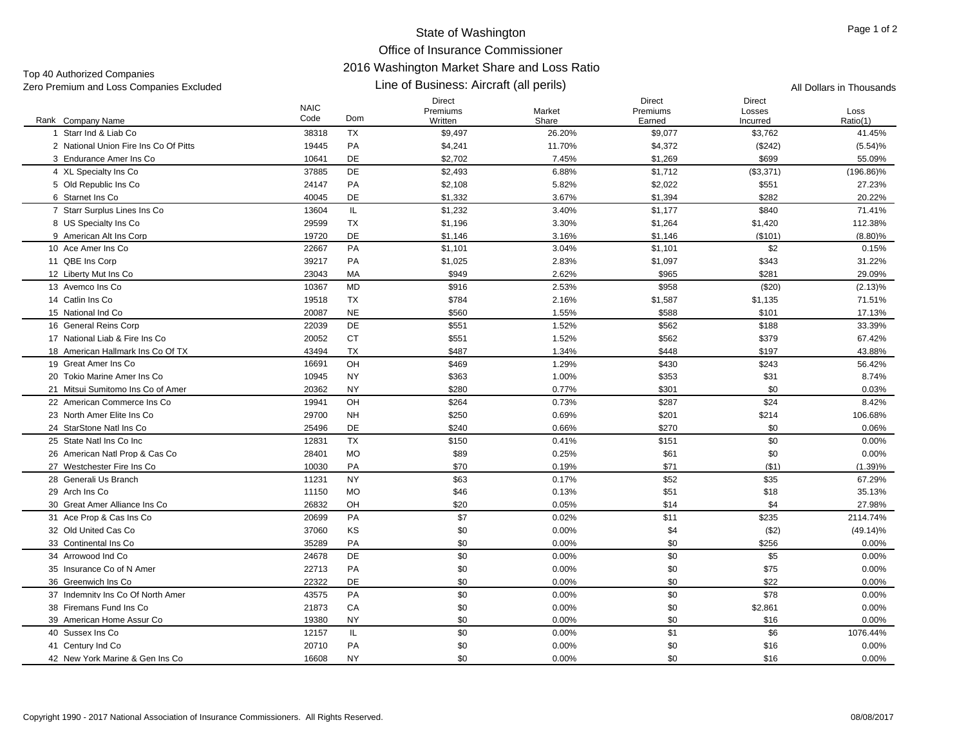Top 40 Authorized Companies

#### Line of Business: Aircraft (all perils) Zero Premium and Loss Companies Excluded **All Dollars in Thousands** Line of Business: Aircraft (all perils) All Dollars in Thousands

|                                       | <b>NAIC</b> |           | <b>Direct</b><br>Premiums | Market | Direct<br>Premiums | Direct<br>Losses | Loss         |
|---------------------------------------|-------------|-----------|---------------------------|--------|--------------------|------------------|--------------|
| Rank Company Name                     | Code        | Dom       | Written                   | Share  | Earned             | Incurred         | Ratio(1)     |
| 1 Starr Ind & Liab Co                 | 38318       | <b>TX</b> | \$9,497                   | 26.20% | \$9,077            | \$3,762          | 41.45%       |
| 2 National Union Fire Ins Co Of Pitts | 19445       | PA        | \$4,241                   | 11.70% | \$4,372            | (\$242)          | (5.54)%      |
| 3 Endurance Amer Ins Co               | 10641       | DE        | \$2,702                   | 7.45%  | \$1,269            | \$699            | 55.09%       |
| 4 XL Specialty Ins Co                 | 37885       | DE        | \$2,493                   | 6.88%  | \$1,712            | (\$3,371)        | $(196.86)\%$ |
| 5 Old Republic Ins Co                 | 24147       | PA        | \$2,108                   | 5.82%  | \$2,022            | \$551            | 27.23%       |
| 6 Starnet Ins Co                      | 40045       | DE        | \$1,332                   | 3.67%  | \$1,394            | \$282            | 20.22%       |
| 7 Starr Surplus Lines Ins Co          | 13604       | IL.       | \$1,232                   | 3.40%  | \$1,177            | \$840            | 71.41%       |
| 8 US Specialty Ins Co                 | 29599       | <b>TX</b> | \$1,196                   | 3.30%  | \$1,264            | \$1,420          | 112.38%      |
| 9 American Alt Ins Corp               | 19720       | DE        | \$1,146                   | 3.16%  | \$1,146            | (\$101)          | $(8.80)\%$   |
| 10 Ace Amer Ins Co                    | 22667       | PA        | \$1,101                   | 3.04%  | \$1,101            | \$2              | 0.15%        |
| 11 QBE Ins Corp                       | 39217       | PA        | \$1,025                   | 2.83%  | \$1,097            | \$343            | 31.22%       |
| 12 Liberty Mut Ins Co                 | 23043       | MA        | \$949                     | 2.62%  | \$965              | \$281            | 29.09%       |
| 13 Avemco Ins Co                      | 10367       | <b>MD</b> | \$916                     | 2.53%  | \$958              | (\$20)           | $(2.13)\%$   |
| 14 Catlin Ins Co                      | 19518       | <b>TX</b> | \$784                     | 2.16%  | \$1,587            | \$1,135          | 71.51%       |
| 15 National Ind Co                    | 20087       | <b>NE</b> | \$560                     | 1.55%  | \$588              | \$101            | 17.13%       |
| 16 General Reins Corp                 | 22039       | DE        | \$551                     | 1.52%  | \$562              | \$188            | 33.39%       |
| 17 National Liab & Fire Ins Co        | 20052       | CT        | \$551                     | 1.52%  | \$562              | \$379            | 67.42%       |
| 18 American Hallmark Ins Co Of TX     | 43494       | <b>TX</b> | \$487                     | 1.34%  | \$448              | \$197            | 43.88%       |
| 19 Great Amer Ins Co                  | 16691       | OH        | \$469                     | 1.29%  | \$430              | \$243            | 56.42%       |
| 20 Tokio Marine Amer Ins Co           | 10945       | <b>NY</b> | \$363                     | 1.00%  | \$353              | \$31             | 8.74%        |
| 21 Mitsui Sumitomo Ins Co of Amer     | 20362       | <b>NY</b> | \$280                     | 0.77%  | \$301              | \$0              | 0.03%        |
| 22 American Commerce Ins Co           | 19941       | OH        | \$264                     | 0.73%  | \$287              | \$24             | 8.42%        |
| 23 North Amer Elite Ins Co            | 29700       | <b>NH</b> | \$250                     | 0.69%  | \$201              | \$214            | 106.68%      |
| 24 StarStone Natl Ins Co              | 25496       | DE        | \$240                     | 0.66%  | \$270              | \$0              | 0.06%        |
| 25 State Natl Ins Co Inc              | 12831       | <b>TX</b> | \$150                     | 0.41%  | \$151              | \$0              | 0.00%        |
| 26 American Natl Prop & Cas Co        | 28401       | <b>MO</b> | \$89                      | 0.25%  | \$61               | \$0              | 0.00%        |
| 27 Westchester Fire Ins Co            | 10030       | PA        | \$70                      | 0.19%  | \$71               | (\$1)            | (1.39)%      |
| 28 Generali Us Branch                 | 11231       | <b>NY</b> | \$63                      | 0.17%  | \$52               | \$35             | 67.29%       |
| 29 Arch Ins Co                        | 11150       | <b>MO</b> | \$46                      | 0.13%  | \$51               | \$18             | 35.13%       |
| 30 Great Amer Alliance Ins Co         | 26832       | OH        | \$20                      | 0.05%  | \$14               | \$4              | 27.98%       |
| 31 Ace Prop & Cas Ins Co              | 20699       | PA        | \$7                       | 0.02%  | \$11               | \$235            | 2114.74%     |
| 32 Old United Cas Co                  | 37060       | KS        | \$0                       | 0.00%  | \$4                | (\$2)            | $(49.14)\%$  |
| 33 Continental Ins Co                 | 35289       | PA        | \$0                       | 0.00%  | \$0                | \$256            | 0.00%        |
| 34 Arrowood Ind Co                    | 24678       | DE        | \$0                       | 0.00%  | \$0                | \$5              | $0.00\%$     |
| 35 Insurance Co of N Amer             | 22713       | PA        | \$0                       | 0.00%  | \$0                | \$75             | 0.00%        |
| 36 Greenwich Ins Co                   | 22322       | <b>DE</b> | \$0                       | 0.00%  | \$0                | \$22             | $0.00\%$     |
| 37 Indemnity Ins Co Of North Amer     | 43575       | PA        | \$0                       | 0.00%  | \$0                | \$78             | 0.00%        |
| 38 Firemans Fund Ins Co               | 21873       | CA        | \$0                       | 0.00%  | \$0                | \$2,861          | 0.00%        |
| 39 American Home Assur Co             | 19380       | <b>NY</b> | \$0                       | 0.00%  | \$0                | \$16             | 0.00%        |
| 40 Sussex Ins Co                      | 12157       | IL.       | \$0                       | 0.00%  | \$1                | \$6              | 1076.44%     |
| 41 Century Ind Co                     | 20710       | PA        | \$0                       | 0.00%  | \$0                | \$16             | 0.00%        |
| 42 New York Marine & Gen Ins Co       | 16608       | <b>NY</b> | \$0                       | 0.00%  | \$0                | \$16             | 0.00%        |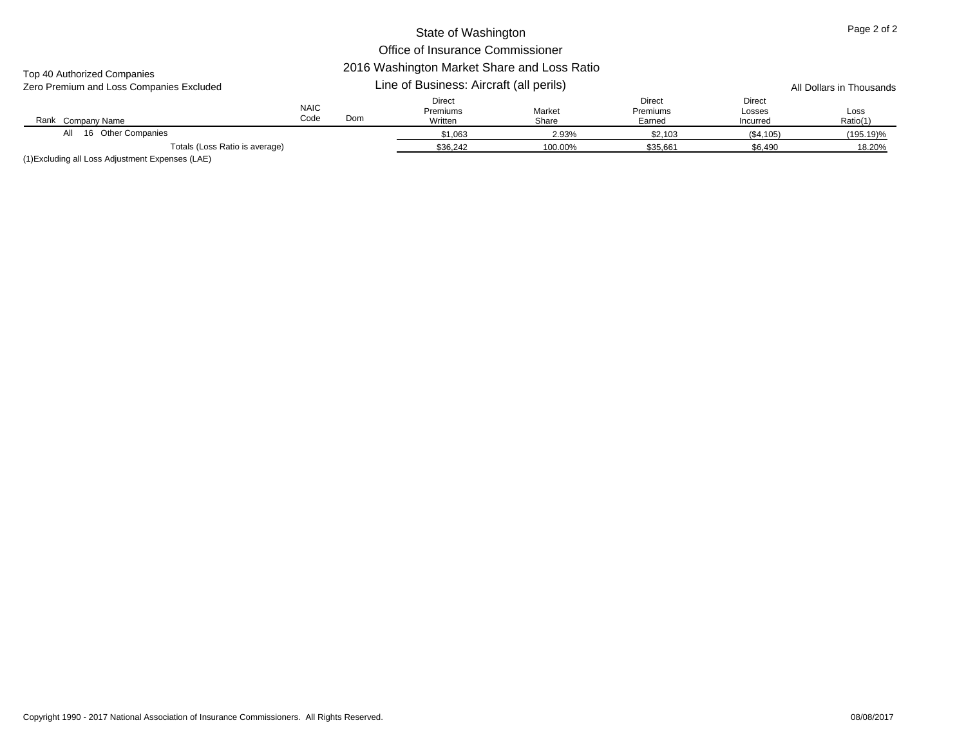# Top 40 Authorized Companies

| Zero Premium and Loss Companies Excluded | Line of Business: Aircraft (all perils) | All Dollars in Thousands |
|------------------------------------------|-----------------------------------------|--------------------------|

| LOTO T TUTTIMITI QHU LOOS OOITIDUITIOS LAOIUUCU |                     |     |                                      |                 |                                     |                                     | All Dullars III Thuusanus |
|-------------------------------------------------|---------------------|-----|--------------------------------------|-----------------|-------------------------------------|-------------------------------------|---------------------------|
| Rank Company Name                               | <b>NAIC</b><br>Code | Dom | <b>Direct</b><br>Premiums<br>Written | Market<br>Share | <b>Direct</b><br>Premiums<br>Earned | <b>Direct</b><br>Losses<br>Incurred | Loss<br>Ratio(1)          |
| 16 Other Companies<br>All                       |                     |     | \$1.063                              | 2.93%           | \$2,103                             | (\$4,105)                           | $(195.19)\%$              |
| Totals (Loss Ratio is average)                  |                     |     | \$36,242                             | 100.00%         | \$35,661                            | \$6,490                             | 18.20%                    |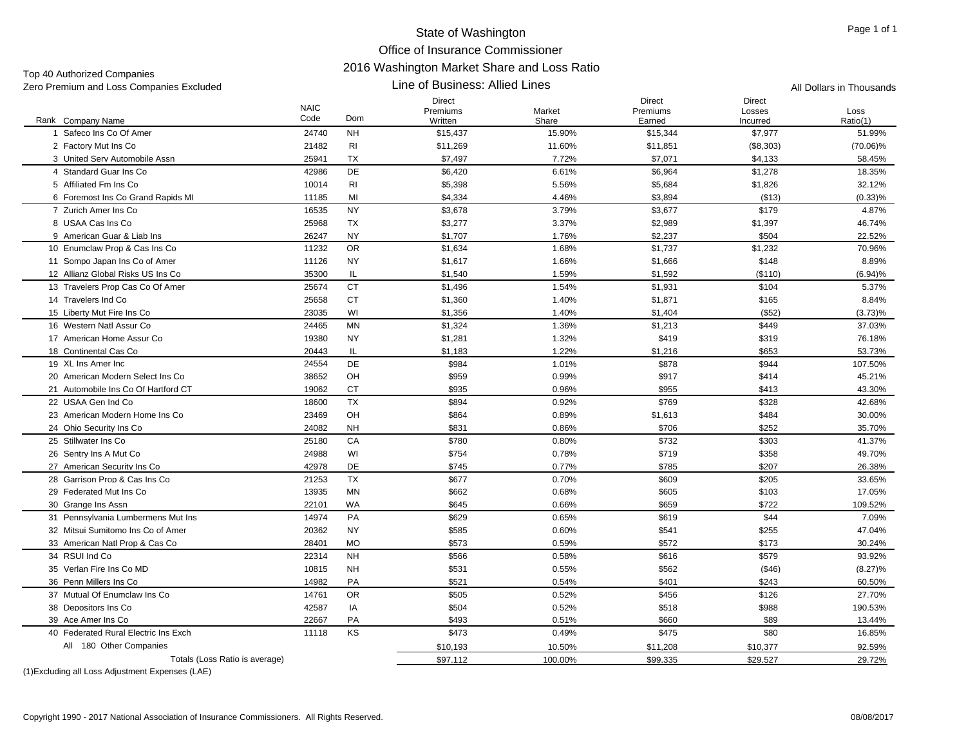#### State of Washington Office of Insurance Commissioner 2016 Washington Market Share and Loss Ratio Line of Business: Allied Lines

| Zero Premium and Loss Companies Excluded |                     |                | Line of Business: Allied Lines       |                 |                                     |                                     | All Dollars in Thousands |
|------------------------------------------|---------------------|----------------|--------------------------------------|-----------------|-------------------------------------|-------------------------------------|--------------------------|
| Rank Company Name                        | <b>NAIC</b><br>Code | Dom            | <b>Direct</b><br>Premiums<br>Written | Market<br>Share | <b>Direct</b><br>Premiums<br>Earned | <b>Direct</b><br>Losses<br>Incurred | Loss<br>Ratio(1)         |
| 1 Safeco Ins Co Of Amer                  | 24740               | <b>NH</b>      | \$15,437                             | 15.90%          | \$15,344                            | \$7,977                             | 51.99%                   |
| 2 Factory Mut Ins Co                     | 21482               | <b>RI</b>      | \$11,269                             | 11.60%          | \$11,851                            | (\$8,303)                           | $(70.06)\%$              |
| 3 United Serv Automobile Assn            | 25941               | TX             | \$7,497                              | 7.72%           | \$7,071                             | \$4,133                             | 58.45%                   |
| 4 Standard Guar Ins Co                   | 42986               | <b>DE</b>      | \$6,420                              | 6.61%           | \$6,964                             | \$1,278                             | 18.35%                   |
| 5 Affiliated Fm Ins Co                   | 10014               | R <sub>l</sub> | \$5,398                              | 5.56%           | \$5,684                             | \$1,826                             | 32.12%                   |
| 6 Foremost Ins Co Grand Rapids MI        | 11185               | MI             |                                      | 4.46%           |                                     | (\$13)                              |                          |
| 7 Zurich Amer Ins Co                     | 16535               | <b>NY</b>      | \$4,334                              | 3.79%           | \$3,894                             |                                     | $(0.33)\%$<br>4.87%      |
| 8 USAA Cas Ins Co                        | 25968               | <b>TX</b>      | \$3,678                              | 3.37%           | \$3,677<br>\$2,989                  | \$179<br>\$1,397                    |                          |
|                                          |                     |                | \$3,277                              |                 |                                     | \$504                               | 46.74%                   |
| 9 American Guar & Liab Ins               | 26247               | <b>NY</b>      | \$1,707                              | 1.76%           | \$2,237                             |                                     | 22.52%                   |
| 10 Enumclaw Prop & Cas Ins Co            | 11232               | 0R             | \$1,634                              | 1.68%           | \$1,737                             | \$1,232                             | 70.96%                   |
| 11 Sompo Japan Ins Co of Amer            | 11126               | <b>NY</b>      | \$1,617                              | 1.66%           | \$1,666                             | \$148                               | 8.89%                    |
| 12 Allianz Global Risks US Ins Co        | 35300               | IL.            | \$1,540                              | 1.59%           | \$1,592                             | (\$110)                             | (6.94)%                  |
| 13 Travelers Prop Cas Co Of Amer         | 25674               | <b>CT</b>      | \$1,496                              | 1.54%           | \$1,931                             | \$104                               | 5.37%                    |
| 14 Travelers Ind Co                      | 25658               | <b>CT</b>      | \$1,360                              | 1.40%           | \$1,871                             | \$165                               | 8.84%                    |
| 15 Liberty Mut Fire Ins Co               | 23035               | WI             | \$1,356                              | 1.40%           | \$1,404                             | (\$52)                              | $(3.73)\%$               |
| 16 Western Natl Assur Co                 | 24465               | <b>MN</b>      | \$1,324                              | 1.36%           | \$1,213                             | \$449                               | 37.03%                   |
| 17 American Home Assur Co                | 19380               | <b>NY</b>      | \$1,281                              | 1.32%           | \$419                               | \$319                               | 76.18%                   |
| 18 Continental Cas Co                    | 20443               | IL             | \$1,183                              | 1.22%           | \$1,216                             | \$653                               | 53.73%                   |
| 19 XL Ins Amer Inc                       | 24554               | DE             | \$984                                | 1.01%           | \$878                               | \$944                               | 107.50%                  |
| 20 American Modern Select Ins Co         | 38652               | OH             | \$959                                | 0.99%           | \$917                               | \$414                               | 45.21%                   |
| 21 Automobile Ins Co Of Hartford CT      | 19062               | CT             | \$935                                | 0.96%           | \$955                               | \$413                               | 43.30%                   |
| 22 USAA Gen Ind Co                       | 18600               | <b>TX</b>      | \$894                                | 0.92%           | \$769                               | \$328                               | 42.68%                   |
| 23 American Modern Home Ins Co           | 23469               | OH             | \$864                                | 0.89%           | \$1,613                             | \$484                               | 30.00%                   |
| 24 Ohio Security Ins Co                  | 24082               | <b>NH</b>      | \$831                                | 0.86%           | \$706                               | \$252                               | 35.70%                   |
| 25 Stillwater Ins Co                     | 25180               | CA             | \$780                                | 0.80%           | \$732                               | \$303                               | 41.37%                   |
| 26 Sentry Ins A Mut Co                   | 24988               | WI             | \$754                                | 0.78%           | \$719                               | \$358                               | 49.70%                   |
| 27 American Security Ins Co              | 42978               | DE             | \$745                                | 0.77%           | \$785                               | \$207                               | 26.38%                   |
| 28 Garrison Prop & Cas Ins Co            | 21253               | <b>TX</b>      | \$677                                | 0.70%           | \$609                               | \$205                               | 33.65%                   |
| 29 Federated Mut Ins Co                  | 13935               | MN             | \$662                                | 0.68%           | \$605                               | \$103                               | 17.05%                   |
| 30 Grange Ins Assn                       | 22101               | <b>WA</b>      | \$645                                | 0.66%           | \$659                               | \$722                               | 109.52%                  |
| 31 Pennsylvania Lumbermens Mut Ins       | 14974               | PA             | \$629                                | 0.65%           | \$619                               | \$44                                | 7.09%                    |
| 32 Mitsui Sumitomo Ins Co of Amer        | 20362               | <b>NY</b>      | \$585                                | 0.60%           | \$541                               | \$255                               | 47.04%                   |
| 33 American Natl Prop & Cas Co           | 28401               | <b>MO</b>      | \$573                                | 0.59%           | \$572                               | \$173                               | 30.24%                   |
| 34 RSUI Ind Co                           | 22314               | <b>NH</b>      | \$566                                | 0.58%           | \$616                               | \$579                               | 93.92%                   |
| 35 Verlan Fire Ins Co MD                 | 10815               | <b>NH</b>      | \$531                                | 0.55%           | \$562                               | ( \$46)                             | $(8.27)\%$               |
| 36 Penn Millers Ins Co                   | 14982               | PA             | \$521                                | 0.54%           | \$401                               | \$243                               | 60.50%                   |
| 37 Mutual Of Enumclaw Ins Co.            | 14761               | <b>OR</b>      | \$505                                | 0.52%           | \$456                               | \$126                               | 27.70%                   |
| 38 Depositors Ins Co                     | 42587               | IA             | \$504                                | 0.52%           | \$518                               | \$988                               | 190.53%                  |
| 39 Ace Amer Ins Co                       | 22667               | PA             | \$493                                | 0.51%           | \$660                               | \$89                                | 13.44%                   |
| 40 Federated Rural Electric Ins Exch     | 11118               | KS             | \$473                                | 0.49%           | \$475                               | \$80                                | 16.85%                   |
| All 180 Other Companies                  |                     |                | \$10,193                             | 10.50%          | \$11,208                            | \$10,377                            | 92.59%                   |
| Totals (Loss Ratio is average)           |                     |                | \$97,112                             | 100.00%         | \$99,335                            | \$29,527                            | 29.72%                   |
|                                          |                     |                |                                      |                 |                                     |                                     |                          |

(1)Excluding all Loss Adjustment Expenses (LAE)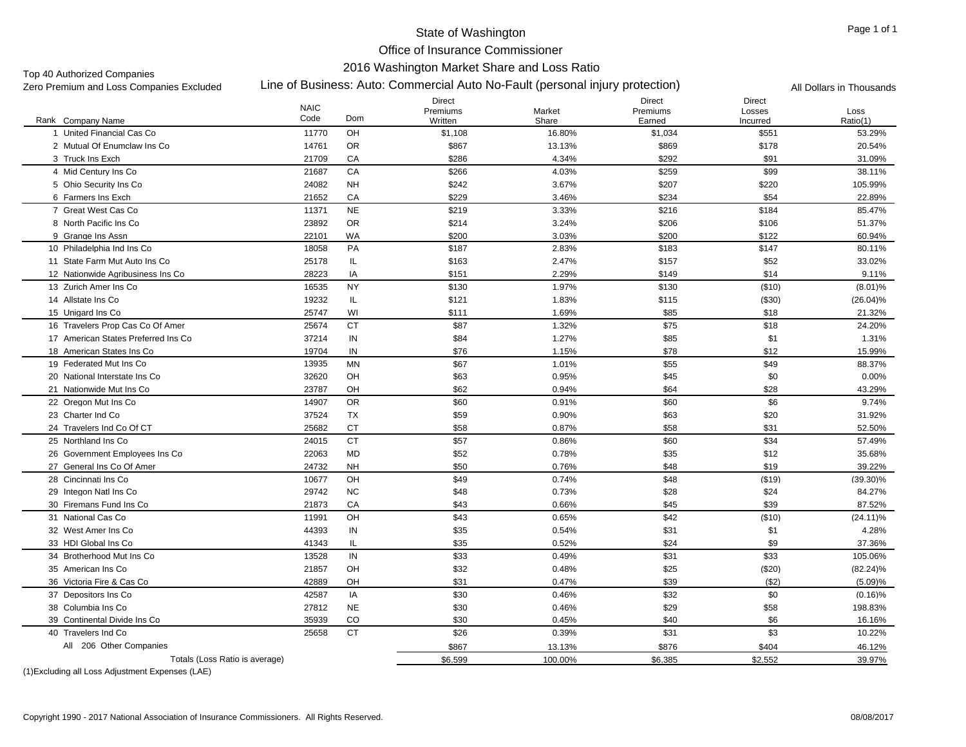Office of Insurance Commissioner

#### 2016 Washington Market Share and Loss Ratio

Top 40 Authorized Companies<br>Zero Premium and Loss Companies Excluded

## Line of Business: Auto: Commercial Auto No-Fault (personal injury protection) Zero Premium and Loss Companies Excluded All Dollars in Thousands

| Rank Company Name                   | <b>NAIC</b><br>Code | Dom       | Direct<br>Premiums<br>Written | Market<br>Share | Direct<br>Premiums<br>Earned | Direct<br>Losses<br>Incurred | Loss<br>Ratio(1) |
|-------------------------------------|---------------------|-----------|-------------------------------|-----------------|------------------------------|------------------------------|------------------|
| 1 United Financial Cas Co           | 11770               | OH        | \$1,108                       | 16.80%          | \$1,034                      | \$551                        | 53.29%           |
| 2 Mutual Of Enumclaw Ins Co.        | 14761               | <b>OR</b> | \$867                         | 13.13%          | \$869                        | \$178                        | 20.54%           |
| 3 Truck Ins Exch                    | 21709               | CA        | \$286                         | 4.34%           | \$292                        | \$91                         | 31.09%           |
| 4 Mid Century Ins Co                | 21687               | CA        | \$266                         | 4.03%           | \$259                        | \$99                         | 38.11%           |
| 5 Ohio Security Ins Co              | 24082               | <b>NH</b> | \$242                         | 3.67%           | \$207                        | \$220                        | 105.99%          |
| 6 Farmers Ins Exch                  | 21652               | CA        | \$229                         | 3.46%           | \$234                        | \$54                         | 22.89%           |
| 7 Great West Cas Co                 | 11371               | <b>NE</b> | \$219                         | 3.33%           | \$216                        | \$184                        | 85.47%           |
| 8 North Pacific Ins Co.             | 23892               | <b>OR</b> | \$214                         | 3.24%           | \$206                        | \$106                        | 51.37%           |
| 9 Grange Ins Assn                   | 22101               | <b>WA</b> | \$200                         | 3.03%           | \$200                        | \$122                        | 60.94%           |
| 10 Philadelphia Ind Ins Co.         | 18058               | PA        | \$187                         | 2.83%           | \$183                        | \$147                        | 80.11%           |
| 11 State Farm Mut Auto Ins Co       | 25178               | IL.       | \$163                         | 2.47%           | \$157                        | \$52                         | 33.02%           |
| 12 Nationwide Agribusiness Ins Co   | 28223               | IA        | \$151                         | 2.29%           | \$149                        | \$14                         | 9.11%            |
| 13 Zurich Amer Ins Co               | 16535               | <b>NY</b> | \$130                         | 1.97%           | \$130                        | (\$10)                       | $(8.01)\%$       |
| 14 Allstate Ins Co                  | 19232               | IL.       | \$121                         | 1.83%           | \$115                        | ( \$30)                      | $(26.04)\%$      |
| 15 Unigard Ins Co                   | 25747               | WI        | \$111                         | 1.69%           | \$85                         | \$18                         | 21.32%           |
| 16 Travelers Prop Cas Co Of Amer    | 25674               | <b>CT</b> | \$87                          | 1.32%           | \$75                         | \$18                         | 24.20%           |
| 17 American States Preferred Ins Co | 37214               | IN        | \$84                          | 1.27%           | \$85                         | \$1                          | 1.31%            |
| 18 American States Ins Co           | 19704               | IN        | \$76                          | 1.15%           | \$78                         | \$12                         | 15.99%           |
| 19 Federated Mut Ins Co             | 13935               | <b>MN</b> | \$67                          | 1.01%           | \$55                         | \$49                         | 88.37%           |
| 20 National Interstate Ins Co       | 32620               | OH        | \$63                          | 0.95%           | \$45                         | \$0                          | 0.00%            |
| 21 Nationwide Mut Ins Co            | 23787               | OH        | \$62                          | 0.94%           | \$64                         | \$28                         | 43.29%           |
| 22 Oregon Mut Ins Co                | 14907               | <b>OR</b> | \$60                          | 0.91%           | \$60                         | \$6                          | 9.74%            |
| 23 Charter Ind Co                   | 37524               | <b>TX</b> | \$59                          | 0.90%           | \$63                         | \$20                         | 31.92%           |
| 24 Travelers Ind Co Of CT           | 25682               | <b>CT</b> | \$58                          | 0.87%           | \$58                         | \$31                         | 52.50%           |
| 25 Northland Ins Co                 | 24015               | <b>CT</b> | \$57                          | 0.86%           | \$60                         | \$34                         | 57.49%           |
| 26 Government Employees Ins Co      | 22063               | <b>MD</b> | \$52                          | 0.78%           | \$35                         | \$12                         | 35.68%           |
| 27 General Ins Co Of Amer           | 24732               | <b>NH</b> | \$50                          | 0.76%           | \$48                         | \$19                         | 39.22%           |
| 28 Cincinnati Ins Co                | 10677               | OH        | \$49                          | 0.74%           | \$48                         | ( \$19)                      | (39.30)%         |
| 29 Integon Natl Ins Co              | 29742               | <b>NC</b> | \$48                          | 0.73%           | \$28                         | \$24                         | 84.27%           |
| 30 Firemans Fund Ins Co             | 21873               | CA        | \$43                          | 0.66%           | \$45                         | \$39                         | 87.52%           |
| 31 National Cas Co                  | 11991               | OH        | \$43                          | 0.65%           | \$42                         | ( \$10)                      | $(24.11)\%$      |
| 32 West Amer Ins Co                 | 44393               | IN        | \$35                          | 0.54%           | \$31                         | \$1                          | 4.28%            |
| 33 HDI Global Ins Co                | 41343               | IL.       | \$35                          | 0.52%           | \$24                         | \$9                          | 37.36%           |
| 34 Brotherhood Mut Ins Co           | 13528               | IN        | \$33                          | 0.49%           | \$31                         | \$33                         | 105.06%          |
| 35 American Ins Co                  | 21857               | OH        | \$32                          | 0.48%           | \$25                         | (\$20)                       | $(82.24)\%$      |
| 36 Victoria Fire & Cas Co           | 42889               | OH        | \$31                          | 0.47%           | \$39                         | (\$2)                        | (5.09)%          |
| 37 Depositors Ins Co                | 42587               | IA        | \$30                          | 0.46%           | \$32                         | \$0                          | $(0.16)$ %       |
| 38 Columbia Ins Co                  | 27812               | <b>NE</b> | \$30                          | 0.46%           | \$29                         | \$58                         | 198.83%          |
| 39 Continental Divide Ins Co        | 35939               | CO        | \$30                          | 0.45%           | \$40                         | \$6                          | 16.16%           |
| 40 Travelers Ind Co                 | 25658               | <b>CT</b> | \$26                          | 0.39%           | \$31                         | \$3                          | 10.22%           |
| All 206 Other Companies             |                     |           | \$867                         | 13.13%          | \$876                        | \$404                        | 46.12%           |
| Totals (Loss Ratio is average)      |                     |           | \$6,599                       | 100.00%         | \$6,385                      | \$2,552                      | 39.97%           |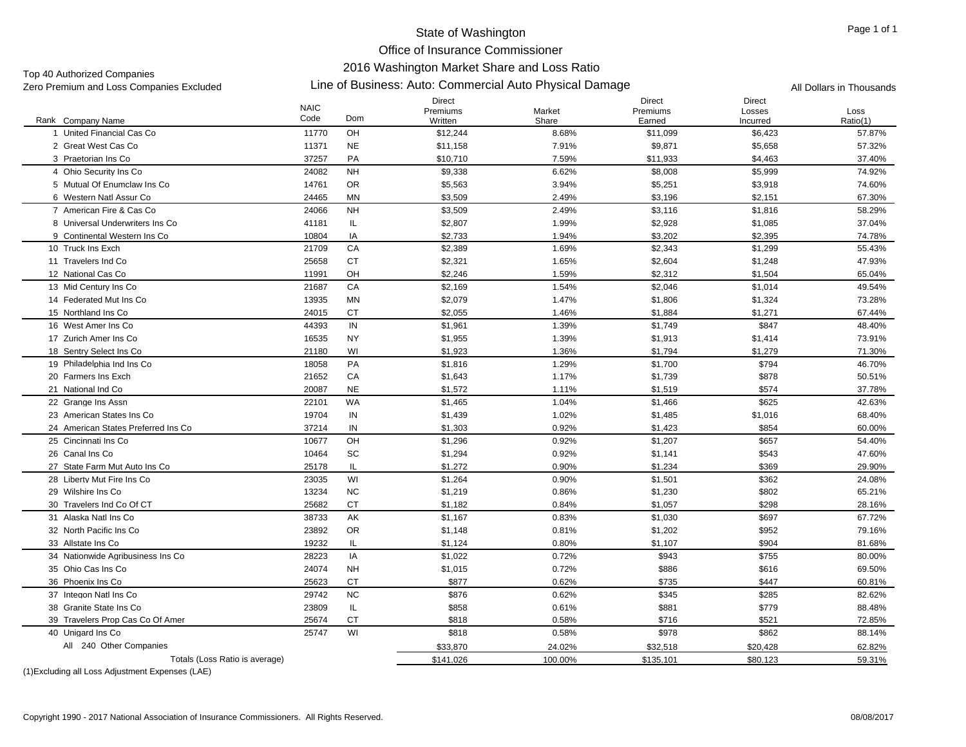Office of Insurance Commissioner

# 2016 Washington Market Share and Loss Ratio

Top 40 Authorized Companies<br>Zero Premium and Loss Companies Excluded

# Zero Premium and Loss Companies Excluded Line of Business: Auto: Commercial Auto Physical Damage All Dollars in Thousands

|                                     | <b>NAIC</b> |           | Direct<br>Premiums | Market  | <b>Direct</b><br>Premiums | <b>Direct</b><br>Losses | Loss     |
|-------------------------------------|-------------|-----------|--------------------|---------|---------------------------|-------------------------|----------|
| Rank Company Name                   | Code        | Dom       | Written            | Share   | Earned                    | Incurred                | Ratio(1) |
| 1 United Financial Cas Co           | 11770       | OH        | \$12,244           | 8.68%   | \$11,099                  | \$6,423                 | 57.87%   |
| 2 Great West Cas Co                 | 11371       | <b>NE</b> | \$11,158           | 7.91%   | \$9,871                   | \$5,658                 | 57.32%   |
| 3 Praetorian Ins Co                 | 37257       | PA        | \$10,710           | 7.59%   | \$11,933                  | \$4,463                 | 37.40%   |
| 4 Ohio Security Ins Co              | 24082       | <b>NH</b> | \$9,338            | 6.62%   | \$8,008                   | \$5,999                 | 74.92%   |
| 5 Mutual Of Enumclaw Ins Co         | 14761       | <b>OR</b> | \$5,563            | 3.94%   | \$5,251                   | \$3,918                 | 74.60%   |
| 6 Western Natl Assur Co             | 24465       | <b>MN</b> | \$3,509            | 2.49%   | \$3,196                   | \$2,151                 | 67.30%   |
| 7 American Fire & Cas Co            | 24066       | <b>NH</b> | \$3,509            | 2.49%   | \$3,116                   | \$1,816                 | 58.29%   |
| 8 Universal Underwriters Ins Co.    | 41181       | IL.       | \$2,807            | 1.99%   | \$2,928                   | \$1,085                 | 37.04%   |
| 9 Continental Western Ins Co.       | 10804       | IA        | \$2,733            | 1.94%   | \$3,202                   | \$2,395                 | 74.78%   |
| 10 Truck Ins Exch                   | 21709       | CA        | \$2,389            | 1.69%   | \$2,343                   | \$1,299                 | 55.43%   |
| 11 Travelers Ind Co                 | 25658       | <b>CT</b> | \$2,321            | 1.65%   | \$2,604                   | \$1,248                 | 47.93%   |
| 12 National Cas Co                  | 11991       | OH        | \$2,246            | 1.59%   | \$2,312                   | \$1,504                 | 65.04%   |
| 13 Mid Century Ins Co               | 21687       | CA        | \$2,169            | 1.54%   | \$2,046                   | \$1,014                 | 49.54%   |
| 14 Federated Mut Ins Co             | 13935       | MN        | \$2,079            | 1.47%   | \$1,806                   | \$1,324                 | 73.28%   |
| 15 Northland Ins Co                 | 24015       | <b>CT</b> | \$2,055            | 1.46%   | \$1,884                   | \$1,271                 | 67.44%   |
| 16 West Amer Ins Co                 | 44393       | IN        | \$1,961            | 1.39%   | \$1,749                   | \$847                   | 48.40%   |
| 17 Zurich Amer Ins Co               | 16535       | <b>NY</b> | \$1,955            | 1.39%   | \$1,913                   | \$1,414                 | 73.91%   |
| 18 Sentry Select Ins Co             | 21180       | WI        | \$1,923            | 1.36%   | \$1,794                   | \$1,279                 | 71.30%   |
| 19 Philadelphia Ind Ins Co          | 18058       | PA        | \$1,816            | 1.29%   | \$1,700                   | \$794                   | 46.70%   |
| 20 Farmers Ins Exch                 | 21652       | CA        | \$1,643            | 1.17%   | \$1,739                   | \$878                   | 50.51%   |
| 21 National Ind Co                  | 20087       | <b>NE</b> | \$1,572            | 1.11%   | \$1,519                   | \$574                   | 37.78%   |
| 22 Grange Ins Assn                  | 22101       | WA        | \$1,465            | 1.04%   | \$1,466                   | \$625                   | 42.63%   |
| 23 American States Ins Co           | 19704       | IN        | \$1,439            | 1.02%   | \$1,485                   | \$1,016                 | 68.40%   |
| 24 American States Preferred Ins Co | 37214       | IN        | \$1,303            | 0.92%   | \$1,423                   | \$854                   | 60.00%   |
| 25 Cincinnati Ins Co                | 10677       | OH        | \$1,296            | 0.92%   | \$1,207                   | \$657                   | 54.40%   |
| 26 Canal Ins Co                     | 10464       | SC        | \$1,294            | 0.92%   | \$1,141                   | \$543                   | 47.60%   |
| 27 State Farm Mut Auto Ins Co       | 25178       | IL.       | \$1,272            | 0.90%   | \$1,234                   | \$369                   | 29.90%   |
| 28 Liberty Mut Fire Ins Co          | 23035       | WI        | \$1,264            | 0.90%   | \$1,501                   | \$362                   | 24.08%   |
| 29 Wilshire Ins Co                  | 13234       | NC        | \$1,219            | 0.86%   | \$1,230                   | \$802                   | 65.21%   |
| 30 Travelers Ind Co Of CT           | 25682       | <b>CT</b> | \$1,182            | 0.84%   | \$1,057                   | \$298                   | 28.16%   |
| 31 Alaska Natl Ins Co               | 38733       | AK        | \$1,167            | 0.83%   | \$1,030                   | \$697                   | 67.72%   |
| 32 North Pacific Ins Co             | 23892       | <b>OR</b> | \$1,148            | 0.81%   | \$1,202                   | \$952                   | 79.16%   |
| 33 Allstate Ins Co                  | 19232       | IL        | \$1,124            | 0.80%   | \$1,107                   | \$904                   | 81.68%   |
| 34 Nationwide Agribusiness Ins Co   | 28223       | IA        | \$1,022            | 0.72%   | \$943                     | \$755                   | 80.00%   |
| 35 Ohio Cas Ins Co                  | 24074       | <b>NH</b> | \$1,015            | 0.72%   | \$886                     | \$616                   | 69.50%   |
| 36 Phoenix Ins Co                   | 25623       | <b>CT</b> | \$877              | 0.62%   | \$735                     | \$447                   | 60.81%   |
| 37 Integon Natl Ins Co              | 29742       | NC        | \$876              | 0.62%   | \$345                     | \$285                   | 82.62%   |
| 38 Granite State Ins Co             | 23809       | IL.       | \$858              | 0.61%   | \$881                     | \$779                   | 88.48%   |
| 39 Travelers Prop Cas Co Of Amer    | 25674       | <b>CT</b> | \$818              | 0.58%   | \$716                     | \$521                   | 72.85%   |
| 40 Unigard Ins Co                   | 25747       | WI        | \$818              | 0.58%   | \$978                     | \$862                   | 88.14%   |
| All 240 Other Companies             |             |           | \$33,870           | 24.02%  | \$32,518                  | \$20,428                | 62.82%   |
| Totals (Loss Ratio is average)      |             |           | \$141,026          | 100.00% | \$135,101                 | \$80,123                | 59.31%   |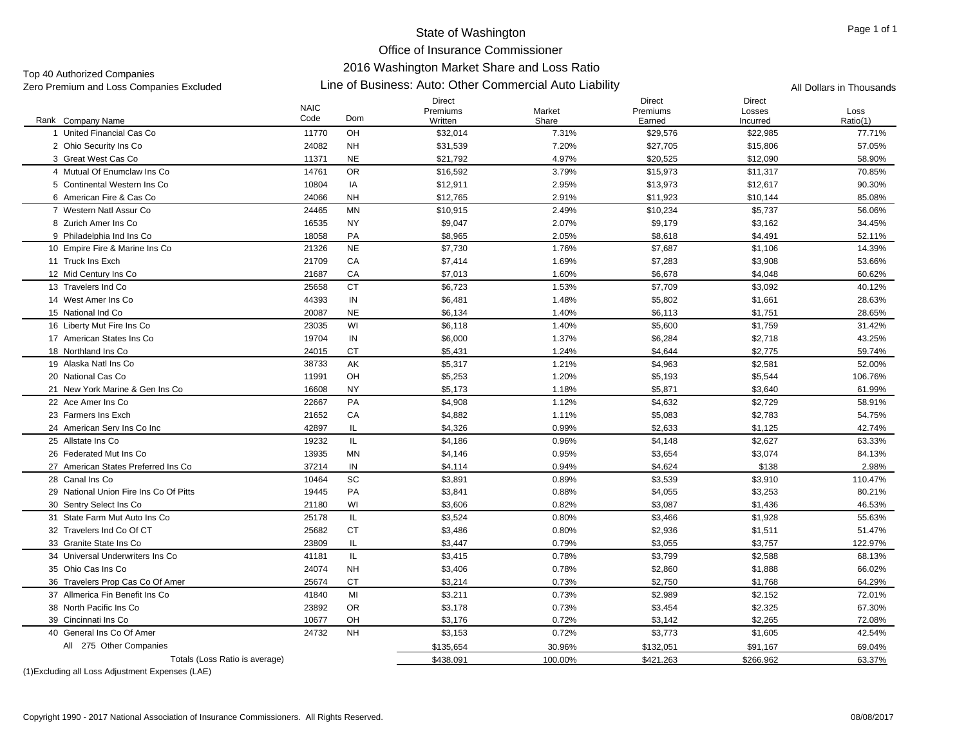Office of Insurance Commissioner

# 2016 Washington Market Share and Loss Ratio

Top 40 Authorized Companies<br>Zero Premium and Loss Companies Excluded

#### Zero Premium and Loss Companies Excluded Line of Business: Auto: Other Commercial Auto Liability All Dollars in Thousands

|                                        | <b>NAIC</b> |               | Direct<br>Premiums | Market  | <b>Direct</b><br>Premiums | <b>Direct</b><br>Losses | Loss     |
|----------------------------------------|-------------|---------------|--------------------|---------|---------------------------|-------------------------|----------|
| Rank Company Name                      | Code        | Dom           | Written            | Share   | Earned                    | Incurred                | Ratio(1) |
| 1 United Financial Cas Co              | 11770       | OH            | \$32,014           | 7.31%   | \$29,576                  | \$22,985                | 77.71%   |
| 2 Ohio Security Ins Co                 | 24082       | <b>NH</b>     | \$31,539           | 7.20%   | \$27.705                  | \$15,806                | 57.05%   |
| 3 Great West Cas Co                    | 11371       | <b>NE</b>     | \$21,792           | 4.97%   | \$20,525                  | \$12,090                | 58.90%   |
| 4 Mutual Of Enumclaw Ins Co.           | 14761       | <b>OR</b>     | \$16,592           | 3.79%   | \$15,973                  | \$11,317                | 70.85%   |
| 5 Continental Western Ins Co           | 10804       | IA            | \$12,911           | 2.95%   | \$13,973                  | \$12,617                | 90.30%   |
| 6 American Fire & Cas Co               | 24066       | <b>NH</b>     | \$12,765           | 2.91%   | \$11,923                  | \$10,144                | 85.08%   |
| 7 Western Natl Assur Co                | 24465       | <b>MN</b>     | \$10,915           | 2.49%   | \$10,234                  | \$5,737                 | 56.06%   |
| 8 Zurich Amer Ins Co                   | 16535       | <b>NY</b>     | \$9,047            | 2.07%   | \$9,179                   | \$3,162                 | 34.45%   |
| 9 Philadelphia Ind Ins Co              | 18058       | PA            | \$8,965            | 2.05%   | \$8,618                   | \$4,491                 | 52.11%   |
| 10 Empire Fire & Marine Ins Co         | 21326       | $N\mathsf{E}$ | \$7,730            | 1.76%   | \$7,687                   | \$1,106                 | 14.39%   |
| 11 Truck Ins Exch                      | 21709       | CA            | \$7,414            | 1.69%   | \$7,283                   | \$3,908                 | 53.66%   |
| 12 Mid Century Ins Co                  | 21687       | CA            | \$7,013            | 1.60%   | \$6,678                   | \$4,048                 | 60.62%   |
| 13 Travelers Ind Co                    | 25658       | <b>CT</b>     | \$6,723            | 1.53%   | \$7,709                   | \$3,092                 | 40.12%   |
| 14 West Amer Ins Co                    | 44393       | IN            | \$6,481            | 1.48%   | \$5,802                   | \$1,661                 | 28.63%   |
| 15 National Ind Co                     | 20087       | <b>NE</b>     | \$6,134            | 1.40%   | \$6,113                   | \$1,751                 | 28.65%   |
| 16 Liberty Mut Fire Ins Co             | 23035       | WI            | \$6,118            | 1.40%   | \$5,600                   | \$1,759                 | 31.42%   |
| 17 American States Ins Co              | 19704       | $\sf IN$      | \$6,000            | 1.37%   | \$6,284                   | \$2,718                 | 43.25%   |
| 18 Northland Ins Co                    | 24015       | CT            | \$5,431            | 1.24%   | \$4,644                   | \$2,775                 | 59.74%   |
| 19 Alaska Natl Ins Co                  | 38733       | AK            | \$5,317            | 1.21%   | \$4,963                   | \$2,581                 | 52.00%   |
| 20 National Cas Co                     | 11991       | OH            | \$5,253            | 1.20%   | \$5,193                   | \$5,544                 | 106.76%  |
| 21 New York Marine & Gen Ins Co        | 16608       | <b>NY</b>     | \$5,173            | 1.18%   | \$5,871                   | \$3,640                 | 61.99%   |
| 22 Ace Amer Ins Co                     | 22667       | PA            | \$4,908            | 1.12%   | \$4,632                   | \$2,729                 | 58.91%   |
| 23 Farmers Ins Exch                    | 21652       | CA            | \$4,882            | 1.11%   | \$5,083                   | \$2,783                 | 54.75%   |
| 24 American Serv Ins Co Inc            | 42897       | IL            | \$4,326            | 0.99%   | \$2,633                   | \$1,125                 | 42.74%   |
| 25 Allstate Ins Co                     | 19232       | IL            | \$4,186            | 0.96%   | \$4,148                   | \$2,627                 | 63.33%   |
| 26 Federated Mut Ins Co                | 13935       | MN            | \$4,146            | 0.95%   | \$3,654                   | \$3,074                 | 84.13%   |
| 27 American States Preferred Ins Co    | 37214       | IN            | \$4,114            | 0.94%   | \$4.624                   | \$138                   | 2.98%    |
| 28 Canal Ins Co                        | 10464       | <b>SC</b>     | \$3.891            | 0.89%   | \$3,539                   | \$3.910                 | 110.47%  |
| 29 National Union Fire Ins Co Of Pitts | 19445       | PA            | \$3,841            | 0.88%   | \$4,055                   | \$3,253                 | 80.21%   |
| 30 Sentry Select Ins Co                | 21180       | WI            | \$3,606            | 0.82%   | \$3,087                   | \$1,436                 | 46.53%   |
| 31 State Farm Mut Auto Ins Co          | 25178       | IL            | \$3,524            | 0.80%   | \$3,466                   | \$1,928                 | 55.63%   |
| 32 Travelers Ind Co Of CT              | 25682       | <b>CT</b>     | \$3,486            | 0.80%   | \$2,936                   | \$1,511                 | 51.47%   |
| 33 Granite State Ins Co                | 23809       | IL            | \$3,447            | 0.79%   | \$3,055                   | \$3,757                 | 122.97%  |
| 34 Universal Underwriters Ins Co       | 41181       | IL            | \$3,415            | 0.78%   | \$3,799                   | \$2,588                 | 68.13%   |
| 35 Ohio Cas Ins Co                     | 24074       | <b>NH</b>     | \$3,406            | 0.78%   | \$2,860                   | \$1,888                 | 66.02%   |
| 36 Travelers Prop Cas Co Of Amer       | 25674       | CT            | \$3,214            | 0.73%   | \$2,750                   | \$1,768                 | 64.29%   |
| 37 Allmerica Fin Benefit Ins Co        | 41840       | MI            | \$3,211            | 0.73%   | \$2,989                   | \$2,152                 | 72.01%   |
| 38 North Pacific Ins Co                | 23892       | <b>OR</b>     | \$3,178            | 0.73%   | \$3,454                   | \$2,325                 | 67.30%   |
| 39 Cincinnati Ins Co                   | 10677       | OH            | \$3,176            | 0.72%   | \$3,142                   | \$2,265                 | 72.08%   |
| 40 General Ins Co Of Amer              | 24732       | <b>NH</b>     | \$3,153            | 0.72%   | \$3,773                   | \$1,605                 | 42.54%   |
| All 275 Other Companies                |             |               | \$135,654          | 30.96%  | \$132,051                 | \$91,167                | 69.04%   |
| Totals (Loss Ratio is average)         |             |               | \$438,091          | 100.00% | \$421,263                 | \$266,962               | 63.37%   |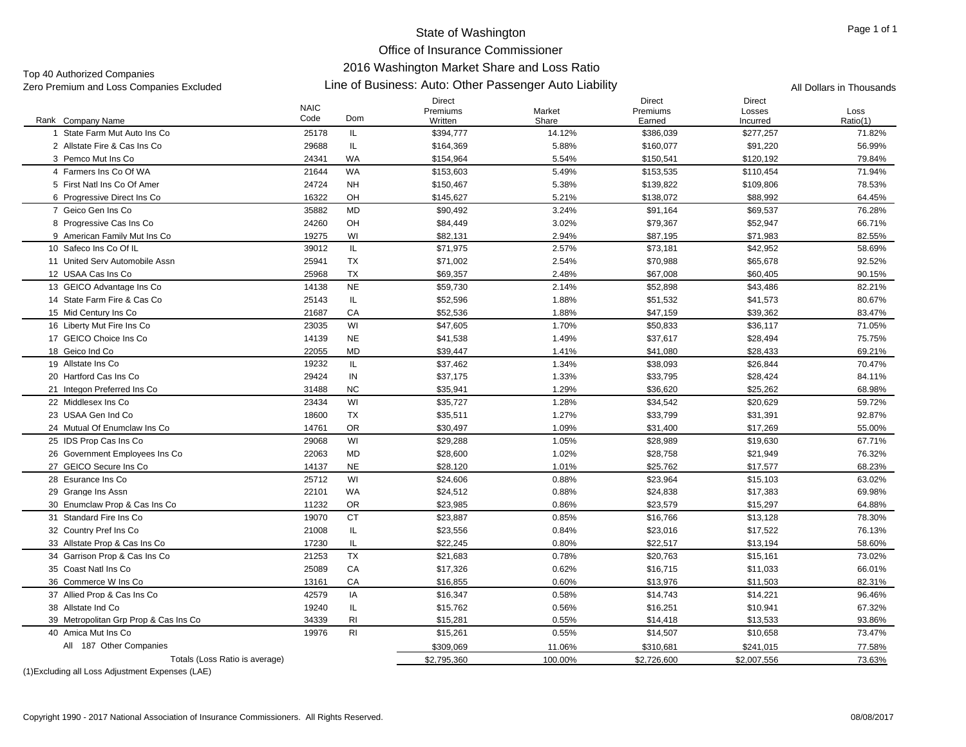Office of Insurance Commissioner

# 2016 Washington Market Share and Loss Ratio

Top 40 Authorized Companies<br>Zero Premium and Loss Companies Excluded

| Zero Premium and Loss Companies Excluded                 |                     | Line of Business: Auto: Other Passenger Auto Liability | All Dollars in Thousands             |                 |                                     |                                     |                  |
|----------------------------------------------------------|---------------------|--------------------------------------------------------|--------------------------------------|-----------------|-------------------------------------|-------------------------------------|------------------|
| Rank Company Name                                        | <b>NAIC</b><br>Code | Dom                                                    | <b>Direct</b><br>Premiums<br>Written | Market<br>Share | <b>Direct</b><br>Premiums<br>Earned | <b>Direct</b><br>Losses<br>Incurred | Loss<br>Ratio(1) |
| 1 State Farm Mut Auto Ins Co                             | 25178               | IL.                                                    | \$394,777                            | 14.12%          | \$386,039                           | \$277,257                           | 71.82%           |
| 2 Allstate Fire & Cas Ins Co                             | 29688               | IL.                                                    | \$164,369                            | 5.88%           | \$160,077                           | \$91,220                            | 56.99%           |
| 3 Pemco Mut Ins Co                                       | 24341               | <b>WA</b>                                              | \$154,964                            | 5.54%           | \$150,541                           | \$120,192                           | 79.84%           |
| 4 Farmers Ins Co Of WA                                   | 21644               | <b>WA</b>                                              | \$153,603                            | 5.49%           | \$153,535                           | \$110,454                           | 71.94%           |
| 5 First Natl Ins Co Of Amer                              | 24724               | <b>NH</b>                                              | \$150,467                            | 5.38%           | \$139,822                           | \$109,806                           | 78.53%           |
| 6 Progressive Direct Ins Co                              | 16322               | OH                                                     | \$145,627                            | 5.21%           | \$138,072                           | \$88,992                            | 64.45%           |
| 7 Geico Gen Ins Co                                       | 35882               | MD                                                     | \$90,492                             | 3.24%           | \$91,164                            | \$69,537                            | 76.28%           |
| 8 Progressive Cas Ins Co                                 | 24260               | OH                                                     | \$84,449                             | 3.02%           | \$79,367                            | \$52,947                            | 66.71%           |
| 9 American Family Mut Ins Co                             | 19275               | WI                                                     | \$82,131                             | 2.94%           | \$87,195                            | \$71,983                            | 82.55%           |
| 10 Safeco Ins Co Of IL                                   | 39012               | IL.                                                    | \$71,975                             | 2.57%           | \$73,181                            | \$42,952                            | 58.69%           |
| 11 United Serv Automobile Assn                           | 25941               | <b>TX</b>                                              | \$71,002                             | 2.54%           | \$70,988                            | \$65,678                            | 92.52%           |
| 12 USAA Cas Ins Co                                       | 25968               | <b>TX</b>                                              | \$69,357                             | 2.48%           | \$67,008                            | \$60,405                            | 90.15%           |
| 13 GEICO Advantage Ins Co                                | 14138               | <b>NE</b>                                              | \$59,730                             | 2.14%           | \$52,898                            | \$43,486                            | 82.21%           |
| 14 State Farm Fire & Cas Co                              | 25143               | IL.                                                    | \$52,596                             | 1.88%           | \$51,532                            | \$41,573                            | 80.67%           |
| 15 Mid Century Ins Co                                    | 21687               | CA                                                     | \$52,536                             | 1.88%           | \$47,159                            | \$39,362                            | 83.47%           |
| 16 Liberty Mut Fire Ins Co                               | 23035               | WI                                                     | \$47,605                             | 1.70%           | \$50,833                            | \$36,117                            | 71.05%           |
| 17 GEICO Choice Ins Co                                   | 14139               | <b>NE</b>                                              | \$41,538                             | 1.49%           | \$37,617                            | \$28,494                            | 75.75%           |
| 18 Geico Ind Co                                          | 22055               | MD                                                     | \$39,447                             | 1.41%           | \$41,080                            | \$28,433                            | 69.21%           |
| 19 Allstate Ins Co                                       | 19232               | IL.                                                    | \$37,462                             | 1.34%           | \$38,093                            | \$26,844                            | 70.47%           |
| 20 Hartford Cas Ins Co                                   | 29424               | IN                                                     | \$37,175                             | 1.33%           | \$33,795                            | \$28,424                            | 84.11%           |
| 21 Integon Preferred Ins Co                              | 31488               | <b>NC</b>                                              | \$35,941                             | 1.29%           | \$36,620                            | \$25,262                            | 68.98%           |
| 22 Middlesex Ins Co                                      | 23434               | WI                                                     | \$35,727                             | 1.28%           | \$34,542                            | \$20,629                            | 59.72%           |
| 23 USAA Gen Ind Co                                       | 18600               | <b>TX</b>                                              | \$35,511                             | 1.27%           | \$33,799                            | \$31,391                            | 92.87%           |
| 24 Mutual Of Enumclaw Ins Co                             | 14761               | <b>OR</b>                                              | \$30,497                             | 1.09%           | \$31,400                            | \$17,269                            | 55.00%           |
| 25 IDS Prop Cas Ins Co                                   | 29068               | WI                                                     | \$29,288                             | 1.05%           | \$28,989                            | \$19,630                            | 67.71%           |
| 26 Government Employees Ins Co                           | 22063               | MD                                                     | \$28,600                             | 1.02%           | \$28,758                            | \$21,949                            | 76.32%           |
| 27 GEICO Secure Ins Co                                   | 14137               | <b>NE</b>                                              | \$28,120                             | 1.01%           | \$25,762                            | \$17,577                            | 68.23%           |
| 28 Esurance Ins Co                                       | 25712               | WI                                                     | \$24,606                             | 0.88%           | \$23,964                            | \$15,103                            | 63.02%           |
|                                                          |                     |                                                        |                                      |                 |                                     |                                     |                  |
| 29 Grange Ins Assn                                       | 22101<br>11232      | WA<br><b>OR</b>                                        | \$24,512<br>\$23,985                 | 0.88%<br>0.86%  | \$24,838<br>\$23,579                | \$17,383<br>\$15,297                | 69.98%           |
| 30 Enumclaw Prop & Cas Ins Co<br>31 Standard Fire Ins Co | 19070               | <b>CT</b>                                              | \$23,887                             | 0.85%           | \$16,766                            | \$13,128                            | 64.88%<br>78.30% |
|                                                          | 21008               |                                                        | \$23,556                             |                 |                                     |                                     |                  |
| 32 Country Pref Ins Co                                   |                     | IL.                                                    |                                      | 0.84%           | \$23,016                            | \$17,522                            | 76.13%           |
| 33 Allstate Prop & Cas Ins Co                            | 17230               | IL.<br><b>TX</b>                                       | \$22,245                             | 0.80%           | \$22,517                            | \$13,194                            | 58.60%           |
| 34 Garrison Prop & Cas Ins Co                            | 21253               |                                                        | \$21,683                             | 0.78%           | \$20,763                            | \$15,161                            | 73.02%           |
| 35 Coast Natl Ins Co                                     | 25089               | CA                                                     | \$17,326                             | 0.62%           | \$16,715                            | \$11,033                            | 66.01%           |
| 36 Commerce W Ins Co                                     | 13161               | CA                                                     | \$16,855                             | 0.60%           | \$13,976                            | \$11,503                            | 82.31%           |
| 37 Allied Prop & Cas Ins Co                              | 42579               | IA                                                     | \$16,347                             | 0.58%           | \$14,743                            | \$14,221                            | 96.46%           |
| 38 Allstate Ind Co                                       | 19240               | IL.                                                    | \$15,762                             | 0.56%           | \$16,251                            | \$10,941                            | 67.32%           |
| 39 Metropolitan Grp Prop & Cas Ins Co                    | 34339               | RI                                                     | \$15,281                             | 0.55%           | \$14,418                            | \$13,533                            | 93.86%           |
| 40 Amica Mut Ins Co                                      | 19976               | R <sub>l</sub>                                         | \$15,261                             | 0.55%           | \$14,507                            | \$10,658                            | 73.47%           |
| All 187 Other Companies                                  |                     |                                                        | \$309,069                            | 11.06%          | \$310,681                           | \$241,015                           | 77.58%           |
| Totals (Loss Ratio is average)                           |                     |                                                        | \$2,795,360                          | 100.00%         | \$2,726,600                         | \$2,007,556                         | 73.63%           |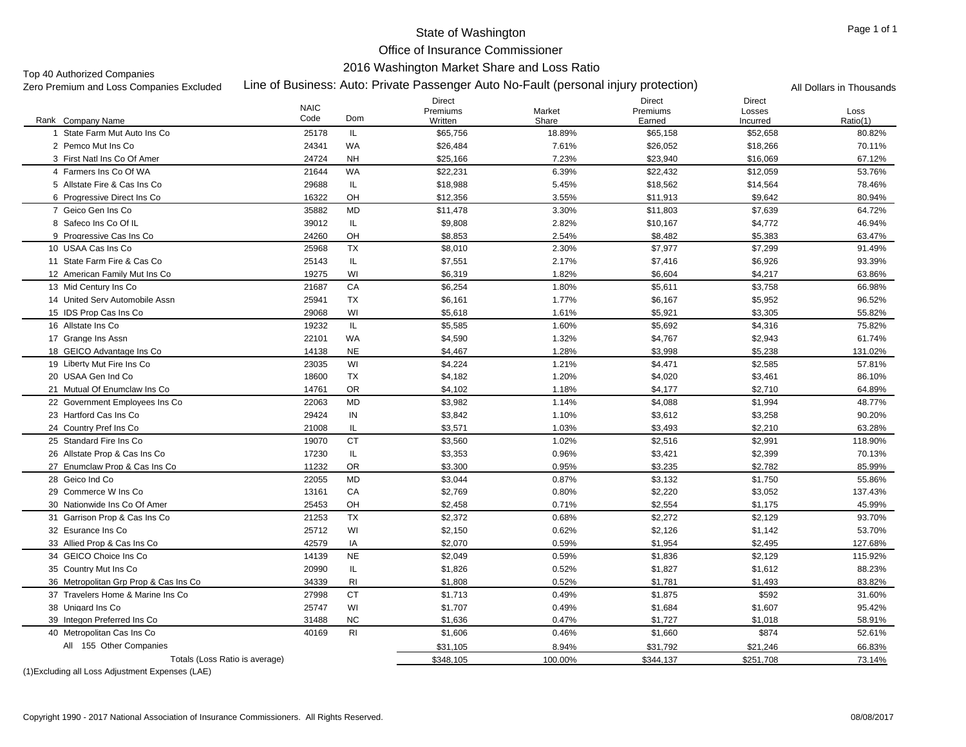#### Office of Insurance Commissioner

#### 2016 Washington Market Share and Loss Ratio

Top 40 Authorized Companies<br>Zero Premium and Loss Companies Excluded

Line of Business: Auto: Private Passenger Auto No-Fault (personal injury protection) Zero Premium and Loss Companies Excluded All Dollars in Thousands

|                                       | <b>NAIC</b> |                | Direct<br>Premiums | Market  | Direct<br>Premiums | Direct<br>Losses | Loss     |
|---------------------------------------|-------------|----------------|--------------------|---------|--------------------|------------------|----------|
| Rank Company Name                     | Code        | Dom            | Written            | Share   | Earned             | Incurred         | Ratio(1) |
| State Farm Mut Auto Ins Co            | 25178       | IL             | \$65,756           | 18.89%  | \$65,158           | \$52,658         | 80.82%   |
| 2 Pemco Mut Ins Co                    | 24341       | WA             | \$26,484           | 7.61%   | \$26,052           | \$18,266         | 70.11%   |
| 3 First Natl Ins Co Of Amer           | 24724       | <b>NH</b>      | \$25,166           | 7.23%   | \$23,940           | \$16,069         | 67.12%   |
| 4 Farmers Ins Co Of WA                | 21644       | WA             | \$22,231           | 6.39%   | \$22,432           | \$12,059         | 53.76%   |
| 5 Allstate Fire & Cas Ins Co          | 29688       | IL             | \$18,988           | 5.45%   | \$18,562           | \$14,564         | 78.46%   |
| 6 Progressive Direct Ins Co           | 16322       | OH             | \$12,356           | 3.55%   | \$11,913           | \$9,642          | 80.94%   |
| 7 Geico Gen Ins Co                    | 35882       | MD             | \$11,478           | 3.30%   | \$11,803           | \$7,639          | 64.72%   |
| 8 Safeco Ins Co Of IL                 | 39012       | IL             | \$9,808            | 2.82%   | \$10,167           | \$4,772          | 46.94%   |
| 9 Progressive Cas Ins Co              | 24260       | OH             | \$8,853            | 2.54%   | \$8,482            | \$5,383          | 63.47%   |
| 10 USAA Cas Ins Co                    | 25968       | <b>TX</b>      | \$8,010            | 2.30%   | \$7,977            | \$7,299          | 91.49%   |
| 11 State Farm Fire & Cas Co           | 25143       | IL             | \$7,551            | 2.17%   | \$7,416            | \$6,926          | 93.39%   |
| 12 American Family Mut Ins Co         | 19275       | WI             | \$6,319            | 1.82%   | \$6,604            | \$4,217          | 63.86%   |
| 13 Mid Century Ins Co                 | 21687       | CA             | \$6,254            | 1.80%   | \$5,611            | \$3,758          | 66.98%   |
| 14 United Serv Automobile Assn        | 25941       | <b>TX</b>      | \$6,161            | 1.77%   | \$6,167            | \$5,952          | 96.52%   |
| 15 IDS Prop Cas Ins Co                | 29068       | WI             | \$5,618            | 1.61%   | \$5,921            | \$3,305          | 55.82%   |
| 16 Allstate Ins Co                    | 19232       | IL             | \$5,585            | 1.60%   | \$5,692            | \$4,316          | 75.82%   |
| 17 Grange Ins Assn                    | 22101       | WA             | \$4,590            | 1.32%   | \$4,767            | \$2,943          | 61.74%   |
| 18 GEICO Advantage Ins Co             | 14138       | <b>NE</b>      | \$4,467            | 1.28%   | \$3,998            | \$5,238          | 131.02%  |
| 19 Liberty Mut Fire Ins Co            | 23035       | WI             | \$4,224            | 1.21%   | \$4,471            | \$2,585          | 57.81%   |
| 20 USAA Gen Ind Co                    | 18600       | <b>TX</b>      | \$4,182            | 1.20%   | \$4,020            | \$3,461          | 86.10%   |
| 21 Mutual Of Enumclaw Ins Co          | 14761       | <b>OR</b>      | \$4,102            | 1.18%   | \$4,177            | \$2,710          | 64.89%   |
| 22 Government Employees Ins Co        | 22063       | MD             | \$3,982            | 1.14%   | \$4,088            | \$1,994          | 48.77%   |
| 23 Hartford Cas Ins Co                | 29424       | IN             | \$3,842            | 1.10%   | \$3,612            | \$3,258          | 90.20%   |
| 24 Country Pref Ins Co                | 21008       | IL             | \$3,571            | 1.03%   | \$3,493            | \$2,210          | 63.28%   |
| 25 Standard Fire Ins Co               | 19070       | <b>CT</b>      | \$3,560            | 1.02%   | \$2,516            | \$2,991          | 118.90%  |
| 26 Allstate Prop & Cas Ins Co         | 17230       | IL             | \$3,353            | 0.96%   | \$3,421            | \$2,399          | 70.13%   |
| 27 Enumclaw Prop & Cas Ins Co         | 11232       | <b>OR</b>      | \$3,300            | 0.95%   | \$3,235            | \$2,782          | 85.99%   |
| 28 Geico Ind Co                       | 22055       | MD             | \$3,044            | 0.87%   | \$3,132            | \$1,750          | 55.86%   |
| 29 Commerce W Ins Co                  | 13161       | CA             | \$2,769            | 0.80%   | \$2,220            | \$3,052          | 137.43%  |
| 30 Nationwide Ins Co Of Amer          | 25453       | OH             | \$2,458            | 0.71%   | \$2,554            | \$1,175          | 45.99%   |
| 31 Garrison Prop & Cas Ins Co         | 21253       | <b>TX</b>      | \$2,372            | 0.68%   | \$2.272            | \$2.129          | 93.70%   |
| 32 Esurance Ins Co                    | 25712       | WI             | \$2,150            | 0.62%   | \$2,126            | \$1,142          | 53.70%   |
| 33 Allied Prop & Cas Ins Co           | 42579       | IA             | \$2,070            | 0.59%   | \$1,954            | \$2,495          | 127.68%  |
| 34 GEICO Choice Ins Co                | 14139       | <b>NE</b>      | \$2,049            | 0.59%   | \$1,836            | \$2,129          | 115.92%  |
| 35 Country Mut Ins Co                 | 20990       | IL             | \$1,826            | 0.52%   | \$1,827            | \$1,612          | 88.23%   |
| 36 Metropolitan Grp Prop & Cas Ins Co | 34339       | R <sub>1</sub> | \$1,808            | 0.52%   | \$1,781            | \$1,493          | 83.82%   |
| 37 Travelers Home & Marine Ins Co     | 27998       | <b>CT</b>      | \$1,713            | 0.49%   | \$1,875            | \$592            | 31.60%   |
| 38 Unigard Ins Co                     | 25747       | WI             | \$1,707            | 0.49%   | \$1,684            | \$1,607          | 95.42%   |
| 39 Integon Preferred Ins Co           | 31488       | <b>NC</b>      | \$1,636            | 0.47%   | \$1,727            | \$1,018          | 58.91%   |
| 40 Metropolitan Cas Ins Co            | 40169       | R <sub>1</sub> | \$1,606            | 0.46%   | \$1,660            | \$874            | 52.61%   |
| All 155 Other Companies               |             |                | \$31,105           | 8.94%   | \$31,792           | \$21,246         | 66.83%   |
| Totals (Loss Ratio is average)        |             |                | \$348,105          | 100.00% | \$344,137          | \$251,708        | 73.14%   |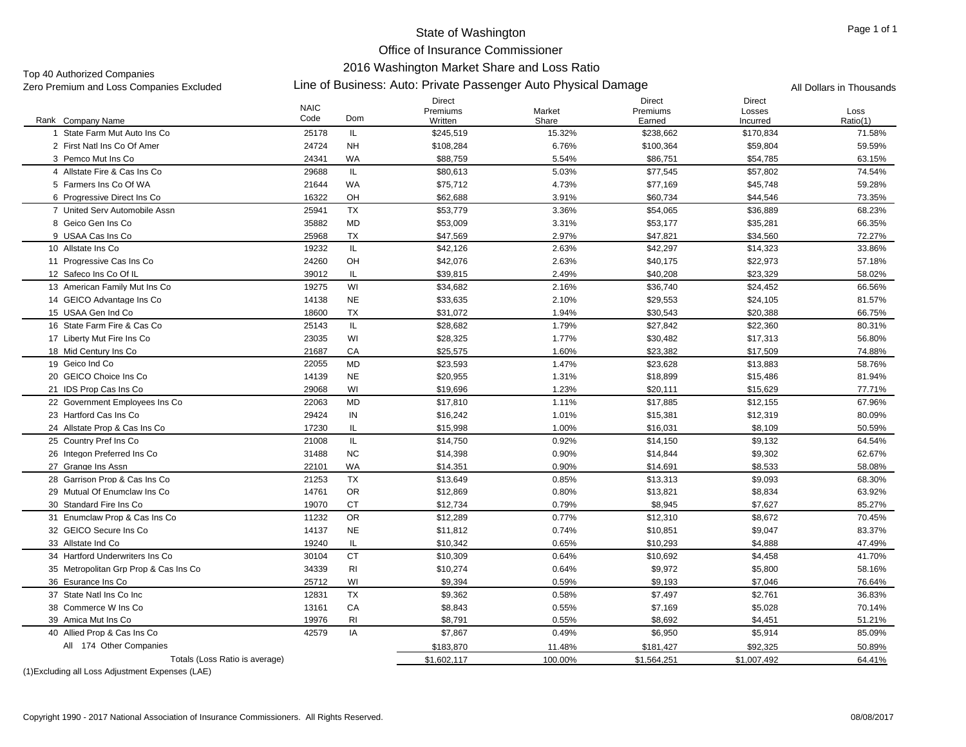Office of Insurance Commissioner

### 2016 Washington Market Share and Loss Ratio

Top 40 Authorized Companies<br>Zero Premium and Loss Companies Excluded

# Zero Premium and Loss Companies Excluded Line of Business: Auto: Private Passenger Auto Physical Damage All Dollars in Thousands

|                                       | <b>NAIC</b> |                | Direct<br>Premiums | Market  | <b>Direct</b><br>Premiums | Direct<br>Losses | Loss     |
|---------------------------------------|-------------|----------------|--------------------|---------|---------------------------|------------------|----------|
| Rank Company Name                     | Code        | Dom            | Written            | Share   | Earned                    | Incurred         | Ratio(1) |
| State Farm Mut Auto Ins Co            | 25178       | IL             | \$245,519          | 15.32%  | \$238,662                 | \$170,834        | 71.58%   |
| 2 First Natl Ins Co Of Amer           | 24724       | <b>NH</b>      | \$108,284          | 6.76%   | \$100,364                 | \$59.804         | 59.59%   |
| 3 Pemco Mut Ins Co                    | 24341       | <b>WA</b>      | \$88,759           | 5.54%   | \$86,751                  | \$54,785         | 63.15%   |
| 4 Allstate Fire & Cas Ins Co          | 29688       | IL             | \$80,613           | 5.03%   | \$77,545                  | \$57,802         | 74.54%   |
| 5 Farmers Ins Co Of WA                | 21644       | WA             | \$75,712           | 4.73%   | \$77,169                  | \$45,748         | 59.28%   |
| 6 Progressive Direct Ins Co           | 16322       | OH             | \$62,688           | 3.91%   | \$60,734                  | \$44,546         | 73.35%   |
| 7 United Serv Automobile Assn         | 25941       | <b>TX</b>      | \$53,779           | 3.36%   | \$54,065                  | \$36,889         | 68.23%   |
| 8 Geico Gen Ins Co                    | 35882       | <b>MD</b>      | \$53,009           | 3.31%   | \$53,177                  | \$35,281         | 66.35%   |
| 9 USAA Cas Ins Co                     | 25968       | <b>TX</b>      | \$47,569           | 2.97%   | \$47,821                  | \$34,560         | 72.27%   |
| 10 Allstate Ins Co                    | 19232       | IL.            | \$42,126           | 2.63%   | \$42,297                  | \$14,323         | 33.86%   |
| 11 Progressive Cas Ins Co             | 24260       | OH             | \$42,076           | 2.63%   | \$40,175                  | \$22,973         | 57.18%   |
| 12 Safeco Ins Co Of IL                | 39012       | IL             | \$39,815           | 2.49%   | \$40,208                  | \$23,329         | 58.02%   |
| 13 American Family Mut Ins Co.        | 19275       | WI             | \$34,682           | 2.16%   | \$36,740                  | \$24,452         | 66.56%   |
| 14 GEICO Advantage Ins Co             | 14138       | <b>NE</b>      | \$33,635           | 2.10%   | \$29,553                  | \$24,105         | 81.57%   |
| 15 USAA Gen Ind Co                    | 18600       | <b>TX</b>      | \$31,072           | 1.94%   | \$30,543                  | \$20,388         | 66.75%   |
| 16 State Farm Fire & Cas Co           | 25143       | IL             | \$28,682           | 1.79%   | \$27,842                  | \$22,360         | 80.31%   |
| 17 Liberty Mut Fire Ins Co            | 23035       | WI             | \$28,325           | 1.77%   | \$30,482                  | \$17,313         | 56.80%   |
| 18 Mid Century Ins Co                 | 21687       | CA             | \$25,575           | 1.60%   | \$23,382                  | \$17,509         | 74.88%   |
| 19 Geico Ind Co                       | 22055       | <b>MD</b>      | \$23,593           | 1.47%   | \$23,628                  | \$13,883         | 58.76%   |
| 20 GEICO Choice Ins Co                | 14139       | <b>NE</b>      | \$20,955           | 1.31%   | \$18,899                  | \$15,486         | 81.94%   |
| 21 IDS Prop Cas Ins Co                | 29068       | WI             | \$19,696           | 1.23%   | \$20,111                  | \$15,629         | 77.71%   |
| 22 Government Employees Ins Co        | 22063       | MD             | \$17,810           | 1.11%   | \$17,885                  | \$12,155         | 67.96%   |
| 23 Hartford Cas Ins Co                | 29424       | IN             | \$16,242           | 1.01%   | \$15,381                  | \$12,319         | 80.09%   |
| 24 Allstate Prop & Cas Ins Co         | 17230       | IL             | \$15,998           | 1.00%   | \$16,031                  | \$8,109          | 50.59%   |
| 25 Country Pref Ins Co                | 21008       | IL             | \$14,750           | 0.92%   | \$14,150                  | \$9,132          | 64.54%   |
| 26 Integon Preferred Ins Co           | 31488       | <b>NC</b>      | \$14,398           | 0.90%   | \$14,844                  | \$9,302          | 62.67%   |
| 27 Grange Ins Assn                    | 22101       | <b>WA</b>      | \$14,351           | 0.90%   | \$14,691                  | \$8,533          | 58.08%   |
| 28 Garrison Prop & Cas Ins Co         | 21253       | <b>TX</b>      | \$13.649           | 0.85%   | \$13.313                  | \$9.093          | 68.30%   |
| 29 Mutual Of Enumclaw Ins Co          | 14761       | <b>OR</b>      | \$12,869           | 0.80%   | \$13,821                  | \$8,834          | 63.92%   |
| 30 Standard Fire Ins Co               | 19070       | <b>CT</b>      | \$12,734           | 0.79%   | \$8,945                   | \$7,627          | 85.27%   |
| 31 Enumclaw Prop & Cas Ins Co         | 11232       | <b>OR</b>      | \$12,289           | 0.77%   | \$12,310                  | \$8,672          | 70.45%   |
| 32 GEICO Secure Ins Co                | 14137       | <b>NE</b>      | \$11,812           | 0.74%   | \$10,851                  | \$9,047          | 83.37%   |
| 33 Allstate Ind Co                    | 19240       | IL             | \$10,342           | 0.65%   | \$10,293                  | \$4,888          | 47.49%   |
| 34 Hartford Underwriters Ins Co       | 30104       | <b>CT</b>      | \$10,309           | 0.64%   | \$10,692                  | \$4,458          | 41.70%   |
| 35 Metropolitan Grp Prop & Cas Ins Co | 34339       | R <sub>l</sub> | \$10,274           | 0.64%   | \$9,972                   | \$5,800          | 58.16%   |
| 36 Esurance Ins Co                    | 25712       | WI             | \$9,394            | 0.59%   | \$9,193                   | \$7,046          | 76.64%   |
| 37 State Natl Ins Co Inc              | 12831       | <b>TX</b>      | \$9,362            | 0.58%   | \$7,497                   | \$2,761          | 36.83%   |
| 38 Commerce W Ins Co                  | 13161       | CA             | \$8,843            | 0.55%   | \$7,169                   | \$5,028          | 70.14%   |
| 39 Amica Mut Ins Co                   | 19976       | R1             | \$8,791            | 0.55%   | \$8,692                   | \$4,451          | 51.21%   |
| 40 Allied Prop & Cas Ins Co           | 42579       | IA             | \$7,867            | 0.49%   | \$6,950                   | \$5,914          | 85.09%   |
| All 174 Other Companies               |             |                | \$183,870          | 11.48%  | \$181,427                 | \$92,325         | 50.89%   |
| Totals (Loss Ratio is average)        |             |                | \$1,602,117        | 100.00% | \$1,564,251               | \$1,007,492      | 64.41%   |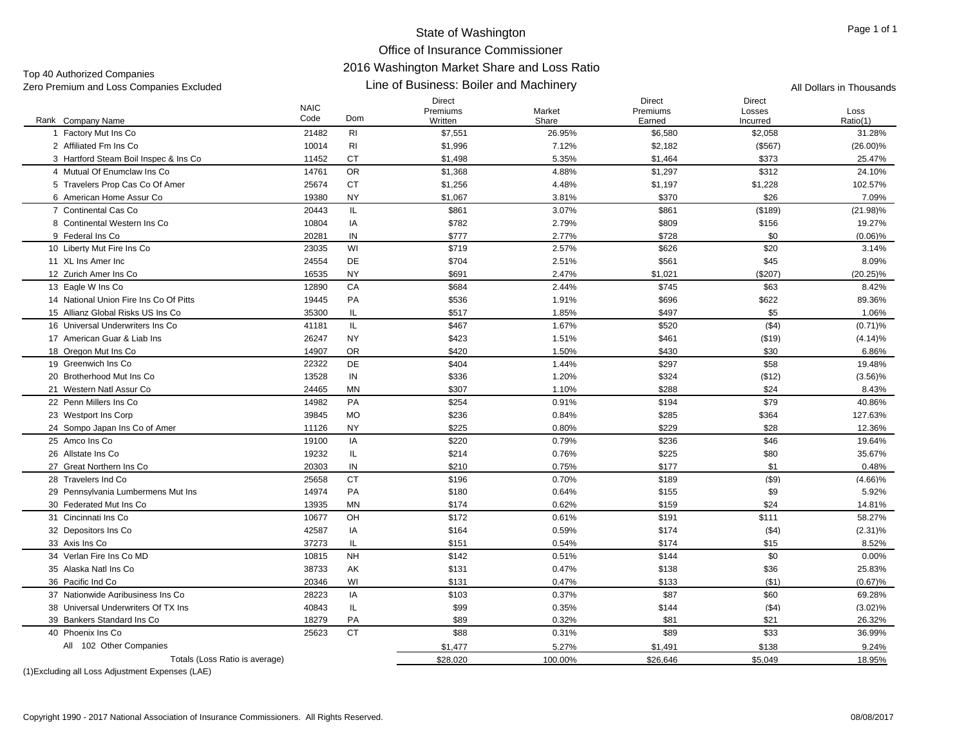# Office of Insurance Commissioner 2016 Washington Market Share and Loss Ratio

Line of Business: Boiler and Machinery Zero Premium and Loss Companies Excluded All Dollars in Thousands Top 40 Authorized Companies<br>Zero Premium and Loss Companies Excluded

| Rank Company Name                      | <b>NAIC</b><br>Code | Dom            | Direct<br>Premiums<br>Written | Market<br>Share | Direct<br>Premiums<br>Earned | Direct<br>Losses<br>Incurred | Loss<br>Ratio(1) |
|----------------------------------------|---------------------|----------------|-------------------------------|-----------------|------------------------------|------------------------------|------------------|
| 1 Factory Mut Ins Co                   | 21482               | R <sub>l</sub> | \$7,551                       | 26.95%          | \$6,580                      | \$2,058                      | 31.28%           |
| 2 Affiliated Fm Ins Co                 | 10014               | R <sub>l</sub> | \$1,996                       | 7.12%           | \$2,182                      | ( \$567)                     | $(26.00)\%$      |
| 3 Hartford Steam Boil Inspec & Ins Co  | 11452               | <b>CT</b>      | \$1,498                       | 5.35%           | \$1,464                      | \$373                        | 25.47%           |
| 4 Mutual Of Enumclaw Ins Co            | 14761               | <b>OR</b>      | \$1,368                       | 4.88%           | \$1,297                      | \$312                        | 24.10%           |
| 5 Travelers Prop Cas Co Of Amer        | 25674               | CT             | \$1,256                       | 4.48%           | \$1,197                      | \$1,228                      | 102.57%          |
| 6 American Home Assur Co               | 19380               | <b>NY</b>      | \$1,067                       | 3.81%           | \$370                        | \$26                         | 7.09%            |
| 7 Continental Cas Co                   | 20443               | IL.            | \$861                         | 3.07%           | \$861                        | ( \$189)                     | $(21.98)\%$      |
| 8 Continental Western Ins Co           | 10804               | IA             | \$782                         | 2.79%           | \$809                        | \$156                        | 19.27%           |
| 9 Federal Ins Co                       | 20281               | IN             | \$777                         | 2.77%           | \$728                        | \$0                          | $(0.06)\%$       |
| 10 Liberty Mut Fire Ins Co             | 23035               | WI             | \$719                         | 2.57%           | \$626                        | \$20                         | 3.14%            |
| 11 XL Ins Amer Inc                     | 24554               | DE             | \$704                         | 2.51%           | \$561                        | \$45                         | 8.09%            |
| 12 Zurich Amer Ins Co                  | 16535               | <b>NY</b>      | \$691                         | 2.47%           | \$1,021                      | (\$207)                      | $(20.25)\%$      |
| 13 Eagle W Ins Co                      | 12890               | CA             | \$684                         | 2.44%           | \$745                        | \$63                         | 8.42%            |
| 14 National Union Fire Ins Co Of Pitts | 19445               | PA             | \$536                         | 1.91%           | \$696                        | \$622                        | 89.36%           |
| 15 Allianz Global Risks US Ins Co      | 35300               | IL             | \$517                         | 1.85%           | \$497                        | \$5                          | 1.06%            |
| 16 Universal Underwriters Ins Co       | 41181               | IL.            | \$467                         | 1.67%           | \$520                        | (\$4)                        | $(0.71)$ %       |
| 17 American Guar & Liab Ins            | 26247               | <b>NY</b>      | \$423                         | 1.51%           | \$461                        | ( \$19)                      | (4.14)%          |
| 18 Oregon Mut Ins Co                   | 14907               | <b>OR</b>      | \$420                         | 1.50%           | \$430                        | \$30                         | 6.86%            |
| 19 Greenwich Ins Co                    | 22322               | <b>DE</b>      | \$404                         | 1.44%           | \$297                        | \$58                         | 19.48%           |
| 20 Brotherhood Mut Ins Co              | 13528               | IN             | \$336                         | 1.20%           | \$324                        | ( \$12)                      | $(3.56)\%$       |
| 21 Western Natl Assur Co               | 24465               | <b>MN</b>      | \$307                         | 1.10%           | \$288                        | \$24                         | 8.43%            |
| 22 Penn Millers Ins Co                 | 14982               | PA             | \$254                         | 0.91%           | \$194                        | \$79                         | 40.86%           |
| 23 Westport Ins Corp                   | 39845               | <b>MO</b>      | \$236                         | 0.84%           | \$285                        | \$364                        | 127.63%          |
| 24 Sompo Japan Ins Co of Amer          | 11126               | <b>NY</b>      | \$225                         | 0.80%           | \$229                        | \$28                         | 12.36%           |
| 25 Amco Ins Co                         | 19100               | IA             | \$220                         | 0.79%           | \$236                        | \$46                         | 19.64%           |
| 26 Allstate Ins Co                     | 19232               | IL             | \$214                         | 0.76%           | \$225                        | \$80                         | 35.67%           |
| 27 Great Northern Ins Co               | 20303               | IN             | \$210                         | 0.75%           | \$177                        | \$1                          | 0.48%            |
| 28 Travelers Ind Co                    | 25658               | <b>CT</b>      | \$196                         | 0.70%           | \$189                        | $($ \$9)                     | $(4.66)\%$       |
| 29 Pennsylvania Lumbermens Mut Ins     | 14974               | PA             | \$180                         | 0.64%           | \$155                        | \$9                          | 5.92%            |
| 30 Federated Mut Ins Co                | 13935               | ΜN             | \$174                         | 0.62%           | \$159                        | \$24                         | 14.81%           |
| 31 Cincinnati Ins Co                   | 10677               | OH             | \$172                         | 0.61%           | \$191                        | \$111                        | 58.27%           |
| 32 Depositors Ins Co                   | 42587               | IA             | \$164                         | 0.59%           | \$174                        | (\$4)                        | $(2.31)\%$       |
| 33 Axis Ins Co                         | 37273               | IL.            | \$151                         | 0.54%           | \$174                        | \$15                         | 8.52%            |
| 34 Verlan Fire Ins Co MD               | 10815               | <b>NH</b>      | \$142                         | 0.51%           | \$144                        | \$0                          | 0.00%            |
| 35 Alaska Natl Ins Co                  | 38733               | AK             | \$131                         | 0.47%           | \$138                        | \$36                         | 25.83%           |
| 36 Pacific Ind Co                      | 20346               | WI             | \$131                         | 0.47%           | \$133                        | (\$1)                        | $(0.67)$ %       |
| 37 Nationwide Agribusiness Ins Co      | 28223               | IA             | \$103                         | 0.37%           | \$87                         | \$60                         | 69.28%           |
| 38 Universal Underwriters Of TX Ins    | 40843               | IL             | \$99                          | 0.35%           | \$144                        | ( \$4)                       | $(3.02)\%$       |
| 39 Bankers Standard Ins Co             | 18279               | PA             | \$89                          | 0.32%           | \$81                         | \$21                         | 26.32%           |
| 40 Phoenix Ins Co                      | 25623               | <b>CT</b>      | \$88                          | 0.31%           | \$89                         | \$33                         | 36.99%           |
| All 102 Other Companies                |                     |                | \$1,477                       | 5.27%           | \$1,491                      | \$138                        | 9.24%            |
| Totals (Loss Ratio is average)         |                     |                | \$28,020                      | 100.00%         | \$26,646                     | \$5,049                      | 18.95%           |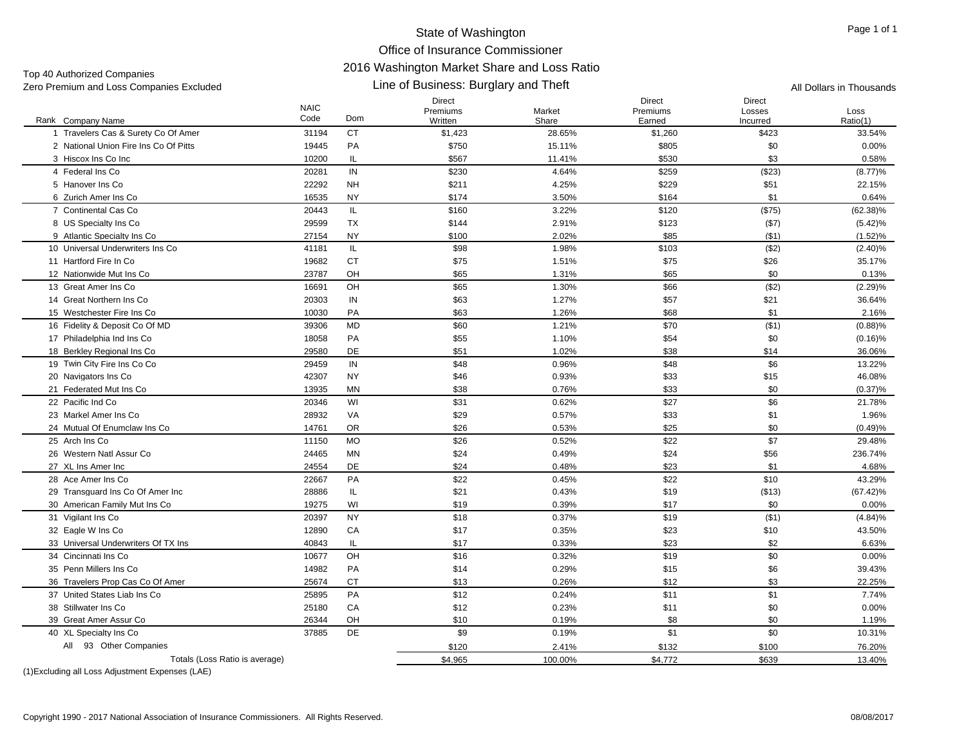Top 40 Authorized Companies<br>Zero Premium and Loss Companies Excluded

#### NAICCodeDirect PremiumsWrittenMorke ShareDirect PremiumsEarnedLine of Business: Burglary and Theft Zero Premium and Loss Companies Excluded All Dollars in Thousands A \$750 15.11% N \$230 4.64% \$211 4.25%\$174 3.50%

Direct

| Rank Company Name                     | INAIU<br>Code | Dom       | Premiums<br>Written | Market<br>Share | Premiums<br>Earned | Losses<br>Incurred | Loss<br>Ratio(1) |
|---------------------------------------|---------------|-----------|---------------------|-----------------|--------------------|--------------------|------------------|
| 1 Travelers Cas & Surety Co Of Amer   | 31194         | <b>CT</b> | \$1,423             | 28.65%          | \$1,260            | \$423              | 33.54%           |
| 2 National Union Fire Ins Co Of Pitts | 19445         | PA        | \$750               | 15.11%          | \$805              | \$0                | 0.00%            |
| 3 Hiscox Ins Co Inc                   | 10200         | IL        | \$567               | 11.41%          | \$530              | \$3                | 0.58%            |
| 4 Federal Ins Co                      | 20281         | IN        | \$230               | 4.64%           | \$259              | (\$23)             | (8.77)%          |
| 5 Hanover Ins Co                      | 22292         | <b>NH</b> | \$211               | 4.25%           | \$229              | \$51               | 22.15%           |
| 6 Zurich Amer Ins Co                  | 16535         | <b>NY</b> | \$174               | 3.50%           | \$164              | \$1                | 0.64%            |
| 7 Continental Cas Co                  | 20443         | IL        | \$160               | 3.22%           | \$120              | (\$75)             | $(62.38)\%$      |
| 8 US Specialty Ins Co                 | 29599         | <b>TX</b> | \$144               | 2.91%           | \$123              | ( \$7)             | $(5.42)\%$       |
| 9 Atlantic Specialty Ins Co           | 27154         | <b>NY</b> | \$100               | 2.02%           | \$85               | ( \$1)             | (1.52)%          |
| 10 Universal Underwriters Ins Co      | 41181         | IL.       | \$98                | 1.98%           | \$103              | (\$2)              | $(2.40)\%$       |
| 11 Hartford Fire In Co                | 19682         | CT        | \$75                | 1.51%           | \$75               | \$26               | 35.17%           |
| 12 Nationwide Mut Ins Co              | 23787         | OH        | \$65                | 1.31%           | \$65               | \$0                | 0.13%            |
| 13 Great Amer Ins Co                  | 16691         | OH        | \$65                | 1.30%           | \$66               | (\$2)              | (2.29)%          |
| 14 Great Northern Ins Co              | 20303         | IN        | \$63                | 1.27%           | \$57               | \$21               | 36.64%           |
| 15 Westchester Fire Ins Co            | 10030         | PA        | \$63                | 1.26%           | \$68               | \$1                | 2.16%            |
| 16 Fidelity & Deposit Co Of MD        | 39306         | MD        | \$60                | 1.21%           | \$70               | (\$1)              | (0.88)%          |
| 17 Philadelphia Ind Ins Co.           | 18058         | PA        | \$55                | 1.10%           | \$54               | \$0                | $(0.16)$ %       |
| 18 Berkley Regional Ins Co            | 29580         | DE        | \$51                | 1.02%           | \$38               | \$14               | 36.06%           |
| 19 Twin City Fire Ins Co Co           | 29459         | IN        | \$48                | 0.96%           | \$48               | \$6                | 13.22%           |
| 20 Navigators Ins Co                  | 42307         | <b>NY</b> | \$46                | 0.93%           | \$33               | \$15               | 46.08%           |
| 21 Federated Mut Ins Co               | 13935         | MN        | \$38                | 0.76%           | \$33               | \$0                | $(0.37)\%$       |
| 22 Pacific Ind Co                     | 20346         | WI        | \$31                | 0.62%           | \$27               | \$6                | 21.78%           |
| 23 Markel Amer Ins Co                 | 28932         | VA        | \$29                | 0.57%           | \$33               | \$1                | 1.96%            |
| 24 Mutual Of Enumclaw Ins Co          | 14761         | <b>OR</b> | \$26                | 0.53%           | \$25               | \$0                | (0.49)%          |
| 25 Arch Ins Co                        | 11150         | <b>MO</b> | \$26                | 0.52%           | \$22               | \$7                | 29.48%           |
| 26 Western Natl Assur Co              | 24465         | MN        | \$24                | 0.49%           | \$24               | \$56               | 236.74%          |
| 27 XL Ins Amer Inc                    | 24554         | <b>DE</b> | \$24                | 0.48%           | \$23               | \$1                | 4.68%            |
| 28 Ace Amer Ins Co                    | 22667         | PA        | \$22                | 0.45%           | \$22               | \$10               | 43.29%           |
| 29 Transquard Ins Co Of Amer Inc      | 28886         | IL.       | \$21                | 0.43%           | \$19               | (\$13)             | $(67.42)\%$      |
| 30 American Family Mut Ins Co         | 19275         | WI        | \$19                | 0.39%           | \$17               | \$0                | $0.00\%$         |
| 31 Vigilant Ins Co.                   | 20397         | <b>NY</b> | \$18                | 0.37%           | \$19               | (\$1)              | (4.84)%          |
| 32 Eagle W Ins Co                     | 12890         | CA        | \$17                | 0.35%           | \$23               | \$10               | 43.50%           |
| 33 Universal Underwriters Of TX Ins   | 40843         | IL        | \$17                | 0.33%           | \$23               | \$2                | 6.63%            |
| 34 Cincinnati Ins Co                  | 10677         | OH        | \$16                | 0.32%           | \$19               | \$0                | 0.00%            |
| 35 Penn Millers Ins Co                | 14982         | PA        | \$14                | 0.29%           | \$15               | \$6                | 39.43%           |
| 36 Travelers Prop Cas Co Of Amer      | 25674         | СT        | \$13                | 0.26%           | \$12               | \$3                | 22.25%           |
| 37 United States Liab Ins Co          | 25895         | PA        | \$12                | 0.24%           | \$11               | \$1                | 7.74%            |
| 38 Stillwater Ins Co                  | 25180         | CA        | \$12                | 0.23%           | \$11               | \$0                | 0.00%            |
| 39 Great Amer Assur Co                | 26344         | OH        | \$10                | 0.19%           | \$8                | \$0                | 1.19%            |
| 40 XL Specialty Ins Co                | 37885         | <b>DE</b> | \$9                 | 0.19%           | \$1                | \$0                | 10.31%           |
| 93 Other Companies<br>All             |               |           | \$120               | 2.41%           | \$132              | \$100              | 76.20%           |
| Totals (Loss Ratio is average)        |               |           | \$4,965             | 100.00%         | \$4,772            | \$639              | 13.40%           |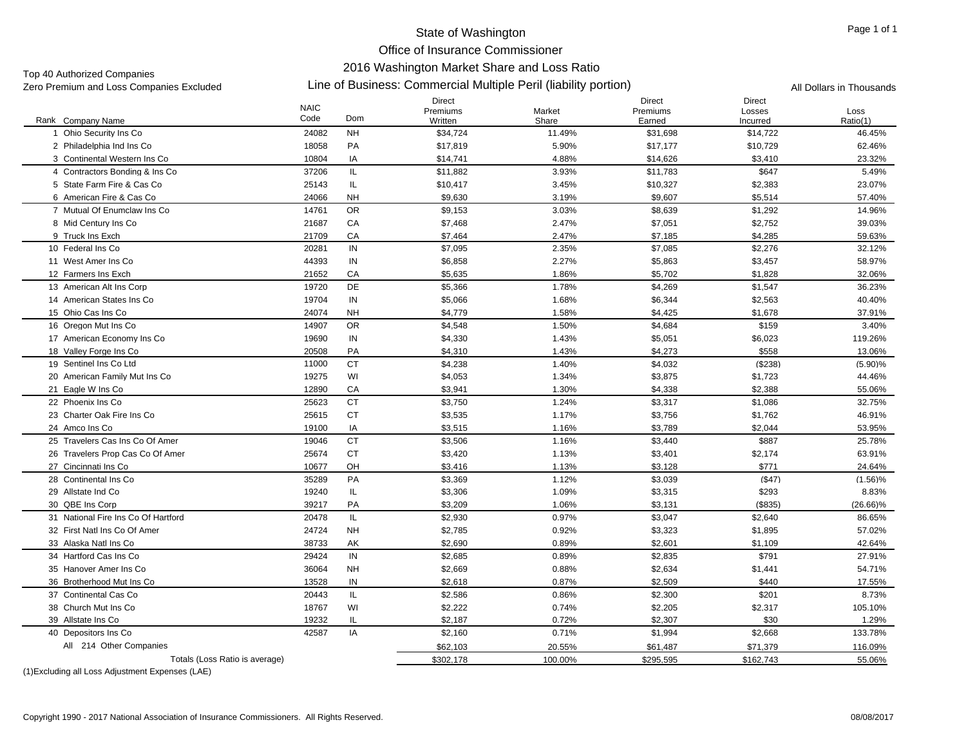Office of Insurance Commissioner

# 2016 Washington Market Share and Loss Ratio

Top 40 Authorized Companies<br>Zero Premium and Loss Companies Excluded

# Line of Business: Commercial Multiple Peril (liability portion) Zero Premium and Loss Companies Excluded All Dollars in Thousands

|                                     | <b>NAIC</b> |           | <b>Direct</b><br>Premiums | Market  | <b>Direct</b><br>Premiums | <b>Direct</b><br>Losses | Loss        |
|-------------------------------------|-------------|-----------|---------------------------|---------|---------------------------|-------------------------|-------------|
| Rank Company Name                   | Code        | Dom       | Written                   | Share   | Earned                    | Incurred                | Ratio(1)    |
| 1 Ohio Security Ins Co              | 24082       | <b>NH</b> | \$34,724                  | 11.49%  | \$31,698                  | \$14,722                | 46.45%      |
| 2 Philadelphia Ind Ins Co           | 18058       | PA        | \$17,819                  | 5.90%   | \$17,177                  | \$10,729                | 62.46%      |
| 3 Continental Western Ins Co.       | 10804       | IA        | \$14,741                  | 4.88%   | \$14,626                  | \$3,410                 | 23.32%      |
| 4 Contractors Bonding & Ins Co.     | 37206       | IL.       | \$11,882                  | 3.93%   | \$11,783                  | \$647                   | 5.49%       |
| 5 State Farm Fire & Cas Co          | 25143       | IL.       | \$10,417                  | 3.45%   | \$10,327                  | \$2,383                 | 23.07%      |
| 6 American Fire & Cas Co            | 24066       | <b>NH</b> | \$9,630                   | 3.19%   | \$9,607                   | \$5,514                 | 57.40%      |
| 7 Mutual Of Enumclaw Ins Co         | 14761       | <b>OR</b> | \$9,153                   | 3.03%   | \$8,639                   | \$1,292                 | 14.96%      |
| 8 Mid Century Ins Co                | 21687       | CA        | \$7,468                   | 2.47%   | \$7,051                   | \$2,752                 | 39.03%      |
| 9 Truck Ins Exch                    | 21709       | CA        | \$7,464                   | 2.47%   | \$7,185                   | \$4,285                 | 59.63%      |
| 10 Federal Ins Co.                  | 20281       | IN        | \$7,095                   | 2.35%   | \$7,085                   | \$2,276                 | 32.12%      |
| 11 West Amer Ins Co                 | 44393       | IN        | \$6,858                   | 2.27%   | \$5,863                   | \$3,457                 | 58.97%      |
| 12 Farmers Ins Exch                 | 21652       | CA        | \$5,635                   | 1.86%   | \$5,702                   | \$1,828                 | 32.06%      |
| 13 American Alt Ins Corp            | 19720       | DE        | \$5,366                   | 1.78%   | \$4,269                   | \$1,547                 | 36.23%      |
| 14 American States Ins Co           | 19704       | IN        | \$5,066                   | 1.68%   | \$6,344                   | \$2,563                 | 40.40%      |
| 15 Ohio Cas Ins Co                  | 24074       | <b>NH</b> | \$4,779                   | 1.58%   | \$4,425                   | \$1,678                 | 37.91%      |
| 16 Oregon Mut Ins Co                | 14907       | <b>OR</b> | \$4,548                   | 1.50%   | \$4,684                   | \$159                   | 3.40%       |
| 17 American Economy Ins Co          | 19690       | IN        | \$4,330                   | 1.43%   | \$5,051                   | \$6,023                 | 119.26%     |
| 18 Valley Forge Ins Co              | 20508       | PA        | \$4,310                   | 1.43%   | \$4,273                   | \$558                   | 13.06%      |
| 19 Sentinel Ins Co Ltd              | 11000       | <b>CT</b> | \$4,238                   | 1.40%   | \$4,032                   | (\$238)                 | $(5.90)\%$  |
| 20 American Family Mut Ins Co       | 19275       | WI        | \$4,053                   | 1.34%   | \$3,875                   | \$1,723                 | 44.46%      |
| 21 Eagle W Ins Co                   | 12890       | CA        | \$3,941                   | 1.30%   | \$4,338                   | \$2,388                 | 55.06%      |
| 22 Phoenix Ins Co                   | 25623       | <b>CT</b> | \$3,750                   | 1.24%   | \$3,317                   | \$1,086                 | 32.75%      |
| 23 Charter Oak Fire Ins Co          | 25615       | <b>CT</b> | \$3,535                   | 1.17%   | \$3,756                   | \$1,762                 | 46.91%      |
| 24 Amco Ins Co                      | 19100       | IA        | \$3,515                   | 1.16%   | \$3,789                   | \$2.044                 | 53.95%      |
| 25 Travelers Cas Ins Co Of Amer     | 19046       | <b>CT</b> | \$3,506                   | 1.16%   | \$3,440                   | \$887                   | 25.78%      |
| 26 Travelers Prop Cas Co Of Amer    | 25674       | <b>CT</b> | \$3,420                   | 1.13%   | \$3,401                   | \$2,174                 | 63.91%      |
| 27 Cincinnati Ins Co                | 10677       | OH        | \$3,416                   | 1.13%   | \$3,128                   | \$771                   | 24.64%      |
| 28 Continental Ins Co               | 35289       | PA        | \$3,369                   | 1.12%   | \$3,039                   | (\$47)                  | $(1.56)\%$  |
| 29 Allstate Ind Co                  | 19240       | IL.       | \$3,306                   | 1.09%   | \$3,315                   | \$293                   | 8.83%       |
| 30 QBE Ins Corp                     | 39217       | PA        | \$3.209                   | 1.06%   | \$3,131                   | ( \$835)                | $(26.66)\%$ |
| 31 National Fire Ins Co Of Hartford | 20478       | IL.       | \$2,930                   | 0.97%   | \$3,047                   | \$2,640                 | 86.65%      |
| 32 First Natl Ins Co Of Amer        | 24724       | <b>NH</b> | \$2,785                   | 0.92%   | \$3,323                   | \$1,895                 | 57.02%      |
| 33 Alaska Natl Ins Co               | 38733       | AK        | \$2,690                   | 0.89%   | \$2,601                   | \$1,109                 | 42.64%      |
| 34 Hartford Cas Ins Co              | 29424       | IN        | \$2,685                   | 0.89%   | \$2,835                   | \$791                   | 27.91%      |
| 35 Hanover Amer Ins Co              | 36064       | <b>NH</b> | \$2,669                   | 0.88%   | \$2,634                   | \$1,441                 | 54.71%      |
| 36 Brotherhood Mut Ins Co           | 13528       | IN        | \$2.618                   | 0.87%   | \$2.509                   | \$440                   | 17.55%      |
| 37 Continental Cas Co               | 20443       | IL.       | \$2,586                   | 0.86%   | \$2,300                   | \$201                   | 8.73%       |
| 38 Church Mut Ins Co                | 18767       | WI        | \$2,222                   | 0.74%   | \$2,205                   | \$2,317                 | 105.10%     |
| 39 Allstate Ins Co                  | 19232       | IL        | \$2,187                   | 0.72%   | \$2,307                   | \$30                    | 1.29%       |
| 40 Depositors Ins Co                | 42587       | IA        | \$2,160                   | 0.71%   | \$1,994                   | \$2,668                 | 133.78%     |
| All 214 Other Companies             |             |           | \$62,103                  | 20.55%  | \$61,487                  | \$71,379                | 116.09%     |
| Totals (Loss Ratio is average)      |             |           | \$302,178                 | 100.00% | \$295,595                 | \$162,743               | 55.06%      |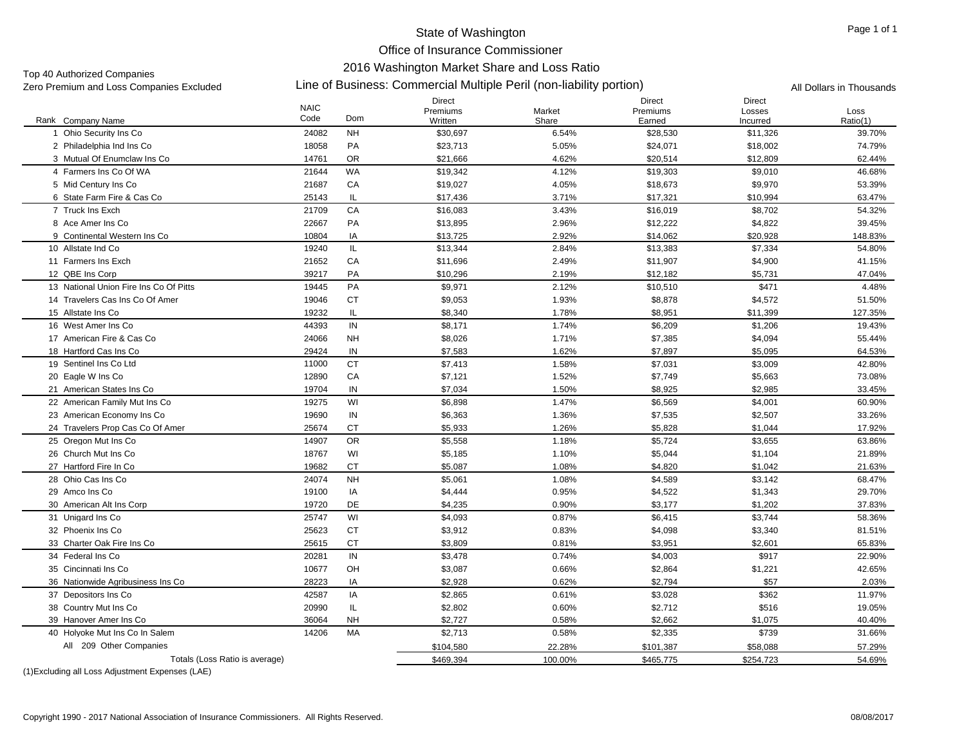Office of Insurance Commissioner

# 2016 Washington Market Share and Loss Ratio

Top 40 Authorized Companies<br>Zero Premium and Loss Companies Excluded

# Line of Business: Commercial Multiple Peril (non-liability portion) Zero Premium and Loss Companies Excluded All Dollars in Thousands

|                                        | <b>NAIC</b> |           | Direct<br>Premiums | Market  | <b>Direct</b><br>Premiums | <b>Direct</b><br>Losses | Loss     |
|----------------------------------------|-------------|-----------|--------------------|---------|---------------------------|-------------------------|----------|
| Rank Company Name                      | Code        | Dom       | Written            | Share   | Earned                    | Incurred                | Ratio(1) |
| Ohio Security Ins Co                   | 24082       | <b>NH</b> | \$30,697           | 6.54%   | \$28,530                  | \$11,326                | 39.70%   |
| 2 Philadelphia Ind Ins Co.             | 18058       | PA        | \$23.713           | 5.05%   | \$24,071                  | \$18.002                | 74.79%   |
| 3 Mutual Of Enumclaw Ins Co            | 14761       | <b>OR</b> | \$21,666           | 4.62%   | \$20,514                  | \$12,809                | 62.44%   |
| 4 Farmers Ins Co Of WA                 | 21644       | <b>WA</b> | \$19,342           | 4.12%   | \$19,303                  | \$9,010                 | 46.68%   |
| 5 Mid Century Ins Co                   | 21687       | CA        | \$19,027           | 4.05%   | \$18,673                  | \$9,970                 | 53.39%   |
| 6 State Farm Fire & Cas Co             | 25143       | IL        | \$17,436           | 3.71%   | \$17,321                  | \$10,994                | 63.47%   |
| 7 Truck Ins Exch                       | 21709       | CA        | \$16,083           | 3.43%   | \$16,019                  | \$8,702                 | 54.32%   |
| 8 Ace Amer Ins Co                      | 22667       | PA        | \$13,895           | 2.96%   | \$12,222                  | \$4,822                 | 39.45%   |
| 9 Continental Western Ins Co.          | 10804       | IA        | \$13,725           | 2.92%   | \$14,062                  | \$20,928                | 148.83%  |
| 10 Allstate Ind Co                     | 19240       | IL.       | \$13,344           | 2.84%   | \$13,383                  | \$7,334                 | 54.80%   |
| 11 Farmers Ins Exch                    | 21652       | CA        | \$11,696           | 2.49%   | \$11,907                  | \$4,900                 | 41.15%   |
| 12 QBE Ins Corp                        | 39217       | PA        | \$10,296           | 2.19%   | \$12,182                  | \$5,731                 | 47.04%   |
| 13 National Union Fire Ins Co Of Pitts | 19445       | PA        | \$9,971            | 2.12%   | \$10,510                  | \$471                   | 4.48%    |
| 14 Travelers Cas Ins Co Of Amer        | 19046       | <b>CT</b> | \$9,053            | 1.93%   | \$8,878                   | \$4,572                 | 51.50%   |
| 15 Allstate Ins Co                     | 19232       | IL        | \$8,340            | 1.78%   | \$8,951                   | \$11,399                | 127.35%  |
| 16 West Amer Ins Co                    | 44393       | IN        | \$8,171            | 1.74%   | \$6,209                   | \$1,206                 | 19.43%   |
| 17 American Fire & Cas Co              | 24066       | <b>NH</b> | \$8,026            | 1.71%   | \$7,385                   | \$4,094                 | 55.44%   |
| 18 Hartford Cas Ins Co                 | 29424       | IN        | \$7,583            | 1.62%   | \$7,897                   | \$5,095                 | 64.53%   |
| 19 Sentinel Ins Co Ltd                 | 11000       | <b>CT</b> | \$7,413            | 1.58%   | \$7,031                   | \$3,009                 | 42.80%   |
| 20 Eagle W Ins Co                      | 12890       | CA        | \$7,121            | 1.52%   | \$7,749                   | \$5,663                 | 73.08%   |
| 21 American States Ins Co              | 19704       | IN        | \$7,034            | 1.50%   | \$8,925                   | \$2,985                 | 33.45%   |
| 22 American Family Mut Ins Co          | 19275       | WI        | \$6,898            | 1.47%   | \$6,569                   | \$4,001                 | 60.90%   |
| 23 American Economy Ins Co             | 19690       | IN        | \$6,363            | 1.36%   | \$7,535                   | \$2,507                 | 33.26%   |
| 24 Travelers Prop Cas Co Of Amer       | 25674       | <b>CT</b> | \$5,933            | 1.26%   | \$5,828                   | \$1,044                 | 17.92%   |
| 25 Oregon Mut Ins Co                   | 14907       | <b>OR</b> | \$5,558            | 1.18%   | \$5,724                   | \$3,655                 | 63.86%   |
| 26 Church Mut Ins Co                   | 18767       | WI        | \$5,185            | 1.10%   | \$5,044                   | \$1,104                 | 21.89%   |
| 27 Hartford Fire In Co.                | 19682       | <b>CT</b> | \$5,087            | 1.08%   | \$4,820                   | \$1,042                 | 21.63%   |
| 28 Ohio Cas Ins Co                     | 24074       | <b>NH</b> | \$5,061            | 1.08%   | \$4.589                   | \$3.142                 | 68.47%   |
| 29 Amco Ins Co                         | 19100       | IA        | \$4,444            | 0.95%   | \$4,522                   | \$1,343                 | 29.70%   |
| 30 American Alt Ins Corp               | 19720       | DE        | \$4,235            | 0.90%   | \$3,177                   | \$1,202                 | 37.83%   |
| 31 Unigard Ins Co                      | 25747       | WI        | \$4,093            | 0.87%   | \$6,415                   | \$3,744                 | 58.36%   |
| 32 Phoenix Ins Co                      | 25623       | <b>CT</b> | \$3,912            | 0.83%   | \$4,098                   | \$3,340                 | 81.51%   |
| 33 Charter Oak Fire Ins Co             | 25615       | <b>CT</b> | \$3,809            | 0.81%   | \$3,951                   | \$2,601                 | 65.83%   |
| 34 Federal Ins Co                      | 20281       | IN        | \$3,478            | 0.74%   | \$4,003                   | \$917                   | 22.90%   |
| 35 Cincinnati Ins Co                   | 10677       | OH        | \$3,087            | 0.66%   | \$2,864                   | \$1,221                 | 42.65%   |
| 36 Nationwide Agribusiness Ins Co      | 28223       | IA        | \$2,928            | 0.62%   | \$2,794                   | \$57                    | 2.03%    |
| 37 Depositors Ins Co                   | 42587       | IA        | \$2,865            | 0.61%   | \$3,028                   | \$362                   | 11.97%   |
| 38 Country Mut Ins Co                  | 20990       | IL        | \$2,802            | 0.60%   | \$2,712                   | \$516                   | 19.05%   |
| 39 Hanover Amer Ins Co                 | 36064       | <b>NH</b> | \$2,727            | 0.58%   | \$2,662                   | \$1,075                 | 40.40%   |
| 40 Holyoke Mut Ins Co In Salem         | 14206       | MA        | \$2,713            | 0.58%   | \$2,335                   | \$739                   | 31.66%   |
| All 209 Other Companies                |             |           | \$104,580          | 22.28%  | \$101,387                 | \$58,088                | 57.29%   |
| Totals (Loss Ratio is average)         |             |           | \$469,394          | 100.00% | \$465,775                 | \$254,723               | 54.69%   |
|                                        |             |           |                    |         |                           |                         |          |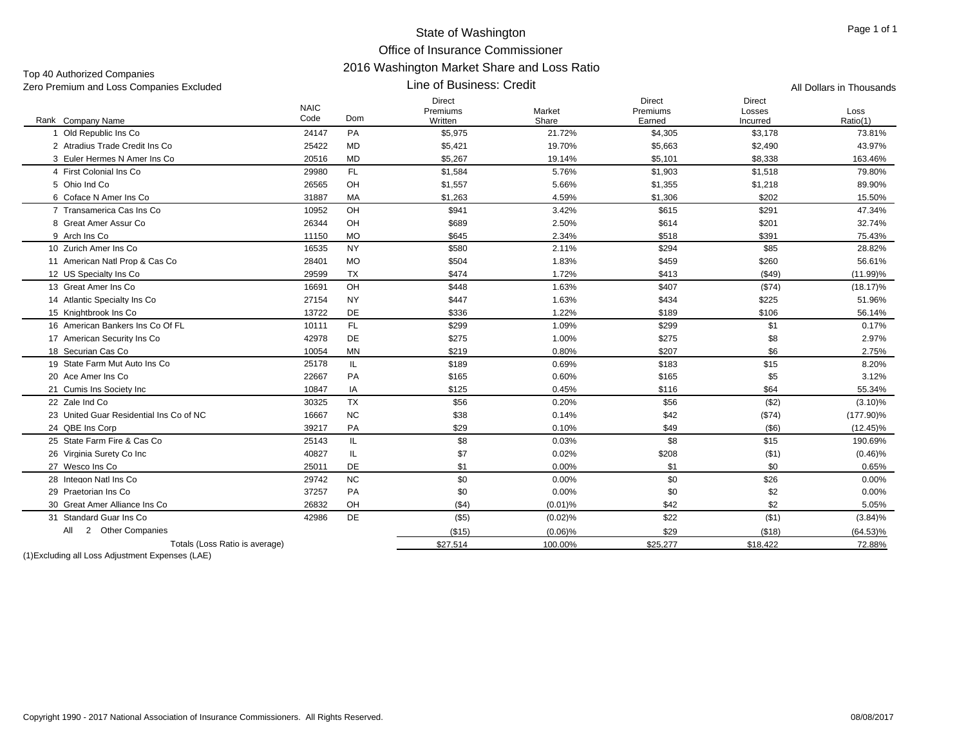Top 40 Authorized Companies<br>Zero Premium and Loss Compa

| TOP TO MUNICILEDG OUTILIANCE<br>Zero Premium and Loss Companies Excluded |                     |           | All Dollars in Thousands             |                 |                                     |                              |                  |
|--------------------------------------------------------------------------|---------------------|-----------|--------------------------------------|-----------------|-------------------------------------|------------------------------|------------------|
| Rank Company Name                                                        | <b>NAIC</b><br>Code | Dom       | <b>Direct</b><br>Premiums<br>Written | Market<br>Share | <b>Direct</b><br>Premiums<br>Earned | Direct<br>Losses<br>Incurred | Loss<br>Ratio(1) |
| Old Republic Ins Co                                                      | 24147               | PA        | \$5,975                              | 21.72%          | \$4,305                             | \$3,178                      | 73.81%           |
| 2 Atradius Trade Credit Ins Co                                           | 25422               | MD        | \$5,421                              | 19.70%          | \$5,663                             | \$2,490                      | 43.97%           |
| 3 Euler Hermes N Amer Ins Co                                             | 20516               | <b>MD</b> | \$5,267                              | 19.14%          | \$5,101                             | \$8,338                      | 163.46%          |
| 4 First Colonial Ins Co                                                  | 29980               | <b>FL</b> | \$1,584                              | 5.76%           | \$1,903                             | \$1,518                      | 79.80%           |
| 5 Ohio Ind Co                                                            | 26565               | OH        | \$1,557                              | 5.66%           | \$1,355                             | \$1,218                      | 89.90%           |
| 6 Coface N Amer Ins Co                                                   | 31887               | MA        | \$1,263                              | 4.59%           | \$1,306                             | \$202                        | 15.50%           |
| 7 Transamerica Cas Ins Co                                                | 10952               | OH        | \$941                                | 3.42%           | \$615                               | \$291                        | 47.34%           |
| 8 Great Amer Assur Co                                                    | 26344               | OH        | \$689                                | 2.50%           | \$614                               | \$201                        | 32.74%           |
| 9 Arch Ins Co                                                            | 11150               | <b>MO</b> | \$645                                | 2.34%           | \$518                               | \$391                        | 75.43%           |
| 10 Zurich Amer Ins Co                                                    | 16535               | <b>NY</b> | \$580                                | 2.11%           | \$294                               | \$85                         | 28.82%           |
| 11 American Natl Prop & Cas Co                                           | 28401               | <b>MO</b> | \$504                                | 1.83%           | \$459                               | \$260                        | 56.61%           |
| 12 US Specialty Ins Co                                                   | 29599               | TX        | \$474                                | 1.72%           | \$413                               | ( \$49)                      | (11.99)%         |
| 13 Great Amer Ins Co.                                                    | 16691               | OH        | \$448                                | 1.63%           | \$407                               | (S74)                        | $(18.17)\%$      |
| 14 Atlantic Specialty Ins Co                                             | 27154               | <b>NY</b> | \$447                                | 1.63%           | \$434                               | \$225                        | 51.96%           |
| 15 Knightbrook Ins Co                                                    | 13722               | DE        | \$336                                | 1.22%           | \$189                               | \$106                        | 56.14%           |
| 16 American Bankers Ins Co Of FL                                         | 10111               | FL        | \$299                                | 1.09%           | \$299                               | \$1                          | 0.17%            |
| 17 American Security Ins Co                                              | 42978               | DE        | \$275                                | 1.00%           | \$275                               | \$8                          | 2.97%            |
| 18 Securian Cas Co                                                       | 10054               | <b>MN</b> | \$219                                | 0.80%           | \$207                               | \$6                          | 2.75%            |
| 19 State Farm Mut Auto Ins Co                                            | 25178               | IL.       | \$189                                | 0.69%           | \$183                               | \$15                         | 8.20%            |
| 20 Ace Amer Ins Co                                                       | 22667               | PA        | \$165                                | 0.60%           | \$165                               | \$5                          | 3.12%            |
| 21 Cumis Ins Society Inc                                                 | 10847               | IA        | \$125                                | 0.45%           | \$116                               | \$64                         | 55.34%           |
| 22 Zale Ind Co                                                           | 30325               | <b>TX</b> | \$56                                 | 0.20%           | \$56                                | ( \$2)                       | $(3.10)\%$       |
| 23 United Guar Residential Ins Co of NC                                  | 16667               | <b>NC</b> | \$38                                 | 0.14%           | \$42                                | (\$74)                       | $(177.90)\%$     |
| 24 QBE Ins Corp                                                          | 39217               | PA        | \$29                                 | 0.10%           | \$49                                | $($ \$6)                     | $(12.45)\%$      |
| 25 State Farm Fire & Cas Co                                              | 25143               | IL.       | \$8                                  | 0.03%           | \$8                                 | \$15                         | 190.69%          |
| 26 Virginia Surety Co Inc                                                | 40827               | IL.       | \$7                                  | 0.02%           | \$208                               | ( \$1)                       | $(0.46)\%$       |
| 27 Wesco Ins Co                                                          | 25011               | DE        | \$1                                  | 0.00%           | \$1                                 | \$0                          | 0.65%            |
| 28 Integon Natl Ins Co                                                   | 29742               | <b>NC</b> | \$0                                  | 0.00%           | \$0                                 | \$26                         | $0.00\%$         |
| 29 Praetorian Ins Co                                                     | 37257               | PA        | \$0                                  | 0.00%           | \$0                                 | \$2                          | $0.00\%$         |
| 30 Great Amer Alliance Ins Co                                            | 26832               | OH        | ( \$4)                               | $(0.01)$ %      | \$42                                | \$2                          | 5.05%            |
| 31 Standard Guar Ins Co                                                  | 42986               | DE        | $($ \$5)                             | $(0.02)$ %      | \$22                                | ( \$1)                       | $(3.84)\%$       |
| 2 Other Companies<br>All                                                 |                     |           | (\$15)                               | $(0.06)\%$      | \$29                                | (\$18)                       | $(64.53)\%$      |
| Totals (Loss Ratio is average)                                           |                     |           | \$27,514                             | 100.00%         | \$25,277                            | \$18,422                     | 72.88%           |
|                                                                          |                     |           |                                      |                 |                                     |                              |                  |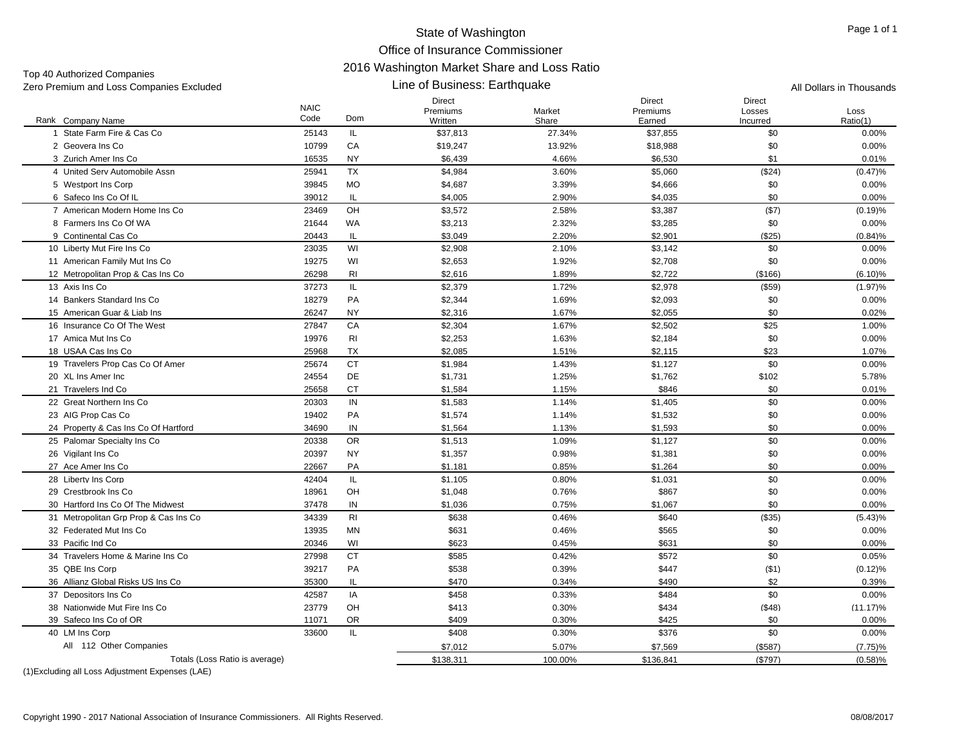| Zero Premium and Loss Companies Excluded |                     |                | All Dollars in Thousands             |                 |                                     |                                     |                  |
|------------------------------------------|---------------------|----------------|--------------------------------------|-----------------|-------------------------------------|-------------------------------------|------------------|
| Rank Company Name                        | <b>NAIC</b><br>Code | Dom            | <b>Direct</b><br>Premiums<br>Written | Market<br>Share | <b>Direct</b><br>Premiums<br>Earned | <b>Direct</b><br>Losses<br>Incurred | Loss<br>Ratio(1) |
| 1 State Farm Fire & Cas Co               | 25143               | IL.            | \$37,813                             | 27.34%          | \$37,855                            | \$0                                 | 0.00%            |
| 2 Geovera Ins Co.                        | 10799               | CA             | \$19,247                             | 13.92%          | \$18,988                            | \$0                                 | 0.00%            |
| 3 Zurich Amer Ins Co                     | 16535               | <b>NY</b>      | \$6,439                              | 4.66%           | \$6,530                             | \$1                                 | 0.01%            |
| 4 United Serv Automobile Assn            | 25941               | <b>TX</b>      | \$4,984                              | 3.60%           | \$5,060                             | (\$24)                              | $(0.47)\%$       |
| 5 Westport Ins Corp                      | 39845               | <b>MO</b>      | \$4,687                              | 3.39%           | \$4,666                             | \$0                                 | 0.00%            |
| 6 Safeco Ins Co Of IL                    | 39012               | IL             | \$4,005                              | 2.90%           | \$4,035                             | \$0                                 | 0.00%            |
| 7 American Modern Home Ins Co            | 23469               | OH             | \$3,572                              | 2.58%           | \$3,387                             | (\$7)                               | (0.19)%          |
| 8 Farmers Ins Co Of WA                   | 21644               | <b>WA</b>      | \$3,213                              | 2.32%           | \$3,285                             | \$0                                 | 0.00%            |
| 9 Continental Cas Co                     | 20443               | IL.            | \$3,049                              | 2.20%           | \$2,901                             | (\$25)                              | $(0.84)\%$       |
| 10 Liberty Mut Fire Ins Co               | 23035               | WI             | \$2,908                              | 2.10%           | \$3,142                             | \$0                                 | 0.00%            |
| 11 American Family Mut Ins Co            | 19275               | WI             | \$2,653                              | 1.92%           | \$2,708                             | \$0                                 | 0.00%            |
| 12 Metropolitan Prop & Cas Ins Co        | 26298               | R <sub>l</sub> | \$2,616                              | 1.89%           | \$2,722                             | (\$166)                             | $(6.10)\%$       |
| 13 Axis Ins Co                           | 37273               | IL.            | \$2,379                              | 1.72%           | \$2,978                             | $($ \$59)                           | $(1.97)\%$       |
| 14 Bankers Standard Ins Co               | 18279               | PA             | \$2,344                              | 1.69%           | \$2,093                             | \$0                                 | 0.00%            |
| 15 American Guar & Liab Ins              | 26247               | NY             | \$2,316                              | 1.67%           | \$2,055                             | \$0                                 | 0.02%            |
| 16 Insurance Co Of The West              | 27847               | CA             | \$2,304                              | 1.67%           | \$2,502                             | \$25                                | 1.00%            |
| 17 Amica Mut Ins Co                      | 19976               | <b>RI</b>      | \$2,253                              | 1.63%           | \$2,184                             | \$0                                 | 0.00%            |
| 18 USAA Cas Ins Co                       | 25968               | <b>TX</b>      | \$2,085                              | 1.51%           | \$2,115                             | \$23                                | 1.07%            |
| 19 Travelers Prop Cas Co Of Amer         | 25674               | <b>CT</b>      | \$1,984                              | 1.43%           | \$1,127                             | \$0                                 | 0.00%            |
| 20 XL Ins Amer Inc                       | 24554               | DE             | \$1,731                              | 1.25%           | \$1,762                             | \$102                               | 5.78%            |
| 21 Travelers Ind Co                      | 25658               | <b>CT</b>      | \$1,584                              | 1.15%           | \$846                               | \$0                                 | 0.01%            |
| 22 Great Northern Ins Co                 | 20303               | IN             | \$1,583                              | 1.14%           | \$1,405                             | \$0                                 | 0.00%            |
| 23 AIG Prop Cas Co                       | 19402               | PA             | \$1,574                              | 1.14%           | \$1,532                             | \$0                                 | 0.00%            |
| 24 Property & Cas Ins Co Of Hartford     | 34690               | IN             | \$1,564                              | 1.13%           | \$1,593                             | \$0                                 | 0.00%            |
| 25 Palomar Specialty Ins Co              | 20338               | <b>OR</b>      | \$1,513                              | 1.09%           | \$1,127                             | \$0                                 | 0.00%            |
| 26 Vigilant Ins Co                       | 20397               | NY             | \$1,357                              | 0.98%           | \$1,381                             | \$0                                 | 0.00%            |
| 27 Ace Amer Ins Co                       | 22667               | PA             | \$1,181                              | 0.85%           | \$1,264                             | \$0                                 | 0.00%            |
| 28 Liberty Ins Corp                      | 42404               | IL.            | \$1,105                              | 0.80%           | \$1,031                             | \$0                                 | 0.00%            |
| 29 Crestbrook Ins Co                     | 18961               | OH             | \$1,048                              | 0.76%           | \$867                               | \$0                                 | 0.00%            |
| 30 Hartford Ins Co Of The Midwest        | 37478               | IN             | \$1,036                              | 0.75%           | \$1,067                             | \$0                                 | 0.00%            |
| 31 Metropolitan Grp Prop & Cas Ins Co    | 34339               | <b>RI</b>      | \$638                                | 0.46%           | \$640                               | (\$35)                              | (5.43)%          |
| 32 Federated Mut Ins Co                  | 13935               | <b>MN</b>      | \$631                                | 0.46%           | \$565                               | \$0                                 | 0.00%            |
| 33 Pacific Ind Co                        | 20346               | WI             | \$623                                | 0.45%           | \$631                               | \$0                                 | 0.00%            |
| 34 Travelers Home & Marine Ins Co        | 27998               | <b>CT</b>      | \$585                                | 0.42%           | \$572                               | \$0                                 | 0.05%            |
| 35 QBE Ins Corp                          | 39217               | PA             | \$538                                | 0.39%           | \$447                               | (\$1)                               | (0.12)%          |
| 36 Allianz Global Risks US Ins Co        | 35300               | IL             | \$470                                | 0.34%           | \$490                               | \$2                                 | 0.39%            |
| 37 Depositors Ins Co                     | 42587               | IA             | \$458                                | 0.33%           | \$484                               | \$0                                 | 0.00%            |
| 38 Nationwide Mut Fire Ins Co.           | 23779               | OH             | \$413                                | 0.30%           | \$434                               | ( \$48)                             | $(11.17)\%$      |
| 39 Safeco Ins Co of OR                   | 11071               | OR             | \$409                                | 0.30%           | \$425                               | \$0                                 | 0.00%            |
| 40 LM Ins Corp                           | 33600               | IL.            | \$408                                | 0.30%           | \$376                               | \$0                                 | 0.00%            |
| All 112 Other Companies                  |                     |                | \$7,012                              | 5.07%           | \$7,569                             | (\$587)                             | $(7.75)\%$       |
| Totals (Loss Ratio is average)           |                     |                | \$138,311                            | 100.00%         | \$136,841                           | (\$797)                             | (0.58)%          |

(1)Excluding all Loss Adjustment Expenses (LAE)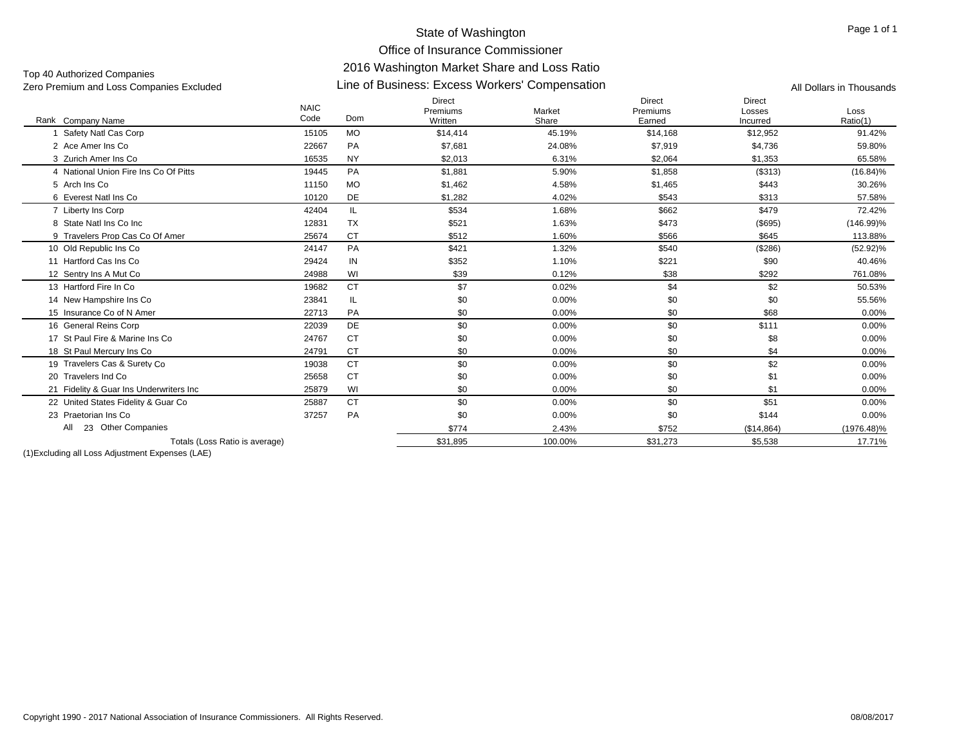Office of Insurance Commissioner

#### Line of Business: Excess Workers' Compensation Zero Premium and Loss Companies Excluded All Dollars in Thousands Top 40 Authorized Companies

# 2016 Washington Market Share and Loss Ratio

| Rank Company Name                       | <b>NAIC</b><br>Code | Dom       | <b>Direct</b><br>Premiums<br>Written | Market<br>Share | <b>Direct</b><br>Premiums<br>Earned | Direct<br>Losses<br>Incurred | Loss<br>Ratio(1) |
|-----------------------------------------|---------------------|-----------|--------------------------------------|-----------------|-------------------------------------|------------------------------|------------------|
| Safety Natl Cas Corp                    | 15105               | <b>MO</b> | \$14,414                             | 45.19%          | \$14,168                            | \$12,952                     | 91.42%           |
| 2 Ace Amer Ins Co                       | 22667               | PA        | \$7,681                              | 24.08%          | \$7,919                             | \$4,736                      | 59.80%           |
| 3 Zurich Amer Ins Co                    | 16535               | <b>NY</b> | \$2,013                              | 6.31%           | \$2,064                             | \$1,353                      | 65.58%           |
| 4 National Union Fire Ins Co Of Pitts   | 19445               | PA        | \$1,881                              | 5.90%           | \$1,858                             | (\$313)                      | $(16.84)\%$      |
| 5 Arch Ins Co                           | 11150               | <b>MO</b> | \$1,462                              | 4.58%           | \$1,465                             | \$443                        | 30.26%           |
| 6 Everest Natl Ins Co                   | 10120               | <b>DE</b> | \$1,282                              | 4.02%           | \$543                               | \$313                        | 57.58%           |
| 7 Liberty Ins Corp                      | 42404               | IL.       | \$534                                | 1.68%           | \$662                               | \$479                        | 72.42%           |
| 8 State Natl Ins Co Inc                 | 12831               | TX        | \$521                                | 1.63%           | \$473                               | $($ \$695)                   | $(146.99)\%$     |
| 9 Travelers Prop Cas Co Of Amer         | 25674               | <b>CT</b> | \$512                                | 1.60%           | \$566                               | \$645                        | 113.88%          |
| 10 Old Republic Ins Co.                 | 24147               | PA        | \$421                                | 1.32%           | \$540                               | (\$286)                      | $(52.92)\%$      |
| 11 Hartford Cas Ins Co                  | 29424               | IN        | \$352                                | 1.10%           | \$221                               | \$90                         | 40.46%           |
| 12 Sentry Ins A Mut Co                  | 24988               | WI        | \$39                                 | 0.12%           | \$38                                | \$292                        | 761.08%          |
| 13 Hartford Fire In Co.                 | 19682               | <b>CT</b> | \$7                                  | 0.02%           | \$4                                 | \$2                          | 50.53%           |
| 14 New Hampshire Ins Co                 | 23841               | IL        | \$0                                  | 0.00%           | \$0                                 | \$0                          | 55.56%           |
| 15 Insurance Co of N Amer               | 22713               | PA        | \$0                                  | 0.00%           | \$0                                 | \$68                         | 0.00%            |
| 16 General Reins Corp                   | 22039               | DE        | \$0                                  | 0.00%           | \$0                                 | \$111                        | 0.00%            |
| 17 St Paul Fire & Marine Ins Co         | 24767               | <b>CT</b> | \$0                                  | 0.00%           | \$0                                 | \$8                          | 0.00%            |
| 18 St Paul Mercury Ins Co               | 24791               | <b>CT</b> | \$0                                  | 0.00%           | \$0                                 | \$4                          | 0.00%            |
| 19 Travelers Cas & Surety Co            | 19038               | <b>CT</b> | \$0                                  | 0.00%           | \$0                                 | \$2                          | $0.00\%$         |
| 20 Travelers Ind Co                     | 25658               | <b>CT</b> | \$0                                  | 0.00%           | \$0                                 | \$1                          | 0.00%            |
| 21 Fidelity & Guar Ins Underwriters Inc | 25879               | WI        | \$0                                  | 0.00%           | \$0                                 | \$1                          | 0.00%            |
| 22 United States Fidelity & Guar Co.    | 25887               | <b>CT</b> | \$0                                  | 0.00%           | \$0                                 | \$51                         | 0.00%            |
| 23 Praetorian Ins Co                    | 37257               | PA        | \$0                                  | 0.00%           | \$0                                 | \$144                        | 0.00%            |
| All<br>23 Other Companies               |                     |           | \$774                                | 2.43%           | \$752                               | (\$14,864)                   | $(1976.48)\%$    |
| Totals (Loss Ratio is average)          |                     |           | \$31,895                             | 100.00%         | \$31,273                            | \$5,538                      | 17.71%           |
|                                         |                     |           |                                      |                 |                                     |                              |                  |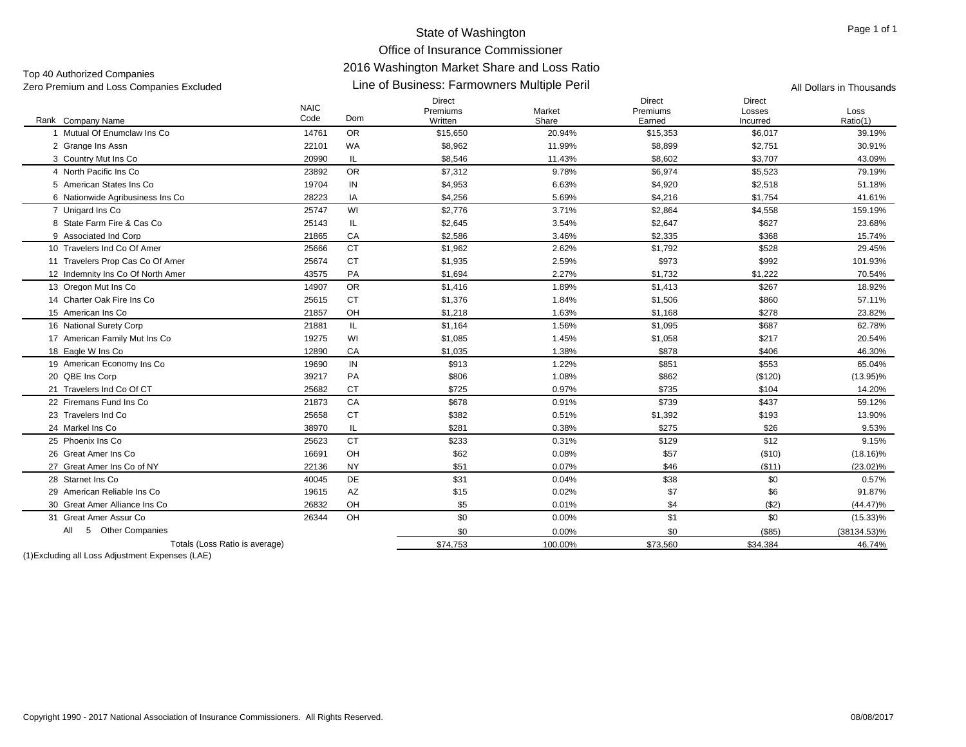# Office of Insurance Commissioner

# 2016 Washington Market Share and Loss Ratio

Top 40 Authorized Companies<br>Zero Premium and Loss Companies Excluded

### Line of Business: Farmowners Multiple Peril Zero Premium and Loss Companies Excluded All Dollars in Thousands

| <b>NAIC</b>                                  |       |           | <b>Direct</b><br>Premiums | Market  | Direct<br>Premiums | <b>Direct</b><br>Losses | Loss           |
|----------------------------------------------|-------|-----------|---------------------------|---------|--------------------|-------------------------|----------------|
| Code<br>Rank Company Name                    |       | Dom       | Written                   | Share   | Earned             | Incurred                | Ratio(1)       |
| Mutual Of Enumclaw Ins Co                    | 14761 | <b>OR</b> | \$15,650                  | 20.94%  | \$15,353           | \$6,017                 | 39.19%         |
| 2 Grange Ins Assn                            | 22101 | <b>WA</b> | \$8,962                   | 11.99%  | \$8,899            | \$2,751                 | 30.91%         |
| 3 Country Mut Ins Co                         | 20990 | IL.       | \$8,546                   | 11.43%  | \$8,602            | \$3,707                 | 43.09%         |
| 4 North Pacific Ins Co                       | 23892 | <b>OR</b> | \$7,312                   | 9.78%   | \$6,974            | \$5,523                 | 79.19%         |
| 5 American States Ins Co                     | 19704 | IN        | \$4,953                   | 6.63%   | \$4,920            | \$2,518                 | 51.18%         |
| 6 Nationwide Agribusiness Ins Co             | 28223 | IA        | \$4,256                   | 5.69%   | \$4,216            | \$1,754                 | 41.61%         |
| 7 Unigard Ins Co                             | 25747 | WI        | \$2,776                   | 3.71%   | \$2,864            | \$4,558                 | 159.19%        |
| 8 State Farm Fire & Cas Co                   | 25143 | IL        | \$2,645                   | 3.54%   | \$2,647            | \$627                   | 23.68%         |
| 9 Associated Ind Corp                        | 21865 | CA        | \$2,586                   | 3.46%   | \$2,335            | \$368                   | 15.74%         |
| 10 Travelers Ind Co Of Amer                  | 25666 | <b>CT</b> | \$1,962                   | 2.62%   | \$1,792            | \$528                   | 29.45%         |
| 11 Travelers Prop Cas Co Of Amer             | 25674 | <b>CT</b> | \$1,935                   | 2.59%   | \$973              | \$992                   | 101.93%        |
| 12 Indemnity Ins Co Of North Amer            | 43575 | PA        | \$1,694                   | 2.27%   | \$1,732            | \$1,222                 | 70.54%         |
| 13 Oregon Mut Ins Co                         | 14907 | <b>OR</b> | \$1,416                   | 1.89%   | \$1,413            | \$267                   | 18.92%         |
| 14 Charter Oak Fire Ins Co                   | 25615 | <b>CT</b> | \$1,376                   | 1.84%   | \$1,506            | \$860                   | 57.11%         |
| 15 American Ins Co                           | 21857 | OH        | \$1.218                   | 1.63%   | \$1,168            | \$278                   | 23.82%         |
| 16 National Surety Corp                      | 21881 | IL.       | \$1,164                   | 1.56%   | \$1,095            | \$687                   | 62.78%         |
| 17 American Family Mut Ins Co                | 19275 | WI        | \$1,085                   | 1.45%   | \$1,058            | \$217                   | 20.54%         |
| 18 Eagle W Ins Co                            | 12890 | CA        | \$1,035                   | 1.38%   | \$878              | \$406                   | 46.30%         |
| 19 American Economy Ins Co                   | 19690 | IN        | \$913                     | 1.22%   | \$851              | \$553                   | 65.04%         |
| 20 QBE Ins Corp                              | 39217 | PA        | \$806                     | 1.08%   | \$862              | (\$120)                 | $(13.95)\%$    |
| 21 Travelers Ind Co Of CT                    | 25682 | <b>CT</b> | \$725                     | 0.97%   | \$735              | \$104                   | 14.20%         |
| 22 Firemans Fund Ins Co                      | 21873 | CA        | \$678                     | 0.91%   | \$739              | \$437                   | 59.12%         |
| 23 Travelers Ind Co                          | 25658 | <b>CT</b> | \$382                     | 0.51%   | \$1,392            | \$193                   | 13.90%         |
| 24 Markel Ins Co                             | 38970 | IL.       | \$281                     | 0.38%   | \$275              | \$26                    | 9.53%          |
| 25 Phoenix Ins Co                            | 25623 | <b>CT</b> | \$233                     | 0.31%   | \$129              | \$12                    | 9.15%          |
| 26 Great Amer Ins Co                         | 16691 | OH        | \$62                      | 0.08%   | \$57               | (\$10)                  | $(18.16)\%$    |
| 27 Great Amer Ins Co of NY                   | 22136 | <b>NY</b> | \$51                      | 0.07%   | \$46               | ( \$11)                 | $(23.02)\%$    |
| 28 Starnet Ins Co                            | 40045 | DE        | \$31                      | 0.04%   | \$38               | \$0                     | 0.57%          |
| 29 American Reliable Ins Co                  | 19615 | AZ        | \$15                      | 0.02%   | \$7                | \$6                     | 91.87%         |
| 30 Great Amer Alliance Ins Co                | 26832 | OH        | \$5                       | 0.01%   | \$4                | (\$2)                   | $(44.47)\%$    |
| 31 Great Amer Assur Co                       | 26344 | OH        | \$0                       | 0.00%   | \$1                | \$0                     | $(15.33)\%$    |
| <b>Other Companies</b><br>All<br>$5^{\circ}$ |       |           | \$0                       | 0.00%   | \$0                | (\$85)                  | $(38134.53)\%$ |
| Totals (Loss Ratio is average)               |       |           | \$74,753                  | 100.00% | \$73,560           | \$34,384                | 46.74%         |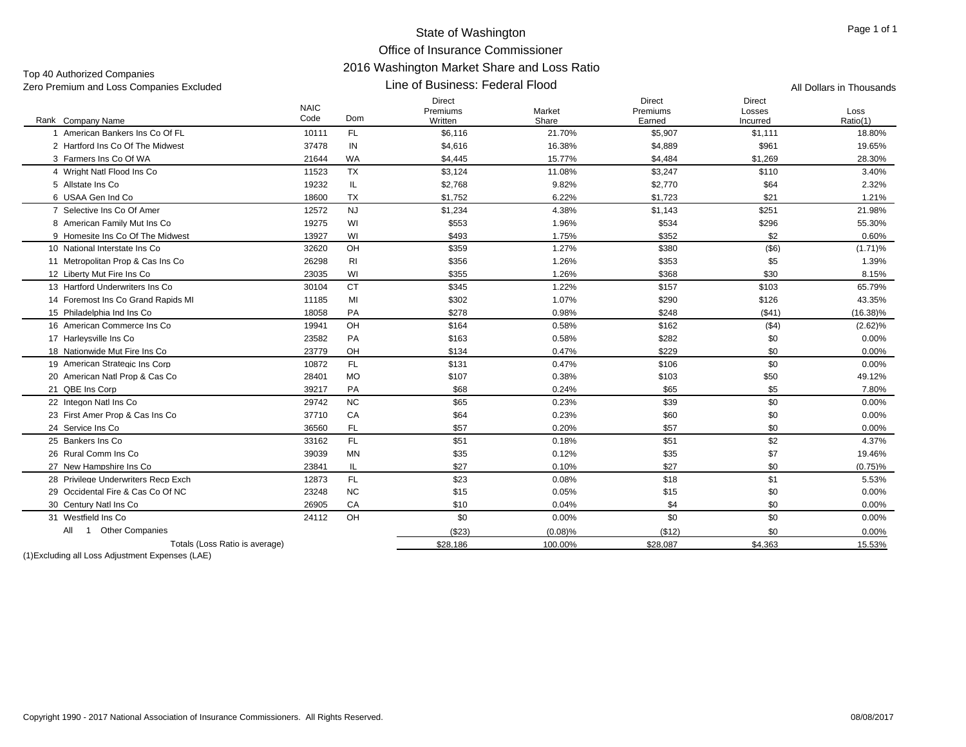#### State of Washington Office of Insurance Commissioner 2016 Washington Market Share and Loss Ratio Line of Business: Federal Flood

| Zero Premium and Loss Companies Excluded |                     | Line of Business: Federal Flood | All Dollars in Thousands             |                 |                              |                              |                  |
|------------------------------------------|---------------------|---------------------------------|--------------------------------------|-----------------|------------------------------|------------------------------|------------------|
| Rank Company Name                        | <b>NAIC</b><br>Code | Dom                             | <b>Direct</b><br>Premiums<br>Written | Market<br>Share | Direct<br>Premiums<br>Earned | Direct<br>Losses<br>Incurred | Loss<br>Ratio(1) |
| 1 American Bankers Ins Co Of FL          | 10111               | FL.                             | \$6,116                              | 21.70%          | \$5,907                      | \$1,111                      | 18.80%           |
| 2 Hartford Ins Co Of The Midwest         | 37478               | IN                              | \$4,616                              | 16.38%          | \$4,889                      | \$961                        | 19.65%           |
| 3 Farmers Ins Co Of WA                   | 21644               | <b>WA</b>                       | \$4,445                              | 15.77%          | \$4,484                      | \$1,269                      | 28.30%           |
| 4 Wright Natl Flood Ins Co               | 11523               | <b>TX</b>                       | \$3,124                              | 11.08%          | \$3,247                      | \$110                        | 3.40%            |
| 5 Allstate Ins Co                        | 19232               | IL.                             | \$2,768                              | 9.82%           | \$2,770                      | \$64                         | 2.32%            |
| 6 USAA Gen Ind Co                        | 18600               | <b>TX</b>                       | \$1,752                              | 6.22%           | \$1,723                      | \$21                         | 1.21%            |
| 7 Selective Ins Co Of Amer               | 12572               | <b>NJ</b>                       | \$1,234                              | 4.38%           | \$1,143                      | \$251                        | 21.98%           |
| 8 American Family Mut Ins Co             | 19275               | WI                              | \$553                                | 1.96%           | \$534                        | \$296                        | 55.30%           |
| 9 Homesite Ins Co Of The Midwest         | 13927               | WI                              | \$493                                | 1.75%           | \$352                        | \$2                          | 0.60%            |
| 10 National Interstate Ins Co            | 32620               | OH                              | \$359                                | 1.27%           | \$380                        | $($ \$6)                     | $(1.71)\%$       |
| 11 Metropolitan Prop & Cas Ins Co        | 26298               | RI                              | \$356                                | 1.26%           | \$353                        | \$5                          | 1.39%            |
| 12 Liberty Mut Fire Ins Co               | 23035               | WI                              | \$355                                | 1.26%           | \$368                        | \$30                         | 8.15%            |
| 13 Hartford Underwriters Ins Co          | 30104               | <b>CT</b>                       | \$345                                | 1.22%           | \$157                        | \$103                        | 65.79%           |
| 14 Foremost Ins Co Grand Rapids MI       | 11185               | MI                              | \$302                                | 1.07%           | \$290                        | \$126                        | 43.35%           |
| 15 Philadelphia Ind Ins Co               | 18058               | PA                              | \$278                                | 0.98%           | \$248                        | ( \$41)                      | $(16.38)\%$      |
| 16 American Commerce Ins Co              | 19941               | OH                              | \$164                                | 0.58%           | \$162                        | ( \$4)                       | $(2.62)\%$       |
| 17 Harlevsville Ins Co                   | 23582               | PA                              | \$163                                | 0.58%           | \$282                        | \$0                          | $0.00\%$         |
| 18 Nationwide Mut Fire Ins Co            | 23779               | OH                              | \$134                                | 0.47%           | \$229                        | \$0                          | $0.00\%$         |
| 19 American Strategic Ins Corp           | 10872               | FL.                             | \$131                                | 0.47%           | \$106                        | \$0                          | $0.00\%$         |
| 20 American Natl Prop & Cas Co           | 28401               | <b>MO</b>                       | \$107                                | 0.38%           | \$103                        | \$50                         | 49.12%           |
| 21 QBE Ins Corp                          | 39217               | PA                              | \$68                                 | 0.24%           | \$65                         | \$5                          | 7.80%            |
| 22 Integon Natl Ins Co                   | 29742               | <b>NC</b>                       | \$65                                 | 0.23%           | \$39                         | \$0                          | $0.00\%$         |
| 23 First Amer Prop & Cas Ins Co          | 37710               | CA                              | \$64                                 | 0.23%           | \$60                         | \$0                          | $0.00\%$         |
| 24 Service Ins Co                        | 36560               | FL.                             | \$57                                 | 0.20%           | \$57                         | \$0                          | $0.00\%$         |
| 25 Bankers Ins Co                        | 33162               | FL.                             | \$51                                 | 0.18%           | \$51                         | \$2                          | 4.37%            |
| 26 Rural Comm Ins Co                     | 39039               | MN                              | \$35                                 | 0.12%           | \$35                         | \$7                          | 19.46%           |
| 27 New Hampshire Ins Co                  | 23841               | IL.                             | \$27                                 | 0.10%           | \$27                         | \$0                          | $(0.75)\%$       |
| 28 Privilege Underwriters Recp Exch      | 12873               | FL.                             | \$23                                 | 0.08%           | \$18                         | \$1                          | 5.53%            |
| 29 Occidental Fire & Cas Co Of NC        | 23248               | <b>NC</b>                       | \$15                                 | 0.05%           | \$15                         | \$0                          | $0.00\%$         |
| 30 Century Natl Ins Co                   | 26905               | CA                              | \$10                                 | 0.04%           | \$4                          | \$0                          | $0.00\%$         |
| 31 Westfield Ins Co                      | 24112               | OH                              | \$0                                  | 0.00%           | \$0                          | \$0                          | $0.00\%$         |
| 1 Other Companies<br>All                 |                     |                                 | (\$23)                               | $(0.08)\%$      | (\$12)                       | \$0                          | $0.00\%$         |
| Totals (Loss Ratio is average)           |                     |                                 | \$28.186                             | 100.00%         | \$28.087                     | \$4,363                      | 15.53%           |
|                                          |                     |                                 |                                      |                 |                              |                              |                  |

(1)Excluding all Loss Adjustment Expenses (LAE)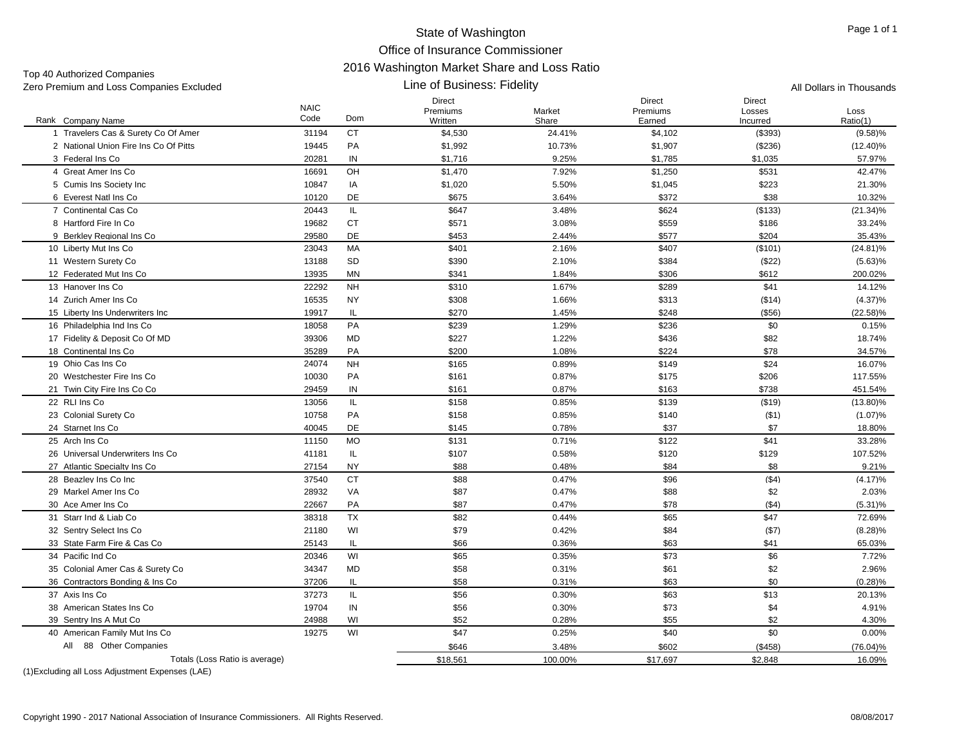#### State of Washington Office of Insurance Commissioner 2016 Washington Market Share and Loss Ratio Line of Business: Fidelity

| Zero Premium and Loss Companies Excluded                |                     |           | All Dollars in Thousands      |                 |                              |                                     |                  |
|---------------------------------------------------------|---------------------|-----------|-------------------------------|-----------------|------------------------------|-------------------------------------|------------------|
| Rank Company Name                                       | <b>NAIC</b><br>Code | Dom       | Direct<br>Premiums<br>Written | Market<br>Share | Direct<br>Premiums<br>Earned | <b>Direct</b><br>Losses<br>Incurred | Loss<br>Ratio(1) |
| 1 Travelers Cas & Surety Co Of Amer                     | 31194               | <b>CT</b> | \$4,530                       | 24.41%          | \$4,102                      | (\$393)                             | (9.58)%          |
| 2 National Union Fire Ins Co Of Pitts                   | 19445               | PA        | \$1,992                       | 10.73%          | \$1,907                      | (\$236)                             | $(12.40)\%$      |
| 3 Federal Ins Co                                        | 20281               | IN        | \$1,716                       | 9.25%           | \$1,785                      | \$1,035                             | 57.97%           |
| 4 Great Amer Ins Co                                     | 16691               | OH        | \$1,470                       | 7.92%           | \$1,250                      | \$531                               | 42.47%           |
| 5 Cumis Ins Society Inc                                 | 10847               | IA        | \$1,020                       | 5.50%           | \$1,045                      | \$223                               | 21.30%           |
| 6 Everest Natl Ins Co                                   | 10120               | DE        | \$675                         | 3.64%           | \$372                        | \$38                                | 10.32%           |
| 7 Continental Cas Co                                    | 20443               | IL.       | \$647                         | 3.48%           | \$624                        | (\$133)                             | $(21.34)\%$      |
| 8 Hartford Fire In Co                                   | 19682               | <b>CT</b> | \$571                         | 3.08%           | \$559                        | \$186                               | 33.24%           |
| 9 Berkley Regional Ins Co                               | 29580               | <b>DE</b> | \$453                         | 2.44%           | \$577                        | \$204                               | 35.43%           |
| 10 Liberty Mut Ins Co                                   | 23043               | МA        | \$401                         | 2.16%           | \$407                        | (\$101)                             | $(24.81)\%$      |
| 11 Western Surety Co                                    | 13188               | SD        | \$390                         | 2.10%           | \$384                        | (\$22)                              | $(5.63)\%$       |
| 12 Federated Mut Ins Co                                 | 13935               | MN        | \$341                         | 1.84%           | \$306                        | \$612                               | 200.02%          |
| 13 Hanover Ins Co                                       | 22292               | <b>NH</b> | \$310                         | 1.67%           | \$289                        | \$41                                | 14.12%           |
| 14 Zurich Amer Ins Co                                   | 16535               | NY        | \$308                         | 1.66%           | \$313                        | (\$14)                              | $(4.37)\%$       |
| 15 Liberty Ins Underwriters Inc                         | 19917               | IL.       | \$270                         | 1.45%           | \$248                        | $($ \$56)                           | $(22.58)\%$      |
| 16 Philadelphia Ind Ins Co.                             | 18058               | PA        | \$239                         | 1.29%           | \$236                        | \$0                                 | 0.15%            |
| 17 Fidelity & Deposit Co Of MD                          | 39306               | <b>MD</b> | \$227                         | 1.22%           | \$436                        | \$82                                | 18.74%           |
| 18 Continental Ins Co                                   | 35289               | PA        | \$200                         | 1.08%           | \$224                        | \$78                                | 34.57%           |
| 19 Ohio Cas Ins Co                                      | 24074               | <b>NH</b> | \$165                         | 0.89%           | \$149                        | \$24                                | 16.07%           |
| 20 Westchester Fire Ins Co                              | 10030               | PA        | \$161                         | 0.87%           | \$175                        | \$206                               | 117.55%          |
| 21 Twin City Fire Ins Co Co                             | 29459               | IN        | \$161                         | 0.87%           | \$163                        | \$738                               | 451.54%          |
| 22 RLI Ins Co                                           | 13056               | IL.       | \$158                         | 0.85%           | \$139                        | ( \$19)                             | $(13.80)\%$      |
| 23 Colonial Surety Co                                   | 10758               | PA        | \$158                         | 0.85%           | \$140                        | ( \$1)                              | $(1.07)\%$       |
| 24 Starnet Ins Co                                       | 40045               | DE        | \$145                         | 0.78%           | \$37                         | \$7                                 | 18.80%           |
| 25 Arch Ins Co                                          | 11150               | <b>MO</b> | \$131                         | 0.71%           | \$122                        | \$41                                | 33.28%           |
| 26 Universal Underwriters Ins Co                        | 41181               | IL.       | \$107                         | 0.58%           | \$120                        | \$129                               | 107.52%          |
| 27 Atlantic Specialty Ins Co                            | 27154               | <b>NY</b> | \$88                          | 0.48%           | \$84                         | \$8                                 | 9.21%            |
| 28 Beazlev Ins Co Inc                                   | 37540               | <b>CT</b> | \$88                          | 0.47%           | \$96                         | (\$4)                               | $(4.17)\%$       |
| 29 Markel Amer Ins Co                                   | 28932               | VA        | \$87                          | 0.47%           | \$88                         | \$2                                 | 2.03%            |
| 30 Ace Amer Ins Co                                      | 22667               | PA        | \$87                          | 0.47%           | \$78                         | ( \$4)                              | (5.31)%          |
| 31 Starr Ind & Liab Co                                  | 38318               | <b>TX</b> | \$82                          | 0.44%           | \$65                         | \$47                                | 72.69%           |
| 32 Sentry Select Ins Co                                 | 21180               | WI        | \$79                          | 0.42%           | \$84                         | ( \$7)                              | $(8.28)\%$       |
| 33 State Farm Fire & Cas Co                             | 25143               | IL.       | \$66                          | 0.36%           | \$63                         | \$41                                | 65.03%           |
| 34 Pacific Ind Co                                       | 20346               | WI        | \$65                          | 0.35%           | \$73                         | \$6                                 | 7.72%            |
| 35 Colonial Amer Cas & Surety Co                        | 34347               | MD        | \$58                          | 0.31%           | \$61                         | \$2                                 | 2.96%            |
| 36 Contractors Bonding & Ins Co                         | 37206               | IL.       | \$58                          | 0.31%           | \$63                         | \$0                                 | (0.28)%          |
| 37 Axis Ins Co                                          | 37273               | IL.       | \$56                          | 0.30%           | \$63                         | \$13                                | 20.13%           |
| 38 American States Ins Co                               | 19704               | $\sf IN$  | \$56                          | 0.30%           | \$73                         | \$4                                 | 4.91%            |
|                                                         |                     | WI        |                               |                 |                              |                                     |                  |
| 39 Sentry Ins A Mut Co<br>40 American Family Mut Ins Co | 24988<br>19275      | WI        | \$52<br>\$47                  | 0.28%<br>0.25%  | \$55<br>\$40                 | \$2<br>\$0                          | 4.30%            |
| 88 Other Companies                                      |                     |           |                               |                 |                              |                                     | 0.00%            |
| All                                                     |                     |           | \$646                         | 3.48%           | \$602                        | (\$458)                             | $(76.04)\%$      |
| Totals (Loss Ratio is average)                          |                     |           | \$18,561                      | 100.00%         | \$17,697                     | \$2,848                             | 16.09%           |

(1)Excluding all Loss Adjustment Expenses (LAE)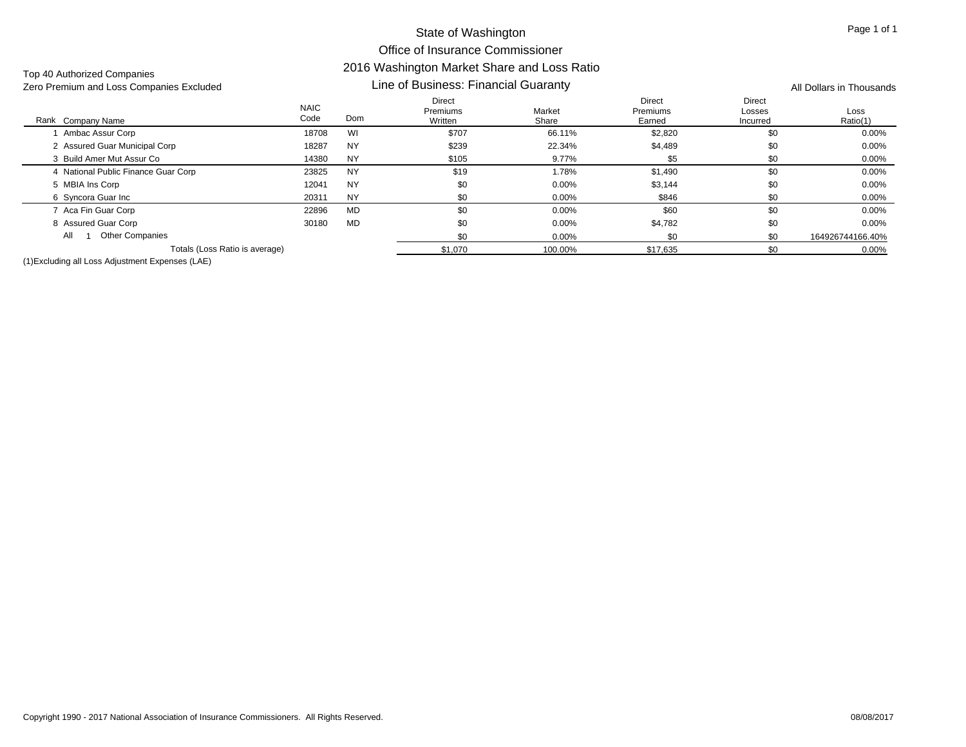| Top 40 Authorized Companies              |  |
|------------------------------------------|--|
| Zero Premium and Loss Companies Excluded |  |

| Zero Premium and Loss Companies Excluded |                     | Line of Business: Financial Guaranty | All Dollars in Thousands      |                 |                                     |                              |                  |
|------------------------------------------|---------------------|--------------------------------------|-------------------------------|-----------------|-------------------------------------|------------------------------|------------------|
| Rank Company Name                        | <b>NAIC</b><br>Code | <b>Dom</b>                           | Direct<br>Premiums<br>Written | Market<br>Share | <b>Direct</b><br>Premiums<br>Earned | Direct<br>Losses<br>Incurred | Loss<br>Ratio(1) |
| Ambac Assur Corp                         | 18708               | WI                                   | \$707                         | 66.11%          | \$2,820                             | \$0                          | $0.00\%$         |
| 2 Assured Guar Municipal Corp            | 18287               | <b>NY</b>                            | \$239                         | 22.34%          | \$4,489                             | \$0                          | $0.00\%$         |
| 3 Build Amer Mut Assur Co                | 14380               | <b>NY</b>                            | \$105                         | 9.77%           | \$5                                 | \$0                          | $0.00\%$         |
| 4 National Public Finance Guar Corp      | 23825               | <b>NY</b>                            | \$19                          | 1.78%           | \$1,490                             | \$0                          | $0.00\%$         |
| 5 MBIA Ins Corp                          | 12041               | <b>NY</b>                            | \$0                           | 0.00%           | \$3,144                             | \$0                          | $0.00\%$         |
| 6 Syncora Guar Inc                       | 20311               | <b>NY</b>                            | \$0                           | 0.00%           | \$846                               | \$0                          | $0.00\%$         |
| 7 Aca Fin Guar Corp                      | 22896               | MD                                   | \$0                           | 0.00%           | \$60                                | \$0                          | $0.00\%$         |
| 8 Assured Guar Corp                      | 30180               | <b>MD</b>                            | \$0                           | 0.00%           | \$4,782                             | \$0                          | $0.00\%$         |
| <b>Other Companies</b><br>All            |                     |                                      | \$0                           | $0.00\%$        | \$0                                 | \$0                          | 164926744166.40% |
| Totals (Loss Ratio is average)           | \$1,070             | 100.00%                              | \$17.635                      | \$0             | $0.00\%$                            |                              |                  |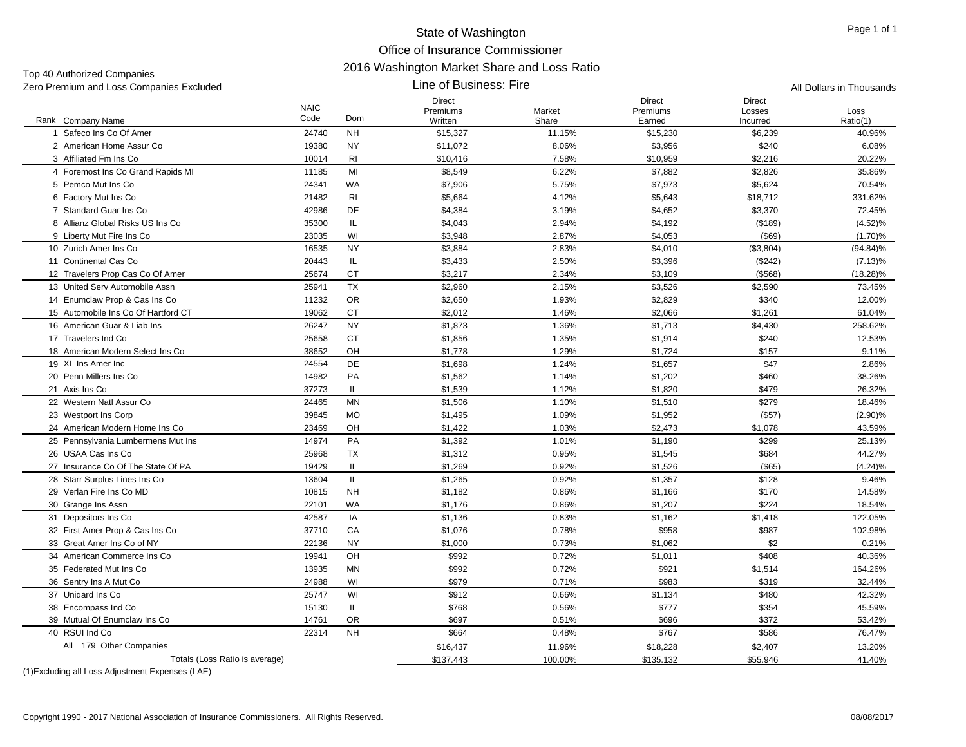#### State of Washington Office of Insurance Commissioner 2016 Washington Market Share and Loss Ratio Line of Business: Fire

| Zero Premium and Loss Companies Excluded |                     |                | Line of Business: Fire               |                 | All Dollars in Thousands            |                              |                  |  |
|------------------------------------------|---------------------|----------------|--------------------------------------|-----------------|-------------------------------------|------------------------------|------------------|--|
| Rank Company Name                        | <b>NAIC</b><br>Code | Dom            | <b>Direct</b><br>Premiums<br>Written | Market<br>Share | <b>Direct</b><br>Premiums<br>Earned | Direct<br>Losses<br>Incurred | Loss<br>Ratio(1) |  |
| 1 Safeco Ins Co Of Amer                  | 24740               | <b>NH</b>      | \$15,327                             | 11.15%          | \$15,230                            | \$6,239                      | 40.96%           |  |
| 2 American Home Assur Co                 | 19380               | <b>NY</b>      | \$11,072                             | 8.06%           | \$3,956                             | \$240                        | 6.08%            |  |
| 3 Affiliated Fm Ins Co                   | 10014               | RI             | \$10,416                             | 7.58%           | \$10,959                            | \$2,216                      | 20.22%           |  |
| 4 Foremost Ins Co Grand Rapids MI        | 11185               | MI             | \$8,549                              | 6.22%           | \$7,882                             | \$2,826                      | 35.86%           |  |
| 5 Pemco Mut Ins Co                       | 24341               | WA             | \$7,906                              | 5.75%           | \$7,973                             | \$5,624                      | 70.54%           |  |
| 6 Factory Mut Ins Co                     | 21482               | R <sub>1</sub> | \$5,664                              | 4.12%           | \$5,643                             | \$18,712                     | 331.62%          |  |
| 7 Standard Guar Ins Co                   | 42986               | DE             | \$4,384                              | 3.19%           | \$4,652                             | \$3,370                      | 72.45%           |  |
| 8 Allianz Global Risks US Ins Co         | 35300               | IL             | \$4,043                              | 2.94%           | \$4,192                             | (\$189)                      | (4.52)%          |  |
| 9 Liberty Mut Fire Ins Co                | 23035               | WI             | \$3,948                              | 2.87%           | \$4,053                             | $($ \$69)                    | $(1.70)\%$       |  |
| 10 Zurich Amer Ins Co                    | 16535               | <b>NY</b>      | \$3,884                              | 2.83%           | \$4,010                             | (\$3,804)                    | $(94.84)\%$      |  |
| 11 Continental Cas Co                    | 20443               | IL             | \$3,433                              | 2.50%           | \$3,396                             | (\$242)                      | (7.13)%          |  |
| 12 Travelers Prop Cas Co Of Amer         | 25674               | <b>CT</b>      | \$3,217                              | 2.34%           | \$3,109                             | ( \$568)                     | $(18.28)\%$      |  |
| 13 United Serv Automobile Assn           | 25941               | <b>TX</b>      | \$2,960                              | 2.15%           | \$3,526                             | \$2,590                      | 73.45%           |  |
|                                          |                     |                |                                      |                 |                                     |                              |                  |  |
| 14 Enumclaw Prop & Cas Ins Co            | 11232               | <b>OR</b>      | \$2,650                              | 1.93%           | \$2,829                             | \$340                        | 12.00%           |  |
| 15 Automobile Ins Co Of Hartford CT      | 19062               | <b>CT</b>      | \$2,012                              | 1.46%           | \$2,066                             | \$1,261                      | 61.04%           |  |
| 16 American Guar & Liab Ins              | 26247               | <b>NY</b>      | \$1,873                              | 1.36%           | \$1,713                             | \$4,430                      | 258.62%          |  |
| 17 Travelers Ind Co                      | 25658               | <b>CT</b>      | \$1,856                              | 1.35%           | \$1,914                             | \$240                        | 12.53%           |  |
| 18 American Modern Select Ins Co         | 38652               | OH             | \$1,778                              | 1.29%           | \$1,724                             | \$157                        | 9.11%            |  |
| 19 XL Ins Amer Inc                       | 24554               | DE             | \$1,698                              | 1.24%           | \$1,657                             | \$47                         | 2.86%            |  |
| 20 Penn Millers Ins Co                   | 14982               | PA             | \$1,562                              | 1.14%           | \$1,202                             | \$460                        | 38.26%           |  |
| 21 Axis Ins Co                           | 37273               | IL             | \$1,539                              | 1.12%           | \$1,820                             | \$479                        | 26.32%           |  |
| 22 Western Natl Assur Co                 | 24465               | <b>MN</b>      | \$1,506                              | 1.10%           | \$1,510                             | \$279                        | 18.46%           |  |
| 23 Westport Ins Corp                     | 39845               | <b>MO</b>      | \$1,495                              | 1.09%           | \$1,952                             | (\$57)                       | $(2.90)\%$       |  |
| 24 American Modern Home Ins Co           | 23469               | OH             | \$1,422                              | 1.03%           | \$2,473                             | \$1,078                      | 43.59%           |  |
| 25 Pennsylvania Lumbermens Mut Ins       | 14974               | PA             | \$1,392                              | 1.01%           | \$1,190                             | \$299                        | 25.13%           |  |
| 26 USAA Cas Ins Co                       | 25968               | TX             | \$1,312                              | 0.95%           | \$1,545                             | \$684                        | 44.27%           |  |
| 27 Insurance Co Of The State Of PA       | 19429               | IL             | \$1,269                              | 0.92%           | \$1,526                             | $($ \$65)                    | (4.24)%          |  |
| 28 Starr Surplus Lines Ins Co            | 13604               | IL.            | \$1,265                              | 0.92%           | \$1,357                             | \$128                        | 9.46%            |  |
| 29 Verlan Fire Ins Co MD                 | 10815               | <b>NH</b>      | \$1,182                              | 0.86%           | \$1,166                             | \$170                        | 14.58%           |  |
| 30 Grange Ins Assn                       | 22101               | WA             | \$1,176                              | 0.86%           | \$1,207                             | \$224                        | 18.54%           |  |
| 31 Depositors Ins Co                     | 42587               | IA             | \$1,136                              | 0.83%           | \$1,162                             | \$1,418                      | 122.05%          |  |
| 32 First Amer Prop & Cas Ins Co          | 37710               | CA             | \$1,076                              | 0.78%           | \$958                               | \$987                        | 102.98%          |  |
| 33 Great Amer Ins Co of NY               | 22136               | <b>NY</b>      | \$1,000                              | 0.73%           | \$1,062                             | \$2                          | 0.21%            |  |
| 34 American Commerce Ins Co              | 19941               | OH             | \$992                                | 0.72%           | \$1,011                             | \$408                        | 40.36%           |  |
| 35 Federated Mut Ins Co                  | 13935               | MN             | \$992                                | 0.72%           | \$921                               | \$1,514                      | 164.26%          |  |
| 36 Sentry Ins A Mut Co                   | 24988               | WI             | \$979                                | 0.71%           | \$983                               | \$319                        | 32.44%           |  |
| 37 Unigard Ins Co                        | 25747               | WI             | \$912                                | 0.66%           | \$1,134                             | \$480                        | 42.32%           |  |
| 38 Encompass Ind Co                      | 15130               | IL             | \$768                                | 0.56%           | \$777                               | \$354                        | 45.59%           |  |
| 39 Mutual Of Enumclaw Ins Co             | 14761               | <b>OR</b>      | \$697                                | 0.51%           | \$696                               | \$372                        | 53.42%           |  |
| 40 RSUI Ind Co                           | 22314               | <b>NH</b>      | \$664                                | 0.48%           | \$767                               | \$586                        | 76.47%           |  |
| All 179 Other Companies                  |                     |                | \$16,437                             | 11.96%          | \$18,228                            | \$2,407                      | 13.20%           |  |
| Totals (Loss Ratio is average)           |                     |                | \$137,443                            | 100.00%         | \$135,132                           | \$55,946                     | 41.40%           |  |
|                                          |                     |                |                                      |                 |                                     |                              |                  |  |

(1)Excluding all Loss Adjustment Expenses (LAE)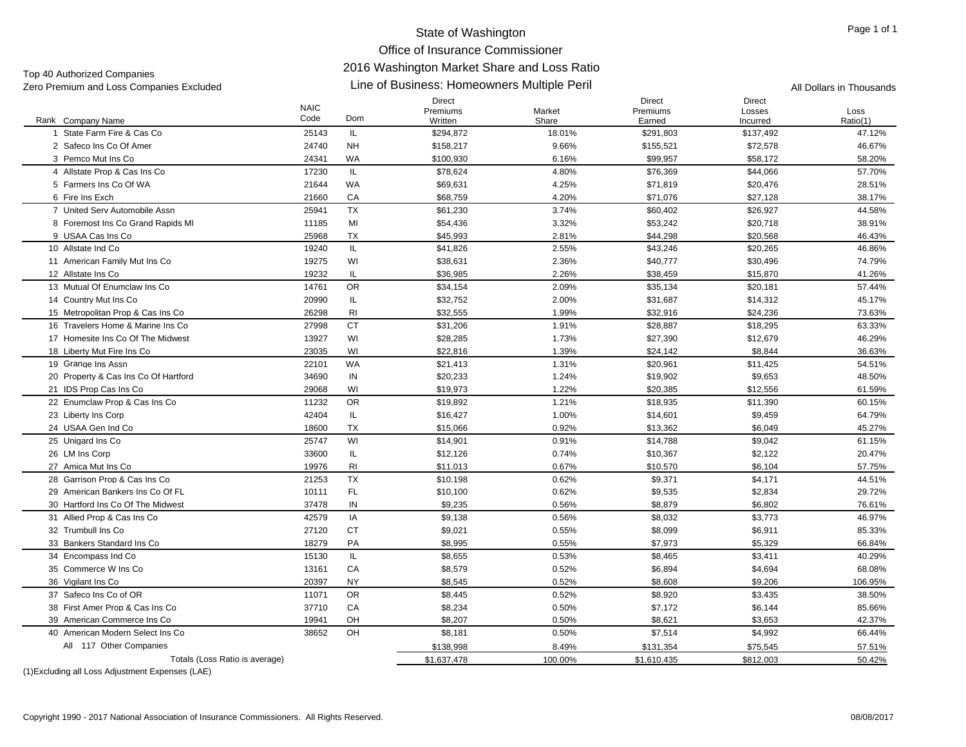# Office of Insurance Commissioner

#### 2016 Washington Market Share and Loss Ratio

34 Encompass Ind Co

(1)Excluding all Loss Adjustment Expenses (LAE)

All 117 Other Companies

36 Vigilant Ins Co

| Top 40 Authorized Companies              |                     | <u>ZUTU WASHINGKUN MANGE ONAFG ANG LUSS KANO</u> |                                             |                 |                              |                                     |                          |  |  |  |  |
|------------------------------------------|---------------------|--------------------------------------------------|---------------------------------------------|-----------------|------------------------------|-------------------------------------|--------------------------|--|--|--|--|
| Zero Premium and Loss Companies Excluded |                     |                                                  | Line of Business: Homeowners Multiple Peril |                 |                              |                                     | All Dollars in Thousands |  |  |  |  |
| Rank Company Name                        | <b>NAIC</b><br>Code | Dom                                              | Direct<br>Premiums<br>Written               | Market<br>Share | Direct<br>Premiums<br>Earned | <b>Direct</b><br>Losses<br>Incurred | Loss<br>Ratio(1)         |  |  |  |  |
| State Farm Fire & Cas Co                 | 25143               | IL.                                              | \$294,872                                   | 18.01%          | \$291,803                    | \$137,492                           | 47.12%                   |  |  |  |  |
| 2 Safeco Ins Co Of Amer                  | 24740               | <b>NH</b>                                        | \$158,217                                   | 9.66%           | \$155,521                    | \$72,578                            | 46.67%                   |  |  |  |  |
| 3 Pemco Mut Ins Co                       | 24341               | WA                                               | \$100,930                                   | 6.16%           | \$99,957                     | \$58,172                            | 58.20%                   |  |  |  |  |
| 4 Allstate Prop & Cas Ins Co             | 17230               | IL.                                              | \$78,624                                    | 4.80%           | \$76,369                     | \$44,066                            | 57.70%                   |  |  |  |  |
| 5 Farmers Ins Co Of WA                   | 21644               | WA                                               | \$69,631                                    | 4.25%           | \$71,819                     | \$20,476                            | 28.51%                   |  |  |  |  |
| 6 Fire Ins Exch                          | 21660               | CA                                               | \$68,759                                    | 4.20%           | \$71,076                     | \$27,128                            | 38.17%                   |  |  |  |  |
| 7 United Serv Automobile Assn            | 25941               | <b>TX</b>                                        | \$61,230                                    | 3.74%           | \$60,402                     | \$26,927                            | 44.58%                   |  |  |  |  |
| 8 Foremost Ins Co Grand Rapids MI        | 11185               | MI                                               | \$54,436                                    | 3.32%           | \$53,242                     | \$20,718                            | 38.91%                   |  |  |  |  |
| 9 USAA Cas Ins Co                        | 25968               | <b>TX</b>                                        | \$45,993                                    | 2.81%           | \$44,298                     | \$20,568                            | 46.43%                   |  |  |  |  |
| 10 Allstate Ind Co                       | 19240               | IL.                                              | \$41,826                                    | 2.55%           | \$43,246                     | \$20,265                            | 46.86%                   |  |  |  |  |
| 11 American Family Mut Ins Co            | 19275               | WI                                               | \$38,631                                    | 2.36%           | \$40,777                     | \$30,496                            | 74.79%                   |  |  |  |  |
| 12 Allstate Ins Co                       | 19232               | IL.                                              | \$36,985                                    | 2.26%           | \$38,459                     | \$15,870                            | 41.26%                   |  |  |  |  |
| 13 Mutual Of Enumclaw Ins Co             | 14761               | <b>OR</b>                                        | \$34,154                                    | 2.09%           | \$35,134                     | \$20,181                            | 57.44%                   |  |  |  |  |
| 14 Country Mut Ins Co                    | 20990               | IL                                               | \$32,752                                    | 2.00%           | \$31,687                     | \$14,312                            | 45.17%                   |  |  |  |  |
| 15 Metropolitan Prop & Cas Ins Co        | 26298               | RI                                               | \$32,555                                    | 1.99%           | \$32,916                     | \$24,236                            | 73.63%                   |  |  |  |  |
| 16 Travelers Home & Marine Ins Co        | 27998               | <b>CT</b>                                        | \$31,206                                    | 1.91%           | \$28,887                     | \$18,295                            | 63.33%                   |  |  |  |  |
| 17 Homesite Ins Co Of The Midwest        | 13927               | WI                                               | \$28,285                                    | 1.73%           | \$27,390                     | \$12,679                            | 46.29%                   |  |  |  |  |
| 18 Liberty Mut Fire Ins Co               | 23035               | WI                                               | \$22,816                                    | 1.39%           | \$24,142                     | \$8,844                             | 36.63%                   |  |  |  |  |
| 19 Grange Ins Assn                       | 22101               | WA                                               | \$21,413                                    | 1.31%           | \$20,961                     | \$11,425                            | 54.51%                   |  |  |  |  |
| 20 Property & Cas Ins Co Of Hartford     | 34690               | IN                                               | \$20,233                                    | 1.24%           | \$19,902                     | \$9,653                             | 48.50%                   |  |  |  |  |
| 21 IDS Prop Cas Ins Co                   | 29068               | WI                                               | \$19,973                                    | 1.22%           | \$20,385                     | \$12,556                            | 61.59%                   |  |  |  |  |
| 22 Enumclaw Prop & Cas Ins Co            | 11232               | <b>OR</b>                                        | \$19,892                                    | 1.21%           | \$18,935                     | \$11,390                            | 60.15%                   |  |  |  |  |
| 23 Liberty Ins Corp                      | 42404               | IL                                               | \$16,427                                    | 1.00%           | \$14,601                     | \$9,459                             | 64.79%                   |  |  |  |  |
| 24 USAA Gen Ind Co                       | 18600               | <b>TX</b>                                        | \$15,066                                    | 0.92%           | \$13,362                     | \$6,049                             | 45.27%                   |  |  |  |  |
| 25 Unigard Ins Co                        | 25747               | WI                                               | \$14.901                                    | 0.91%           | \$14,788                     | \$9,042                             | 61.15%                   |  |  |  |  |
| 26 LM Ins Corp                           | 33600               | IL                                               | \$12,126                                    | 0.74%           | \$10,367                     | \$2,122                             | 20.47%                   |  |  |  |  |
| 27 Amica Mut Ins Co                      | 19976               | RI                                               | \$11,013                                    | 0.67%           | \$10,570                     | \$6,104                             | 57.75%                   |  |  |  |  |
| 28 Garrison Prop & Cas Ins Co            | 21253               | <b>TX</b>                                        | \$10,198                                    | 0.62%           | \$9,371                      | \$4,171                             | 44.51%                   |  |  |  |  |
| 29 American Bankers Ins Co Of FL         | 10111               | FL.                                              | \$10,100                                    | 0.62%           | \$9,535                      | \$2,834                             | 29.72%                   |  |  |  |  |
| 30 Hartford Ins Co Of The Midwest        | 37478               | IN                                               | \$9,235                                     | 0.56%           | \$8,879                      | \$6,802                             | 76.61%                   |  |  |  |  |
| 31 Allied Prop & Cas Ins Co              | 42579               | IA                                               | \$9,138                                     | 0.56%           | \$8,032                      | \$3,773                             | 46.97%                   |  |  |  |  |
| 32 Trumbull Ins Co                       | 27120               | CT                                               | \$9,021                                     | 0.55%           | \$8,099                      | \$6,911                             | 85.33%                   |  |  |  |  |
| 33 Bankers Standard Ins Co               | 18279               | PA                                               | \$8,995                                     | 0.55%           | \$7,973                      | \$5,329                             | 66.84%                   |  |  |  |  |

4 Encompass Ind Co 15130 IL \$8.655 0.53% \$8.465 \$3.411 40.29%

6 Vigilant Ins Co 20397 NY \$8.545 0.52% \$8.608 \$9.206 106.95%

38 First Amer Prop & Cas Ins Co CA \$8.234 \$7,172 \$6.144 85.66%

Totals (Loss Ratio is average)  $$1,637,478$   $$1,637,478$   $$1,610,435$   $$812,003$   $$812,003$   $$50.42\%$ 

\$8,579 0.52% \$6,894 \$4,694 68.08%

**R** \$8,445 \$8,445 0.52% \$8,920 \$3,435 \$8,445 38.50%

H \$8.207 0.50% \$8.621 \$3.653 42.37%

\$8,181 0.50% \$7,514 \$4,992 66.44%

\$138,998 8.49% \$131,354 \$75,545 57.51%

35 Commerce W Ins Co 13161 CA

37 Safeco Ins Co of OR 11071 OR

39 American Commerce Ins Co 19941 OH

40 American Modern Select Ins Co 38652 OH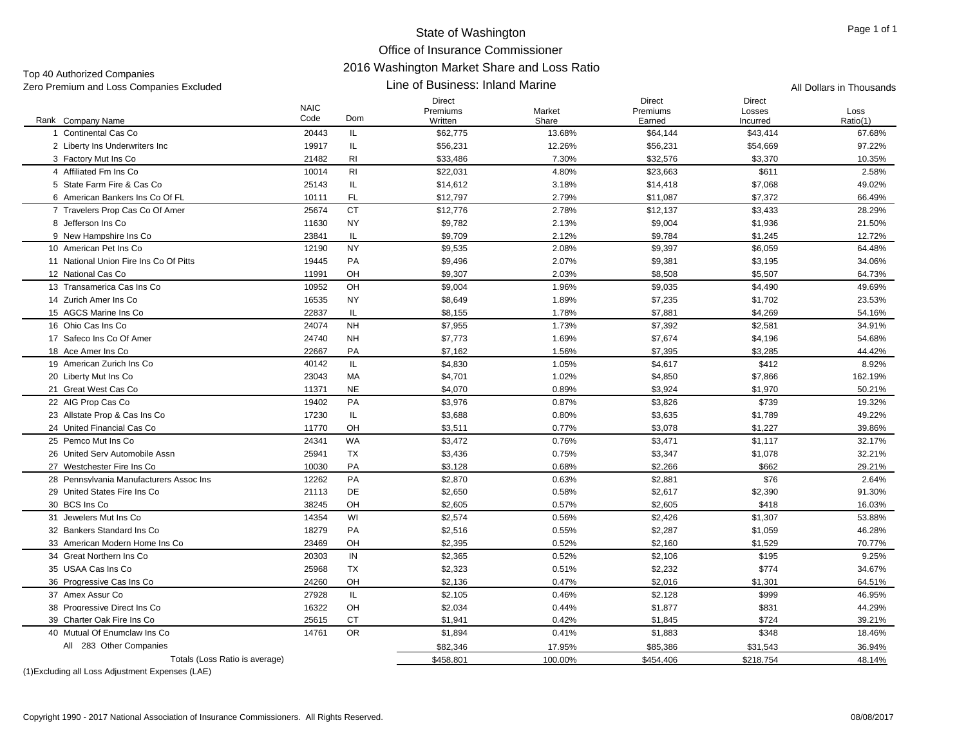Top 40 Authorized Companies

#### Line of Business: Inland Marine Zero Premium and Loss Companies Excluded **All Dollars in Thousands** Line of Business: Inland Marine All Dollars in Thousands

|                                           | <b>NAIC</b><br>Code | Dom            | <b>Direct</b><br>Premiums | Market          | <b>Direct</b><br>Premiums | <b>Direct</b><br>Losses | Loss               |
|-------------------------------------------|---------------------|----------------|---------------------------|-----------------|---------------------------|-------------------------|--------------------|
| Rank Company Name<br>1 Continental Cas Co | 20443               | IL             | Written<br>\$62,775       | Share<br>13.68% | Earned                    | Incurred<br>\$43,414    | Ratio(1)<br>67.68% |
| 2 Liberty Ins Underwriters Inc            | 19917               | IL             |                           |                 | \$64,144                  | \$54,669                | 97.22%             |
| 3 Factory Mut Ins Co                      | 21482               | R <sub>l</sub> | \$56,231                  | 12.26%<br>7.30% | \$56,231<br>\$32,576      |                         |                    |
| 4 Affiliated Fm Ins Co                    |                     | R <sub>l</sub> | \$33,486                  | 4.80%           |                           | \$3,370<br>\$611        | 10.35%             |
| 5 State Farm Fire & Cas Co                | 10014<br>25143      | IL             | \$22,031                  |                 | \$23,663                  |                         | 2.58%              |
|                                           |                     |                | \$14,612                  | 3.18%           | \$14,418                  | \$7,068                 | 49.02%             |
| 6 American Bankers Ins Co Of FL           | 10111               | <b>FL</b>      | \$12,797                  | 2.79%           | \$11,087                  | \$7,372                 | 66.49%             |
| 7 Travelers Prop Cas Co Of Amer           | 25674               | <b>CT</b>      | \$12,776                  | 2.78%           | \$12,137                  | \$3,433                 | 28.29%             |
| 8 Jefferson Ins Co                        | 11630               | <b>NY</b>      | \$9,782                   | 2.13%           | \$9,004                   | \$1,936                 | 21.50%             |
| 9 New Hampshire Ins Co                    | 23841               | IL             | \$9,709                   | 2.12%           | \$9,784                   | \$1,245                 | 12.72%             |
| 10 American Pet Ins Co                    | 12190               | <b>NY</b>      | \$9,535                   | 2.08%           | \$9,397                   | \$6,059                 | 64.48%             |
| 11 National Union Fire Ins Co Of Pitts    | 19445               | PA             | \$9,496                   | 2.07%           | \$9,381                   | \$3,195                 | 34.06%             |
| 12 National Cas Co                        | 11991               | OH             | \$9,307                   | 2.03%           | \$8,508                   | \$5,507                 | 64.73%             |
| 13 Transamerica Cas Ins Co                | 10952               | OH             | \$9,004                   | 1.96%           | \$9,035                   | \$4,490                 | 49.69%             |
| 14 Zurich Amer Ins Co                     | 16535               | <b>NY</b>      | \$8,649                   | 1.89%           | \$7,235                   | \$1,702                 | 23.53%             |
| 15 AGCS Marine Ins Co                     | 22837               | IL.            | \$8,155                   | 1.78%           | \$7,881                   | \$4,269                 | 54.16%             |
| 16 Ohio Cas Ins Co                        | 24074               | <b>NH</b>      | \$7,955                   | 1.73%           | \$7,392                   | \$2,581                 | 34.91%             |
| 17 Safeco Ins Co Of Amer                  | 24740               | <b>NH</b>      | \$7,773                   | 1.69%           | \$7,674                   | \$4,196                 | 54.68%             |
| 18 Ace Amer Ins Co                        | 22667               | PA             | \$7,162                   | 1.56%           | \$7,395                   | \$3,285                 | 44.42%             |
| 19 American Zurich Ins Co                 | 40142               | IL             | \$4,830                   | 1.05%           | \$4,617                   | \$412                   | 8.92%              |
| 20 Liberty Mut Ins Co                     | 23043               | МA             | \$4,701                   | 1.02%           | \$4,850                   | \$7,866                 | 162.19%            |
| 21 Great West Cas Co                      | 11371               | <b>NE</b>      | \$4,070                   | 0.89%           | \$3,924                   | \$1,970                 | 50.21%             |
| 22 AIG Prop Cas Co                        | 19402               | PA             | \$3,976                   | 0.87%           | \$3,826                   | \$739                   | 19.32%             |
| 23 Allstate Prop & Cas Ins Co             | 17230               | IL             | \$3,688                   | 0.80%           | \$3,635                   | \$1,789                 | 49.22%             |
| 24 United Financial Cas Co                | 11770               | OH             | \$3,511                   | 0.77%           | \$3,078                   | \$1,227                 | 39.86%             |
| 25 Pemco Mut Ins Co                       | 24341               | <b>WA</b>      | \$3.472                   | 0.76%           | \$3,471                   | \$1.117                 | 32.17%             |
| 26 United Serv Automobile Assn            | 25941               | TX             | \$3,436                   | 0.75%           | \$3,347                   | \$1,078                 | 32.21%             |
| 27 Westchester Fire Ins Co                | 10030               | PA             | \$3,128                   | 0.68%           | \$2,266                   | \$662                   | 29.21%             |
| 28 Pennsylvania Manufacturers Assoc Ins   | 12262               | PA             | \$2,870                   | 0.63%           | \$2,881                   | \$76                    | 2.64%              |
| 29 United States Fire Ins Co.             | 21113               | DE             | \$2,650                   | 0.58%           | \$2,617                   | \$2,390                 | 91.30%             |
| 30 BCS Ins Co                             | 38245               | OH             | \$2,605                   | 0.57%           | \$2,605                   | \$418                   | 16.03%             |
| 31 Jewelers Mut Ins Co                    | 14354               | WI             | \$2,574                   | 0.56%           | \$2,426                   | \$1,307                 | 53.88%             |
| 32 Bankers Standard Ins Co                | 18279               | <b>PA</b>      | \$2,516                   | 0.55%           | \$2,287                   | \$1,059                 | 46.28%             |
| 33 American Modern Home Ins Co            | 23469               | OH             | \$2,395                   | 0.52%           | \$2,160                   | \$1,529                 | 70.77%             |
| 34 Great Northern Ins Co.                 | 20303               | IN             | \$2,365                   | 0.52%           | \$2,106                   | \$195                   | 9.25%              |
| 35 USAA Cas Ins Co                        | 25968               | <b>TX</b>      | \$2,323                   | 0.51%           | \$2,232                   | \$774                   | 34.67%             |
| 36 Progressive Cas Ins Co                 | 24260               | OH             | \$2,136                   | 0.47%           | \$2,016                   | \$1,301                 | 64.51%             |
| 37 Amex Assur Co                          | 27928               | IL             | \$2,105                   | 0.46%           | \$2,128                   | \$999                   | 46.95%             |
| 38 Progressive Direct Ins Co              | 16322               | OH             | \$2,034                   | 0.44%           | \$1,877                   | \$831                   | 44.29%             |
| 39 Charter Oak Fire Ins Co                | 25615               | <b>CT</b>      | \$1,941                   | 0.42%           | \$1,845                   | \$724                   | 39.21%             |
| 40 Mutual Of Enumclaw Ins Co              | 14761               | <b>OR</b>      | \$1,894                   | 0.41%           | \$1,883                   | \$348                   | 18.46%             |
| All 283 Other Companies                   |                     |                | \$82.346                  | 17.95%          | \$85.386                  | \$31,543                | 36.94%             |
| Totals (Loss Ratio is average)            |                     |                | \$458,801                 | 100.00%         | \$454,406                 | \$218.754               | 48.14%             |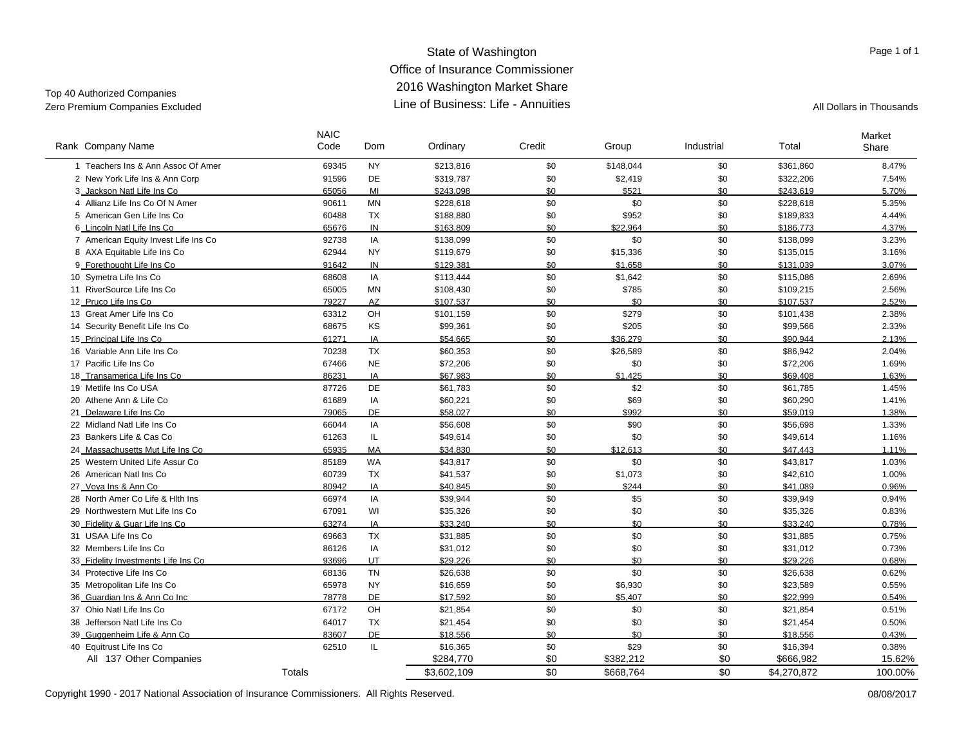#### State of Washington Office of Insurance Commissioner 2016 Washington Market Share Line of Business: Life - AnnuitiesZero Premium Companies Excluded **All Dollars in Thousands** Line of Business: Life - Annuities All Dollars in Thousands

Top 40 Authorized Companies

 $\overline{\phantom{a}}$ 

| Rank Company Name                    | <b>NAIC</b><br>Code | <b>Dom</b> | Ordinary    | Credit | Group     | Industrial | Total       | Market<br>Share |
|--------------------------------------|---------------------|------------|-------------|--------|-----------|------------|-------------|-----------------|
| 1 Teachers Ins & Ann Assoc Of Amer   | 69345               | <b>NY</b>  | \$213,816   | \$0    | \$148,044 | \$0        | \$361,860   | 8.47%           |
| 2 New York Life Ins & Ann Corp       | 91596               | DE         | \$319,787   | \$0    | \$2,419   | \$0        | \$322,206   | 7.54%           |
| 3 Jackson Natl Life Ins Co           | 65056               | MI         | \$243.098   | \$0    | \$521     | \$0        | \$243.619   | 5.70%           |
| 4 Allianz Life Ins Co Of N Amer      | 90611               | <b>MN</b>  | \$228,618   | \$0    | \$0       | \$0        | \$228,618   | 5.35%           |
| 5 American Gen Life Ins Co           | 60488               | <b>TX</b>  | \$188,880   | \$0    | \$952     | \$0        | \$189,833   | 4.44%           |
| 6 Lincoln Natl Life Ins Co           | 65676               | IN         | \$163.809   | \$0    | \$22.964  | \$0        | \$186.773   | 4.37%           |
| 7 American Equity Invest Life Ins Co | 92738               | IA         | \$138,099   | \$0    | \$0       | \$0        | \$138,099   | 3.23%           |
| 8 AXA Equitable Life Ins Co          | 62944               | <b>NY</b>  | \$119,679   | \$0    | \$15,336  | \$0        | \$135,015   | 3.16%           |
| 9_Forethought Life Ins Co            | 91642               | IN         | \$129.381   | \$0    | \$1.658   | \$0        | \$131.039   | 3.07%           |
| 10 Symetra Life Ins Co               | 68608               | IA         | \$113,444   | \$0    | \$1,642   | \$0        | \$115,086   | 2.69%           |
| 11 RiverSource Life Ins Co           | 65005               | MN         | \$108,430   | \$0    | \$785     | \$0        | \$109,215   | 2.56%           |
| 12 Pruco Life Ins Co                 | 79227               | AZ         | \$107.537   | \$0    | \$0       | \$0        | \$107.537   | 2.52%           |
| 13 Great Amer Life Ins Co            | 63312               | OH         | \$101,159   | \$0    | \$279     | \$0        | \$101,438   | 2.38%           |
| Security Benefit Life Ins Co<br>14   | 68675               | KS         | \$99,361    | \$0    | \$205     | \$0        | \$99,566    | 2.33%           |
| 15_Principal Life Ins Co             | 61271               | IA         | \$54.665    | \$0    | \$36,279  | \$0        | \$90.944    | 2.13%           |
| 16 Variable Ann Life Ins Co          | 70238               | <b>TX</b>  | \$60,353    | \$0    | \$26,589  | \$0        | \$86,942    | 2.04%           |
| 17 Pacific Life Ins Co               | 67466               | <b>NE</b>  | \$72,206    | \$0    | \$0       | \$0        | \$72,206    | 1.69%           |
| 18 Transamerica Life Ins Co          | 86231               | IA         | \$67.983    | \$0    | \$1,425   | \$0        | \$69.408    | 1.63%           |
| 19 Metlife Ins Co USA                | 87726               | DE         | \$61,783    | \$0    | \$2       | \$0        | \$61,785    | 1.45%           |
| 20 Athene Ann & Life Co              | 61689               | IA         | \$60,221    | \$0    | \$69      | \$0        | \$60,290    | 1.41%           |
| 21 Delaware Life Ins Co              | 79065               | DE         | \$58.027    | \$0    | \$992     | \$0        | \$59.019    | 1.38%           |
| 22 Midland Natl Life Ins Co          | 66044               | IA         | \$56,608    | \$0    | \$90      | \$0        | \$56,698    | 1.33%           |
| Bankers Life & Cas Co<br>23          | 61263               | IL         | \$49,614    | \$0    | \$0       | \$0        | \$49,614    | 1.16%           |
| 24 Massachusetts Mut Life Ins Co     | 65935               | MA         | \$34.830    | \$0    | \$12,613  | \$0        | \$47.443    | 1.11%           |
| 25 Western United Life Assur Co      | 85189               | <b>WA</b>  | \$43,817    | \$0    | \$0       | \$0        | \$43,817    | 1.03%           |
| 26 American Natl Ins Co              | 60739               | <b>TX</b>  | \$41,537    | \$0    | \$1,073   | \$0        | \$42,610    | 1.00%           |
| 27 Vova Ins & Ann Co                 | 80942               | IA         | \$40.845    | \$0    | \$244     | \$0        | \$41.089    | 0.96%           |
| 28 North Amer Co Life & Hith Ins     | 66974               | IA         | \$39,944    | \$0    | \$5       | \$0        | \$39,949    | 0.94%           |
| 29 Northwestern Mut Life Ins Co      | 67091               | WI         | \$35,326    | \$0    | \$0       | \$0        | \$35,326    | 0.83%           |
| 30 Fidelity & Guar Life Ins Co.      | 63274               | IA         | \$33.240    | \$0    | \$0       | \$0        | \$33.240    | 0.78%           |
| 31 USAA Life Ins Co                  | 69663               | TX         | \$31,885    | \$0    | \$0       | \$0        | \$31,885    | 0.75%           |
| 32 Members Life Ins Co               | 86126               | IA         | \$31,012    | \$0    | \$0       | \$0        | \$31,012    | 0.73%           |
| 33 Fidelity Investments Life Ins Co  | 93696               | UT         | \$29.226    | \$0    | \$0       | \$0        | \$29.226    | 0.68%           |
| 34 Protective Life Ins Co            | 68136               | <b>TN</b>  | \$26,638    | \$0    | \$0       | \$0        | \$26,638    | 0.62%           |
| 35 Metropolitan Life Ins Co          | 65978               | <b>NY</b>  | \$16,659    | \$0    | \$6,930   | \$0        | \$23,589    | 0.55%           |
| 36 Guardian Ins & Ann Co Inc         | 78778               | <b>DE</b>  | \$17.592    | \$0    | \$5.407   | \$0        | \$22.999    | 0.54%           |
| 37 Ohio Natl Life Ins Co             | 67172               | OH         | \$21,854    | \$0    | \$0       | \$0        | \$21,854    | 0.51%           |
| 38 Jefferson Natl Life Ins Co        | 64017               | <b>TX</b>  | \$21,454    | \$0    | \$0       | \$0        | \$21,454    | 0.50%           |
| 39 Guqgenheim Life & Ann Co.         | 83607               | DE         | \$18,556    | \$0    | \$0       | \$0        | \$18,556    | 0.43%           |
| 40 Equitrust Life Ins Co             | 62510               | IL         | \$16,365    | \$0    | \$29      | \$0        | \$16,394    | 0.38%           |
| All 137 Other Companies              |                     |            | \$284,770   | \$0    | \$382,212 | \$0        | \$666,982   | 15.62%          |
|                                      | Totals              |            | \$3,602,109 | \$0    | \$668,764 | \$0        | \$4,270,872 | 100.00%         |

Page 1 of 1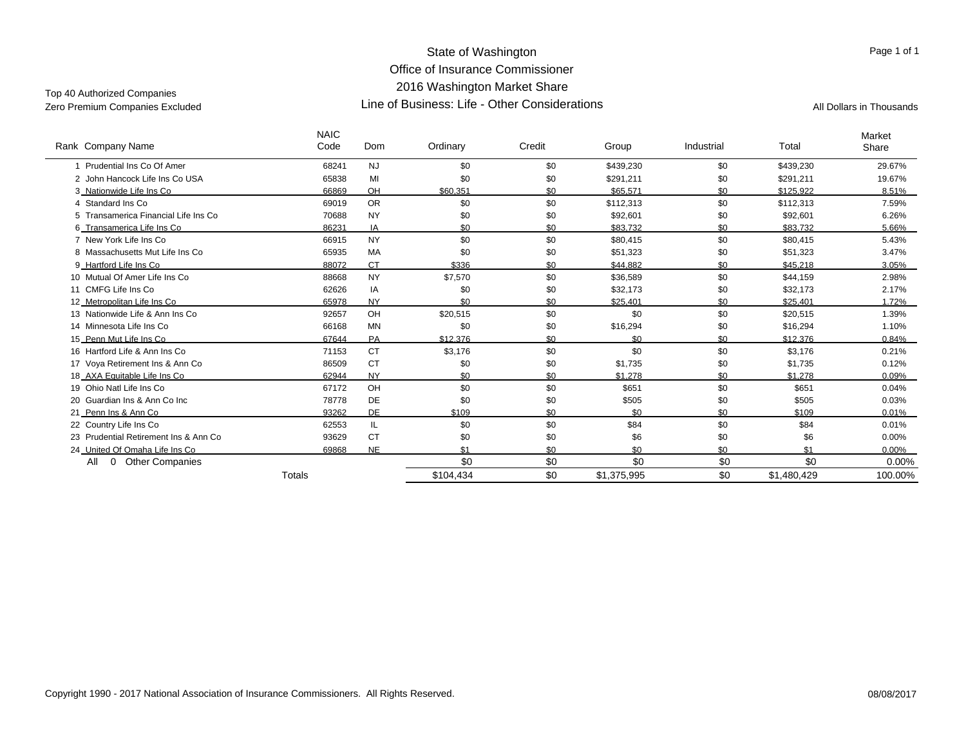#### State of Washington Office of Insurance Commissioner 2016 Washington Market Share Line of Business: Life - Other ConsiderationsZero Premium Companies Excluded Companies All Dollars in Thousands (All Dollars in Thousands All Dollars in Thousands

# Top 40 Authorized Companies

| Rank Company Name                      | <b>NAIC</b><br>Code | Dom       | Ordinary  | Credit | Group       | Industrial | Total       | Market<br>Share |
|----------------------------------------|---------------------|-----------|-----------|--------|-------------|------------|-------------|-----------------|
| 1 Prudential Ins Co Of Amer            | 68241               | <b>NJ</b> | \$0       | \$0    | \$439,230   | \$0        | \$439,230   | 29.67%          |
| 2 John Hancock Life Ins Co USA         | 65838               | MI        | \$0       | \$0    | \$291,211   | \$0        | \$291,211   | 19.67%          |
| 3 Nationwide Life Ins Co               | 66869               | <b>OH</b> | \$60.351  | \$0    | \$65.571    | \$0        | \$125.922   | 8.51%           |
| 4 Standard Ins Co                      | 69019               | <b>OR</b> | \$0       | \$0    | \$112,313   | \$0        | \$112,313   | 7.59%           |
| 5 Transamerica Financial Life Ins Co   | 70688               | <b>NY</b> | \$0       | \$0    | \$92,601    | \$0        | \$92,601    | 6.26%           |
| 6_Transamerica Life Ins Co             | 86231               | IA        | \$0       | \$0    | \$83.732    | \$0        | \$83.732    | 5.66%           |
| 7 New York Life Ins Co                 | 66915               | <b>NY</b> | \$0       | \$0    | \$80.415    | \$0        | \$80,415    | 5.43%           |
| 8 Massachusetts Mut Life Ins Co.       | 65935               | <b>MA</b> | \$0       | \$0    | \$51,323    | \$0        | \$51,323    | 3.47%           |
| 9 Hartford Life Ins Co                 | 88072               | <b>CT</b> | \$336     | \$0    | \$44.882    | \$0        | \$45.218    | 3.05%           |
| 10 Mutual Of Amer Life Ins Co.         | 88668               | <b>NY</b> | \$7,570   | \$0    | \$36,589    | \$0        | \$44,159    | 2.98%           |
| 11 CMFG Life Ins Co.                   | 62626               | IA        | \$0       | \$0    | \$32,173    | \$0        | \$32,173    | 2.17%           |
| 12 Metropolitan Life Ins Co            | 65978               | <b>NY</b> | \$0       | \$0    | \$25.401    | \$0        | \$25.401    | 1.72%           |
| 13 Nationwide Life & Ann Ins Co.       | 92657               | OH        | \$20,515  | \$0    | \$0         | \$0        | \$20,515    | 1.39%           |
| 14 Minnesota Life Ins Co               | 66168               | MN        | \$0       | \$0    | \$16,294    | \$0        | \$16,294    | 1.10%           |
| 15 Penn Mut Life Ins Co                | 67644               | PA        | \$12.376  | \$0    | \$0         | \$0        | \$12,376    | 0.84%           |
| 16 Hartford Life & Ann Ins Co.         | 71153               | <b>CT</b> | \$3,176   | \$0    | \$0         | \$0        | \$3,176     | 0.21%           |
| 17 Voya Retirement Ins & Ann Co        | 86509               | <b>CT</b> | \$0       | \$0    | \$1,735     | \$0        | \$1,735     | 0.12%           |
| 18 AXA Equitable Life Ins Co           | 62944               | <b>NY</b> | \$0       | \$0    | \$1.278     | \$0        | \$1.278     | 0.09%           |
| 19 Ohio Natl Life Ins Co               | 67172               | OH        | \$0       | \$0    | \$651       | \$0        | \$651       | 0.04%           |
| 20 Guardian Ins & Ann Co Inc.          | 78778               | DE        | \$0       | \$0    | \$505       | \$0        | \$505       | 0.03%           |
| 21 Penn Ins & Ann Co                   | 93262               | <b>DE</b> | \$109     | \$0    | \$0         | \$0        | \$109       | 0.01%           |
| 22 Country Life Ins Co                 | 62553               | IL        | \$0       | \$0    | \$84        | \$0        | \$84        | 0.01%           |
| 23 Prudential Retirement Ins & Ann Co. | 93629               | <b>CT</b> | \$0       | \$0    | \$6         | \$0        | \$6         | 0.00%           |
| 24 United Of Omaha Life Ins Co         | 69868               | <b>NE</b> | \$1       | \$0    | \$0         | \$0        | \$1         | $0.00\%$        |
| <b>Other Companies</b><br>All<br>0     |                     |           | \$0       | \$0    | \$0         | \$0        | \$0         | 0.00%           |
|                                        | Totals              |           | \$104,434 | \$0    | \$1,375,995 | \$0        | \$1,480,429 | 100.00%         |

Page 1 of 1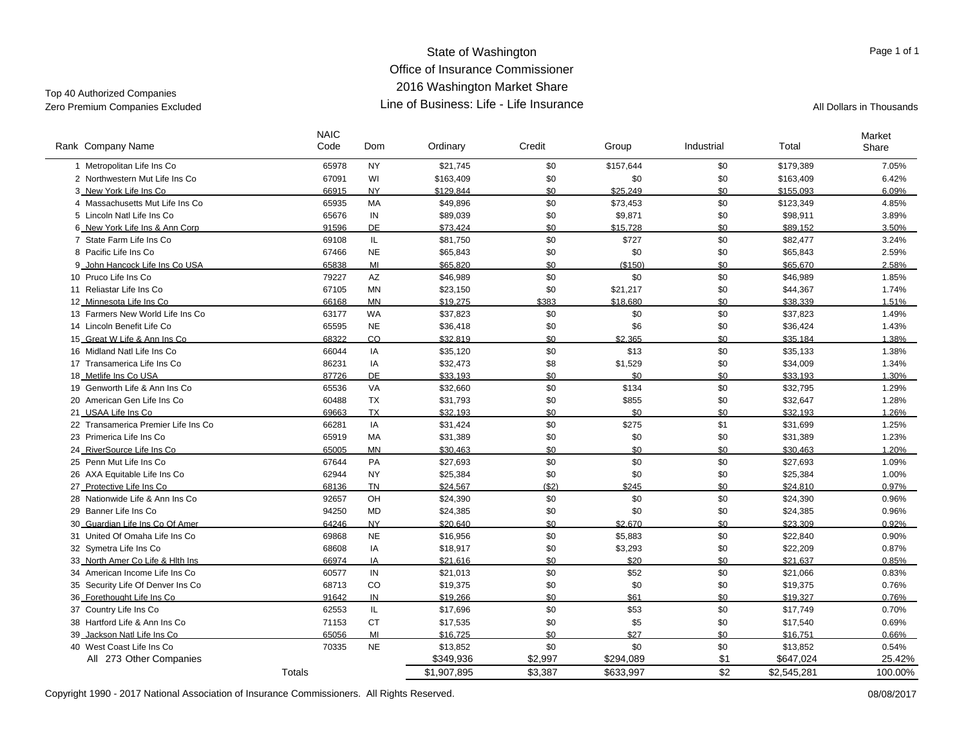#### State of Washington Office of Insurance Commissioner2016 Washington Market Share Line of Business: Life - Life InsuranceZero Premium Companies Excluded **All Dollars in Thousands Line of Business: Life - Life Insurance** All Dollars in Thousands

Code Ordinary Credit Group Industrial Total

m Ordinary Credit Group Industrial Total Share

\$1,907,895 \$3,387 \$633,997 \$2 \$2,545,281 100.00%

Top 40 Authorized Companies

Company Name Rank Dom

**NAIC** 

| 1 Metropolitan Life Ins Co           | 65978 | <b>NY</b> | \$21,745  | \$0     | \$157,644 | \$0 | \$179,389 | 7.05%  |
|--------------------------------------|-------|-----------|-----------|---------|-----------|-----|-----------|--------|
| 2 Northwestern Mut Life Ins Co       | 67091 | WI        | \$163,409 | \$0     | \$0       | \$0 | \$163,409 | 6.42%  |
| 3 New York Life Ins Co               | 66915 | <b>NY</b> | \$129.844 | \$0     | \$25,249  | \$0 | \$155.093 | 6.09%  |
| 4 Massachusetts Mut Life Ins Co      | 65935 | <b>MA</b> | \$49,896  | \$0     | \$73,453  | \$0 | \$123,349 | 4.85%  |
| 5 Lincoln Natl Life Ins Co           | 65676 | IN        | \$89,039  | \$0     | \$9,871   | \$0 | \$98,911  | 3.89%  |
| 6 New York Life Ins & Ann Corp       | 91596 | DE        | \$73.424  | \$0     | \$15.728  | \$0 | \$89.152  | 3.50%  |
| 7 State Farm Life Ins Co             | 69108 | IL.       | \$81,750  | \$0     | \$727     | \$0 | \$82,477  | 3.24%  |
| 8 Pacific Life Ins Co                | 67466 | <b>NE</b> | \$65,843  | \$0     | \$0       | \$0 | \$65,843  | 2.59%  |
| 9_John Hancock Life Ins Co USA       | 65838 | MI        | \$65.820  | \$0     | (\$150)   | \$0 | \$65.670  | 2.58%  |
| 10 Pruco Life Ins Co                 | 79227 | <b>AZ</b> | \$46,989  | \$0     | \$0       | \$0 | \$46,989  | 1.85%  |
| 11 Reliastar Life Ins Co             | 67105 | MN        | \$23,150  | \$0     | \$21,217  | \$0 | \$44,367  | 1.74%  |
| 12 Minnesota Life Ins Co             | 66168 | <b>MN</b> | \$19.275  | \$383   | \$18.680  | \$0 | \$38.339  | 1.51%  |
| 13 Farmers New World Life Ins Co     | 63177 | WA        | \$37,823  | \$0     | \$0       | \$0 | \$37,823  | 1.49%  |
| 14 Lincoln Benefit Life Co           | 65595 | <b>NE</b> | \$36,418  | \$0     | \$6       | \$0 | \$36,424  | 1.43%  |
| 15_Great W Life & Ann Ins Co         | 68322 | CO        | \$32.819  | \$0     | \$2.365   | \$0 | \$35.184  | 1.38%  |
| 16 Midland Natl Life Ins Co          | 66044 | IA        | \$35,120  | \$0     | \$13      | \$0 | \$35,133  | 1.38%  |
| 17 Transamerica Life Ins Co          | 86231 | IA        | \$32,473  | \$8     | \$1,529   | \$0 | \$34,009  | 1.34%  |
| 18_Metlife Ins Co USA                | 87726 | DE        | \$33,193  | \$0     | \$0       | \$0 | \$33,193  | 1.30%  |
| 19 Genworth Life & Ann Ins Co.       | 65536 | <b>VA</b> | \$32,660  | \$0     | \$134     | \$0 | \$32,795  | 1.29%  |
| 20 American Gen Life Ins Co          | 60488 | <b>TX</b> | \$31,793  | \$0     | \$855     | \$0 | \$32,647  | 1.28%  |
| 21 USAA Life Ins Co                  | 69663 | <b>TX</b> | \$32.193  | \$0     | \$0       | \$0 | \$32.193  | 1.26%  |
| 22 Transamerica Premier Life Ins Co. | 66281 | IA        | \$31,424  | \$0     | \$275     | \$1 | \$31.699  | 1.25%  |
| 23 Primerica Life Ins Co             | 65919 | <b>MA</b> | \$31,389  | \$0     | \$0       | \$0 | \$31,389  | 1.23%  |
| 24_RiverSource Life Ins Co           | 65005 | <b>MN</b> | \$30,463  | \$0     | \$0       | \$0 | \$30,463  | 1.20%  |
| 25 Penn Mut Life Ins Co              | 67644 | PA        | \$27,693  | $\$0$   | \$0       | \$0 | \$27,693  | 1.09%  |
| 26 AXA Equitable Life Ins Co         | 62944 | <b>NY</b> | \$25,384  | \$0     | \$0       | \$0 | \$25,384  | 1.00%  |
| 27_Protective Life Ins Co            | 68136 | <b>TN</b> | \$24.567  | (S2)    | \$245     | \$0 | \$24.810  | 0.97%  |
| 28 Nationwide Life & Ann Ins Co.     | 92657 | OH        | \$24,390  | \$0     | \$0       | \$0 | \$24,390  | 0.96%  |
| 29 Banner Life Ins Co                | 94250 | MD        | \$24,385  | \$0     | \$0       | \$0 | \$24,385  | 0.96%  |
| 30_Guardian Life Ins Co Of Amer      | 64246 | <b>NY</b> | \$20.640  | \$0     | \$2.670   | \$0 | \$23.309  | 0.92%  |
| 31 United Of Omaha Life Ins Co       | 69868 | <b>NE</b> | \$16,956  | \$0     | \$5,883   | \$0 | \$22,840  | 0.90%  |
| 32 Symetra Life Ins Co               | 68608 | IA        | \$18,917  | \$0     | \$3,293   | \$0 | \$22,209  | 0.87%  |
| 33 North Amer Co Life & Hith Ins     | 66974 | IA        | \$21.616  | \$0     | \$20      | \$0 | \$21.637  | 0.85%  |
| 34 American Income Life Ins Co       | 60577 | IN        | \$21,013  | \$0     | \$52      | \$0 | \$21,066  | 0.83%  |
| 35 Security Life Of Denver Ins Co    | 68713 | CO        | \$19,375  | \$0     | \$0       | \$0 | \$19,375  | 0.76%  |
| 36_Forethought Life Ins Co           | 91642 | IN        | \$19,266  | \$0     | \$61      | \$0 | \$19.327  | 0.76%  |
| 37 Country Life Ins Co               | 62553 | IL.       | \$17,696  | \$0     | \$53      | \$0 | \$17,749  | 0.70%  |
| 38 Hartford Life & Ann Ins Co        | 71153 | <b>CT</b> | \$17,535  | \$0     | \$5       | \$0 | \$17,540  | 0.69%  |
| 39 Jackson Natl Life Ins Co          | 65056 | MI        | \$16.725  | \$0     | \$27      | \$0 | \$16.751  | 0.66%  |
| 40 West Coast Life Ins Co            | 70335 | <b>NE</b> | \$13,852  | \$0     | \$0       | \$0 | \$13,852  | 0.54%  |
| All 273 Other Companies              |       |           | \$349,936 | \$2,997 | \$294,089 | \$1 | \$647,024 | 25.42% |

Copyright 1990 - 2017 National Association of Insurance Commissioners. All Rights Reserved. 08/08/2017

Totals

Page 1 of 1

Market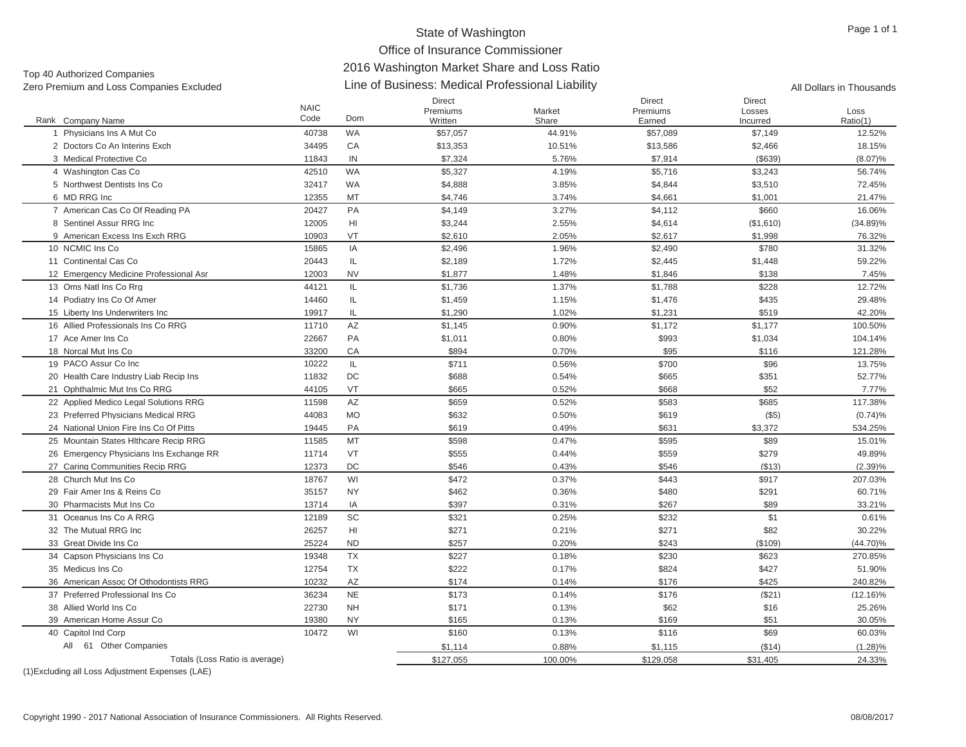# Office of Insurance Commissioner

# 2016 Washington Market Share and Loss Ratio

| Top 40 Authorized Companies              |                     | <u>ZUTU WASHINGKUN MANGE UNAFE ANU LUSS KANU</u> |                                                  |                 |                                     |                              |                          |  |  |  |  |  |
|------------------------------------------|---------------------|--------------------------------------------------|--------------------------------------------------|-----------------|-------------------------------------|------------------------------|--------------------------|--|--|--|--|--|
| Zero Premium and Loss Companies Excluded |                     |                                                  | Line of Business: Medical Professional Liability |                 |                                     |                              | All Dollars in Thousands |  |  |  |  |  |
| Rank Company Name                        | <b>NAIC</b><br>Code | Dom                                              | <b>Direct</b><br>Premiums<br>Written             | Market<br>Share | <b>Direct</b><br>Premiums<br>Earned | Direct<br>Losses<br>Incurred | Loss<br>Ratio(1)         |  |  |  |  |  |
| Physicians Ins A Mut Co                  | 40738               | <b>WA</b>                                        | \$57,057                                         | 44.91%          | \$57,089                            | \$7,149                      | 12.52%                   |  |  |  |  |  |
| 2 Doctors Co An Interins Exch            | 34495               | CA                                               | \$13,353                                         | 10.51%          | \$13,586                            | \$2,466                      | 18.15%                   |  |  |  |  |  |
| 3 Medical Protective Co                  | 11843               | IN                                               | \$7,324                                          | 5.76%           | \$7,914                             | (\$639)                      | $(8.07)\%$               |  |  |  |  |  |
| 4 Washington Cas Co                      | 42510               | <b>WA</b>                                        | \$5,327                                          | 4.19%           | \$5,716                             | \$3,243                      | 56.74%                   |  |  |  |  |  |
| 5 Northwest Dentists Ins Co              | 32417               | WA                                               | \$4,888                                          | 3.85%           | \$4,844                             | \$3,510                      | 72.45%                   |  |  |  |  |  |
| 6 MD RRG Inc                             | 12355               | MT                                               | \$4,746                                          | 3.74%           | \$4,661                             | \$1,001                      | 21.47%                   |  |  |  |  |  |
| 7 American Cas Co Of Reading PA          | 20427               | PA                                               | \$4,149                                          | 3.27%           | \$4,112                             | \$660                        | 16.06%                   |  |  |  |  |  |
| 8 Sentinel Assur RRG Inc                 | 12005               | HI                                               | \$3,244                                          | 2.55%           | \$4,614                             | (\$1,610)                    | $(34.89)\%$              |  |  |  |  |  |
| 9 American Excess Ins Exch RRG           | 10903               | VT                                               | \$2,610                                          | 2.05%           | \$2,617                             | \$1,998                      | 76.32%                   |  |  |  |  |  |
| 10 NCMIC Ins Co                          | 15865               | IA                                               | \$2,496                                          | 1.96%           | \$2,490                             | \$780                        | 31.32%                   |  |  |  |  |  |
| 11 Continental Cas Co                    | 20443               | IL                                               | \$2,189                                          | 1.72%           | \$2,445                             | \$1,448                      | 59.22%                   |  |  |  |  |  |
| 12 Emergency Medicine Professional Asr   | 12003               | <b>NV</b>                                        | \$1.877                                          | 1.48%           | \$1,846                             | \$138                        | 7.45%                    |  |  |  |  |  |
| 13 Oms Natl Ins Co Rrg                   | 44121               | IL                                               | \$1.736                                          | 1.37%           | \$1.788                             | \$228                        | 12.72%                   |  |  |  |  |  |
| 14 Podiatry Ins Co Of Amer               | 14460               | IL                                               | \$1,459                                          | 1.15%           | \$1,476                             | \$435                        | 29.48%                   |  |  |  |  |  |
| 15 Liberty Ins Underwriters Inc          | 19917               | IL                                               | \$1,290                                          | 1.02%           | \$1,231                             | \$519                        | 42.20%                   |  |  |  |  |  |
| 16 Allied Professionals Ins Co RRG       | 11710               | AZ                                               | \$1.145                                          | 0.90%           | \$1.172                             | \$1.177                      | 100.50%                  |  |  |  |  |  |
| 17 Ace Amer Ins Co                       | 22667               | <b>PA</b>                                        | \$1,011                                          | 0.80%           | \$993                               | \$1,034                      | 104.14%                  |  |  |  |  |  |
| 18 Norcal Mut Ins Co                     | 33200               | CA                                               | \$894                                            | 0.70%           | \$95                                | \$116                        | 121.28%                  |  |  |  |  |  |
| 19 PACO Assur Co Inc.                    | 10222               | IL.                                              | \$711                                            | 0.56%           | \$700                               | \$96                         | 13.75%                   |  |  |  |  |  |
| 20 Health Care Industry Liab Recip Ins   | 11832               | DC                                               | \$688                                            | 0.54%           | \$665                               | \$351                        | 52.77%                   |  |  |  |  |  |
| 21 Ophthalmic Mut Ins Co RRG             | 44105               | VT                                               | \$665                                            | 0.52%           | \$668                               | \$52                         | 7.77%                    |  |  |  |  |  |
| 22 Applied Medico Legal Solutions RRG    | 11598               | AZ                                               | \$659                                            | 0.52%           | \$583                               | \$685                        | 117.38%                  |  |  |  |  |  |
| 23 Preferred Physicians Medical RRG      | 44083               | <b>MO</b>                                        | \$632                                            | 0.50%           | \$619                               | $($ \$5)                     | (0.74)%                  |  |  |  |  |  |
|                                          |                     |                                                  |                                                  |                 |                                     |                              |                          |  |  |  |  |  |

22 Ap 23 Pr 24 National Union Fire Ins Co Of Pitts 19445 PA \$619 0.49% $\%$  534.25%  $\frac{1}{30}$  534.25% 25 Mountain States Hlthcare Recip RRG 11585 MT \$598 0.47% \$595 \$89 15.01% 26 Emergency Physicians Ins Exchange RR 11714 VT \$555 6.44% \$559 \$559 \$279 \$279 \$279 \$279 \$289% 27 Caring Communities Recip RRG 12373 DC \$546 0.43% \$546 (\$13) (2.39)% 28 Church Mut Ins Co 18767 WI \$472 0.37% \$443 \$917 207.03% 29 Fair Amer Ins & Reins Co 35157 NYY 3462 0.36%  $\%$  60.71%  $\$480$   $\$291$  60.71% 30 Pharmacists Mut Ins Co 13714 IA \$397 0.31% $\%$  33.21%  $\$267$   $\$89$  33.21% 31 Oceanus Ins Co A RRG 12189 SC \$321 0.25% $\%$  6232 \$232 \$1 51 0.61% 32 The Mutual RRG Inc 26257 HI \$271 0.21% $\%$  30.22%  $\$271$   $\$82$  30.22% 33 Great Divide Ins Co 25224 ND \$257 0.20%0.20% \$243 (\$109) (44.70)% 34 Capson Physicians Ins Co 19348 TX \$227 0.18% \$230 \$623 270.85% 35 Medicus Ins Co 12754 TX \$222 0.17% \$824 \$427 51.90% 36 American Assoc Of Othodontists RRG 10232 AZ \$174 0.14%0.14% 5176 5176 5425 5425 240.82% 37 Preferred Professional Ins Co 36234 NENE \$173 0.14%  $\%$  5176 (\$21) (12.16)% 38 Allied World Ins Co 22730 NH \$171 0.13% \$62 \$16 25.26% 39 American Home Assur Co 19380 NYNY \$165 0.13%  $\%$  30.05%  $\frac{1}{30.05\%}$ 40 Capitol Ind Corp 0 Capitol Ind Corp 1047 States of the Corp 10472 WI \$160 60.03% \$100 \$116 \$69 \$69 \$60.03% \$1,114 0.88% \$1,115 (\$14) (1.28)% Totals (Loss Ratio is average)  $$127,055$   $$100.00\%$   $$129,058$   $$31,405$   $$31,405$   $$24.33\%$ All 61 Other Companies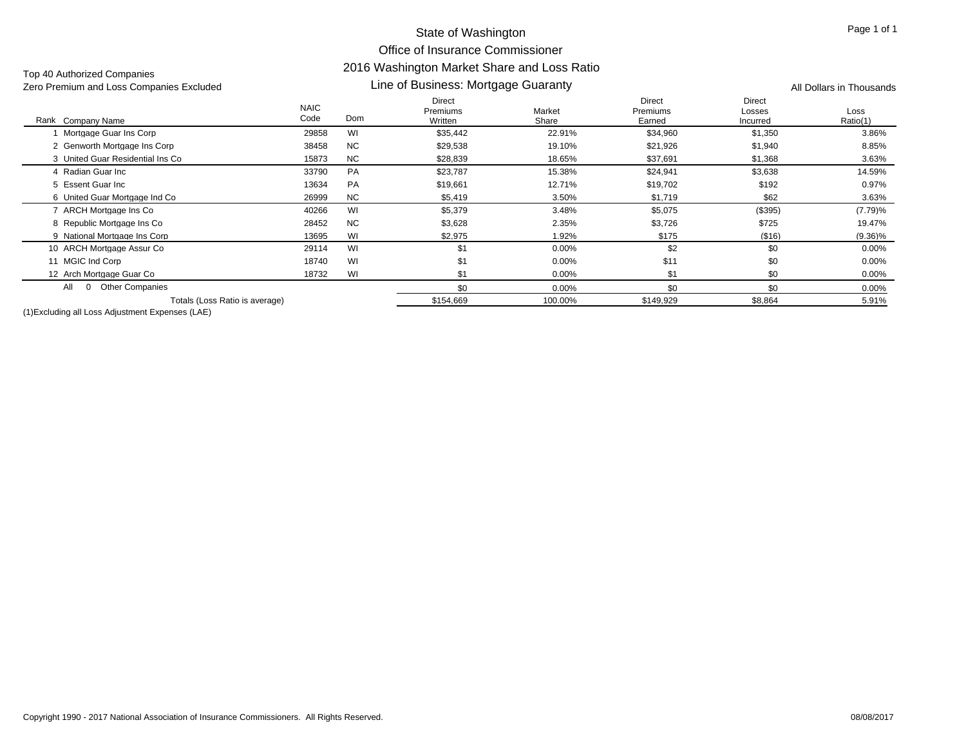#### State of Washington Office of Insurance Commissioner 2016 Washington Market Share and Loss Ratio Line of Business: Mortgage Guaranty

| Zero Premium and Loss Companies Excluded |                     | Line of Business: Mortgage Guaranty | All Dollars in Thousands      |                 |                                     |                                     |                  |
|------------------------------------------|---------------------|-------------------------------------|-------------------------------|-----------------|-------------------------------------|-------------------------------------|------------------|
| Rank Company Name                        | <b>NAIC</b><br>Code | Dom                                 | Direct<br>Premiums<br>Written | Market<br>Share | <b>Direct</b><br>Premiums<br>Earned | <b>Direct</b><br>Losses<br>Incurred | Loss<br>Ratio(1) |
| Mortgage Guar Ins Corp                   | 29858               | WI                                  | \$35,442                      | 22.91%          | \$34,960                            | \$1,350                             | 3.86%            |
| 2 Genworth Mortgage Ins Corp             | 38458               | <b>NC</b>                           | \$29,538                      | 19.10%          | \$21,926                            | \$1,940                             | 8.85%            |
| 3 United Guar Residential Ins Co         | 15873               | <b>NC</b>                           | \$28,839                      | 18.65%          | \$37,691                            | \$1,368                             | 3.63%            |
| 4 Radian Guar Inc                        | 33790               | PA                                  | \$23,787                      | 15.38%          | \$24,941                            | \$3,638                             | 14.59%           |
| 5 Essent Guar Inc                        | 13634               | <b>PA</b>                           | \$19,661                      | 12.71%          | \$19,702                            | \$192                               | 0.97%            |
| 6 United Guar Mortgage Ind Co            | 26999               | <b>NC</b>                           | \$5,419                       | 3.50%           | \$1,719                             | \$62                                | 3.63%            |
| ARCH Mortgage Ins Co                     | 40266               | WI                                  | \$5,379                       | 3.48%           | \$5,075                             | (\$395)                             | (7.79)%          |
| 8 Republic Mortgage Ins Co               | 28452               | <b>NC</b>                           | \$3,628                       | 2.35%           | \$3,726                             | \$725                               | 19.47%           |
| 9 National Mortgage Ins Corp             | 13695               | WI                                  | \$2,975                       | 1.92%           | \$175                               | (\$16)                              | $(9.36)\%$       |
| 10 ARCH Mortgage Assur Co                | 29114               | WI                                  | \$1                           | 0.00%           | \$2                                 | \$0                                 | $0.00\%$         |
| 11 MGIC Ind Corp                         | 18740               | WI                                  | \$1                           | 0.00%           | \$11                                | \$0                                 | 0.00%            |
| 12 Arch Mortgage Guar Co                 | 18732               | WI                                  | \$1                           | 0.00%           | \$1                                 | \$0                                 | $0.00\%$         |
| <b>Other Companies</b><br>All            |                     |                                     | \$0                           | 0.00%           | \$0                                 | \$0                                 | $0.00\%$         |
| Totals (Loss Ratio is average)           |                     |                                     | \$154,669                     | 100.00%         | \$149,929                           | \$8,864                             | 5.91%            |

(1)Excluding all Loss Adjustment Expenses (LAE)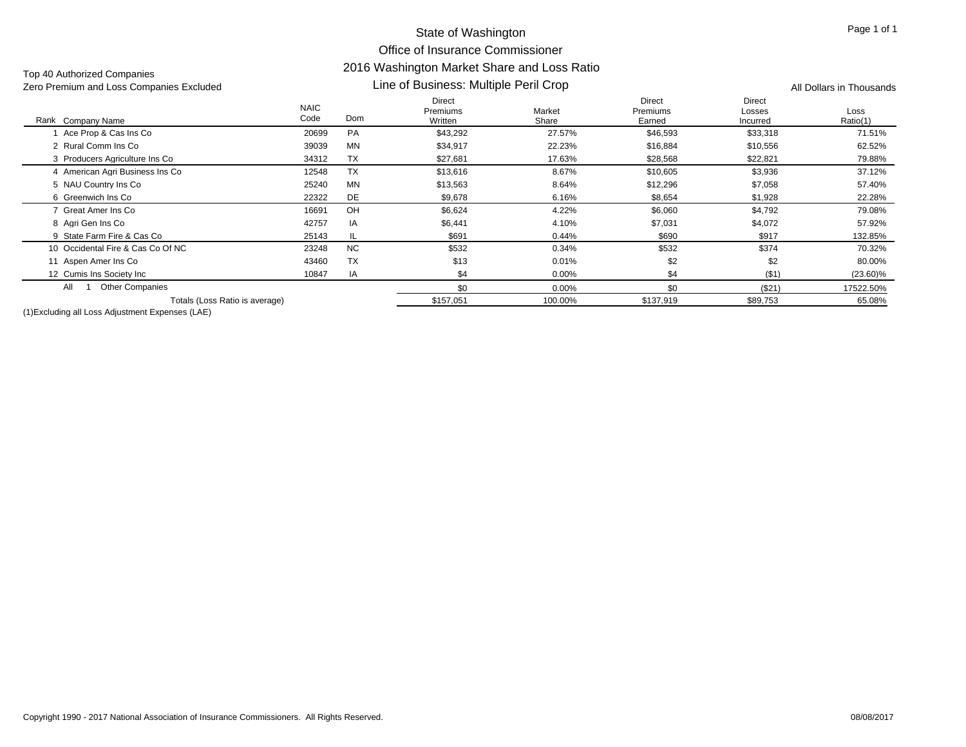#### State of Washington Office of Insurance Commissioner 2016 Washington Market Share and Loss Ratio Line of Business: Multiple Peril Crop

| Zero Premium and Loss Companies Excluded |                     | Line of Business: Multiple Peril Crop | All Dollars in Thousands      |                 |                                     |                                     |                  |
|------------------------------------------|---------------------|---------------------------------------|-------------------------------|-----------------|-------------------------------------|-------------------------------------|------------------|
| Rank<br>Company Name                     | <b>NAIC</b><br>Code | Dom                                   | Direct<br>Premiums<br>Written | Market<br>Share | <b>Direct</b><br>Premiums<br>Earned | <b>Direct</b><br>Losses<br>Incurred | Loss<br>Ratio(1) |
| Ace Prop & Cas Ins Co                    | 20699               | PA                                    | \$43,292                      | 27.57%          | \$46,593                            | \$33,318                            | 71.51%           |
| 2 Rural Comm Ins Co                      | 39039               | MN                                    | \$34,917                      | 22.23%          | \$16,884                            | \$10,556                            | 62.52%           |
| 3 Producers Agriculture Ins Co           | 34312               | <b>TX</b>                             | \$27,681                      | 17.63%          | \$28,568                            | \$22,821                            | 79.88%           |
| 4 American Agri Business Ins Co          | 12548               | <b>TX</b>                             | \$13,616                      | 8.67%           | \$10,605                            | \$3,936                             | 37.12%           |
| 5 NAU Country Ins Co                     | 25240               | <b>MN</b>                             | \$13,563                      | 8.64%           | \$12,296                            | \$7,058                             | 57.40%           |
| 6 Greenwich Ins Co                       | 22322               | DE                                    | \$9,678                       | 6.16%           | \$8,654                             | \$1,928                             | 22.28%           |
| 7 Great Amer Ins Co                      | 16691               | OH                                    | \$6,624                       | 4.22%           | \$6,060                             | \$4,792                             | 79.08%           |
| 8 Agri Gen Ins Co                        | 42757               | IA                                    | \$6,441                       | 4.10%           | \$7,031                             | \$4,072                             | 57.92%           |
| 9 State Farm Fire & Cas Co               | 25143               | IL.                                   | \$691                         | 0.44%           | \$690                               | \$917                               | 132.85%          |
| 10 Occidental Fire & Cas Co Of NC        | 23248               | <b>NC</b>                             | \$532                         | 0.34%           | \$532                               | \$374                               | 70.32%           |
| 11 Aspen Amer Ins Co                     | 43460               | TX                                    | \$13                          | 0.01%           | \$2                                 | \$2                                 | 80.00%           |
| 12 Cumis Ins Society Inc                 | 10847               | IA                                    | \$4                           | $0.00\%$        | \$4                                 | (S1)                                | $(23.60)\%$      |
| All<br><b>Other Companies</b>            |                     |                                       | \$0                           | $0.00\%$        | \$0                                 | (\$21)                              | 17522.50%        |
| Totals (Loss Ratio is average)           |                     |                                       | \$157,051                     | 100.00%         | \$137,919                           | \$89,753                            | 65.08%           |

(1)Excluding all Loss Adjustment Expenses (LAE)

Top 40 Authorized Companies

#### Page 1 of 1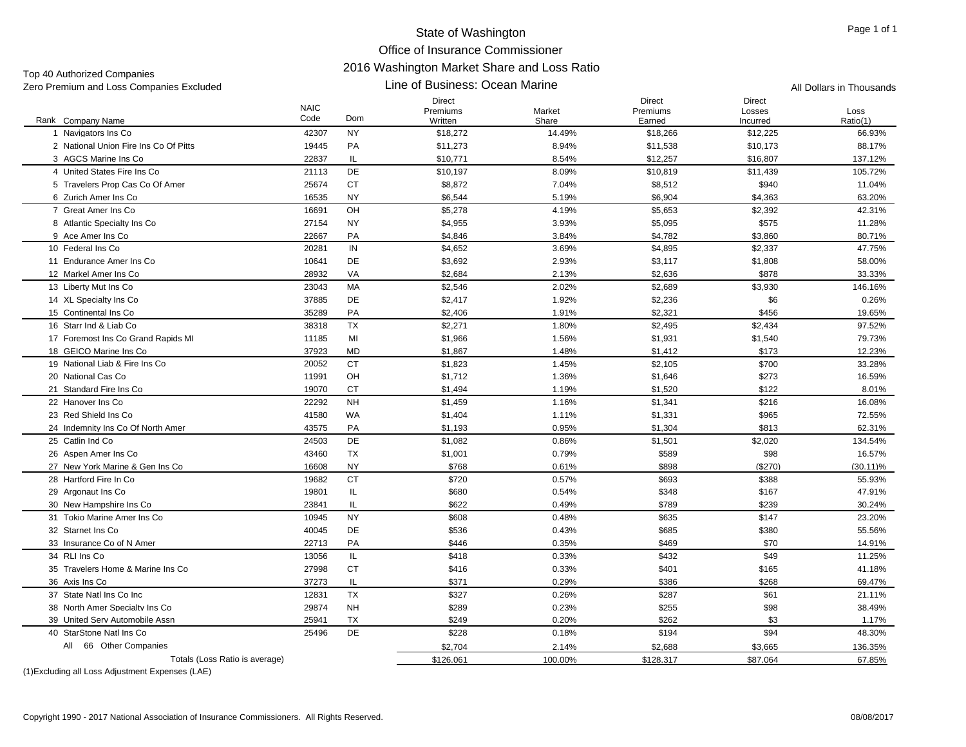Top 40 Authorized Companies

#### Line of Business: Ocean Marine Zero Premium and Loss Companies Excluded **All Dollars in Thousands** Line of Business: Ocean Marine All Dollars in Thousands

Direct

| Rank Company Name                     | <b>NAIC</b><br>Code | Dom       | Direct<br>Premiums<br>Written | Market<br>Share | Direct<br>Premiums<br>Earned | Direct<br>Losses<br>Incurred | Loss<br>Ratio(1) |
|---------------------------------------|---------------------|-----------|-------------------------------|-----------------|------------------------------|------------------------------|------------------|
| 1 Navigators Ins Co                   | 42307               | <b>NY</b> | \$18,272                      | 14.49%          | \$18,266                     | \$12,225                     | 66.93%           |
| 2 National Union Fire Ins Co Of Pitts | 19445               | <b>PA</b> | \$11,273                      | 8.94%           | \$11,538                     | \$10,173                     | 88.17%           |
| 3 AGCS Marine Ins Co                  | 22837               | IL.       | \$10,771                      | 8.54%           | \$12,257                     | \$16,807                     | 137.12%          |
| 4 United States Fire Ins Co           | 21113               | DE        | \$10,197                      | 8.09%           | \$10,819                     | \$11,439                     | 105.72%          |
| 5 Travelers Prop Cas Co Of Amer       | 25674               | <b>CT</b> | \$8,872                       | 7.04%           | \$8,512                      | \$940                        | 11.04%           |
| 6 Zurich Amer Ins Co                  | 16535               | <b>NY</b> | \$6,544                       | 5.19%           | \$6,904                      | \$4,363                      | 63.20%           |
| 7 Great Amer Ins Co                   | 16691               | OH        | \$5,278                       | 4.19%           | \$5,653                      | \$2,392                      | 42.31%           |
| 8 Atlantic Specialty Ins Co           | 27154               | <b>NY</b> | \$4,955                       | 3.93%           | \$5,095                      | \$575                        | 11.28%           |
| 9 Ace Amer Ins Co                     | 22667               | PA        | \$4,846                       | 3.84%           | \$4,782                      | \$3,860                      | 80.71%           |
| 10 Federal Ins Co                     | 20281               | IN        | \$4,652                       | 3.69%           | \$4,895                      | \$2,337                      | 47.75%           |
| 11 Endurance Amer Ins Co              | 10641               | DE        | \$3,692                       | 2.93%           | \$3,117                      | \$1,808                      | 58.00%           |
| 12 Markel Amer Ins Co                 | 28932               | VA        | \$2,684                       | 2.13%           | \$2,636                      | \$878                        | 33.33%           |
| 13 Liberty Mut Ins Co                 | 23043               | MA        | \$2,546                       | 2.02%           | \$2,689                      | \$3,930                      | 146.16%          |
| 14 XL Specialty Ins Co                | 37885               | DE        | \$2,417                       | 1.92%           | \$2,236                      | \$6                          | 0.26%            |
| 15 Continental Ins Co                 | 35289               | PA        | \$2,406                       | 1.91%           | \$2,321                      | \$456                        | 19.65%           |
| 16 Starr Ind & Liab Co                | 38318               | <b>TX</b> | \$2,271                       | 1.80%           | \$2,495                      | \$2,434                      | 97.52%           |
| 17 Foremost Ins Co Grand Rapids MI    | 11185               | MI        | \$1,966                       | 1.56%           | \$1,931                      | \$1,540                      | 79.73%           |
| 18 GEICO Marine Ins Co                | 37923               | MD        | \$1,867                       | 1.48%           | \$1,412                      | \$173                        | 12.23%           |
| 19 National Liab & Fire Ins Co.       | 20052               | <b>CT</b> | \$1,823                       | 1.45%           | \$2,105                      | \$700                        | 33.28%           |
| 20 National Cas Co                    | 11991               | OH        | \$1,712                       | 1.36%           | \$1,646                      | \$273                        | 16.59%           |
| 21 Standard Fire Ins Co               | 19070               | <b>CT</b> | \$1,494                       | 1.19%           | \$1,520                      | \$122                        | 8.01%            |
| 22 Hanover Ins Co                     | 22292               | <b>NH</b> | \$1,459                       | 1.16%           | \$1,341                      | \$216                        | 16.08%           |
| 23 Red Shield Ins Co                  | 41580               | WA        | \$1,404                       | 1.11%           | \$1,331                      | \$965                        | 72.55%           |
| 24 Indemnity Ins Co Of North Amer     | 43575               | PA        | \$1,193                       | 0.95%           | \$1,304                      | \$813                        | 62.31%           |
| 25 Catlin Ind Co                      | 24503               | DE        | \$1,082                       | 0.86%           | \$1,501                      | \$2,020                      | 134.54%          |
| 26 Aspen Amer Ins Co                  | 43460               | TX        | \$1,001                       | 0.79%           | \$589                        | \$98                         | 16.57%           |
| 27 New York Marine & Gen Ins Co       | 16608               | <b>NY</b> | \$768                         | 0.61%           | \$898                        | (\$270)                      | $(30.11)\%$      |
| 28 Hartford Fire In Co.               | 19682               | <b>CT</b> | \$720                         | 0.57%           | \$693                        | \$388                        | 55.93%           |
| 29 Argonaut Ins Co                    | 19801               | IL        | \$680                         | 0.54%           | \$348                        | \$167                        | 47.91%           |
| 30 New Hampshire Ins Co.              | 23841               | IL        | \$622                         | 0.49%           | \$789                        | \$239                        | 30.24%           |
| 31 Tokio Marine Amer Ins Co           | 10945               | <b>NY</b> | \$608                         | 0.48%           | \$635                        | \$147                        | 23.20%           |
| 32 Starnet Ins Co                     | 40045               | DE        | \$536                         | 0.43%           | \$685                        | \$380                        | 55.56%           |
| 33 Insurance Co of N Amer             | 22713               | PA        | \$446                         | 0.35%           | \$469                        | \$70                         | 14.91%           |
| 34 RLI Ins Co                         | 13056               | IL        | \$418                         | 0.33%           | \$432                        | \$49                         | 11.25%           |
| 35 Travelers Home & Marine Ins Co     | 27998               | <b>CT</b> | \$416                         | 0.33%           | \$401                        | \$165                        | 41.18%           |
| 36 Axis Ins Co                        | 37273               | IL        | \$371                         | 0.29%           | \$386                        | \$268                        | 69.47%           |
| 37 State Natl Ins Co Inc              | 12831               | <b>TX</b> | \$327                         | 0.26%           | \$287                        | \$61                         | 21.11%           |
| 38 North Amer Specialty Ins Co.       | 29874               | <b>NH</b> | \$289                         | 0.23%           | \$255                        | \$98                         | 38.49%           |
| 39 United Serv Automobile Assn        | 25941               | TX        | \$249                         | 0.20%           | \$262                        | \$3                          | 1.17%            |
| 40 StarStone Natl Ins Co              | 25496               | DE        | \$228                         | 0.18%           | \$194                        | \$94                         | 48.30%           |
| All 66 Other Companies                |                     |           | \$2,704                       | 2.14%           | \$2,688                      | \$3,665                      | 136.35%          |

Totals (Loss Ratio is average)  $$126,061$   $$126,061$   $100.00\%$   $$128,317$   $$87,064$   $$67.85\%$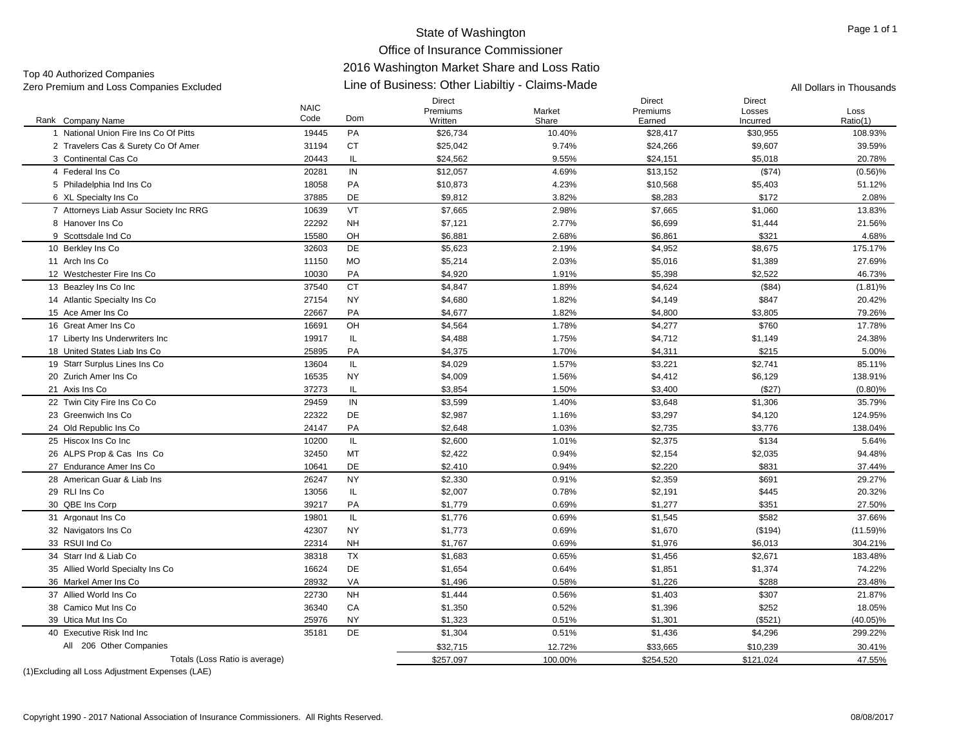# Office of Insurance Commissioner

# 2016 Washington Market Share and Loss Ratio

Line of Business: Other Liabiltiy - Claims-Made Zero Premium and Loss Companies Excluded All Dollars in Thousands Top 40 Authorized Companies<br>Zero Premium and Loss Companies Excluded

|                                        | <b>NAIC</b> |            | <b>Direct</b><br>Premiums | Market  | <b>Direct</b><br>Premiums | <b>Direct</b><br>Losses | Loss        |
|----------------------------------------|-------------|------------|---------------------------|---------|---------------------------|-------------------------|-------------|
| Rank Company Name                      | Code        | <b>Dom</b> | Written                   | Share   | Earned                    | Incurred                | Ratio(1)    |
| 1 National Union Fire Ins Co Of Pitts  | 19445       | PA         | \$26,734                  | 10.40%  | \$28,417                  | \$30,955                | 108.93%     |
| 2 Travelers Cas & Surety Co Of Amer    | 31194       | <b>CT</b>  | \$25,042                  | 9.74%   | \$24,266                  | \$9,607                 | 39.59%      |
| 3 Continental Cas Co                   | 20443       | IL.        | \$24,562                  | 9.55%   | \$24,151                  | \$5,018                 | 20.78%      |
| 4 Federal Ins Co                       | 20281       | IN         | \$12,057                  | 4.69%   | \$13,152                  | (S74)                   | $(0.56)\%$  |
| 5 Philadelphia Ind Ins Co              | 18058       | PA         | \$10,873                  | 4.23%   | \$10,568                  | \$5,403                 | 51.12%      |
| 6 XL Specialty Ins Co                  | 37885       | DE         | \$9,812                   | 3.82%   | \$8,283                   | \$172                   | 2.08%       |
| 7 Attorneys Liab Assur Society Inc RRG | 10639       | VT         | \$7,665                   | 2.98%   | \$7,665                   | \$1,060                 | 13.83%      |
| 8 Hanover Ins Co                       | 22292       | <b>NH</b>  | \$7,121                   | 2.77%   | \$6,699                   | \$1,444                 | 21.56%      |
| 9 Scottsdale Ind Co                    | 15580       | OH         | \$6,881                   | 2.68%   | \$6,861                   | \$321                   | 4.68%       |
| 10 Berkley Ins Co                      | 32603       | DE         | \$5,623                   | 2.19%   | \$4,952                   | \$8,675                 | 175.17%     |
| 11 Arch Ins Co                         | 11150       | <b>MO</b>  | \$5,214                   | 2.03%   | \$5,016                   | \$1,389                 | 27.69%      |
| 12 Westchester Fire Ins Co             | 10030       | PA         | \$4,920                   | 1.91%   | \$5,398                   | \$2,522                 | 46.73%      |
| 13 Beazley Ins Co Inc                  | 37540       | <b>CT</b>  | \$4,847                   | 1.89%   | \$4,624                   | ( \$84)                 | $(1.81)\%$  |
| 14 Atlantic Specialty Ins Co           | 27154       | <b>NY</b>  | \$4,680                   | 1.82%   | \$4,149                   | \$847                   | 20.42%      |
| 15 Ace Amer Ins Co                     | 22667       | PA         | \$4,677                   | 1.82%   | \$4,800                   | \$3,805                 | 79.26%      |
| 16 Great Amer Ins Co                   | 16691       | OH         | \$4,564                   | 1.78%   | \$4,277                   | \$760                   | 17.78%      |
| 17 Liberty Ins Underwriters Inc        | 19917       | IL.        | \$4,488                   | 1.75%   | \$4,712                   | \$1,149                 | 24.38%      |
| 18 United States Liab Ins Co           | 25895       | PA         | \$4,375                   | 1.70%   | \$4,311                   | \$215                   | 5.00%       |
| 19 Starr Surplus Lines Ins Co          | 13604       | IL.        | \$4,029                   | 1.57%   | \$3,221                   | \$2,741                 | 85.11%      |
| 20 Zurich Amer Ins Co                  | 16535       | <b>NY</b>  | \$4,009                   | 1.56%   | \$4,412                   | \$6,129                 | 138.91%     |
| 21 Axis Ins Co                         | 37273       | IL         | \$3,854                   | 1.50%   | \$3,400                   | (\$27)                  | $(0.80)\%$  |
| 22 Twin City Fire Ins Co Co            | 29459       | IN         | \$3,599                   | 1.40%   | \$3,648                   | \$1,306                 | 35.79%      |
| 23 Greenwich Ins Co                    | 22322       | DE         | \$2,987                   | 1.16%   | \$3,297                   | \$4,120                 | 124.95%     |
| 24 Old Republic Ins Co                 | 24147       | PA         | \$2,648                   | 1.03%   | \$2,735                   | \$3,776                 | 138.04%     |
| 25 Hiscox Ins Co Inc                   | 10200       | IL.        | \$2,600                   | 1.01%   | \$2,375                   | \$134                   | 5.64%       |
| 26 ALPS Prop & Cas Ins Co              | 32450       | MT         | \$2,422                   | 0.94%   | \$2,154                   | \$2,035                 | 94.48%      |
| 27 Endurance Amer Ins Co               | 10641       | DE         | \$2,410                   | 0.94%   | \$2,220                   | \$831                   | 37.44%      |
| 28 American Guar & Liab Ins            | 26247       | <b>NY</b>  | \$2,330                   | 0.91%   | \$2,359                   | \$691                   | 29.27%      |
| 29 RLI Ins Co                          | 13056       | IL.        | \$2,007                   | 0.78%   | \$2,191                   | \$445                   | 20.32%      |
| 30 QBE Ins Corp                        | 39217       | PA         | \$1,779                   | 0.69%   | \$1,277                   | \$351                   | 27.50%      |
| 31 Argonaut Ins Co                     | 19801       | IL.        | \$1,776                   | 0.69%   | \$1,545                   | \$582                   | 37.66%      |
| 32 Navigators Ins Co                   | 42307       | <b>NY</b>  | \$1,773                   | 0.69%   | \$1,670                   | (\$194)                 | $(11.59)\%$ |
| 33 RSUI Ind Co                         | 22314       | <b>NH</b>  | \$1,767                   | 0.69%   | \$1,976                   | \$6,013                 | 304.21%     |
| 34 Starr Ind & Liab Co                 | 38318       | <b>TX</b>  | \$1,683                   | 0.65%   | \$1,456                   | \$2,671                 | 183.48%     |
| 35 Allied World Specialty Ins Co.      | 16624       | <b>DE</b>  | \$1,654                   | 0.64%   | \$1,851                   | \$1,374                 | 74.22%      |
| 36 Markel Amer Ins Co                  | 28932       | VA         | \$1,496                   | 0.58%   | \$1,226                   | \$288                   | 23.48%      |
| 37 Allied World Ins Co.                | 22730       | <b>NH</b>  | \$1,444                   | 0.56%   | \$1,403                   | \$307                   | 21.87%      |
| 38 Camico Mut Ins Co                   | 36340       | CA         | \$1,350                   | 0.52%   | \$1,396                   | \$252                   | 18.05%      |
| 39 Utica Mut Ins Co                    | 25976       | <b>NY</b>  | \$1,323                   | 0.51%   | \$1,301                   | ( \$521)                | $(40.05)\%$ |
| 40 Executive Risk Ind Inc              | 35181       | DE         | \$1,304                   | 0.51%   | \$1,436                   | \$4,296                 | 299.22%     |
| All 206 Other Companies                |             |            | \$32,715                  | 12.72%  | \$33,665                  | \$10,239                | 30.41%      |
| Totals (Loss Ratio is average)         |             |            | \$257,097                 | 100.00% | \$254,520                 | \$121,024               | 47.55%      |
|                                        |             |            |                           |         |                           |                         |             |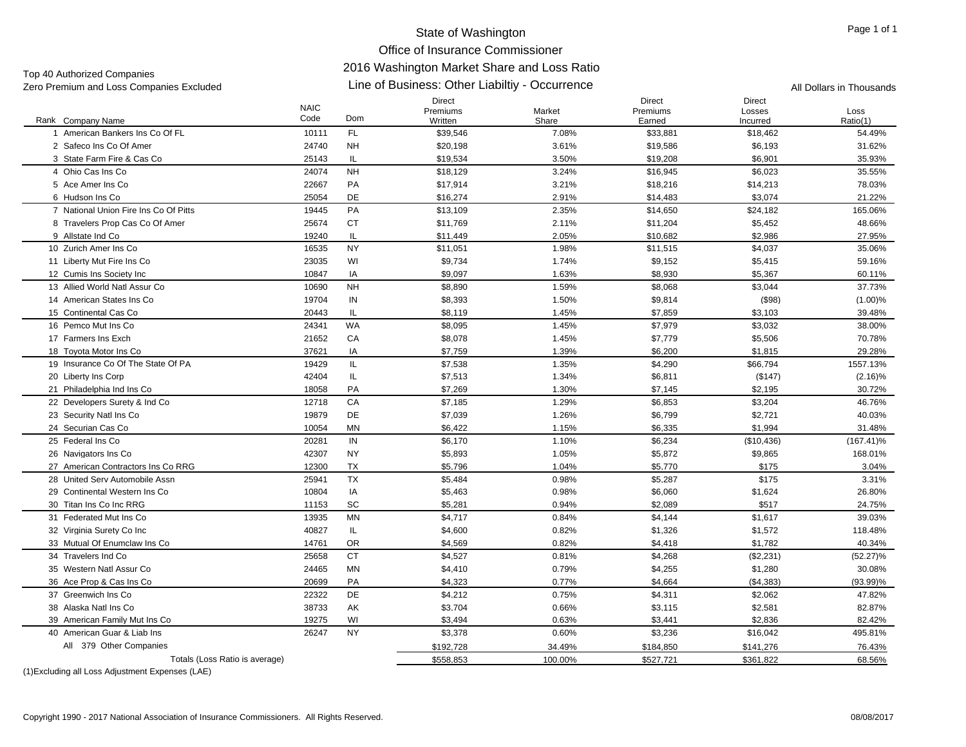# Office of Insurance Commissioner

# 2016 Washington Market Share and Loss Ratio

Top 40 Authorized Companies<br>Zero Premium and Loss Companies Excluded

# Line of Business: Other Liabiltiy - Occurrence Zero Premium and Loss Companies Excluded All Dollars in Thousands

|                                       | <b>NAIC</b> |           | Direct<br>Premiums | Market  | Direct<br>Premiums | Direct<br>Losses | Loss         |
|---------------------------------------|-------------|-----------|--------------------|---------|--------------------|------------------|--------------|
| Rank Company Name                     | Code        | Dom       | Written            | Share   | Earned             | Incurred         | Ratio(1)     |
| 1 American Bankers Ins Co Of FL       | 10111       | <b>FL</b> | \$39,546           | 7.08%   | \$33,881           | \$18,462         | 54.49%       |
| 2 Safeco Ins Co Of Amer               | 24740       | <b>NH</b> | \$20,198           | 3.61%   | \$19,586           | \$6,193          | 31.62%       |
| 3 State Farm Fire & Cas Co            | 25143       | IL        | \$19,534           | 3.50%   | \$19,208           | \$6,901          | 35.93%       |
| 4 Ohio Cas Ins Co                     | 24074       | <b>NH</b> | \$18,129           | 3.24%   | \$16,945           | \$6,023          | 35.55%       |
| 5 Ace Amer Ins Co                     | 22667       | PA        | \$17,914           | 3.21%   | \$18,216           | \$14,213         | 78.03%       |
| 6 Hudson Ins Co                       | 25054       | DE        | \$16,274           | 2.91%   | \$14,483           | \$3,074          | 21.22%       |
| 7 National Union Fire Ins Co Of Pitts | 19445       | PA        | \$13,109           | 2.35%   | \$14,650           | \$24,182         | 165.06%      |
| 8 Travelers Prop Cas Co Of Amer       | 25674       | <b>CT</b> | \$11,769           | 2.11%   | \$11,204           | \$5,452          | 48.66%       |
| 9 Allstate Ind Co                     | 19240       | IL.       | \$11,449           | 2.05%   | \$10,682           | \$2,986          | 27.95%       |
| 10 Zurich Amer Ins Co                 | 16535       | <b>NY</b> | \$11,051           | 1.98%   | \$11,515           | \$4,037          | 35.06%       |
| 11 Liberty Mut Fire Ins Co            | 23035       | WI        | \$9,734            | 1.74%   | \$9,152            | \$5,415          | 59.16%       |
| 12 Cumis Ins Society Inc              | 10847       | IA        | \$9,097            | 1.63%   | \$8,930            | \$5,367          | 60.11%       |
| 13 Allied World Natl Assur Co         | 10690       | <b>NH</b> | \$8,890            | 1.59%   | \$8,068            | \$3,044          | 37.73%       |
| 14 American States Ins Co             | 19704       | IN        | \$8,393            | 1.50%   | \$9,814            | $($ \$98)        | $(1.00)\%$   |
| 15 Continental Cas Co                 | 20443       | IL        | \$8,119            | 1.45%   | \$7,859            | \$3,103          | 39.48%       |
| 16 Pemco Mut Ins Co                   | 24341       | WA        | \$8,095            | 1.45%   | \$7,979            | \$3,032          | 38.00%       |
| 17 Farmers Ins Exch                   | 21652       | CA        | \$8,078            | 1.45%   | \$7,779            | \$5,506          | 70.78%       |
| 18 Toyota Motor Ins Co                | 37621       | IA        | \$7,759            | 1.39%   | \$6,200            | \$1,815          | 29.28%       |
| 19 Insurance Co Of The State Of PA    | 19429       | IL.       | \$7,538            | 1.35%   | \$4,290            | \$66,794         | 1557.13%     |
| 20 Liberty Ins Corp                   | 42404       | IL        | \$7,513            | 1.34%   | \$6,811            | (\$147)          | (2.16)%      |
| 21 Philadelphia Ind Ins Co            | 18058       | PA        | \$7,269            | 1.30%   | \$7,145            | \$2,195          | 30.72%       |
| 22 Developers Surety & Ind Co         | 12718       | CA        | \$7,185            | 1.29%   | \$6,853            | \$3,204          | 46.76%       |
| 23 Security Natl Ins Co               | 19879       | DE        | \$7,039            | 1.26%   | \$6,799            | \$2,721          | 40.03%       |
| 24 Securian Cas Co                    | 10054       | MN        | \$6,422            | 1.15%   | \$6,335            | \$1,994          | 31.48%       |
| 25 Federal Ins Co                     | 20281       | IN        | \$6,170            | 1.10%   | \$6,234            | (\$10,436)       | $(167.41)\%$ |
| 26 Navigators Ins Co                  | 42307       | <b>NY</b> | \$5,893            | 1.05%   | \$5,872            | \$9,865          | 168.01%      |
| 27 American Contractors Ins Co RRG    | 12300       | <b>TX</b> | \$5.796            | 1.04%   | \$5,770            | \$175            | 3.04%        |
| 28 United Serv Automobile Assn        | 25941       | <b>TX</b> | \$5,484            | 0.98%   | \$5,287            | \$175            | 3.31%        |
| 29 Continental Western Ins Co         | 10804       | IA        | \$5,463            | 0.98%   | \$6,060            | \$1,624          | 26.80%       |
| 30 Titan Ins Co Inc RRG               | 11153       | <b>SC</b> | \$5.281            | 0.94%   | \$2.089            | \$517            | 24.75%       |
| 31 Federated Mut Ins Co               | 13935       | MN        | \$4,717            | 0.84%   | \$4,144            | \$1,617          | 39.03%       |
| 32 Virginia Surety Co Inc             | 40827       | IL.       | \$4,600            | 0.82%   | \$1,326            | \$1,572          | 118.48%      |
| 33 Mutual Of Enumclaw Ins Co          | 14761       | <b>OR</b> | \$4,569            | 0.82%   | \$4,418            | \$1,782          | 40.34%       |
| 34 Travelers Ind Co                   | 25658       | <b>CT</b> | \$4,527            | 0.81%   | \$4,268            | (\$2,231)        | $(52.27)\%$  |
| 35 Western Natl Assur Co              | 24465       | MN        | \$4,410            | 0.79%   | \$4,255            | \$1,280          | 30.08%       |
| 36 Ace Prop & Cas Ins Co              | 20699       | PA        | \$4,323            | 0.77%   | \$4,664            | (\$4,383)        | $(93.99)\%$  |
| 37 Greenwich Ins Co                   | 22322       | DE        | \$4,212            | 0.75%   | \$4,311            | \$2,062          | 47.82%       |
| 38 Alaska Natl Ins Co                 | 38733       | AK        | \$3,704            | 0.66%   | \$3,115            | \$2,581          | 82.87%       |
| 39 American Family Mut Ins Co         | 19275       | WI        | \$3,494            | 0.63%   | \$3,441            | \$2,836          | 82.42%       |
| 40 American Guar & Liab Ins           | 26247       | <b>NY</b> | \$3,378            | 0.60%   | \$3,236            | \$16,042         | 495.81%      |
| All 379 Other Companies               |             |           | \$192,728          | 34.49%  | \$184,850          | \$141,276        | 76.43%       |
| Totals (Loss Ratio is average)        |             |           | \$558,853          | 100.00% | \$527,721          | \$361,822        | 68.56%       |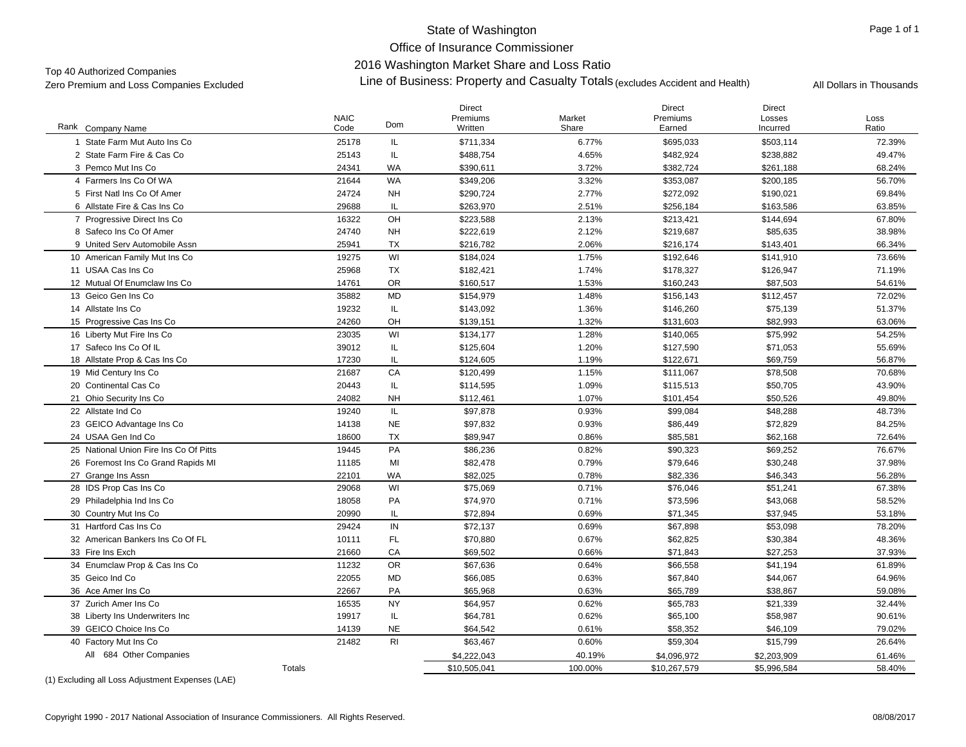Office of Insurance Commissioner2016 Washington Market Share and Loss Ratio

Top 40 Authorized Companies<br>Zo To Washington Market Share and Loss Katio<br>Zero Premium and Loss Companies Excluded **All Dollars in Thousands** Accident and Health) All Dollars in Thousands

| <b>Dom</b><br>Rank Company Name<br>Code<br>Ratio<br>Written<br>Share<br>Earned<br>Incurred<br>1 State Farm Mut Auto Ins Co<br>25178<br>\$711,334<br>6.77%<br>\$695,033<br>\$503,114<br>72.39%<br>IL.<br>49.47%<br>2 State Farm Fire & Cas Co<br>25143<br>IL<br>\$488,754<br>4.65%<br>\$482,924<br>\$238,882<br><b>WA</b><br>\$382,724<br>3 Pemco Mut Ins Co<br>24341<br>\$390,611<br>3.72%<br>\$261,188<br>68.24%<br><b>WA</b><br>4 Farmers Ins Co Of WA<br>21644<br>\$353,087<br>\$349,206<br>3.32%<br>\$200,185<br>56.70%<br>5 First Natl Ins Co Of Amer<br>24724<br><b>NH</b><br>\$290,724<br>2.77%<br>\$272,092<br>69.84%<br>\$190,021<br>6 Allstate Fire & Cas Ins Co<br>29688<br><b>IL</b><br>\$263,970<br>2.51%<br>\$256,184<br>\$163,586<br>63.85%<br>OH<br>16322<br>7 Progressive Direct Ins Co<br>\$223,588<br>2.13%<br>\$213,421<br>\$144,694<br>67.80%<br><b>NH</b><br>8 Safeco Ins Co Of Amer<br>24740<br>\$222,619<br>2.12%<br>\$219,687<br>\$85,635<br>38.98%<br>9 United Serv Automobile Assn<br>25941<br><b>TX</b><br>\$216,782<br>2.06%<br>\$216,174<br>\$143,401<br>66.34%<br>WI<br>19275<br>1.75%<br>\$192,646<br>10 American Family Mut Ins Co<br>\$184,024<br>\$141,910<br>73.66%<br>11 USAA Cas Ins Co<br>25968<br><b>TX</b><br>\$178,327<br>71.19%<br>\$182,421<br>1.74%<br>\$126,947<br><b>OR</b><br>12 Mutual Of Enumclaw Ins Co<br>14761<br>\$160,517<br>1.53%<br>\$160,243<br>\$87,503<br>54.61%<br>MD<br>13 Geico Gen Ins Co<br>35882<br>\$154,979<br>1.48%<br>\$156,143<br>\$112,457<br>72.02%<br>19232<br>IL<br>\$146,260<br>\$75,139<br>51.37%<br>14 Allstate Ins Co<br>\$143,092<br>1.36%<br>OH<br>15 Progressive Cas Ins Co<br>24260<br>\$139,151<br>1.32%<br>\$131,603<br>\$82,993<br>63.06%<br>WI<br>23035<br>\$140,065<br>54.25%<br>16 Liberty Mut Fire Ins Co<br>\$134,177<br>1.28%<br>\$75,992<br>17 Safeco Ins Co Of IL<br>39012<br>IL<br>55.69%<br>\$125,604<br>1.20%<br>\$127,590<br>\$71,053<br>17230<br>IL<br>1.19%<br>\$122,671<br>\$69,759<br>56.87%<br>18 Allstate Prop & Cas Ins Co<br>\$124,605<br>CA<br>19 Mid Century Ins Co<br>21687<br>\$120,499<br>1.15%<br>\$111,067<br>\$78,508<br>70.68%<br>20443<br>IL<br>\$50,705<br>20 Continental Cas Co<br>\$114,595<br>1.09%<br>\$115,513<br>43.90%<br>21 Ohio Security Ins Co<br>24082<br><b>NH</b><br>1.07%<br>\$101,454<br>\$50,526<br>49.80%<br>\$112,461<br>IL.<br>22 Allstate Ind Co<br>19240<br>\$97,878<br>0.93%<br>\$99,084<br>\$48,288<br>48.73%<br><b>NE</b><br>84.25%<br>23 GEICO Advantage Ins Co<br>14138<br>\$97,832<br>0.93%<br>\$86,449<br>\$72,829<br>24 USAA Gen Ind Co<br>18600<br><b>TX</b><br>\$89,947<br>0.86%<br>\$85,581<br>\$62,168<br>72.64%<br>PA<br>25 National Union Fire Ins Co Of Pitts<br>19445<br>\$86,236<br>0.82%<br>\$90,323<br>\$69,252<br>76.67%<br>MI<br>26 Foremost Ins Co Grand Rapids MI<br>11185<br>\$82,478<br>0.79%<br>\$79,646<br>\$30,248<br>37.98%<br>22101<br><b>WA</b><br>\$82,025<br>0.78%<br>\$82,336<br>\$46,343<br>56.28%<br>27 Grange Ins Assn<br>WI<br>28 IDS Prop Cas Ins Co<br>29068<br>\$75,069<br>0.71%<br>\$76,046<br>\$51,241<br>67.38%<br>PA<br>58.52%<br>29 Philadelphia Ind Ins Co<br>18058<br>\$74,970<br>0.71%<br>\$73,596<br>\$43,068<br>20990<br>IL<br>0.69%<br>\$71,345<br>30 Country Mut Ins Co<br>\$72,894<br>\$37,945<br>53.18%<br>IN<br>31 Hartford Cas Ins Co<br>29424<br>\$72,137<br>0.69%<br>\$67,898<br>\$53,098<br>78.20%<br><b>FL</b><br>32 American Bankers Ins Co Of FL<br>10111<br>\$70,880<br>0.67%<br>\$62,825<br>\$30,384<br>48.36%<br>21660<br>CA<br>\$69,502<br>0.66%<br>\$71,843<br>\$27,253<br>37.93%<br>33 Fire Ins Exch<br><b>OR</b><br>34 Enumclaw Prop & Cas Ins Co<br>11232<br>\$67,636<br>0.64%<br>\$66,558<br>\$41,194<br>61.89%<br><b>MD</b><br>35 Geico Ind Co<br>22055<br>\$66,085<br>0.63%<br>\$67,840<br>\$44,067<br>64.96%<br>22667<br>PA<br>\$65,789<br>36 Ace Amer Ins Co<br>\$65,968<br>0.63%<br>\$38,867<br>59.08%<br><b>NY</b><br>37 Zurich Amer Ins Co<br>16535<br>\$64,957<br>0.62%<br>\$65,783<br>\$21,339<br>32.44%<br>IL.<br>38 Liberty Ins Underwriters Inc<br>19917<br>\$64,781<br>0.62%<br>\$65,100<br>\$58,987<br>90.61%<br>39 GEICO Choice Ins Co<br>14139<br><b>NE</b><br>\$58,352<br>\$64,542<br>0.61%<br>\$46,109<br>79.02%<br>R <sub>l</sub><br>40 Factory Mut Ins Co<br>21482<br>\$59,304<br>26.64%<br>\$63,467<br>0.60%<br>\$15,799<br>All 684 Other Companies<br>\$4,222,043<br>40.19%<br>\$4,096,972<br>\$2,203,909<br>61.46%<br><b>Totals</b><br>\$10,505,041<br>100.00%<br>\$10,267,579<br>\$5,996,584<br>58.40% | <b>NAIC</b> | <b>Direct</b><br>Premiums | Market | <b>Direct</b><br>Premiums | <b>Direct</b><br>Losses | Loss |
|--------------------------------------------------------------------------------------------------------------------------------------------------------------------------------------------------------------------------------------------------------------------------------------------------------------------------------------------------------------------------------------------------------------------------------------------------------------------------------------------------------------------------------------------------------------------------------------------------------------------------------------------------------------------------------------------------------------------------------------------------------------------------------------------------------------------------------------------------------------------------------------------------------------------------------------------------------------------------------------------------------------------------------------------------------------------------------------------------------------------------------------------------------------------------------------------------------------------------------------------------------------------------------------------------------------------------------------------------------------------------------------------------------------------------------------------------------------------------------------------------------------------------------------------------------------------------------------------------------------------------------------------------------------------------------------------------------------------------------------------------------------------------------------------------------------------------------------------------------------------------------------------------------------------------------------------------------------------------------------------------------------------------------------------------------------------------------------------------------------------------------------------------------------------------------------------------------------------------------------------------------------------------------------------------------------------------------------------------------------------------------------------------------------------------------------------------------------------------------------------------------------------------------------------------------------------------------------------------------------------------------------------------------------------------------------------------------------------------------------------------------------------------------------------------------------------------------------------------------------------------------------------------------------------------------------------------------------------------------------------------------------------------------------------------------------------------------------------------------------------------------------------------------------------------------------------------------------------------------------------------------------------------------------------------------------------------------------------------------------------------------------------------------------------------------------------------------------------------------------------------------------------------------------------------------------------------------------------------------------------------------------------------------------------------------------------------------------------------------------------------------------------------------------------------------------------------------------------------------------------------------------------------------------------------------------------------------------------------------------------------------------------------------------------------------------------------------------------------------------------------------------------------------------------------------------------------------------------------------------------------------------------------------------------------------------------------------------------------------------------------------------------------------------------------------------------------------------------------------------------------------------------------------------------------|-------------|---------------------------|--------|---------------------------|-------------------------|------|
|                                                                                                                                                                                                                                                                                                                                                                                                                                                                                                                                                                                                                                                                                                                                                                                                                                                                                                                                                                                                                                                                                                                                                                                                                                                                                                                                                                                                                                                                                                                                                                                                                                                                                                                                                                                                                                                                                                                                                                                                                                                                                                                                                                                                                                                                                                                                                                                                                                                                                                                                                                                                                                                                                                                                                                                                                                                                                                                                                                                                                                                                                                                                                                                                                                                                                                                                                                                                                                                                                                                                                                                                                                                                                                                                                                                                                                                                                                                                                                                                                                                                                                                                                                                                                                                                                                                                                                                                                                                                                                                                                  |             |                           |        |                           |                         |      |
|                                                                                                                                                                                                                                                                                                                                                                                                                                                                                                                                                                                                                                                                                                                                                                                                                                                                                                                                                                                                                                                                                                                                                                                                                                                                                                                                                                                                                                                                                                                                                                                                                                                                                                                                                                                                                                                                                                                                                                                                                                                                                                                                                                                                                                                                                                                                                                                                                                                                                                                                                                                                                                                                                                                                                                                                                                                                                                                                                                                                                                                                                                                                                                                                                                                                                                                                                                                                                                                                                                                                                                                                                                                                                                                                                                                                                                                                                                                                                                                                                                                                                                                                                                                                                                                                                                                                                                                                                                                                                                                                                  |             |                           |        |                           |                         |      |
|                                                                                                                                                                                                                                                                                                                                                                                                                                                                                                                                                                                                                                                                                                                                                                                                                                                                                                                                                                                                                                                                                                                                                                                                                                                                                                                                                                                                                                                                                                                                                                                                                                                                                                                                                                                                                                                                                                                                                                                                                                                                                                                                                                                                                                                                                                                                                                                                                                                                                                                                                                                                                                                                                                                                                                                                                                                                                                                                                                                                                                                                                                                                                                                                                                                                                                                                                                                                                                                                                                                                                                                                                                                                                                                                                                                                                                                                                                                                                                                                                                                                                                                                                                                                                                                                                                                                                                                                                                                                                                                                                  |             |                           |        |                           |                         |      |
|                                                                                                                                                                                                                                                                                                                                                                                                                                                                                                                                                                                                                                                                                                                                                                                                                                                                                                                                                                                                                                                                                                                                                                                                                                                                                                                                                                                                                                                                                                                                                                                                                                                                                                                                                                                                                                                                                                                                                                                                                                                                                                                                                                                                                                                                                                                                                                                                                                                                                                                                                                                                                                                                                                                                                                                                                                                                                                                                                                                                                                                                                                                                                                                                                                                                                                                                                                                                                                                                                                                                                                                                                                                                                                                                                                                                                                                                                                                                                                                                                                                                                                                                                                                                                                                                                                                                                                                                                                                                                                                                                  |             |                           |        |                           |                         |      |
|                                                                                                                                                                                                                                                                                                                                                                                                                                                                                                                                                                                                                                                                                                                                                                                                                                                                                                                                                                                                                                                                                                                                                                                                                                                                                                                                                                                                                                                                                                                                                                                                                                                                                                                                                                                                                                                                                                                                                                                                                                                                                                                                                                                                                                                                                                                                                                                                                                                                                                                                                                                                                                                                                                                                                                                                                                                                                                                                                                                                                                                                                                                                                                                                                                                                                                                                                                                                                                                                                                                                                                                                                                                                                                                                                                                                                                                                                                                                                                                                                                                                                                                                                                                                                                                                                                                                                                                                                                                                                                                                                  |             |                           |        |                           |                         |      |
|                                                                                                                                                                                                                                                                                                                                                                                                                                                                                                                                                                                                                                                                                                                                                                                                                                                                                                                                                                                                                                                                                                                                                                                                                                                                                                                                                                                                                                                                                                                                                                                                                                                                                                                                                                                                                                                                                                                                                                                                                                                                                                                                                                                                                                                                                                                                                                                                                                                                                                                                                                                                                                                                                                                                                                                                                                                                                                                                                                                                                                                                                                                                                                                                                                                                                                                                                                                                                                                                                                                                                                                                                                                                                                                                                                                                                                                                                                                                                                                                                                                                                                                                                                                                                                                                                                                                                                                                                                                                                                                                                  |             |                           |        |                           |                         |      |
|                                                                                                                                                                                                                                                                                                                                                                                                                                                                                                                                                                                                                                                                                                                                                                                                                                                                                                                                                                                                                                                                                                                                                                                                                                                                                                                                                                                                                                                                                                                                                                                                                                                                                                                                                                                                                                                                                                                                                                                                                                                                                                                                                                                                                                                                                                                                                                                                                                                                                                                                                                                                                                                                                                                                                                                                                                                                                                                                                                                                                                                                                                                                                                                                                                                                                                                                                                                                                                                                                                                                                                                                                                                                                                                                                                                                                                                                                                                                                                                                                                                                                                                                                                                                                                                                                                                                                                                                                                                                                                                                                  |             |                           |        |                           |                         |      |
|                                                                                                                                                                                                                                                                                                                                                                                                                                                                                                                                                                                                                                                                                                                                                                                                                                                                                                                                                                                                                                                                                                                                                                                                                                                                                                                                                                                                                                                                                                                                                                                                                                                                                                                                                                                                                                                                                                                                                                                                                                                                                                                                                                                                                                                                                                                                                                                                                                                                                                                                                                                                                                                                                                                                                                                                                                                                                                                                                                                                                                                                                                                                                                                                                                                                                                                                                                                                                                                                                                                                                                                                                                                                                                                                                                                                                                                                                                                                                                                                                                                                                                                                                                                                                                                                                                                                                                                                                                                                                                                                                  |             |                           |        |                           |                         |      |
|                                                                                                                                                                                                                                                                                                                                                                                                                                                                                                                                                                                                                                                                                                                                                                                                                                                                                                                                                                                                                                                                                                                                                                                                                                                                                                                                                                                                                                                                                                                                                                                                                                                                                                                                                                                                                                                                                                                                                                                                                                                                                                                                                                                                                                                                                                                                                                                                                                                                                                                                                                                                                                                                                                                                                                                                                                                                                                                                                                                                                                                                                                                                                                                                                                                                                                                                                                                                                                                                                                                                                                                                                                                                                                                                                                                                                                                                                                                                                                                                                                                                                                                                                                                                                                                                                                                                                                                                                                                                                                                                                  |             |                           |        |                           |                         |      |
|                                                                                                                                                                                                                                                                                                                                                                                                                                                                                                                                                                                                                                                                                                                                                                                                                                                                                                                                                                                                                                                                                                                                                                                                                                                                                                                                                                                                                                                                                                                                                                                                                                                                                                                                                                                                                                                                                                                                                                                                                                                                                                                                                                                                                                                                                                                                                                                                                                                                                                                                                                                                                                                                                                                                                                                                                                                                                                                                                                                                                                                                                                                                                                                                                                                                                                                                                                                                                                                                                                                                                                                                                                                                                                                                                                                                                                                                                                                                                                                                                                                                                                                                                                                                                                                                                                                                                                                                                                                                                                                                                  |             |                           |        |                           |                         |      |
|                                                                                                                                                                                                                                                                                                                                                                                                                                                                                                                                                                                                                                                                                                                                                                                                                                                                                                                                                                                                                                                                                                                                                                                                                                                                                                                                                                                                                                                                                                                                                                                                                                                                                                                                                                                                                                                                                                                                                                                                                                                                                                                                                                                                                                                                                                                                                                                                                                                                                                                                                                                                                                                                                                                                                                                                                                                                                                                                                                                                                                                                                                                                                                                                                                                                                                                                                                                                                                                                                                                                                                                                                                                                                                                                                                                                                                                                                                                                                                                                                                                                                                                                                                                                                                                                                                                                                                                                                                                                                                                                                  |             |                           |        |                           |                         |      |
|                                                                                                                                                                                                                                                                                                                                                                                                                                                                                                                                                                                                                                                                                                                                                                                                                                                                                                                                                                                                                                                                                                                                                                                                                                                                                                                                                                                                                                                                                                                                                                                                                                                                                                                                                                                                                                                                                                                                                                                                                                                                                                                                                                                                                                                                                                                                                                                                                                                                                                                                                                                                                                                                                                                                                                                                                                                                                                                                                                                                                                                                                                                                                                                                                                                                                                                                                                                                                                                                                                                                                                                                                                                                                                                                                                                                                                                                                                                                                                                                                                                                                                                                                                                                                                                                                                                                                                                                                                                                                                                                                  |             |                           |        |                           |                         |      |
|                                                                                                                                                                                                                                                                                                                                                                                                                                                                                                                                                                                                                                                                                                                                                                                                                                                                                                                                                                                                                                                                                                                                                                                                                                                                                                                                                                                                                                                                                                                                                                                                                                                                                                                                                                                                                                                                                                                                                                                                                                                                                                                                                                                                                                                                                                                                                                                                                                                                                                                                                                                                                                                                                                                                                                                                                                                                                                                                                                                                                                                                                                                                                                                                                                                                                                                                                                                                                                                                                                                                                                                                                                                                                                                                                                                                                                                                                                                                                                                                                                                                                                                                                                                                                                                                                                                                                                                                                                                                                                                                                  |             |                           |        |                           |                         |      |
|                                                                                                                                                                                                                                                                                                                                                                                                                                                                                                                                                                                                                                                                                                                                                                                                                                                                                                                                                                                                                                                                                                                                                                                                                                                                                                                                                                                                                                                                                                                                                                                                                                                                                                                                                                                                                                                                                                                                                                                                                                                                                                                                                                                                                                                                                                                                                                                                                                                                                                                                                                                                                                                                                                                                                                                                                                                                                                                                                                                                                                                                                                                                                                                                                                                                                                                                                                                                                                                                                                                                                                                                                                                                                                                                                                                                                                                                                                                                                                                                                                                                                                                                                                                                                                                                                                                                                                                                                                                                                                                                                  |             |                           |        |                           |                         |      |
|                                                                                                                                                                                                                                                                                                                                                                                                                                                                                                                                                                                                                                                                                                                                                                                                                                                                                                                                                                                                                                                                                                                                                                                                                                                                                                                                                                                                                                                                                                                                                                                                                                                                                                                                                                                                                                                                                                                                                                                                                                                                                                                                                                                                                                                                                                                                                                                                                                                                                                                                                                                                                                                                                                                                                                                                                                                                                                                                                                                                                                                                                                                                                                                                                                                                                                                                                                                                                                                                                                                                                                                                                                                                                                                                                                                                                                                                                                                                                                                                                                                                                                                                                                                                                                                                                                                                                                                                                                                                                                                                                  |             |                           |        |                           |                         |      |
|                                                                                                                                                                                                                                                                                                                                                                                                                                                                                                                                                                                                                                                                                                                                                                                                                                                                                                                                                                                                                                                                                                                                                                                                                                                                                                                                                                                                                                                                                                                                                                                                                                                                                                                                                                                                                                                                                                                                                                                                                                                                                                                                                                                                                                                                                                                                                                                                                                                                                                                                                                                                                                                                                                                                                                                                                                                                                                                                                                                                                                                                                                                                                                                                                                                                                                                                                                                                                                                                                                                                                                                                                                                                                                                                                                                                                                                                                                                                                                                                                                                                                                                                                                                                                                                                                                                                                                                                                                                                                                                                                  |             |                           |        |                           |                         |      |
|                                                                                                                                                                                                                                                                                                                                                                                                                                                                                                                                                                                                                                                                                                                                                                                                                                                                                                                                                                                                                                                                                                                                                                                                                                                                                                                                                                                                                                                                                                                                                                                                                                                                                                                                                                                                                                                                                                                                                                                                                                                                                                                                                                                                                                                                                                                                                                                                                                                                                                                                                                                                                                                                                                                                                                                                                                                                                                                                                                                                                                                                                                                                                                                                                                                                                                                                                                                                                                                                                                                                                                                                                                                                                                                                                                                                                                                                                                                                                                                                                                                                                                                                                                                                                                                                                                                                                                                                                                                                                                                                                  |             |                           |        |                           |                         |      |
|                                                                                                                                                                                                                                                                                                                                                                                                                                                                                                                                                                                                                                                                                                                                                                                                                                                                                                                                                                                                                                                                                                                                                                                                                                                                                                                                                                                                                                                                                                                                                                                                                                                                                                                                                                                                                                                                                                                                                                                                                                                                                                                                                                                                                                                                                                                                                                                                                                                                                                                                                                                                                                                                                                                                                                                                                                                                                                                                                                                                                                                                                                                                                                                                                                                                                                                                                                                                                                                                                                                                                                                                                                                                                                                                                                                                                                                                                                                                                                                                                                                                                                                                                                                                                                                                                                                                                                                                                                                                                                                                                  |             |                           |        |                           |                         |      |
|                                                                                                                                                                                                                                                                                                                                                                                                                                                                                                                                                                                                                                                                                                                                                                                                                                                                                                                                                                                                                                                                                                                                                                                                                                                                                                                                                                                                                                                                                                                                                                                                                                                                                                                                                                                                                                                                                                                                                                                                                                                                                                                                                                                                                                                                                                                                                                                                                                                                                                                                                                                                                                                                                                                                                                                                                                                                                                                                                                                                                                                                                                                                                                                                                                                                                                                                                                                                                                                                                                                                                                                                                                                                                                                                                                                                                                                                                                                                                                                                                                                                                                                                                                                                                                                                                                                                                                                                                                                                                                                                                  |             |                           |        |                           |                         |      |
|                                                                                                                                                                                                                                                                                                                                                                                                                                                                                                                                                                                                                                                                                                                                                                                                                                                                                                                                                                                                                                                                                                                                                                                                                                                                                                                                                                                                                                                                                                                                                                                                                                                                                                                                                                                                                                                                                                                                                                                                                                                                                                                                                                                                                                                                                                                                                                                                                                                                                                                                                                                                                                                                                                                                                                                                                                                                                                                                                                                                                                                                                                                                                                                                                                                                                                                                                                                                                                                                                                                                                                                                                                                                                                                                                                                                                                                                                                                                                                                                                                                                                                                                                                                                                                                                                                                                                                                                                                                                                                                                                  |             |                           |        |                           |                         |      |
|                                                                                                                                                                                                                                                                                                                                                                                                                                                                                                                                                                                                                                                                                                                                                                                                                                                                                                                                                                                                                                                                                                                                                                                                                                                                                                                                                                                                                                                                                                                                                                                                                                                                                                                                                                                                                                                                                                                                                                                                                                                                                                                                                                                                                                                                                                                                                                                                                                                                                                                                                                                                                                                                                                                                                                                                                                                                                                                                                                                                                                                                                                                                                                                                                                                                                                                                                                                                                                                                                                                                                                                                                                                                                                                                                                                                                                                                                                                                                                                                                                                                                                                                                                                                                                                                                                                                                                                                                                                                                                                                                  |             |                           |        |                           |                         |      |
|                                                                                                                                                                                                                                                                                                                                                                                                                                                                                                                                                                                                                                                                                                                                                                                                                                                                                                                                                                                                                                                                                                                                                                                                                                                                                                                                                                                                                                                                                                                                                                                                                                                                                                                                                                                                                                                                                                                                                                                                                                                                                                                                                                                                                                                                                                                                                                                                                                                                                                                                                                                                                                                                                                                                                                                                                                                                                                                                                                                                                                                                                                                                                                                                                                                                                                                                                                                                                                                                                                                                                                                                                                                                                                                                                                                                                                                                                                                                                                                                                                                                                                                                                                                                                                                                                                                                                                                                                                                                                                                                                  |             |                           |        |                           |                         |      |
|                                                                                                                                                                                                                                                                                                                                                                                                                                                                                                                                                                                                                                                                                                                                                                                                                                                                                                                                                                                                                                                                                                                                                                                                                                                                                                                                                                                                                                                                                                                                                                                                                                                                                                                                                                                                                                                                                                                                                                                                                                                                                                                                                                                                                                                                                                                                                                                                                                                                                                                                                                                                                                                                                                                                                                                                                                                                                                                                                                                                                                                                                                                                                                                                                                                                                                                                                                                                                                                                                                                                                                                                                                                                                                                                                                                                                                                                                                                                                                                                                                                                                                                                                                                                                                                                                                                                                                                                                                                                                                                                                  |             |                           |        |                           |                         |      |
|                                                                                                                                                                                                                                                                                                                                                                                                                                                                                                                                                                                                                                                                                                                                                                                                                                                                                                                                                                                                                                                                                                                                                                                                                                                                                                                                                                                                                                                                                                                                                                                                                                                                                                                                                                                                                                                                                                                                                                                                                                                                                                                                                                                                                                                                                                                                                                                                                                                                                                                                                                                                                                                                                                                                                                                                                                                                                                                                                                                                                                                                                                                                                                                                                                                                                                                                                                                                                                                                                                                                                                                                                                                                                                                                                                                                                                                                                                                                                                                                                                                                                                                                                                                                                                                                                                                                                                                                                                                                                                                                                  |             |                           |        |                           |                         |      |
|                                                                                                                                                                                                                                                                                                                                                                                                                                                                                                                                                                                                                                                                                                                                                                                                                                                                                                                                                                                                                                                                                                                                                                                                                                                                                                                                                                                                                                                                                                                                                                                                                                                                                                                                                                                                                                                                                                                                                                                                                                                                                                                                                                                                                                                                                                                                                                                                                                                                                                                                                                                                                                                                                                                                                                                                                                                                                                                                                                                                                                                                                                                                                                                                                                                                                                                                                                                                                                                                                                                                                                                                                                                                                                                                                                                                                                                                                                                                                                                                                                                                                                                                                                                                                                                                                                                                                                                                                                                                                                                                                  |             |                           |        |                           |                         |      |
|                                                                                                                                                                                                                                                                                                                                                                                                                                                                                                                                                                                                                                                                                                                                                                                                                                                                                                                                                                                                                                                                                                                                                                                                                                                                                                                                                                                                                                                                                                                                                                                                                                                                                                                                                                                                                                                                                                                                                                                                                                                                                                                                                                                                                                                                                                                                                                                                                                                                                                                                                                                                                                                                                                                                                                                                                                                                                                                                                                                                                                                                                                                                                                                                                                                                                                                                                                                                                                                                                                                                                                                                                                                                                                                                                                                                                                                                                                                                                                                                                                                                                                                                                                                                                                                                                                                                                                                                                                                                                                                                                  |             |                           |        |                           |                         |      |
|                                                                                                                                                                                                                                                                                                                                                                                                                                                                                                                                                                                                                                                                                                                                                                                                                                                                                                                                                                                                                                                                                                                                                                                                                                                                                                                                                                                                                                                                                                                                                                                                                                                                                                                                                                                                                                                                                                                                                                                                                                                                                                                                                                                                                                                                                                                                                                                                                                                                                                                                                                                                                                                                                                                                                                                                                                                                                                                                                                                                                                                                                                                                                                                                                                                                                                                                                                                                                                                                                                                                                                                                                                                                                                                                                                                                                                                                                                                                                                                                                                                                                                                                                                                                                                                                                                                                                                                                                                                                                                                                                  |             |                           |        |                           |                         |      |
|                                                                                                                                                                                                                                                                                                                                                                                                                                                                                                                                                                                                                                                                                                                                                                                                                                                                                                                                                                                                                                                                                                                                                                                                                                                                                                                                                                                                                                                                                                                                                                                                                                                                                                                                                                                                                                                                                                                                                                                                                                                                                                                                                                                                                                                                                                                                                                                                                                                                                                                                                                                                                                                                                                                                                                                                                                                                                                                                                                                                                                                                                                                                                                                                                                                                                                                                                                                                                                                                                                                                                                                                                                                                                                                                                                                                                                                                                                                                                                                                                                                                                                                                                                                                                                                                                                                                                                                                                                                                                                                                                  |             |                           |        |                           |                         |      |
|                                                                                                                                                                                                                                                                                                                                                                                                                                                                                                                                                                                                                                                                                                                                                                                                                                                                                                                                                                                                                                                                                                                                                                                                                                                                                                                                                                                                                                                                                                                                                                                                                                                                                                                                                                                                                                                                                                                                                                                                                                                                                                                                                                                                                                                                                                                                                                                                                                                                                                                                                                                                                                                                                                                                                                                                                                                                                                                                                                                                                                                                                                                                                                                                                                                                                                                                                                                                                                                                                                                                                                                                                                                                                                                                                                                                                                                                                                                                                                                                                                                                                                                                                                                                                                                                                                                                                                                                                                                                                                                                                  |             |                           |        |                           |                         |      |
|                                                                                                                                                                                                                                                                                                                                                                                                                                                                                                                                                                                                                                                                                                                                                                                                                                                                                                                                                                                                                                                                                                                                                                                                                                                                                                                                                                                                                                                                                                                                                                                                                                                                                                                                                                                                                                                                                                                                                                                                                                                                                                                                                                                                                                                                                                                                                                                                                                                                                                                                                                                                                                                                                                                                                                                                                                                                                                                                                                                                                                                                                                                                                                                                                                                                                                                                                                                                                                                                                                                                                                                                                                                                                                                                                                                                                                                                                                                                                                                                                                                                                                                                                                                                                                                                                                                                                                                                                                                                                                                                                  |             |                           |        |                           |                         |      |
|                                                                                                                                                                                                                                                                                                                                                                                                                                                                                                                                                                                                                                                                                                                                                                                                                                                                                                                                                                                                                                                                                                                                                                                                                                                                                                                                                                                                                                                                                                                                                                                                                                                                                                                                                                                                                                                                                                                                                                                                                                                                                                                                                                                                                                                                                                                                                                                                                                                                                                                                                                                                                                                                                                                                                                                                                                                                                                                                                                                                                                                                                                                                                                                                                                                                                                                                                                                                                                                                                                                                                                                                                                                                                                                                                                                                                                                                                                                                                                                                                                                                                                                                                                                                                                                                                                                                                                                                                                                                                                                                                  |             |                           |        |                           |                         |      |
|                                                                                                                                                                                                                                                                                                                                                                                                                                                                                                                                                                                                                                                                                                                                                                                                                                                                                                                                                                                                                                                                                                                                                                                                                                                                                                                                                                                                                                                                                                                                                                                                                                                                                                                                                                                                                                                                                                                                                                                                                                                                                                                                                                                                                                                                                                                                                                                                                                                                                                                                                                                                                                                                                                                                                                                                                                                                                                                                                                                                                                                                                                                                                                                                                                                                                                                                                                                                                                                                                                                                                                                                                                                                                                                                                                                                                                                                                                                                                                                                                                                                                                                                                                                                                                                                                                                                                                                                                                                                                                                                                  |             |                           |        |                           |                         |      |
|                                                                                                                                                                                                                                                                                                                                                                                                                                                                                                                                                                                                                                                                                                                                                                                                                                                                                                                                                                                                                                                                                                                                                                                                                                                                                                                                                                                                                                                                                                                                                                                                                                                                                                                                                                                                                                                                                                                                                                                                                                                                                                                                                                                                                                                                                                                                                                                                                                                                                                                                                                                                                                                                                                                                                                                                                                                                                                                                                                                                                                                                                                                                                                                                                                                                                                                                                                                                                                                                                                                                                                                                                                                                                                                                                                                                                                                                                                                                                                                                                                                                                                                                                                                                                                                                                                                                                                                                                                                                                                                                                  |             |                           |        |                           |                         |      |
|                                                                                                                                                                                                                                                                                                                                                                                                                                                                                                                                                                                                                                                                                                                                                                                                                                                                                                                                                                                                                                                                                                                                                                                                                                                                                                                                                                                                                                                                                                                                                                                                                                                                                                                                                                                                                                                                                                                                                                                                                                                                                                                                                                                                                                                                                                                                                                                                                                                                                                                                                                                                                                                                                                                                                                                                                                                                                                                                                                                                                                                                                                                                                                                                                                                                                                                                                                                                                                                                                                                                                                                                                                                                                                                                                                                                                                                                                                                                                                                                                                                                                                                                                                                                                                                                                                                                                                                                                                                                                                                                                  |             |                           |        |                           |                         |      |
|                                                                                                                                                                                                                                                                                                                                                                                                                                                                                                                                                                                                                                                                                                                                                                                                                                                                                                                                                                                                                                                                                                                                                                                                                                                                                                                                                                                                                                                                                                                                                                                                                                                                                                                                                                                                                                                                                                                                                                                                                                                                                                                                                                                                                                                                                                                                                                                                                                                                                                                                                                                                                                                                                                                                                                                                                                                                                                                                                                                                                                                                                                                                                                                                                                                                                                                                                                                                                                                                                                                                                                                                                                                                                                                                                                                                                                                                                                                                                                                                                                                                                                                                                                                                                                                                                                                                                                                                                                                                                                                                                  |             |                           |        |                           |                         |      |
|                                                                                                                                                                                                                                                                                                                                                                                                                                                                                                                                                                                                                                                                                                                                                                                                                                                                                                                                                                                                                                                                                                                                                                                                                                                                                                                                                                                                                                                                                                                                                                                                                                                                                                                                                                                                                                                                                                                                                                                                                                                                                                                                                                                                                                                                                                                                                                                                                                                                                                                                                                                                                                                                                                                                                                                                                                                                                                                                                                                                                                                                                                                                                                                                                                                                                                                                                                                                                                                                                                                                                                                                                                                                                                                                                                                                                                                                                                                                                                                                                                                                                                                                                                                                                                                                                                                                                                                                                                                                                                                                                  |             |                           |        |                           |                         |      |
|                                                                                                                                                                                                                                                                                                                                                                                                                                                                                                                                                                                                                                                                                                                                                                                                                                                                                                                                                                                                                                                                                                                                                                                                                                                                                                                                                                                                                                                                                                                                                                                                                                                                                                                                                                                                                                                                                                                                                                                                                                                                                                                                                                                                                                                                                                                                                                                                                                                                                                                                                                                                                                                                                                                                                                                                                                                                                                                                                                                                                                                                                                                                                                                                                                                                                                                                                                                                                                                                                                                                                                                                                                                                                                                                                                                                                                                                                                                                                                                                                                                                                                                                                                                                                                                                                                                                                                                                                                                                                                                                                  |             |                           |        |                           |                         |      |
|                                                                                                                                                                                                                                                                                                                                                                                                                                                                                                                                                                                                                                                                                                                                                                                                                                                                                                                                                                                                                                                                                                                                                                                                                                                                                                                                                                                                                                                                                                                                                                                                                                                                                                                                                                                                                                                                                                                                                                                                                                                                                                                                                                                                                                                                                                                                                                                                                                                                                                                                                                                                                                                                                                                                                                                                                                                                                                                                                                                                                                                                                                                                                                                                                                                                                                                                                                                                                                                                                                                                                                                                                                                                                                                                                                                                                                                                                                                                                                                                                                                                                                                                                                                                                                                                                                                                                                                                                                                                                                                                                  |             |                           |        |                           |                         |      |
|                                                                                                                                                                                                                                                                                                                                                                                                                                                                                                                                                                                                                                                                                                                                                                                                                                                                                                                                                                                                                                                                                                                                                                                                                                                                                                                                                                                                                                                                                                                                                                                                                                                                                                                                                                                                                                                                                                                                                                                                                                                                                                                                                                                                                                                                                                                                                                                                                                                                                                                                                                                                                                                                                                                                                                                                                                                                                                                                                                                                                                                                                                                                                                                                                                                                                                                                                                                                                                                                                                                                                                                                                                                                                                                                                                                                                                                                                                                                                                                                                                                                                                                                                                                                                                                                                                                                                                                                                                                                                                                                                  |             |                           |        |                           |                         |      |
|                                                                                                                                                                                                                                                                                                                                                                                                                                                                                                                                                                                                                                                                                                                                                                                                                                                                                                                                                                                                                                                                                                                                                                                                                                                                                                                                                                                                                                                                                                                                                                                                                                                                                                                                                                                                                                                                                                                                                                                                                                                                                                                                                                                                                                                                                                                                                                                                                                                                                                                                                                                                                                                                                                                                                                                                                                                                                                                                                                                                                                                                                                                                                                                                                                                                                                                                                                                                                                                                                                                                                                                                                                                                                                                                                                                                                                                                                                                                                                                                                                                                                                                                                                                                                                                                                                                                                                                                                                                                                                                                                  |             |                           |        |                           |                         |      |
|                                                                                                                                                                                                                                                                                                                                                                                                                                                                                                                                                                                                                                                                                                                                                                                                                                                                                                                                                                                                                                                                                                                                                                                                                                                                                                                                                                                                                                                                                                                                                                                                                                                                                                                                                                                                                                                                                                                                                                                                                                                                                                                                                                                                                                                                                                                                                                                                                                                                                                                                                                                                                                                                                                                                                                                                                                                                                                                                                                                                                                                                                                                                                                                                                                                                                                                                                                                                                                                                                                                                                                                                                                                                                                                                                                                                                                                                                                                                                                                                                                                                                                                                                                                                                                                                                                                                                                                                                                                                                                                                                  |             |                           |        |                           |                         |      |
|                                                                                                                                                                                                                                                                                                                                                                                                                                                                                                                                                                                                                                                                                                                                                                                                                                                                                                                                                                                                                                                                                                                                                                                                                                                                                                                                                                                                                                                                                                                                                                                                                                                                                                                                                                                                                                                                                                                                                                                                                                                                                                                                                                                                                                                                                                                                                                                                                                                                                                                                                                                                                                                                                                                                                                                                                                                                                                                                                                                                                                                                                                                                                                                                                                                                                                                                                                                                                                                                                                                                                                                                                                                                                                                                                                                                                                                                                                                                                                                                                                                                                                                                                                                                                                                                                                                                                                                                                                                                                                                                                  |             |                           |        |                           |                         |      |
|                                                                                                                                                                                                                                                                                                                                                                                                                                                                                                                                                                                                                                                                                                                                                                                                                                                                                                                                                                                                                                                                                                                                                                                                                                                                                                                                                                                                                                                                                                                                                                                                                                                                                                                                                                                                                                                                                                                                                                                                                                                                                                                                                                                                                                                                                                                                                                                                                                                                                                                                                                                                                                                                                                                                                                                                                                                                                                                                                                                                                                                                                                                                                                                                                                                                                                                                                                                                                                                                                                                                                                                                                                                                                                                                                                                                                                                                                                                                                                                                                                                                                                                                                                                                                                                                                                                                                                                                                                                                                                                                                  |             |                           |        |                           |                         |      |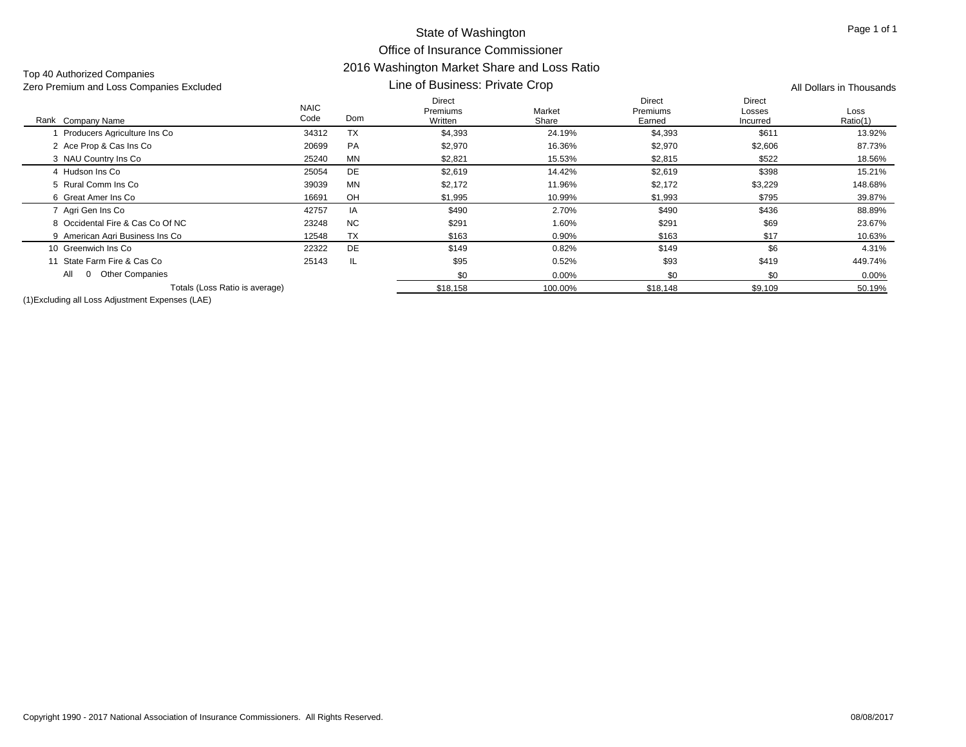| Zero Premium and Loss Companies Excluded |                     | Line of Business: Private Crop | All Dollars in Thousands      |                 |                              |                              |                  |
|------------------------------------------|---------------------|--------------------------------|-------------------------------|-----------------|------------------------------|------------------------------|------------------|
| Rank Company Name                        | <b>NAIC</b><br>Code | Dom                            | Direct<br>Premiums<br>Written | Market<br>Share | Direct<br>Premiums<br>Earned | Direct<br>Losses<br>Incurred | Loss<br>Ratio(1) |
| Producers Agriculture Ins Co             | 34312               | <b>TX</b>                      | \$4,393                       | 24.19%          | \$4,393                      | \$611                        | 13.92%           |
| 2 Ace Prop & Cas Ins Co                  | 20699               | PA                             | \$2,970                       | 16.36%          | \$2,970                      | \$2,606                      | 87.73%           |
| 3 NAU Country Ins Co                     | 25240               | MN                             | \$2,821                       | 15.53%          | \$2,815                      | \$522                        | 18.56%           |
| 4 Hudson Ins Co                          | 25054               | DE                             | \$2,619                       | 14.42%          | \$2,619                      | \$398                        | 15.21%           |
| 5 Rural Comm Ins Co                      | 39039               | <b>MN</b>                      | \$2,172                       | 11.96%          | \$2,172                      | \$3,229                      | 148.68%          |
| 6 Great Amer Ins Co                      | 16691               | OH                             | \$1,995                       | 10.99%          | \$1,993                      | \$795                        | 39.87%           |
| 7 Agri Gen Ins Co                        | 42757               | IA                             | \$490                         | 2.70%           | \$490                        | \$436                        | 88.89%           |
| 8 Occidental Fire & Cas Co Of NC         | 23248               | <b>NC</b>                      | \$291                         | 1.60%           | \$291                        | \$69                         | 23.67%           |
| 9 American Agri Business Ins Co          | 12548               | <b>TX</b>                      | \$163                         | $0.90\%$        | \$163                        | \$17                         | 10.63%           |
| 10 Greenwich Ins Co                      | 22322               | DE                             | \$149                         | 0.82%           | \$149                        | \$6                          | 4.31%            |
| 11 State Farm Fire & Cas Co              | 25143               | IL.                            | \$95                          | 0.52%           | \$93                         | \$419                        | 449.74%          |
| <b>Other Companies</b><br>All            |                     |                                | \$0                           | $0.00\%$        | \$0                          | \$0                          | $0.00\%$         |
| Totals (Loss Ratio is average)           |                     |                                | \$18,158                      | 100.00%         | \$18,148                     | \$9,109                      | 50.19%           |

(1)Excluding all Loss Adjustment Expenses (LAE)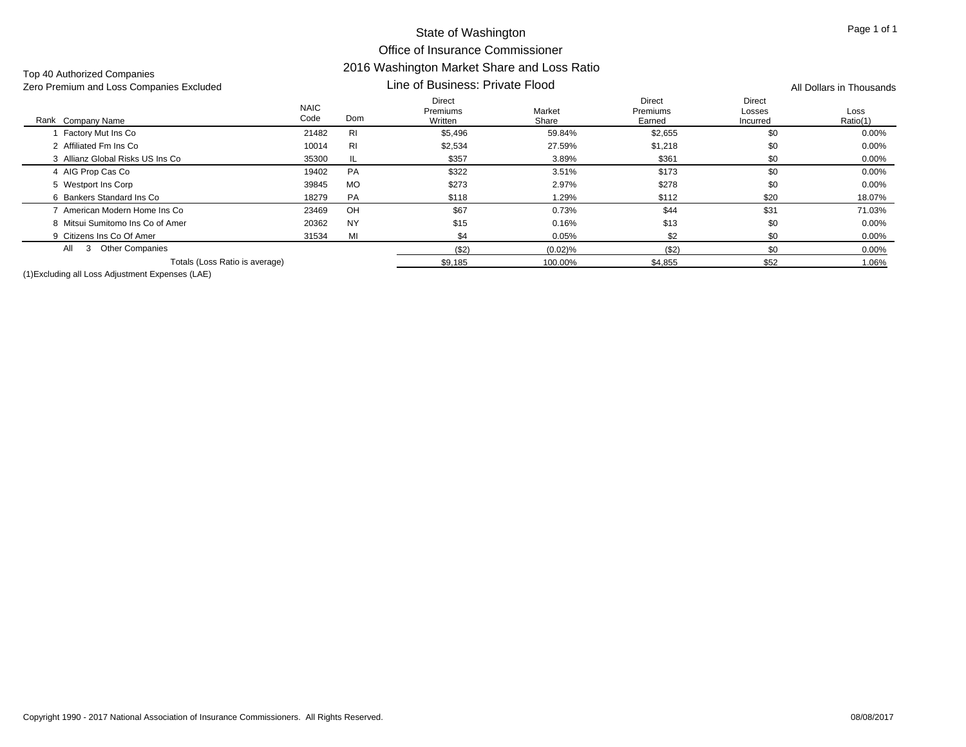| Zero Premium and Loss Companies Excluded |                     | Line of Business: Private Flood | All Dollars in Thousands      |                 |                              |                              |                  |
|------------------------------------------|---------------------|---------------------------------|-------------------------------|-----------------|------------------------------|------------------------------|------------------|
| Rank Company Name                        | <b>NAIC</b><br>Code | Dom                             | Direct<br>Premiums<br>Written | Market<br>Share | Direct<br>Premiums<br>Earned | Direct<br>Losses<br>Incurred | Loss<br>Ratio(1) |
| Factory Mut Ins Co                       | 21482               | <b>RI</b>                       | \$5,496                       | 59.84%          | \$2,655                      | \$0                          | $0.00\%$         |
| 2 Affiliated Fm Ins Co                   | 10014               | R <sub>l</sub>                  | \$2,534                       | 27.59%          | \$1,218                      | \$0                          | $0.00\%$         |
| 3 Allianz Global Risks US Ins Co         | 35300               | IL                              | \$357                         | 3.89%           | \$361                        | \$0                          | $0.00\%$         |
| 4 AIG Prop Cas Co                        | 19402               | PA                              | \$322                         | 3.51%           | \$173                        | \$0                          | $0.00\%$         |
| 5 Westport Ins Corp                      | 39845               | <b>MO</b>                       | \$273                         | 2.97%           | \$278                        | \$0                          | $0.00\%$         |
| 6 Bankers Standard Ins Co                | 18279               | <b>PA</b>                       | \$118                         | 1.29%           | \$112                        | \$20                         | 18.07%           |
| American Modern Home Ins Co              | 23469               | OH                              | \$67                          | 0.73%           | \$44                         | \$31                         | 71.03%           |
| 8 Mitsui Sumitomo Ins Co of Amer         | 20362               | <b>NY</b>                       | \$15                          | 0.16%           | \$13                         | \$0                          | $0.00\%$         |
| 9 Citizens Ins Co Of Amer                | 31534               | MI                              | \$4                           | 0.05%           | \$2                          | \$0                          | $0.00\%$         |
| <b>Other Companies</b><br>All<br>3       |                     |                                 | ( \$2)                        | $(0.02)$ %      | ( \$2)                       | \$0                          | $0.00\%$         |
| Totals (Loss Ratio is average)           |                     |                                 | \$9,185                       | 100.00%         | \$4,855                      | \$52                         | 1.06%            |

(1)Excluding all Loss Adjustment Expenses (LAE)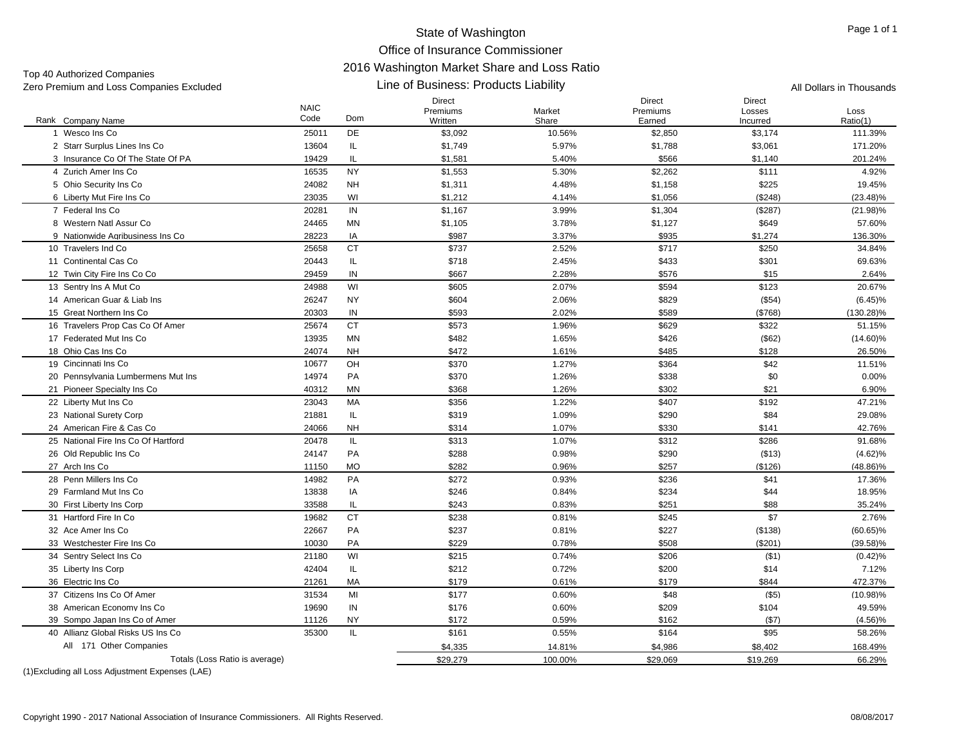# Top 40 Authorized Companies

Zero Premium and Loss Companies Excluded **All Dollars in Thousands** Line of Business: Products Liability All Dollars in Thousands

# Line of Business: Products Liability

|                                     | <b>NAIC</b><br>Code | Dom       | <b>Direct</b><br>Premiums | Market  | <b>Direct</b><br>Premiums | <b>Direct</b><br>Losses | Loss         |
|-------------------------------------|---------------------|-----------|---------------------------|---------|---------------------------|-------------------------|--------------|
| Rank Company Name<br>1 Wesco Ins Co |                     |           | Written                   | Share   | Earned                    | Incurred                | Ratio(1)     |
|                                     | 25011               | <b>DE</b> | \$3,092                   | 10.56%  | \$2,850                   | \$3,174                 | 111.39%      |
| 2 Starr Surplus Lines Ins Co        | 13604               | IL        | \$1,749                   | 5.97%   | \$1,788                   | \$3,061                 | 171.20%      |
| 3 Insurance Co Of The State Of PA   | 19429               | IL        | \$1,581                   | 5.40%   | \$566                     | \$1,140                 | 201.24%      |
| 4 Zurich Amer Ins Co                | 16535               | <b>NY</b> | \$1,553                   | 5.30%   | \$2,262                   | \$111                   | 4.92%        |
| 5 Ohio Security Ins Co              | 24082               | <b>NH</b> | \$1,311                   | 4.48%   | \$1,158                   | \$225                   | 19.45%       |
| 6 Liberty Mut Fire Ins Co           | 23035               | WI        | \$1,212                   | 4.14%   | \$1,056                   | (\$248)                 | $(23.48)\%$  |
| 7 Federal Ins Co                    | 20281               | IN        | \$1,167                   | 3.99%   | \$1,304                   | (\$287)                 | $(21.98)\%$  |
| 8 Western Natl Assur Co             | 24465               | MN        | \$1,105                   | 3.78%   | \$1,127                   | \$649                   | 57.60%       |
| 9 Nationwide Agribusiness Ins Co    | 28223               | IA        | \$987                     | 3.37%   | \$935                     | \$1,274                 | 136.30%      |
| 10 Travelers Ind Co                 | 25658               | <b>CT</b> | \$737                     | 2.52%   | \$717                     | \$250                   | 34.84%       |
| 11 Continental Cas Co               | 20443               | IL        | \$718                     | 2.45%   | \$433                     | \$301                   | 69.63%       |
| 12 Twin City Fire Ins Co Co         | 29459               | IN        | \$667                     | 2.28%   | \$576                     | \$15                    | 2.64%        |
| 13 Sentry Ins A Mut Co              | 24988               | WI        | \$605                     | 2.07%   | \$594                     | \$123                   | 20.67%       |
| 14 American Guar & Liab Ins         | 26247               | <b>NY</b> | \$604                     | 2.06%   | \$829                     | $($ \$54)               | $(6.45)\%$   |
| 15 Great Northern Ins Co            | 20303               | IN        | \$593                     | 2.02%   | \$589                     | (\$768)                 | $(130.28)\%$ |
| 16 Travelers Prop Cas Co Of Amer    | 25674               | <b>CT</b> | \$573                     | 1.96%   | \$629                     | \$322                   | 51.15%       |
| 17 Federated Mut Ins Co             | 13935               | <b>MN</b> | \$482                     | 1.65%   | \$426                     | $($ \$62)               | $(14.60)\%$  |
| 18 Ohio Cas Ins Co                  | 24074               | <b>NH</b> | \$472                     | 1.61%   | \$485                     | \$128                   | 26.50%       |
| 19 Cincinnati Ins Co                | 10677               | OH        | \$370                     | 1.27%   | \$364                     | \$42                    | 11.51%       |
| 20 Pennsylvania Lumbermens Mut Ins  | 14974               | PA        | \$370                     | 1.26%   | \$338                     | \$0                     | 0.00%        |
| 21 Pioneer Specialty Ins Co         | 40312               | MN        | \$368                     | 1.26%   | \$302                     | \$21                    | 6.90%        |
| 22 Liberty Mut Ins Co               | 23043               | МA        | \$356                     | 1.22%   | \$407                     | \$192                   | 47.21%       |
| 23 National Surety Corp             | 21881               | IL        | \$319                     | 1.09%   | \$290                     | \$84                    | 29.08%       |
| 24 American Fire & Cas Co           | 24066               | <b>NH</b> | \$314                     | 1.07%   | \$330                     | \$141                   | 42.76%       |
| 25 National Fire Ins Co Of Hartford | 20478               | IL.       | \$313                     | 1.07%   | \$312                     | \$286                   | 91.68%       |
| 26 Old Republic Ins Co              | 24147               | PA        | \$288                     | 0.98%   | \$290                     | ( \$13)                 | $(4.62)\%$   |
| 27 Arch Ins Co                      | 11150               | <b>MO</b> | \$282                     | 0.96%   | \$257                     | (\$126)                 | $(48.86)\%$  |
| 28 Penn Millers Ins Co              | 14982               | <b>PA</b> | \$272                     | 0.93%   | \$236                     | \$41                    | 17.36%       |
| 29 Farmland Mut Ins Co              | 13838               | IA        | \$246                     | 0.84%   | \$234                     | \$44                    | 18.95%       |
| 30 First Liberty Ins Corp           | 33588               | IL        | \$243                     | 0.83%   | \$251                     | \$88                    | 35.24%       |
| 31 Hartford Fire In Co.             | 19682               | <b>CT</b> | \$238                     | 0.81%   | \$245                     | \$7                     | 2.76%        |
| 32 Ace Amer Ins Co                  | 22667               | PA        | \$237                     | 0.81%   | \$227                     | (\$138)                 | $(60.65)\%$  |
| 33 Westchester Fire Ins Co          | 10030               | PA        | \$229                     | 0.78%   | \$508                     | (\$201)                 | $(39.58)\%$  |
| 34 Sentry Select Ins Co             | 21180               | WI        | \$215                     | 0.74%   | \$206                     | (\$1)                   | (0.42)%      |
| 35 Liberty Ins Corp                 | 42404               | IL.       | \$212                     | 0.72%   | \$200                     | \$14                    | 7.12%        |
| 36 Electric Ins Co                  | 21261               | MA        | \$179                     | 0.61%   | \$179                     | \$844                   | 472.37%      |
| 37 Citizens Ins Co Of Amer          | 31534               | MI        | \$177                     | 0.60%   | \$48                      | $($ \$5)                | $(10.98)\%$  |
| 38 American Economy Ins Co          | 19690               | IN        | \$176                     | 0.60%   | \$209                     | \$104                   | 49.59%       |
| 39 Sompo Japan Ins Co of Amer       | 11126               | <b>NY</b> | \$172                     | 0.59%   | \$162                     | (\$7)                   | $(4.56)\%$   |
| 40 Allianz Global Risks US Ins Co   | 35300               | IL        | \$161                     | 0.55%   | \$164                     | \$95                    | 58.26%       |
| All 171 Other Companies             |                     |           | \$4,335                   | 14.81%  | \$4,986                   | \$8,402                 | 168.49%      |
| Totals (Loss Ratio is average)      |                     |           | \$29,279                  | 100.00% | \$29,069                  | \$19,269                | 66.29%       |
|                                     |                     |           |                           |         |                           |                         |              |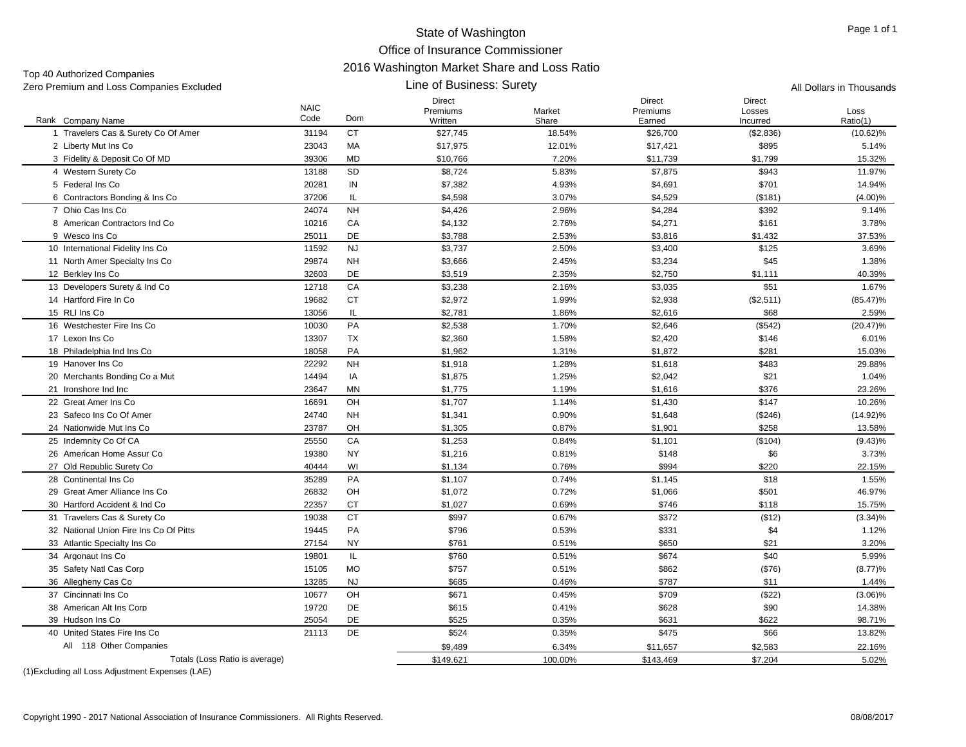Top 40 Authorized Companies<br>Zero Premium and Loss Compa

| TOP TO MUNICIPOR COMPUTION<br>Zero Premium and Loss Companies Excluded |                     |           | All Dollars in Thousands      |                 |                                     |                                     |                  |
|------------------------------------------------------------------------|---------------------|-----------|-------------------------------|-----------------|-------------------------------------|-------------------------------------|------------------|
| Rank Company Name                                                      | <b>NAIC</b><br>Code | Dom       | Direct<br>Premiums<br>Written | Market<br>Share | <b>Direct</b><br>Premiums<br>Earned | <b>Direct</b><br>Losses<br>Incurred | Loss<br>Ratio(1) |
| 1 Travelers Cas & Surety Co Of Amer                                    | 31194               | CT        | \$27,745                      | 18.54%          | \$26,700                            | (\$2,836)                           | $(10.62)\%$      |
| 2 Liberty Mut Ins Co                                                   | 23043               | МA        | \$17,975                      | 12.01%          | \$17,421                            | \$895                               | 5.14%            |
| 3 Fidelity & Deposit Co Of MD                                          | 39306               | MD        | \$10,766                      | 7.20%           | \$11,739                            | \$1,799                             | 15.32%           |
| 4 Western Surety Co                                                    | 13188               | <b>SD</b> | \$8,724                       | 5.83%           | \$7,875                             | \$943                               | 11.97%           |
| 5 Federal Ins Co                                                       | 20281               | IN        | \$7,382                       | 4.93%           | \$4,691                             | \$701                               | 14.94%           |
| 6 Contractors Bonding & Ins Co                                         | 37206               | IL.       | \$4,598                       | 3.07%           | \$4,529                             | (\$181)                             | $(4.00)\%$       |
| 7 Ohio Cas Ins Co                                                      | 24074               | <b>NH</b> | \$4,426                       | 2.96%           | \$4,284                             | \$392                               | 9.14%            |
| 8 American Contractors Ind Co                                          | 10216               | CA        | \$4,132                       | 2.76%           | \$4,271                             | \$161                               | 3.78%            |
| 9 Wesco Ins Co                                                         | 25011               | DE        | \$3,788                       | 2.53%           | \$3,816                             | \$1,432                             | 37.53%           |
| 10 International Fidelity Ins Co                                       | 11592               | <b>NJ</b> | \$3,737                       | 2.50%           | \$3,400                             | \$125                               | 3.69%            |
| 11 North Amer Specialty Ins Co                                         | 29874               | <b>NH</b> | \$3,666                       | 2.45%           | \$3,234                             | \$45                                | 1.38%            |
| 12 Berkley Ins Co                                                      | 32603               | DE        | \$3,519                       | 2.35%           | \$2,750                             | \$1,111                             | 40.39%           |
| 13 Developers Surety & Ind Co                                          | 12718               | CA        | \$3,238                       | 2.16%           | \$3,035                             | \$51                                | 1.67%            |
| 14 Hartford Fire In Co                                                 | 19682               | <b>CT</b> | \$2,972                       | 1.99%           | \$2,938                             | (\$2,511)                           | $(85.47)\%$      |
| 15 RLI Ins Co                                                          | 13056               | IL.       | \$2,781                       | 1.86%           | \$2,616                             | \$68                                | 2.59%            |
| 16 Westchester Fire Ins Co                                             | 10030               | PA        | \$2,538                       | 1.70%           | \$2,646                             | (\$542)                             | $(20.47)\%$      |
| 17 Lexon Ins Co                                                        | 13307               | TX        | \$2,360                       | 1.58%           | \$2,420                             | \$146                               | 6.01%            |
| 18 Philadelphia Ind Ins Co                                             | 18058               | PA        | \$1,962                       | 1.31%           | \$1,872                             | \$281                               | 15.03%           |
| 19 Hanover Ins Co                                                      | 22292               | <b>NH</b> | \$1,918                       | 1.28%           | \$1,618                             | \$483                               | 29.88%           |
| 20 Merchants Bonding Co a Mut                                          | 14494               | IA        | \$1,875                       | 1.25%           | \$2,042                             | \$21                                | 1.04%            |
| 21 Ironshore Ind Inc                                                   | 23647               | MN        | \$1,775                       | 1.19%           | \$1,616                             | \$376                               | 23.26%           |
| 22 Great Amer Ins Co                                                   | 16691               | OH        | \$1,707                       | 1.14%           | \$1,430                             | \$147                               | 10.26%           |
| 23 Safeco Ins Co Of Amer                                               | 24740               | <b>NH</b> | \$1,341                       | 0.90%           | \$1,648                             | (\$246)                             | $(14.92)\%$      |
| 24 Nationwide Mut Ins Co                                               | 23787               | OH        | \$1,305                       | 0.87%           | \$1,901                             | \$258                               | 13.58%           |
| 25 Indemnity Co Of CA                                                  | 25550               | CA        | \$1,253                       | 0.84%           | \$1,101                             | (\$104)                             | $(9.43)\%$       |
| 26 American Home Assur Co                                              | 19380               | <b>NY</b> | \$1,216                       | 0.81%           | \$148                               | \$6                                 | 3.73%            |
| 27 Old Republic Surety Co                                              | 40444               | WI        | \$1,134                       | 0.76%           | \$994                               | \$220                               | 22.15%           |
| 28 Continental Ins Co                                                  | 35289               | PA        | \$1,107                       | 0.74%           | \$1,145                             | \$18                                | 1.55%            |
| 29 Great Amer Alliance Ins Co                                          | 26832               | OH        | \$1,072                       | 0.72%           | \$1,066                             | \$501                               | 46.97%           |
| 30 Hartford Accident & Ind Co                                          | 22357               | СT        | \$1,027                       | 0.69%           | \$746                               | \$118                               | 15.75%           |
| 31 Travelers Cas & Surety Co                                           | 19038               | <b>CT</b> | \$997                         | 0.67%           | \$372                               | ( \$12)                             | (3.34)%          |
| 32 National Union Fire Ins Co Of Pitts                                 | 19445               | PA        | \$796                         | 0.53%           | \$331                               | \$4                                 | 1.12%            |
| 33 Atlantic Specialty Ins Co                                           | 27154               | NY        | \$761                         | 0.51%           | \$650                               | \$21                                | 3.20%            |
| 34 Argonaut Ins Co                                                     | 19801               | IL.       | \$760                         | 0.51%           | \$674                               | \$40                                | 5.99%            |
| 35 Safety Natl Cas Corp                                                | 15105               | <b>MO</b> | \$757                         | 0.51%           | \$862                               | ( \$76)                             | (8.77)%          |
| 36 Allegheny Cas Co                                                    | 13285               | <b>NJ</b> | \$685                         | 0.46%           | \$787                               | \$11                                | 1.44%            |
| 37 Cincinnati Ins Co                                                   | 10677               | OH        | \$671                         | 0.45%           | \$709                               | (\$22)                              | $(3.06)\%$       |
| 38 American Alt Ins Corp                                               | 19720               | DE        | \$615                         | 0.41%           | \$628                               | \$90                                | 14.38%           |
| 39 Hudson Ins Co                                                       | 25054               | DE        | \$525                         | 0.35%           | \$631                               | \$622                               | 98.71%           |
| 40 United States Fire Ins Co                                           | 21113               | DE        | \$524                         | 0.35%           | \$475                               | \$66                                | 13.82%           |
| All 118 Other Companies                                                |                     |           | \$9,489                       | 6.34%           | \$11,657                            | \$2,583                             | 22.16%           |
| Totals (Loss Ratio is average)                                         |                     |           |                               |                 |                                     |                                     |                  |
|                                                                        |                     |           | \$149,621                     | 100.00%         | \$143,469                           | \$7,204                             | 5.02%            |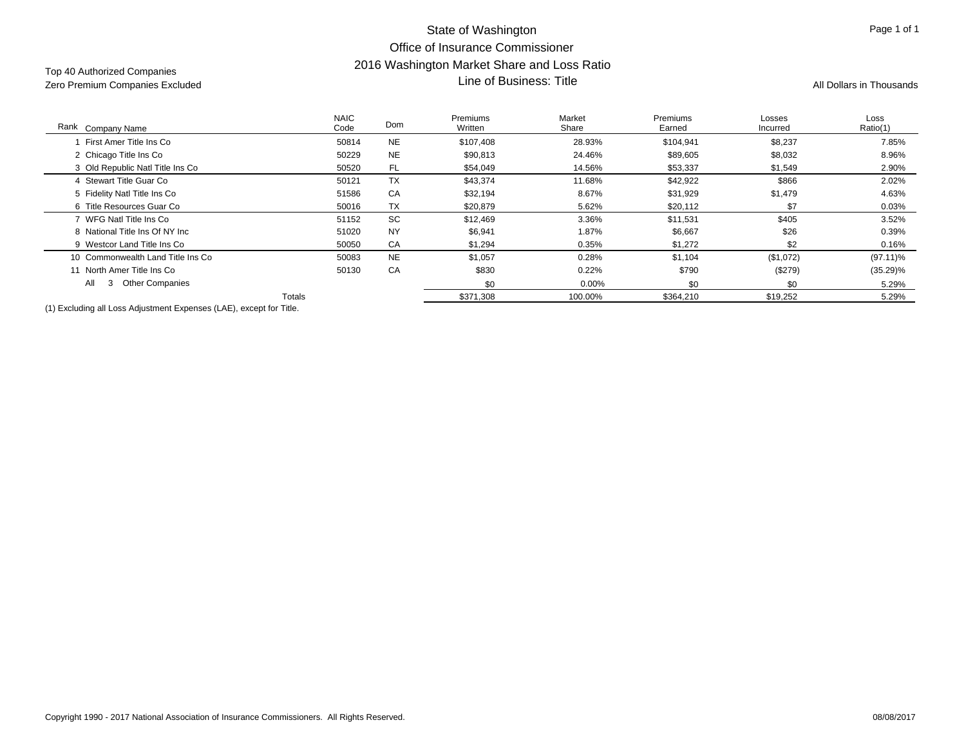# State of Washington Office of Insurance Commissioner2016 Washington Market Share and Loss Ratio Line of Business: Title and Loss Ration Market Strate and Loss Ration Market Strate Area and Loss Ration Market<br>Zero Premium Companies Excluded All Dollars in Thousands **All Dollars in Thousands** All Dollars in Thousands

| Rank Company Name                                                                  | <b>NAIC</b><br>Code | Dom       | Premiums<br>Written | Market<br>Share | Premiums<br>Earned | Losses<br>Incurred | Loss<br>Ratio(1) |
|------------------------------------------------------------------------------------|---------------------|-----------|---------------------|-----------------|--------------------|--------------------|------------------|
| First Amer Title Ins Co                                                            | 50814               | <b>NE</b> | \$107,408           | 28.93%          | \$104,941          | \$8,237            | 7.85%            |
| 2 Chicago Title Ins Co                                                             | 50229               | <b>NE</b> | \$90,813            | 24.46%          | \$89,605           | \$8,032            | 8.96%            |
| 3 Old Republic Natl Title Ins Co                                                   | 50520               | FL        | \$54,049            | 14.56%          | \$53,337           | \$1,549            | 2.90%            |
| 4 Stewart Title Guar Co                                                            | 50121               | <b>TX</b> | \$43,374            | 11.68%          | \$42,922           | \$866              | 2.02%            |
| 5 Fidelity Natl Title Ins Co                                                       | 51586               | CA        | \$32,194            | 8.67%           | \$31,929           | \$1,479            | 4.63%            |
| 6 Title Resources Guar Co                                                          | 50016               | <b>TX</b> | \$20,879            | 5.62%           | \$20,112           | \$7                | 0.03%            |
| 7 WFG Natl Title Ins Co                                                            | 51152               | SC        | \$12,469            | 3.36%           | \$11,531           | \$405              | 3.52%            |
| 8 National Title Ins Of NY Inc                                                     | 51020               | <b>NY</b> | \$6,941             | 1.87%           | \$6,667            | \$26               | 0.39%            |
| 9 Westcor Land Title Ins Co                                                        | 50050               | CA        | \$1,294             | 0.35%           | \$1,272            | \$2                | 0.16%            |
| 10 Commonwealth Land Title Ins Co                                                  | 50083               | <b>NE</b> | \$1,057             | 0.28%           | \$1,104            | (\$1,072)          | $(97.11)\%$      |
| 11 North Amer Title Ins Co                                                         | 50130               | CA        | \$830               | 0.22%           | \$790              | (\$279)            | $(35.29)\%$      |
| <b>Other Companies</b><br>All                                                      |                     |           | \$0                 | $0.00\%$        | \$0                | \$0                | 5.29%            |
|                                                                                    | Totals              |           | \$371,308           | 100.00%         | \$364,210          | \$19,252           | 5.29%            |
| (4) Excellentia and the age Additional and Express age of AEV account from Title ( |                     |           |                     |                 |                    |                    |                  |

(1) Excluding all Loss Adjustment Expenses (LAE), except for Title.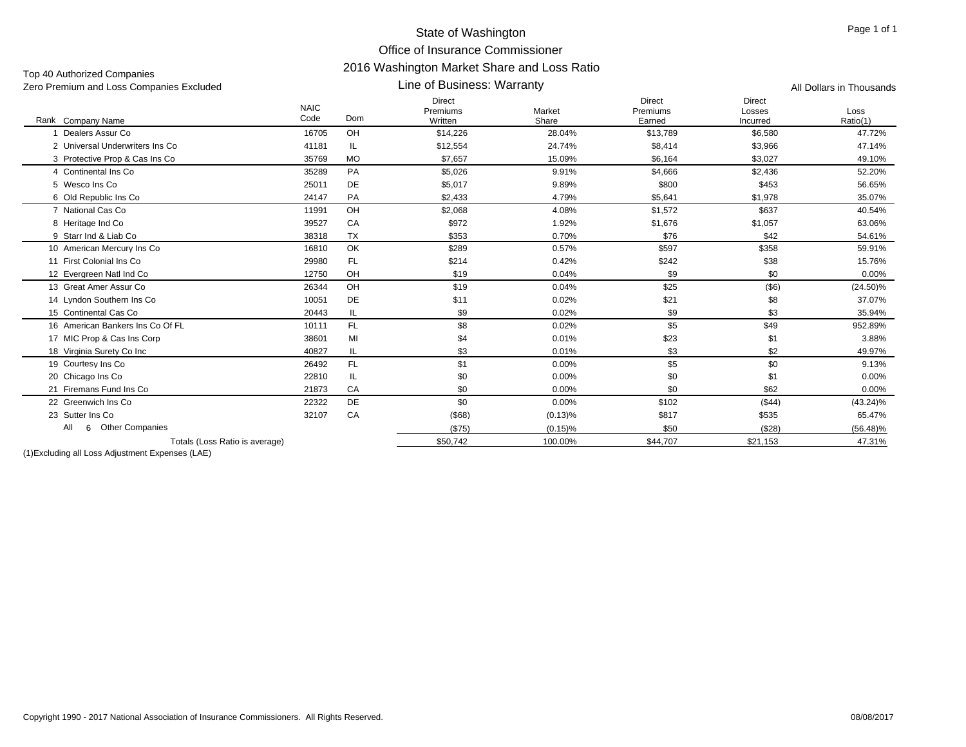| Zero Premium and Loss Companies Excluded |                     |           | All Dollars in Thousands             |                 |                                     |                              |                  |
|------------------------------------------|---------------------|-----------|--------------------------------------|-----------------|-------------------------------------|------------------------------|------------------|
| Rank Company Name                        | <b>NAIC</b><br>Code | Dom       | <b>Direct</b><br>Premiums<br>Written | Market<br>Share | <b>Direct</b><br>Premiums<br>Earned | Direct<br>Losses<br>Incurred | Loss<br>Ratio(1) |
| Dealers Assur Co                         | 16705               | OH        | \$14,226                             | 28.04%          | \$13,789                            | \$6,580                      | 47.72%           |
| 2 Universal Underwriters Ins Co.         | 41181               | IL.       | \$12,554                             | 24.74%          | \$8,414                             | \$3,966                      | 47.14%           |
| 3 Protective Prop & Cas Ins Co           | 35769               | <b>MO</b> | \$7,657                              | 15.09%          | \$6,164                             | \$3,027                      | 49.10%           |
| 4 Continental Ins Co                     | 35289               | PA        | \$5,026                              | 9.91%           | \$4,666                             | \$2,436                      | 52.20%           |
| 5 Wesco Ins Co                           | 25011               | DE        | \$5,017                              | 9.89%           | \$800                               | \$453                        | 56.65%           |
| 6 Old Republic Ins Co                    | 24147               | PA        | \$2,433                              | 4.79%           | \$5,641                             | \$1,978                      | 35.07%           |
| 7 National Cas Co                        | 11991               | OH        | \$2,068                              | 4.08%           | \$1,572                             | \$637                        | 40.54%           |
| 8 Heritage Ind Co                        | 39527               | CA        | \$972                                | 1.92%           | \$1,676                             | \$1,057                      | 63.06%           |
| 9 Starr Ind & Liab Co                    | 38318               | <b>TX</b> | \$353                                | 0.70%           | \$76                                | \$42                         | 54.61%           |
| 10 American Mercury Ins Co               | 16810               | OK        | \$289                                | 0.57%           | \$597                               | \$358                        | 59.91%           |
| 11 First Colonial Ins Co                 | 29980               | FL.       | \$214                                | 0.42%           | \$242                               | \$38                         | 15.76%           |
| 12 Evergreen Natl Ind Co                 | 12750               | OH        | \$19                                 | 0.04%           | \$9                                 | \$0                          | 0.00%            |
| 13 Great Amer Assur Co                   | 26344               | OH        | \$19                                 | 0.04%           | \$25                                | $($ \$6)                     | $(24.50)\%$      |
| 14 Lyndon Southern Ins Co                | 10051               | DE        | \$11                                 | 0.02%           | \$21                                | \$8                          | 37.07%           |
| 15 Continental Cas Co                    | 20443               | IL.       | \$9                                  | 0.02%           | \$9                                 | \$3                          | 35.94%           |
| 16 American Bankers Ins Co Of FL         | 10111               | FL.       | \$8                                  | 0.02%           | \$5                                 | \$49                         | 952.89%          |
| 17 MIC Prop & Cas Ins Corp               | 38601               | MI        | \$4                                  | 0.01%           | \$23                                | \$1                          | 3.88%            |
| 18 Virginia Surety Co Inc                | 40827               | IL.       | \$3                                  | 0.01%           | \$3                                 | \$2                          | 49.97%           |
| 19 Courtesy Ins Co                       | 26492               | FL.       | \$1                                  | 0.00%           | \$5                                 | \$0                          | 9.13%            |
| 20 Chicago Ins Co                        | 22810               | IL.       | \$0                                  | 0.00%           | \$0                                 | \$1                          | $0.00\%$         |
| 21 Firemans Fund Ins Co                  | 21873               | CA        | \$0                                  | 0.00%           | \$0                                 | \$62                         | $0.00\%$         |
| 22 Greenwich Ins Co                      | 22322               | DE        | \$0                                  | 0.00%           | \$102                               | (\$44)                       | $(43.24)\%$      |
| 23 Sutter Ins Co                         | 32107               | CA        | $($ \$68)                            | (0.13)%         | \$817                               | \$535                        | 65.47%           |
| <b>Other Companies</b><br>All<br>6       |                     |           | (\$75)                               | $(0.15)$ %      | \$50                                | (\$28)                       | $(56.48)\%$      |
| Totals (Loss Ratio is average)           |                     |           | \$50,742                             | 100.00%         | \$44.707                            | \$21,153                     | 47.31%           |

(1)Excluding all Loss Adjustment Expenses (LAE)